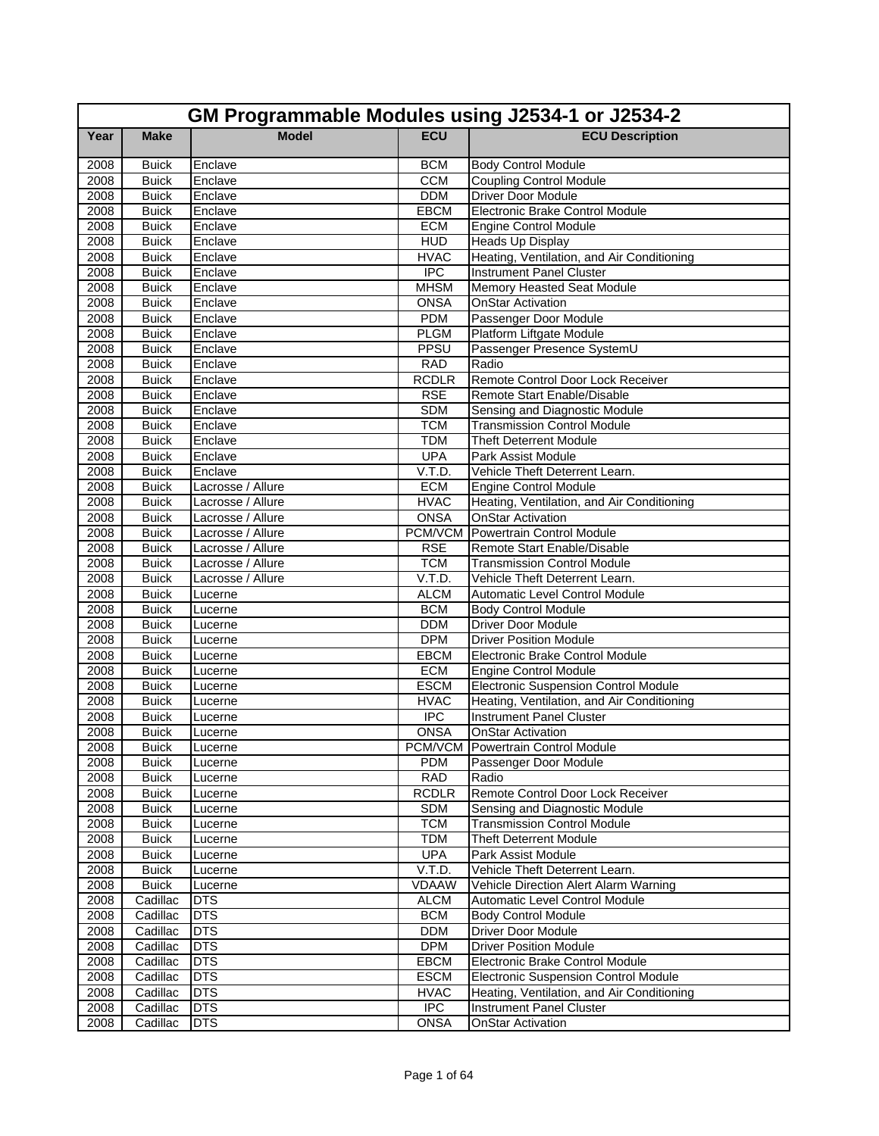|              | GM Programmable Modules using J2534-1 or J2534-2 |                    |                            |                                                                               |  |
|--------------|--------------------------------------------------|--------------------|----------------------------|-------------------------------------------------------------------------------|--|
| Year         | <b>Make</b>                                      | <b>Model</b>       | <b>ECU</b>                 | <b>ECU Description</b>                                                        |  |
| 2008         | <b>Buick</b>                                     | Enclave            | <b>BCM</b>                 | <b>Body Control Module</b>                                                    |  |
| 2008         | <b>Buick</b>                                     | Enclave            | <b>CCM</b>                 | <b>Coupling Control Module</b>                                                |  |
| 2008         | <b>Buick</b>                                     | Enclave            | <b>DDM</b>                 | <b>Driver Door Module</b>                                                     |  |
| 2008         | <b>Buick</b>                                     | Enclave            | <b>EBCM</b>                | Electronic Brake Control Module                                               |  |
| 2008         | <b>Buick</b>                                     | Enclave            | <b>ECM</b>                 | <b>Engine Control Module</b>                                                  |  |
| 2008         | <b>Buick</b>                                     | Enclave            | <b>HUD</b>                 | Heads Up Display                                                              |  |
| 2008         | <b>Buick</b>                                     | Enclave            | <b>HVAC</b>                | Heating, Ventilation, and Air Conditioning                                    |  |
| 2008         | <b>Buick</b>                                     | Enclave            | <b>IPC</b>                 | <b>Instrument Panel Cluster</b>                                               |  |
| 2008         | <b>Buick</b>                                     | Enclave            | <b>MHSM</b>                | Memory Heasted Seat Module                                                    |  |
| 2008         | <b>Buick</b>                                     | Enclave            | <b>ONSA</b>                | <b>OnStar Activation</b>                                                      |  |
| 2008         | <b>Buick</b>                                     | Enclave            | <b>PDM</b>                 | Passenger Door Module                                                         |  |
| 2008         | <b>Buick</b>                                     | Enclave            | <b>PLGM</b>                | Platform Liftgate Module                                                      |  |
| 2008         | <b>Buick</b>                                     | Enclave            | PPSU                       | Passenger Presence SystemU                                                    |  |
| 2008         | <b>Buick</b>                                     | Enclave            | <b>RAD</b>                 | Radio                                                                         |  |
| 2008         | <b>Buick</b>                                     | Enclave            | <b>RCDLR</b>               | Remote Control Door Lock Receiver                                             |  |
| 2008         | <b>Buick</b>                                     | Enclave            | <b>RSE</b>                 | Remote Start Enable/Disable                                                   |  |
| 2008         | <b>Buick</b>                                     | Enclave            | <b>SDM</b>                 | Sensing and Diagnostic Module                                                 |  |
| 2008         | <b>Buick</b>                                     | Enclave            | <b>TCM</b>                 | <b>Transmission Control Module</b>                                            |  |
| 2008         | <b>Buick</b>                                     | Enclave            | <b>TDM</b>                 | <b>Theft Deterrent Module</b>                                                 |  |
| 2008         | <b>Buick</b>                                     | Enclave            | <b>UPA</b>                 | Park Assist Module                                                            |  |
| 2008         | <b>Buick</b>                                     | Enclave            | V.T.D.                     | Vehicle Theft Deterrent Learn.                                                |  |
| 2008         | <b>Buick</b>                                     | Lacrosse / Allure  | <b>ECM</b>                 | <b>Engine Control Module</b>                                                  |  |
| 2008         | <b>Buick</b>                                     | Lacrosse / Allure  | <b>HVAC</b>                | Heating, Ventilation, and Air Conditioning                                    |  |
| 2008         | <b>Buick</b>                                     | Lacrosse / Allure  | <b>ONSA</b>                | <b>OnStar Activation</b>                                                      |  |
| 2008         | <b>Buick</b>                                     | Lacrosse / Allure  | PCM/VCM                    | <b>Powertrain Control Module</b>                                              |  |
| 2008         | <b>Buick</b>                                     | Lacrosse / Allure  | <b>RSE</b>                 | Remote Start Enable/Disable                                                   |  |
| 2008         | <b>Buick</b>                                     | Lacrosse / Allure  | <b>TCM</b>                 | <b>Transmission Control Module</b>                                            |  |
| 2008         | <b>Buick</b>                                     | Lacrosse / Allure  | V.T.D.                     | Vehicle Theft Deterrent Learn.                                                |  |
| 2008         | <b>Buick</b>                                     | Lucerne            | <b>ALCM</b>                | Automatic Level Control Module                                                |  |
| 2008         | <b>Buick</b>                                     | Lucerne            | <b>BCM</b>                 | <b>Body Control Module</b>                                                    |  |
| 2008         | <b>Buick</b>                                     | Lucerne            | <b>DDM</b>                 | <b>Driver Door Module</b>                                                     |  |
| 2008         | <b>Buick</b>                                     | Lucerne            | <b>DPM</b>                 | <b>Driver Position Module</b>                                                 |  |
| 2008         | <b>Buick</b>                                     | Lucerne            | EBCM                       | Electronic Brake Control Module                                               |  |
| 2008<br>2008 | <b>Buick</b>                                     | Lucerne            | <b>ECM</b>                 | <b>Engine Control Module</b>                                                  |  |
|              | <b>Buick</b>                                     | Lucerne            | <b>ESCM</b><br><b>HVAC</b> | <b>Electronic Suspension Control Module</b>                                   |  |
| 2008<br>2008 | <b>Buick</b><br><b>Buick</b>                     | Lucerne            | <b>IPC</b>                 | Heating, Ventilation, and Air Conditioning<br><b>Instrument Panel Cluster</b> |  |
|              |                                                  | Lucerne            | <b>ONSA</b>                | <b>OnStar Activation</b>                                                      |  |
| 2008<br>2008 | <b>Buick</b><br><b>Buick</b>                     | Lucerne<br>Lucerne |                            | PCM/VCM Powertrain Control Module                                             |  |
| 2008         |                                                  |                    | <b>PDM</b>                 | Passenger Door Module                                                         |  |
| 2008         | <b>Buick</b><br><b>Buick</b>                     | Lucerne<br>Lucerne | <b>RAD</b>                 | Radio                                                                         |  |
| 2008         | <b>Buick</b>                                     | Lucerne            | <b>RCDLR</b>               | Remote Control Door Lock Receiver                                             |  |
| 2008         | <b>Buick</b>                                     | Lucerne            | <b>SDM</b>                 | Sensing and Diagnostic Module                                                 |  |
| 2008         | <b>Buick</b>                                     | Lucerne            | <b>TCM</b>                 | <b>Transmission Control Module</b>                                            |  |
| 2008         | <b>Buick</b>                                     | Lucerne            | <b>TDM</b>                 | <b>Theft Deterrent Module</b>                                                 |  |
| 2008         | <b>Buick</b>                                     | Lucerne            | <b>UPA</b>                 | Park Assist Module                                                            |  |
| 2008         | <b>Buick</b>                                     | Lucerne            | V.T.D.                     | Vehicle Theft Deterrent Learn.                                                |  |
| 2008         | <b>Buick</b>                                     | Lucerne            | <b>VDAAW</b>               | Vehicle Direction Alert Alarm Warning                                         |  |
| 2008         | Cadillac                                         | <b>DTS</b>         | <b>ALCM</b>                | Automatic Level Control Module                                                |  |
| 2008         | Cadillac                                         | <b>DTS</b>         | <b>BCM</b>                 | <b>Body Control Module</b>                                                    |  |
| 2008         | Cadillac                                         | <b>DTS</b>         | <b>DDM</b>                 | Driver Door Module                                                            |  |
| 2008         | Cadillac                                         | <b>DTS</b>         | <b>DPM</b>                 | <b>Driver Position Module</b>                                                 |  |
| 2008         | Cadillac                                         | <b>DTS</b>         | <b>EBCM</b>                | Electronic Brake Control Module                                               |  |
| 2008         | Cadillac                                         | <b>DTS</b>         | <b>ESCM</b>                | <b>Electronic Suspension Control Module</b>                                   |  |
| 2008         | Cadillac                                         | <b>DTS</b>         | <b>HVAC</b>                | Heating, Ventilation, and Air Conditioning                                    |  |
| 2008         | Cadillac                                         | <b>DTS</b>         | <b>IPC</b>                 | Instrument Panel Cluster                                                      |  |
| 2008         | Cadillac                                         | <b>DTS</b>         | <b>ONSA</b>                | <b>OnStar Activation</b>                                                      |  |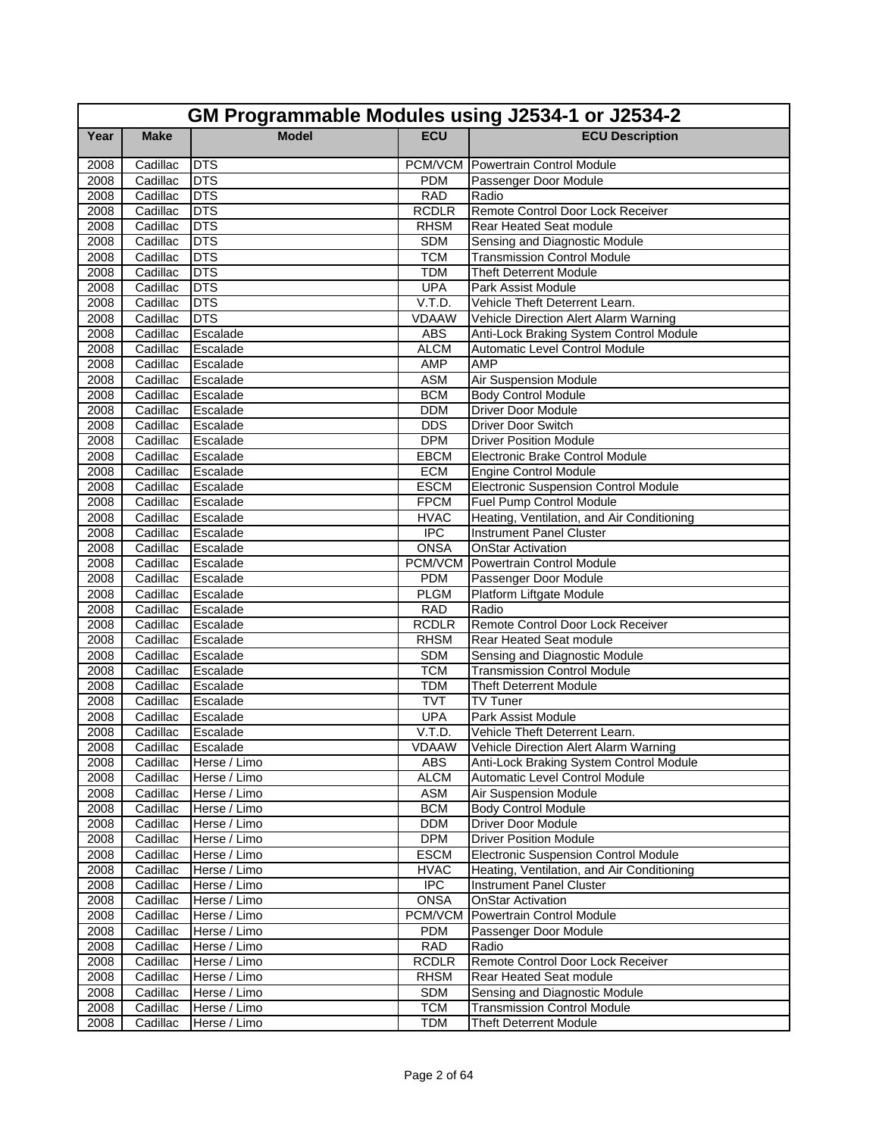|              | GM Programmable Modules using J2534-1 or J2534-2 |                      |                             |                                                                     |  |
|--------------|--------------------------------------------------|----------------------|-----------------------------|---------------------------------------------------------------------|--|
| Year         | <b>Make</b>                                      | <b>Model</b>         | <b>ECU</b>                  | <b>ECU Description</b>                                              |  |
| 2008         | Cadillac                                         | <b>DTS</b>           |                             | <b>PCM/VCM</b> Powertrain Control Module                            |  |
| 2008         | Cadillac                                         | <b>DTS</b>           | <b>PDM</b>                  | Passenger Door Module                                               |  |
| 2008         | Cadillac                                         | <b>DTS</b>           | <b>RAD</b>                  | Radio                                                               |  |
| 2008         | Cadillac                                         | <b>DTS</b>           | <b>RCDLR</b>                | Remote Control Door Lock Receiver                                   |  |
| 2008         | Cadillac                                         | <b>DTS</b>           | <b>RHSM</b>                 | Rear Heated Seat module                                             |  |
| 2008         | Cadillac                                         | <b>DTS</b>           | <b>SDM</b>                  | Sensing and Diagnostic Module                                       |  |
| 2008         | Cadillac                                         | <b>DTS</b>           | <b>TCM</b>                  | <b>Transmission Control Module</b>                                  |  |
| 2008         | Cadillac                                         | <b>DTS</b>           | <b>TDM</b>                  | <b>Theft Deterrent Module</b>                                       |  |
| 2008         | Cadillac                                         | <b>DTS</b>           | <b>UPA</b>                  | Park Assist Module                                                  |  |
| 2008         | Cadillac                                         | <b>DTS</b>           | V.T.D.                      | Vehicle Theft Deterrent Learn.                                      |  |
| 2008         | Cadillac                                         | <b>DTS</b>           | <b>VDAAW</b>                | Vehicle Direction Alert Alarm Warning                               |  |
| 2008         | Cadillac                                         | Escalade             | <b>ABS</b>                  | Anti-Lock Braking System Control Module                             |  |
| 2008         | Cadillac                                         | Escalade             | <b>ALCM</b>                 | Automatic Level Control Module                                      |  |
| 2008         | Cadillac                                         | Escalade             | <b>AMP</b>                  | AMP                                                                 |  |
| 2008         | Cadillac                                         | Escalade             | <b>ASM</b>                  | Air Suspension Module                                               |  |
| 2008         | Cadillac                                         | Escalade             | <b>BCM</b>                  | <b>Body Control Module</b>                                          |  |
| 2008         | Cadillac                                         | Escalade             | <b>DDM</b>                  | <b>Driver Door Module</b>                                           |  |
| 2008         | Cadillac                                         | Escalade             | <b>DDS</b>                  | <b>Driver Door Switch</b>                                           |  |
| 2008         | Cadillac                                         | Escalade             | <b>DPM</b>                  | <b>Driver Position Module</b>                                       |  |
| 2008         | Cadillac                                         | Escalade             | EBCM                        | Electronic Brake Control Module                                     |  |
| 2008         | Cadillac                                         | Escalade             | <b>ECM</b>                  | <b>Engine Control Module</b>                                        |  |
| 2008         | Cadillac                                         | Escalade             | <b>ESCM</b>                 | <b>Electronic Suspension Control Module</b>                         |  |
| 2008         | Cadillac                                         | Escalade             | <b>FPCM</b>                 | Fuel Pump Control Module                                            |  |
| 2008         | Cadillac                                         | Escalade             | <b>HVAC</b>                 | Heating, Ventilation, and Air Conditioning                          |  |
| 2008         | Cadillac                                         | Escalade             | <b>IPC</b>                  | <b>Instrument Panel Cluster</b>                                     |  |
| 2008         | Cadillac                                         | Escalade             | <b>ONSA</b>                 | <b>OnStar Activation</b>                                            |  |
| 2008         | Cadillac                                         | Escalade             | PCM/VCM                     | Powertrain Control Module                                           |  |
| 2008         | Cadillac                                         | Escalade             | <b>PDM</b>                  | Passenger Door Module                                               |  |
| 2008         | Cadillac                                         | Escalade             | <b>PLGM</b>                 | Platform Liftgate Module<br>Radio                                   |  |
| 2008         | Cadillac                                         | Escalade             | <b>RAD</b>                  |                                                                     |  |
| 2008         | Cadillac<br>Cadillac                             | Escalade             | <b>RCDLR</b><br><b>RHSM</b> | Remote Control Door Lock Receiver<br>Rear Heated Seat module        |  |
| 2008         | Cadillac                                         | Escalade             | <b>SDM</b>                  |                                                                     |  |
| 2008<br>2008 | Cadillac                                         | Escalade<br>Escalade | <b>TCM</b>                  | Sensing and Diagnostic Module<br><b>Transmission Control Module</b> |  |
| 2008         | Cadillac                                         | Escalade             | <b>TDM</b>                  | <b>Theft Deterrent Module</b>                                       |  |
| 2008         | Cadillac                                         | Escalade             | <b>TVT</b>                  | <b>TV Tuner</b>                                                     |  |
| 2008         | Cadillac                                         | Escalade             | <b>UPA</b>                  | Park Assist Module                                                  |  |
| 2008         | Cadillac                                         | Escalade             | V.T.D.                      | Vehicle Theft Deterrent Learn.                                      |  |
| 2008         |                                                  | Cadillac Escalade    | VDAAW                       | Vehicle Direction Alert Alarm Warning                               |  |
| 2008         | Cadillac                                         | Herse / Limo         | <b>ABS</b>                  | Anti-Lock Braking System Control Module                             |  |
| 2008         | Cadillac                                         | Herse / Limo         | <b>ALCM</b>                 | Automatic Level Control Module                                      |  |
| 2008         | Cadillac                                         | Herse / Limo         | <b>ASM</b>                  | Air Suspension Module                                               |  |
| 2008         | Cadillac                                         | Herse / Limo         | <b>BCM</b>                  | <b>Body Control Module</b>                                          |  |
| 2008         | Cadillac                                         | Herse / Limo         | <b>DDM</b>                  | Driver Door Module                                                  |  |
| 2008         | Cadillac                                         | Herse / Limo         | <b>DPM</b>                  | <b>Driver Position Module</b>                                       |  |
| 2008         | Cadillac                                         | Herse / Limo         | <b>ESCM</b>                 | <b>Electronic Suspension Control Module</b>                         |  |
| 2008         | Cadillac                                         | Herse / Limo         | <b>HVAC</b>                 | Heating, Ventilation, and Air Conditioning                          |  |
| 2008         | Cadillac                                         | Herse / Limo         | $\overline{IPC}$            | <b>Instrument Panel Cluster</b>                                     |  |
| 2008         | Cadillac                                         | Herse / Limo         | <b>ONSA</b>                 | <b>OnStar Activation</b>                                            |  |
| 2008         | Cadillac                                         | Herse / Limo         | PCM/VCM                     | Powertrain Control Module                                           |  |
| 2008         | Cadillac                                         | Herse / Limo         | <b>PDM</b>                  | Passenger Door Module                                               |  |
| 2008         | Cadillac                                         | Herse / Limo         | <b>RAD</b>                  | Radio                                                               |  |
| 2008         | Cadillac                                         | Herse / Limo         | <b>RCDLR</b>                | Remote Control Door Lock Receiver                                   |  |
| 2008         | Cadillac                                         | Herse / Limo         | <b>RHSM</b>                 | Rear Heated Seat module                                             |  |
| 2008         | Cadillac                                         | Herse / Limo         | <b>SDM</b>                  | Sensing and Diagnostic Module                                       |  |
| 2008         | Cadillac                                         | Herse / Limo         | <b>TCM</b>                  | <b>Transmission Control Module</b>                                  |  |
| 2008         | Cadillac                                         | Herse / Limo         | <b>TDM</b>                  | <b>Theft Deterrent Module</b>                                       |  |
|              |                                                  |                      |                             |                                                                     |  |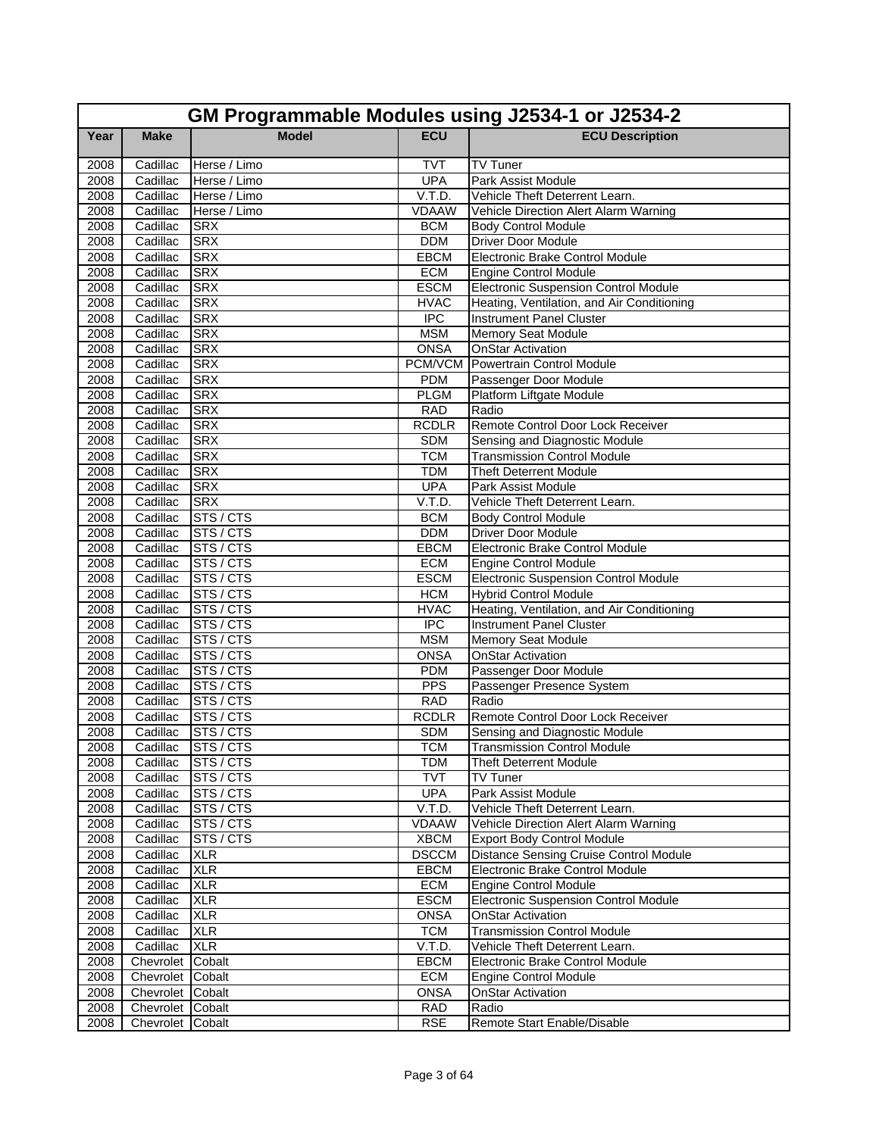|      | GM Programmable Modules using J2534-1 or J2534-2 |                    |              |                                               |  |
|------|--------------------------------------------------|--------------------|--------------|-----------------------------------------------|--|
| Year | <b>Make</b>                                      | <b>Model</b>       | <b>ECU</b>   | <b>ECU Description</b>                        |  |
| 2008 | Cadillac                                         | Herse / Limo       | <b>TVT</b>   | TV Tuner                                      |  |
| 2008 | Cadillac                                         | Herse / Limo       | <b>UPA</b>   | Park Assist Module                            |  |
| 2008 | Cadillac                                         | Herse / Limo       | V.T.D.       | Vehicle Theft Deterrent Learn.                |  |
| 2008 | Cadillac                                         | Herse / Limo       | <b>VDAAW</b> | Vehicle Direction Alert Alarm Warning         |  |
| 2008 | Cadillac                                         | <b>SRX</b>         | <b>BCM</b>   | <b>Body Control Module</b>                    |  |
| 2008 | Cadillac                                         | <b>SRX</b>         | <b>DDM</b>   | <b>Driver Door Module</b>                     |  |
| 2008 | Cadillac                                         | <b>SRX</b>         | <b>EBCM</b>  | Electronic Brake Control Module               |  |
| 2008 | Cadillac                                         | <b>SRX</b>         | <b>ECM</b>   | <b>Engine Control Module</b>                  |  |
| 2008 | Cadillac                                         | <b>SRX</b>         | <b>ESCM</b>  | <b>Electronic Suspension Control Module</b>   |  |
| 2008 | Cadillac                                         | <b>SRX</b>         | <b>HVAC</b>  | Heating, Ventilation, and Air Conditioning    |  |
| 2008 | Cadillac                                         | <b>SRX</b>         | <b>IPC</b>   | <b>Instrument Panel Cluster</b>               |  |
| 2008 | Cadillac                                         | <b>SRX</b>         | <b>MSM</b>   | <b>Memory Seat Module</b>                     |  |
| 2008 | Cadillac                                         | <b>SRX</b>         | <b>ONSA</b>  | <b>OnStar Activation</b>                      |  |
| 2008 | Cadillac                                         | <b>SRX</b>         | PCM/VCM      | Powertrain Control Module                     |  |
| 2008 | Cadillac                                         | <b>SRX</b>         | <b>PDM</b>   | Passenger Door Module                         |  |
| 2008 | Cadillac                                         | <b>SRX</b>         | <b>PLGM</b>  | Platform Liftgate Module                      |  |
| 2008 | Cadillac                                         | <b>SRX</b>         | <b>RAD</b>   | Radio                                         |  |
| 2008 | Cadillac                                         | <b>SRX</b>         | <b>RCDLR</b> | Remote Control Door Lock Receiver             |  |
| 2008 | Cadillac                                         | <b>SRX</b>         | <b>SDM</b>   | Sensing and Diagnostic Module                 |  |
| 2008 | Cadillac                                         | <b>SRX</b>         | <b>TCM</b>   | <b>Transmission Control Module</b>            |  |
| 2008 | Cadillac                                         | <b>SRX</b>         | <b>TDM</b>   | <b>Theft Deterrent Module</b>                 |  |
| 2008 | Cadillac                                         | <b>SRX</b>         | <b>UPA</b>   | Park Assist Module                            |  |
| 2008 | Cadillac                                         | <b>SRX</b>         | V.T.D.       | Vehicle Theft Deterrent Learn.                |  |
| 2008 | Cadillac                                         | STS / CTS          | <b>BCM</b>   | <b>Body Control Module</b>                    |  |
| 2008 | Cadillac                                         | STS / CTS          | <b>DDM</b>   | Driver Door Module                            |  |
| 2008 | Cadillac                                         | STS/CTS            | EBCM         | Electronic Brake Control Module               |  |
| 2008 | Cadillac                                         | STS / CTS          | <b>ECM</b>   | <b>Engine Control Module</b>                  |  |
| 2008 | Cadillac                                         | STS / CTS          | <b>ESCM</b>  | <b>Electronic Suspension Control Module</b>   |  |
| 2008 | Cadillac                                         | STS / CTS          | <b>HCM</b>   | <b>Hybrid Control Module</b>                  |  |
| 2008 | Cadillac                                         | STS/CTS            | <b>HVAC</b>  | Heating, Ventilation, and Air Conditioning    |  |
| 2008 | Cadillac                                         | STS / CTS          | <b>IPC</b>   | <b>Instrument Panel Cluster</b>               |  |
| 2008 | Cadillac                                         | STS / CTS          | <b>MSM</b>   | Memory Seat Module                            |  |
| 2008 | Cadillac                                         | STS / CTS          | <b>ONSA</b>  | <b>OnStar Activation</b>                      |  |
| 2008 | Cadillac                                         | STS / CTS          | <b>PDM</b>   | Passenger Door Module                         |  |
| 2008 | Cadillac                                         | STS/CTS            | PPS          | Passenger Presence System                     |  |
| 2008 | Cadillac                                         | STS / CTS          | <b>RAD</b>   | Radio                                         |  |
| 2008 | Cadillac                                         | STS/CTS            | <b>RCDLR</b> | Remote Control Door Lock Receiver             |  |
| 2008 | Cadillac                                         | STS / CTS          | <b>SDM</b>   | Sensing and Diagnostic Module                 |  |
| 2008 |                                                  | Cadillac STS / CTS | <b>TCM</b>   | <b>Transmission Control Module</b>            |  |
| 2008 | Cadillac                                         | STS / CTS          | <b>TDM</b>   | <b>Theft Deterrent Module</b>                 |  |
| 2008 | Cadillac                                         | STS / CTS          | <b>TVT</b>   | TV Tuner                                      |  |
| 2008 | Cadillac                                         | STS / CTS          | <b>UPA</b>   | Park Assist Module                            |  |
| 2008 | Cadillac                                         | STS / CTS          | V.T.D.       | Vehicle Theft Deterrent Learn.                |  |
| 2008 | Cadillac                                         | STS / CTS          | <b>VDAAW</b> | Vehicle Direction Alert Alarm Warning         |  |
| 2008 | Cadillac                                         | STS / CTS          | <b>XBCM</b>  | <b>Export Body Control Module</b>             |  |
| 2008 | Cadillac                                         | <b>XLR</b>         | <b>DSCCM</b> | <b>Distance Sensing Cruise Control Module</b> |  |
| 2008 | Cadillac                                         | <b>XLR</b>         | <b>EBCM</b>  | Electronic Brake Control Module               |  |
| 2008 | Cadillac                                         | <b>XLR</b>         | <b>ECM</b>   | <b>Engine Control Module</b>                  |  |
| 2008 | Cadillac                                         | <b>XLR</b>         | <b>ESCM</b>  | <b>Electronic Suspension Control Module</b>   |  |
| 2008 | Cadillac                                         | <b>XLR</b>         | <b>ONSA</b>  | <b>OnStar Activation</b>                      |  |
| 2008 | Cadillac                                         | <b>XLR</b>         | <b>TCM</b>   | <b>Transmission Control Module</b>            |  |
| 2008 | Cadillac                                         | <b>XLR</b>         | V.T.D.       | Vehicle Theft Deterrent Learn.                |  |
| 2008 | Chevrolet Cobalt                                 |                    | <b>EBCM</b>  | Electronic Brake Control Module               |  |
| 2008 | Chevrolet Cobalt                                 |                    | ECM          | Engine Control Module                         |  |
| 2008 | Chevrolet Cobalt                                 |                    | <b>ONSA</b>  | <b>OnStar Activation</b>                      |  |
| 2008 | Chevrolet Cobalt                                 |                    | <b>RAD</b>   | Radio                                         |  |
| 2008 | Chevrolet Cobalt                                 |                    | <b>RSE</b>   | Remote Start Enable/Disable                   |  |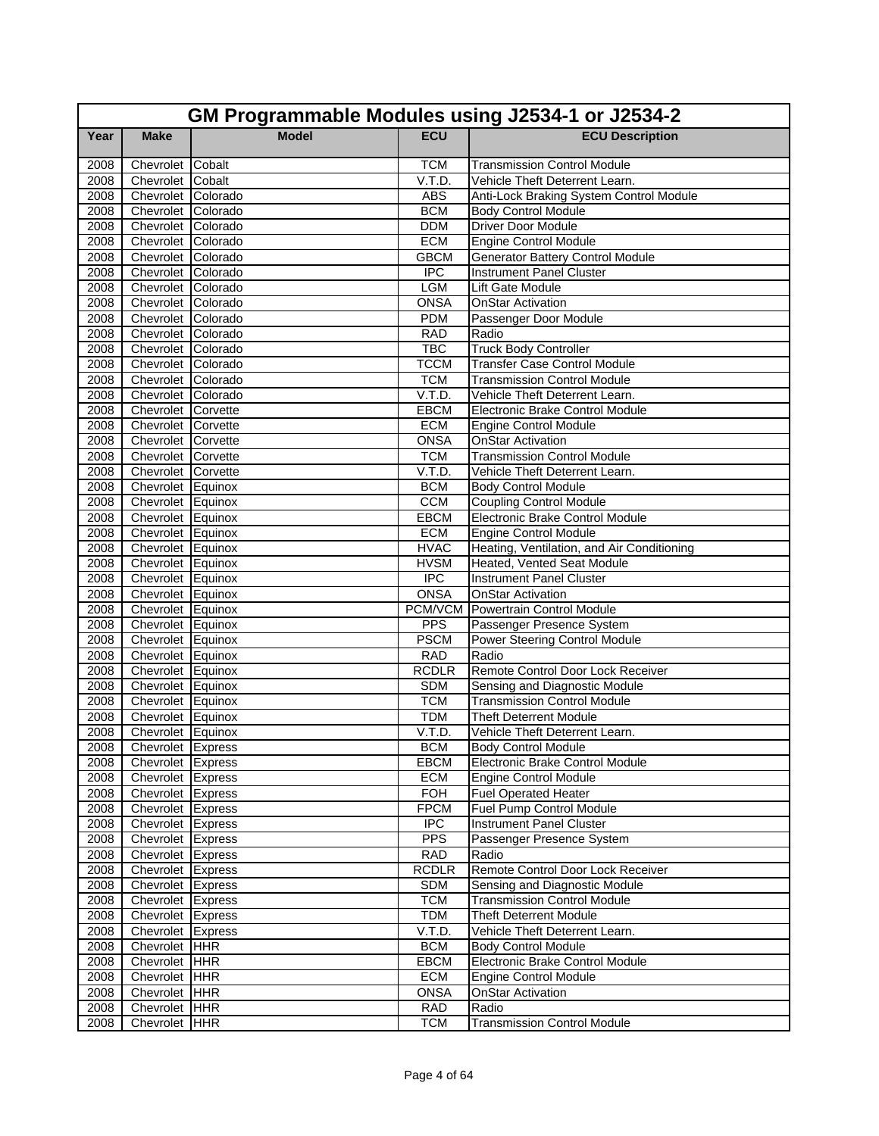|              | GM Programmable Modules using J2534-1 or J2534-2 |              |                            |                                            |  |
|--------------|--------------------------------------------------|--------------|----------------------------|--------------------------------------------|--|
| Year         | <b>Make</b>                                      | <b>Model</b> | <b>ECU</b>                 | <b>ECU Description</b>                     |  |
| 2008         | Chevrolet Cobalt                                 |              | <b>TCM</b>                 | <b>Transmission Control Module</b>         |  |
| 2008         | Chevrolet Cobalt                                 |              | V.T.D.                     | Vehicle Theft Deterrent Learn.             |  |
| 2008         | Chevrolet Colorado                               |              | <b>ABS</b>                 | Anti-Lock Braking System Control Module    |  |
| 2008         | Chevrolet Colorado                               |              | <b>BCM</b>                 | <b>Body Control Module</b>                 |  |
| 2008         | Chevrolet Colorado                               |              | <b>DDM</b>                 | <b>Driver Door Module</b>                  |  |
| 2008         | Chevrolet Colorado                               |              | <b>ECM</b>                 | <b>Engine Control Module</b>               |  |
| 2008         | Chevrolet Colorado                               |              | <b>GBCM</b>                | <b>Generator Battery Control Module</b>    |  |
| 2008         | Chevrolet Colorado                               |              | <b>IPC</b>                 | <b>Instrument Panel Cluster</b>            |  |
| 2008         | Chevrolet Colorado                               |              | <b>LGM</b>                 | Lift Gate Module                           |  |
| 2008         | Chevrolet Colorado                               |              | <b>ONSA</b>                | <b>OnStar Activation</b>                   |  |
| 2008         | Chevrolet Colorado                               |              | <b>PDM</b>                 | Passenger Door Module                      |  |
| 2008         | Chevrolet Colorado                               |              | <b>RAD</b>                 | Radio                                      |  |
| 2008         | Chevrolet Colorado                               |              | <b>TBC</b>                 | <b>Truck Body Controller</b>               |  |
| 2008         | Chevrolet Colorado                               |              | <b>TCCM</b>                | <b>Transfer Case Control Module</b>        |  |
| 2008         | Chevrolet Colorado                               |              | <b>TCM</b>                 | <b>Transmission Control Module</b>         |  |
| 2008         | Chevrolet Colorado                               |              | V.T.D.                     | Vehicle Theft Deterrent Learn.             |  |
| 2008         | Chevrolet Corvette                               |              | <b>EBCM</b>                | <b>Electronic Brake Control Module</b>     |  |
| 2008         | Chevrolet Corvette                               |              | <b>ECM</b>                 | <b>Engine Control Module</b>               |  |
| 2008         | Chevrolet Corvette                               |              | <b>ONSA</b>                | <b>OnStar Activation</b>                   |  |
| 2008         | Chevrolet Corvette                               |              | <b>TCM</b>                 | <b>Transmission Control Module</b>         |  |
| 2008         | Chevrolet Corvette                               |              | V.T.D.                     | Vehicle Theft Deterrent Learn.             |  |
| 2008         | Chevrolet Equinox                                |              | <b>BCM</b>                 | <b>Body Control Module</b>                 |  |
| 2008         | Chevrolet Equinox                                |              | <b>CCM</b>                 | <b>Coupling Control Module</b>             |  |
| 2008         | Chevrolet Equinox                                |              | EBCM                       | Electronic Brake Control Module            |  |
| 2008         | Chevrolet Equinox                                |              | <b>ECM</b>                 | <b>Engine Control Module</b>               |  |
| 2008         | Chevrolet Equinox                                |              | <b>HVAC</b>                | Heating, Ventilation, and Air Conditioning |  |
| 2008         | Chevrolet Equinox                                |              | <b>HVSM</b>                | Heated, Vented Seat Module                 |  |
| 2008         | Chevrolet Equinox                                |              | <b>IPC</b>                 | <b>Instrument Panel Cluster</b>            |  |
| 2008         | Chevrolet Equinox                                |              | <b>ONSA</b>                | <b>OnStar Activation</b>                   |  |
| 2008         | Chevrolet Equinox                                |              |                            | <b>PCM/VCM</b> Powertrain Control Module   |  |
| 2008         | Chevrolet Equinox                                |              | <b>PPS</b><br><b>PSCM</b>  | Passenger Presence System                  |  |
| 2008         | Chevrolet Equinox                                |              |                            | Power Steering Control Module<br>Radio     |  |
| 2008<br>2008 | Chevrolet Equinox<br>Chevrolet Equinox           |              | <b>RAD</b><br><b>RCDLR</b> | Remote Control Door Lock Receiver          |  |
| 2008         | Chevrolet Equinox                                |              | <b>SDM</b>                 | Sensing and Diagnostic Module              |  |
| 2008         | Chevrolet Equinox                                |              | <b>TCM</b>                 | <b>Transmission Control Module</b>         |  |
| 2008         | Chevrolet Equinox                                |              | <b>TDM</b>                 | <b>Theft Deterrent Module</b>              |  |
| 2008         | Chevrolet Equinox                                |              | V.T.D.                     | Vehicle Theft Deterrent Learn.             |  |
| 2008         | Chevrolet Express                                |              | <b>BCM</b>                 | <b>Body Control Module</b>                 |  |
| 2008         | Chevrolet Express                                |              | <b>EBCM</b>                | Electronic Brake Control Module            |  |
| 2008         | Chevrolet Express                                |              | ECM                        | <b>Engine Control Module</b>               |  |
| 2008         | Chevrolet Express                                |              | <b>FOH</b>                 | <b>Fuel Operated Heater</b>                |  |
| 2008         | Chevrolet Express                                |              | <b>FPCM</b>                | Fuel Pump Control Module                   |  |
| 2008         | Chevrolet Express                                |              | <b>IPC</b>                 | Instrument Panel Cluster                   |  |
| 2008         | Chevrolet Express                                |              | <b>PPS</b>                 | Passenger Presence System                  |  |
| 2008         | Chevrolet Express                                |              | <b>RAD</b>                 | Radio                                      |  |
| 2008         | Chevrolet Express                                |              | <b>RCDLR</b>               | Remote Control Door Lock Receiver          |  |
| 2008         | Chevrolet Express                                |              | <b>SDM</b>                 | Sensing and Diagnostic Module              |  |
| 2008         | Chevrolet Express                                |              | <b>TCM</b>                 | <b>Transmission Control Module</b>         |  |
| 2008         | Chevrolet Express                                |              | <b>TDM</b>                 | <b>Theft Deterrent Module</b>              |  |
| 2008         | Chevrolet Express                                |              | V.T.D.                     | Vehicle Theft Deterrent Learn.             |  |
| 2008         | Chevrolet HHR                                    |              | <b>BCM</b>                 | <b>Body Control Module</b>                 |  |
| 2008         | Chevrolet HHR                                    |              | <b>EBCM</b>                | Electronic Brake Control Module            |  |
| 2008         | Chevrolet HHR                                    |              | <b>ECM</b>                 | <b>Engine Control Module</b>               |  |
| 2008         | Chevrolet HHR                                    |              | <b>ONSA</b>                | <b>OnStar Activation</b>                   |  |
| 2008         | Chevrolet HHR                                    |              | <b>RAD</b>                 | Radio                                      |  |
| 2008         | Chevrolet HHR                                    |              | <b>TCM</b>                 | <b>Transmission Control Module</b>         |  |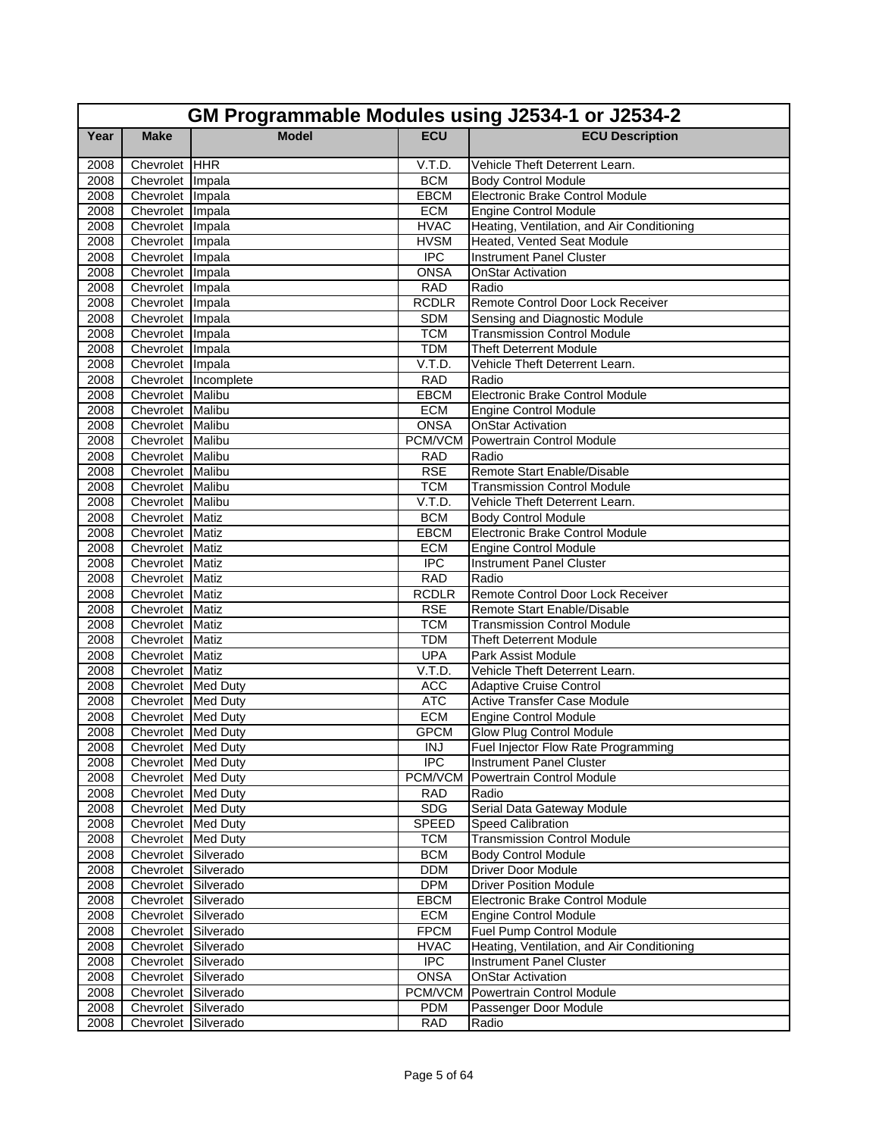|      | GM Programmable Modules using J2534-1 or J2534-2 |                      |                |                                            |  |
|------|--------------------------------------------------|----------------------|----------------|--------------------------------------------|--|
| Year | <b>Make</b>                                      | <b>Model</b>         | <b>ECU</b>     | <b>ECU Description</b>                     |  |
| 2008 | Chevrolet HHR                                    |                      | V.T.D.         | Vehicle Theft Deterrent Learn.             |  |
| 2008 | Chevrolet Impala                                 |                      | <b>BCM</b>     | <b>Body Control Module</b>                 |  |
| 2008 | Chevrolet Impala                                 |                      | <b>EBCM</b>    | Electronic Brake Control Module            |  |
| 2008 | Chevrolet Impala                                 |                      | <b>ECM</b>     | <b>Engine Control Module</b>               |  |
| 2008 | Chevrolet Impala                                 |                      | <b>HVAC</b>    | Heating, Ventilation, and Air Conditioning |  |
| 2008 | Chevrolet Impala                                 |                      | <b>HVSM</b>    | Heated, Vented Seat Module                 |  |
| 2008 | Chevrolet Impala                                 |                      | <b>IPC</b>     | <b>Instrument Panel Cluster</b>            |  |
| 2008 | Chevrolet Impala                                 |                      | <b>ONSA</b>    | <b>OnStar Activation</b>                   |  |
| 2008 | Chevrolet Impala                                 |                      | <b>RAD</b>     | Radio                                      |  |
| 2008 | Chevrolet Impala                                 |                      | <b>RCDLR</b>   | Remote Control Door Lock Receiver          |  |
| 2008 | Chevrolet Impala                                 |                      | <b>SDM</b>     | Sensing and Diagnostic Module              |  |
| 2008 | Chevrolet Impala                                 |                      | <b>TCM</b>     | <b>Transmission Control Module</b>         |  |
| 2008 | Chevrolet Impala                                 |                      | <b>TDM</b>     | <b>Theft Deterrent Module</b>              |  |
| 2008 | Chevrolet Impala                                 |                      | V.T.D.         | Vehicle Theft Deterrent Learn.             |  |
| 2008 |                                                  | Chevrolet Incomplete | <b>RAD</b>     | Radio                                      |  |
| 2008 | Chevrolet Malibu                                 |                      | <b>EBCM</b>    | Electronic Brake Control Module            |  |
| 2008 | Chevrolet Malibu                                 |                      | <b>ECM</b>     | <b>Engine Control Module</b>               |  |
| 2008 | Chevrolet Malibu                                 |                      | <b>ONSA</b>    | <b>OnStar Activation</b>                   |  |
| 2008 | Chevrolet Malibu                                 |                      | PCM/VCM        | Powertrain Control Module                  |  |
| 2008 | Chevrolet Malibu                                 |                      | <b>RAD</b>     | Radio                                      |  |
| 2008 | Chevrolet Malibu                                 |                      | <b>RSE</b>     | Remote Start Enable/Disable                |  |
| 2008 | Chevrolet Malibu                                 |                      | <b>TCM</b>     | <b>Transmission Control Module</b>         |  |
| 2008 | Chevrolet Malibu                                 |                      | V.T.D.         | Vehicle Theft Deterrent Learn.             |  |
| 2008 | Chevrolet Matiz                                  |                      | <b>BCM</b>     | <b>Body Control Module</b>                 |  |
| 2008 | Chevrolet Matiz                                  |                      | <b>EBCM</b>    | Electronic Brake Control Module            |  |
| 2008 | Chevrolet Matiz                                  |                      | <b>ECM</b>     | <b>Engine Control Module</b>               |  |
| 2008 | Chevrolet Matiz                                  |                      | <b>IPC</b>     | <b>Instrument Panel Cluster</b>            |  |
| 2008 | Chevrolet Matiz                                  |                      | <b>RAD</b>     | Radio                                      |  |
| 2008 | Chevrolet Matiz                                  |                      | <b>RCDLR</b>   | Remote Control Door Lock Receiver          |  |
| 2008 | Chevrolet Matiz                                  |                      | <b>RSE</b>     | Remote Start Enable/Disable                |  |
| 2008 | Chevrolet Matiz                                  |                      | <b>TCM</b>     | <b>Transmission Control Module</b>         |  |
| 2008 | Chevrolet Matiz                                  |                      | <b>TDM</b>     | <b>Theft Deterrent Module</b>              |  |
| 2008 | Chevrolet Matiz                                  |                      | <b>UPA</b>     | Park Assist Module                         |  |
| 2008 | Chevrolet Matiz                                  |                      | V.T.D.         | Vehicle Theft Deterrent Learn.             |  |
| 2008 | Chevrolet Med Duty                               |                      | <b>ACC</b>     | <b>Adaptive Cruise Control</b>             |  |
| 2008 | Chevrolet Med Duty                               |                      | <b>ATC</b>     | <b>Active Transfer Case Module</b>         |  |
| 2008 | Chevrolet Med Duty                               |                      | <b>ECM</b>     | <b>Engine Control Module</b>               |  |
| 2008 | Chevrolet Med Duty                               |                      | <b>GPCM</b>    | <b>Glow Plug Control Module</b>            |  |
| 2008 | Chevrolet Med Duty                               |                      | $\overline{I}$ | Fuel Injector Flow Rate Programming        |  |
| 2008 | Chevrolet Med Duty                               |                      | <b>IPC</b>     | <b>Instrument Panel Cluster</b>            |  |
| 2008 | Chevrolet Med Duty                               |                      |                | <b>PCM/VCM</b> Powertrain Control Module   |  |
| 2008 | Chevrolet Med Duty                               |                      | <b>RAD</b>     | Radio                                      |  |
| 2008 | Chevrolet Med Duty                               |                      | <b>SDG</b>     | Serial Data Gateway Module                 |  |
| 2008 | Chevrolet Med Duty                               |                      | <b>SPEED</b>   | Speed Calibration                          |  |
| 2008 | Chevrolet Med Duty                               |                      | <b>TCM</b>     | <b>Transmission Control Module</b>         |  |
| 2008 | Chevrolet Silverado                              |                      | <b>BCM</b>     | <b>Body Control Module</b>                 |  |
| 2008 | Chevrolet Silverado                              |                      | <b>DDM</b>     | <b>Driver Door Module</b>                  |  |
| 2008 | Chevrolet Silverado                              |                      | <b>DPM</b>     | Driver Position Module                     |  |
| 2008 | Chevrolet Silverado                              |                      | <b>EBCM</b>    | Electronic Brake Control Module            |  |
| 2008 | Chevrolet Silverado                              |                      | ECM            | <b>Engine Control Module</b>               |  |
| 2008 | Chevrolet Silverado                              |                      | <b>FPCM</b>    | Fuel Pump Control Module                   |  |
| 2008 | Chevrolet Silverado                              |                      | <b>HVAC</b>    | Heating, Ventilation, and Air Conditioning |  |
| 2008 | Chevrolet Silverado                              |                      | <b>IPC</b>     | <b>Instrument Panel Cluster</b>            |  |
| 2008 | Chevrolet Silverado                              |                      | <b>ONSA</b>    | <b>OnStar Activation</b>                   |  |
| 2008 | Chevrolet Silverado                              |                      | PCM/VCM        | Powertrain Control Module                  |  |
| 2008 | Chevrolet Silverado                              |                      | <b>PDM</b>     | Passenger Door Module                      |  |
| 2008 | Chevrolet Silverado                              |                      | <b>RAD</b>     | Radio                                      |  |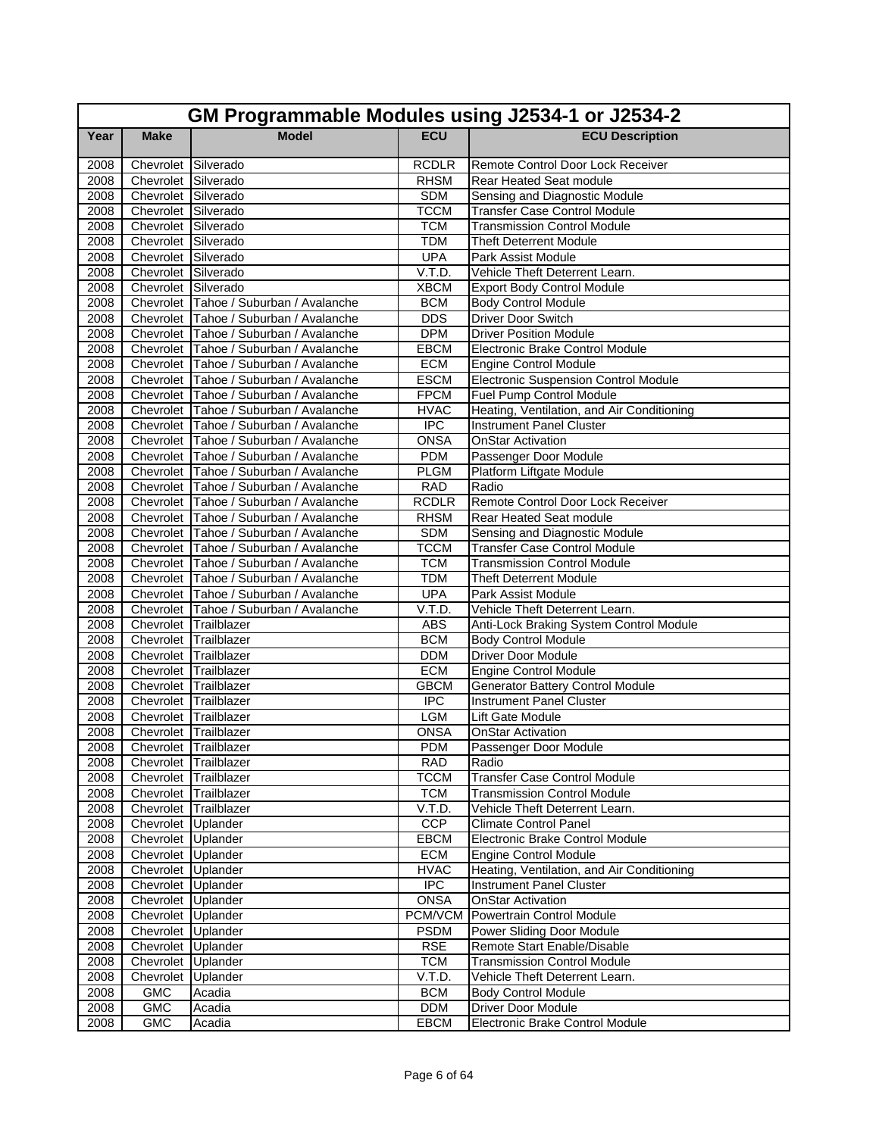|      | GM Programmable Modules using J2534-1 or J2534-2 |                                        |              |                                            |  |
|------|--------------------------------------------------|----------------------------------------|--------------|--------------------------------------------|--|
| Year | <b>Make</b>                                      | <b>Model</b>                           | <b>ECU</b>   | <b>ECU Description</b>                     |  |
| 2008 | Chevrolet Silverado                              |                                        | <b>RCDLR</b> | Remote Control Door Lock Receiver          |  |
| 2008 | Chevrolet Silverado                              |                                        | <b>RHSM</b>  | Rear Heated Seat module                    |  |
| 2008 | Chevrolet Silverado                              |                                        | <b>SDM</b>   | Sensing and Diagnostic Module              |  |
| 2008 | Chevrolet Silverado                              |                                        | <b>TCCM</b>  | <b>Transfer Case Control Module</b>        |  |
| 2008 | Chevrolet Silverado                              |                                        | <b>TCM</b>   | <b>Transmission Control Module</b>         |  |
| 2008 | Chevrolet Silverado                              |                                        | <b>TDM</b>   | Theft Deterrent Module                     |  |
| 2008 | Chevrolet Silverado                              |                                        | <b>UPA</b>   | Park Assist Module                         |  |
| 2008 | Chevrolet Silverado                              |                                        | V.T.D.       | Vehicle Theft Deterrent Learn.             |  |
| 2008 | Chevrolet Silverado                              |                                        | <b>XBCM</b>  | <b>Export Body Control Module</b>          |  |
| 2008 |                                                  | Chevrolet Tahoe / Suburban / Avalanche | <b>BCM</b>   | <b>Body Control Module</b>                 |  |
| 2008 |                                                  | Chevrolet Tahoe / Suburban / Avalanche | <b>DDS</b>   | <b>Driver Door Switch</b>                  |  |
| 2008 |                                                  | Chevrolet Tahoe / Suburban / Avalanche | <b>DPM</b>   | <b>Driver Position Module</b>              |  |
| 2008 |                                                  | Chevrolet Tahoe / Suburban / Avalanche | <b>EBCM</b>  | Electronic Brake Control Module            |  |
| 2008 |                                                  | Chevrolet Tahoe / Suburban / Avalanche | <b>ECM</b>   | <b>Engine Control Module</b>               |  |
| 2008 |                                                  | Chevrolet Tahoe / Suburban / Avalanche | <b>ESCM</b>  | Electronic Suspension Control Module       |  |
| 2008 |                                                  | Chevrolet Tahoe / Suburban / Avalanche | <b>FPCM</b>  | <b>Fuel Pump Control Module</b>            |  |
| 2008 |                                                  | Chevrolet Tahoe / Suburban / Avalanche | <b>HVAC</b>  | Heating, Ventilation, and Air Conditioning |  |
| 2008 |                                                  | Chevrolet Tahoe / Suburban / Avalanche | <b>IPC</b>   | <b>Instrument Panel Cluster</b>            |  |
| 2008 |                                                  | Chevrolet Tahoe / Suburban / Avalanche | <b>ONSA</b>  | <b>OnStar Activation</b>                   |  |
| 2008 |                                                  | Chevrolet Tahoe / Suburban / Avalanche | <b>PDM</b>   | Passenger Door Module                      |  |
| 2008 |                                                  | Chevrolet Tahoe / Suburban / Avalanche | <b>PLGM</b>  | Platform Liftgate Module                   |  |
| 2008 |                                                  | Chevrolet Tahoe / Suburban / Avalanche | <b>RAD</b>   | Radio                                      |  |
| 2008 |                                                  | Chevrolet Tahoe / Suburban / Avalanche | <b>RCDLR</b> | Remote Control Door Lock Receiver          |  |
| 2008 |                                                  | Chevrolet Tahoe / Suburban / Avalanche | <b>RHSM</b>  | Rear Heated Seat module                    |  |
| 2008 |                                                  | Chevrolet Tahoe / Suburban / Avalanche | <b>SDM</b>   | Sensing and Diagnostic Module              |  |
| 2008 |                                                  | Chevrolet Tahoe / Suburban / Avalanche | <b>TCCM</b>  | <b>Transfer Case Control Module</b>        |  |
| 2008 |                                                  | Chevrolet Tahoe / Suburban / Avalanche | <b>TCM</b>   | <b>Transmission Control Module</b>         |  |
| 2008 |                                                  | Chevrolet Tahoe / Suburban / Avalanche | <b>TDM</b>   | <b>Theft Deterrent Module</b>              |  |
| 2008 |                                                  | Chevrolet Tahoe / Suburban / Avalanche | <b>UPA</b>   | Park Assist Module                         |  |
| 2008 |                                                  | Chevrolet Tahoe / Suburban / Avalanche | V.T.D.       | Vehicle Theft Deterrent Learn.             |  |
| 2008 | Chevrolet Trailblazer                            |                                        | <b>ABS</b>   | Anti-Lock Braking System Control Module    |  |
| 2008 | Chevrolet Trailblazer                            |                                        | <b>BCM</b>   | <b>Body Control Module</b>                 |  |
| 2008 | Chevrolet Trailblazer                            |                                        | <b>DDM</b>   | <b>Driver Door Module</b>                  |  |
| 2008 | Chevrolet Trailblazer                            |                                        | <b>ECM</b>   | <b>Engine Control Module</b>               |  |
| 2008 | Chevrolet Trailblazer                            |                                        | <b>GBCM</b>  | <b>Generator Battery Control Module</b>    |  |
| 2008 | Chevrolet Trailblazer                            |                                        | <b>IPC</b>   | <b>Instrument Panel Cluster</b>            |  |
| 2008 | Chevrolet Trailblazer                            |                                        | <b>LGM</b>   | Lift Gate Module                           |  |
| 2008 | Chevrolet Trailblazer                            |                                        | <b>ONSA</b>  | OnStar Activation                          |  |
| 2008 | Chevrolet Trailblazer                            |                                        | <b>PDM</b>   | Passenger Door Module                      |  |
| 2008 | Chevrolet Trailblazer                            |                                        | <b>RAD</b>   | Radio                                      |  |
| 2008 | Chevrolet Trailblazer                            |                                        | <b>TCCM</b>  | <b>Transfer Case Control Module</b>        |  |
| 2008 | Chevrolet Trailblazer                            |                                        | <b>TCM</b>   | <b>Transmission Control Module</b>         |  |
| 2008 | Chevrolet Trailblazer                            |                                        | V.T.D.       | Vehicle Theft Deterrent Learn.             |  |
| 2008 | Chevrolet Uplander                               |                                        | CCP          | <b>Climate Control Panel</b>               |  |
| 2008 | Chevrolet Uplander                               |                                        | <b>EBCM</b>  | Electronic Brake Control Module            |  |
| 2008 | Chevrolet Uplander                               |                                        | <b>ECM</b>   | <b>Engine Control Module</b>               |  |
| 2008 | Chevrolet Uplander                               |                                        | <b>HVAC</b>  | Heating, Ventilation, and Air Conditioning |  |
| 2008 | Chevrolet Uplander                               |                                        | <b>IPC</b>   | Instrument Panel Cluster                   |  |
| 2008 | Chevrolet Uplander                               |                                        | <b>ONSA</b>  | <b>OnStar Activation</b>                   |  |
| 2008 | Chevrolet Uplander                               |                                        | PCM/VCM      | Powertrain Control Module                  |  |
| 2008 | Chevrolet Uplander                               |                                        | <b>PSDM</b>  | Power Sliding Door Module                  |  |
| 2008 | Chevrolet Uplander                               |                                        | <b>RSE</b>   | Remote Start Enable/Disable                |  |
| 2008 | Chevrolet Uplander                               |                                        | <b>TCM</b>   | <b>Transmission Control Module</b>         |  |
| 2008 | Chevrolet Uplander                               |                                        | V.T.D.       | Vehicle Theft Deterrent Learn.             |  |
| 2008 | <b>GMC</b>                                       | Acadia                                 | <b>BCM</b>   | <b>Body Control Module</b>                 |  |
| 2008 | <b>GMC</b>                                       | Acadia                                 | <b>DDM</b>   | Driver Door Module                         |  |
| 2008 | <b>GMC</b>                                       | Acadia                                 | <b>EBCM</b>  | Electronic Brake Control Module            |  |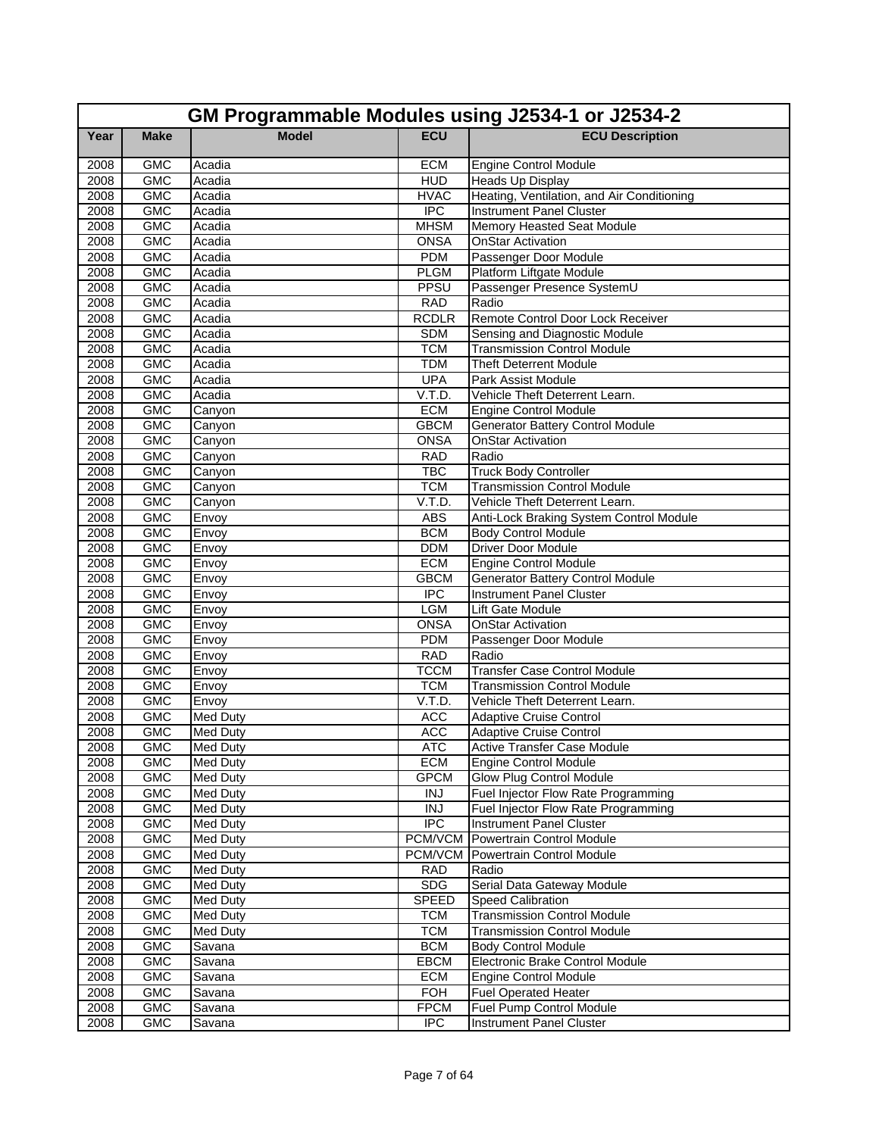|              | GM Programmable Modules using J2534-1 or J2534-2 |                  |                      |                                                                       |  |
|--------------|--------------------------------------------------|------------------|----------------------|-----------------------------------------------------------------------|--|
| Year         | <b>Make</b>                                      | <b>Model</b>     | <b>ECU</b>           | <b>ECU Description</b>                                                |  |
| 2008         | <b>GMC</b>                                       | Acadia           | <b>ECM</b>           | <b>Engine Control Module</b>                                          |  |
| 2008         | <b>GMC</b>                                       | Acadia           | <b>HUD</b>           | Heads Up Display                                                      |  |
| 2008         | <b>GMC</b>                                       | Acadia           | <b>HVAC</b>          | Heating, Ventilation, and Air Conditioning                            |  |
| 2008         | <b>GMC</b>                                       | Acadia           | <b>IPC</b>           | <b>Instrument Panel Cluster</b>                                       |  |
| 2008         | <b>GMC</b>                                       | Acadia           | <b>MHSM</b>          | <b>Memory Heasted Seat Module</b>                                     |  |
| 2008         | <b>GMC</b>                                       | Acadia           | <b>ONSA</b>          | <b>OnStar Activation</b>                                              |  |
| 2008         | <b>GMC</b>                                       | Acadia           | <b>PDM</b>           | Passenger Door Module                                                 |  |
| 2008         | <b>GMC</b>                                       | Acadia           | <b>PLGM</b>          | Platform Liftgate Module                                              |  |
| 2008         | <b>GMC</b>                                       | Acadia           | PPSU                 | Passenger Presence SystemU                                            |  |
| 2008         | <b>GMC</b>                                       | Acadia           | <b>RAD</b>           | Radio                                                                 |  |
| 2008         | <b>GMC</b>                                       | Acadia           | <b>RCDLR</b>         | Remote Control Door Lock Receiver                                     |  |
| 2008         | <b>GMC</b>                                       | Acadia           | <b>SDM</b>           | Sensing and Diagnostic Module                                         |  |
| 2008         | <b>GMC</b>                                       | Acadia           | <b>TCM</b>           | <b>Transmission Control Module</b>                                    |  |
| 2008         | <b>GMC</b>                                       | Acadia           | <b>TDM</b>           | <b>Theft Deterrent Module</b>                                         |  |
| 2008         | <b>GMC</b>                                       | Acadia           | <b>UPA</b>           | Park Assist Module<br>Vehicle Theft Deterrent Learn.                  |  |
| 2008<br>2008 | <b>GMC</b>                                       | Acadia           | V.T.D.<br><b>ECM</b> |                                                                       |  |
| 2008         | <b>GMC</b>                                       | Canyon           | <b>GBCM</b>          | <b>Engine Control Module</b>                                          |  |
| 2008         | <b>GMC</b><br><b>GMC</b>                         | Canyon           | <b>ONSA</b>          | <b>Generator Battery Control Module</b><br><b>OnStar Activation</b>   |  |
|              | <b>GMC</b>                                       | Canyon           | <b>RAD</b>           | Radio                                                                 |  |
| 2008<br>2008 | <b>GMC</b>                                       | Canyon           | <b>TBC</b>           |                                                                       |  |
| 2008         | <b>GMC</b>                                       | Canyon<br>Canyon | <b>TCM</b>           | <b>Truck Body Controller</b><br><b>Transmission Control Module</b>    |  |
| 2008         | <b>GMC</b>                                       |                  | V.T.D.               | Vehicle Theft Deterrent Learn.                                        |  |
| 2008         | <b>GMC</b>                                       | Canyon           | <b>ABS</b>           |                                                                       |  |
| 2008         | <b>GMC</b>                                       | Envoy<br>Envoy   | <b>BCM</b>           | Anti-Lock Braking System Control Module<br><b>Body Control Module</b> |  |
| 2008         | <b>GMC</b>                                       | Envoy            | <b>DDM</b>           | <b>Driver Door Module</b>                                             |  |
| 2008         | <b>GMC</b>                                       | Envoy            | <b>ECM</b>           | <b>Engine Control Module</b>                                          |  |
| 2008         | <b>GMC</b>                                       | Envoy            | <b>GBCM</b>          | <b>Generator Battery Control Module</b>                               |  |
| 2008         | <b>GMC</b>                                       | Envoy            | <b>IPC</b>           | <b>Instrument Panel Cluster</b>                                       |  |
| 2008         | <b>GMC</b>                                       | Envoy            | <b>LGM</b>           | Lift Gate Module                                                      |  |
| 2008         | <b>GMC</b>                                       | Envoy            | <b>ONSA</b>          | <b>OnStar Activation</b>                                              |  |
| 2008         | <b>GMC</b>                                       | Envoy            | <b>PDM</b>           | Passenger Door Module                                                 |  |
| 2008         | <b>GMC</b>                                       | Envoy            | <b>RAD</b>           | Radio                                                                 |  |
| 2008         | <b>GMC</b>                                       | Envoy            | <b>TCCM</b>          | <b>Transfer Case Control Module</b>                                   |  |
| 2008         | <b>GMC</b>                                       | Envoy            | <b>TCM</b>           | <b>Transmission Control Module</b>                                    |  |
| 2008         | <b>GMC</b>                                       | Envoy            | V.T.D.               | Vehicle Theft Deterrent Learn.                                        |  |
| 2008         | <b>GMC</b>                                       | <b>Med Duty</b>  | <b>ACC</b>           | <b>Adaptive Cruise Control</b>                                        |  |
| 2008         | <b>GMC</b>                                       | <b>Med Duty</b>  | <b>ACC</b>           | <b>Adaptive Cruise Control</b>                                        |  |
| 2008         | GMC                                              | <b>Med Duty</b>  | <b>ATC</b>           | <b>Active Transfer Case Module</b>                                    |  |
| 2008         | GMC                                              | <b>Med Duty</b>  | <b>ECM</b>           | Engine Control Module                                                 |  |
| 2008         | <b>GMC</b>                                       | <b>Med Duty</b>  | <b>GPCM</b>          | <b>Glow Plug Control Module</b>                                       |  |
| 2008         | <b>GMC</b>                                       | Med Duty         | <b>INJ</b>           | Fuel Injector Flow Rate Programming                                   |  |
| 2008         | <b>GMC</b>                                       | <b>Med Duty</b>  | <b>INJ</b>           | Fuel Injector Flow Rate Programming                                   |  |
| 2008         | <b>GMC</b>                                       | <b>Med Duty</b>  | $\overline{IPC}$     | <b>Instrument Panel Cluster</b>                                       |  |
| 2008         | <b>GMC</b>                                       | <b>Med Duty</b>  | <b>PCM/VCM</b>       | Powertrain Control Module                                             |  |
| 2008         | <b>GMC</b>                                       | <b>Med Duty</b>  | PCM/VCM              | Powertrain Control Module                                             |  |
| 2008         | <b>GMC</b>                                       | Med Duty         | <b>RAD</b>           | Radio                                                                 |  |
| 2008         | <b>GMC</b>                                       | <b>Med Duty</b>  | <b>SDG</b>           | Serial Data Gateway Module                                            |  |
| 2008         | <b>GMC</b>                                       | <b>Med Duty</b>  | <b>SPEED</b>         | <b>Speed Calibration</b>                                              |  |
| 2008         | <b>GMC</b>                                       | <b>Med Duty</b>  | <b>TCM</b>           | <b>Transmission Control Module</b>                                    |  |
| 2008         | GMC                                              | <b>Med Duty</b>  | <b>TCM</b>           | <b>Transmission Control Module</b>                                    |  |
| 2008         | <b>GMC</b>                                       | Savana           | <b>BCM</b>           | <b>Body Control Module</b>                                            |  |
| 2008         | <b>GMC</b>                                       | Savana           | <b>EBCM</b>          | Electronic Brake Control Module                                       |  |
| 2008         | <b>GMC</b>                                       | Savana           | <b>ECM</b>           | Engine Control Module                                                 |  |
| 2008         | <b>GMC</b>                                       | Savana           | <b>FOH</b>           | <b>Fuel Operated Heater</b>                                           |  |
| 2008         | <b>GMC</b>                                       | Savana           | <b>FPCM</b>          | Fuel Pump Control Module                                              |  |
| 2008         | <b>GMC</b>                                       | Savana           | <b>IPC</b>           | <b>Instrument Panel Cluster</b>                                       |  |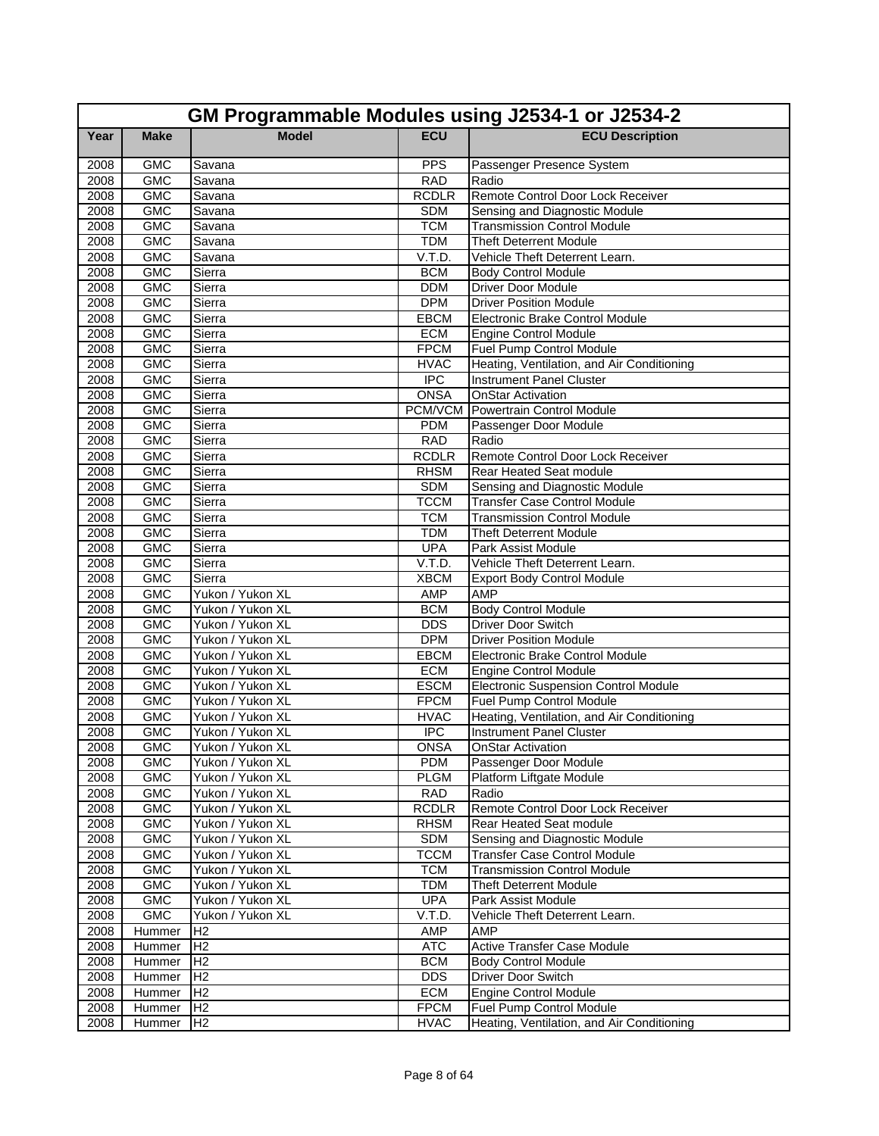|      | GM Programmable Modules using J2534-1 or J2534-2 |                  |              |                                             |  |
|------|--------------------------------------------------|------------------|--------------|---------------------------------------------|--|
| Year | <b>Make</b>                                      | <b>Model</b>     | <b>ECU</b>   | <b>ECU Description</b>                      |  |
| 2008 | <b>GMC</b>                                       | Savana           | <b>PPS</b>   | Passenger Presence System                   |  |
| 2008 | <b>GMC</b>                                       | Savana           | <b>RAD</b>   | Radio                                       |  |
| 2008 | <b>GMC</b>                                       | Savana           | <b>RCDLR</b> | Remote Control Door Lock Receiver           |  |
| 2008 | <b>GMC</b>                                       | Savana           | <b>SDM</b>   | Sensing and Diagnostic Module               |  |
| 2008 | <b>GMC</b>                                       | Savana           | <b>TCM</b>   | <b>Transmission Control Module</b>          |  |
| 2008 | <b>GMC</b>                                       | Savana           | <b>TDM</b>   | <b>Theft Deterrent Module</b>               |  |
| 2008 | <b>GMC</b>                                       | Savana           | V.T.D.       | Vehicle Theft Deterrent Learn.              |  |
| 2008 | <b>GMC</b>                                       | Sierra           | <b>BCM</b>   | <b>Body Control Module</b>                  |  |
| 2008 | <b>GMC</b>                                       | Sierra           | <b>DDM</b>   | <b>Driver Door Module</b>                   |  |
| 2008 | <b>GMC</b>                                       | Sierra           | <b>DPM</b>   | <b>Driver Position Module</b>               |  |
| 2008 | <b>GMC</b>                                       | Sierra           | <b>EBCM</b>  | Electronic Brake Control Module             |  |
| 2008 | <b>GMC</b>                                       | Sierra           | <b>ECM</b>   | <b>Engine Control Module</b>                |  |
| 2008 | <b>GMC</b>                                       | Sierra           | <b>FPCM</b>  | Fuel Pump Control Module                    |  |
| 2008 | <b>GMC</b>                                       | Sierra           | <b>HVAC</b>  | Heating, Ventilation, and Air Conditioning  |  |
| 2008 | <b>GMC</b>                                       | Sierra           | <b>IPC</b>   | <b>Instrument Panel Cluster</b>             |  |
| 2008 | <b>GMC</b>                                       | Sierra           | <b>ONSA</b>  | <b>OnStar Activation</b>                    |  |
| 2008 | <b>GMC</b>                                       | Sierra           | PCM/VCM      | Powertrain Control Module                   |  |
| 2008 | <b>GMC</b>                                       | Sierra           | <b>PDM</b>   | Passenger Door Module                       |  |
| 2008 | <b>GMC</b>                                       | Sierra           | <b>RAD</b>   | Radio                                       |  |
| 2008 | <b>GMC</b>                                       | Sierra           | <b>RCDLR</b> | Remote Control Door Lock Receiver           |  |
| 2008 | <b>GMC</b>                                       | Sierra           | <b>RHSM</b>  | Rear Heated Seat module                     |  |
| 2008 | <b>GMC</b>                                       | Sierra           | <b>SDM</b>   | Sensing and Diagnostic Module               |  |
| 2008 | <b>GMC</b>                                       | Sierra           | <b>TCCM</b>  | <b>Transfer Case Control Module</b>         |  |
| 2008 | <b>GMC</b>                                       | Sierra           | <b>TCM</b>   | <b>Transmission Control Module</b>          |  |
| 2008 | <b>GMC</b>                                       | Sierra           | <b>TDM</b>   | <b>Theft Deterrent Module</b>               |  |
| 2008 | <b>GMC</b>                                       | Sierra           | <b>UPA</b>   | Park Assist Module                          |  |
| 2008 | <b>GMC</b>                                       | Sierra           | V.T.D.       | Vehicle Theft Deterrent Learn.              |  |
| 2008 | <b>GMC</b>                                       | Sierra           | <b>XBCM</b>  | <b>Export Body Control Module</b>           |  |
| 2008 | <b>GMC</b>                                       | Yukon / Yukon XL | <b>AMP</b>   | <b>AMP</b>                                  |  |
| 2008 | <b>GMC</b>                                       | Yukon / Yukon XL | <b>BCM</b>   | <b>Body Control Module</b>                  |  |
| 2008 | <b>GMC</b>                                       | Yukon / Yukon XL | <b>DDS</b>   | <b>Driver Door Switch</b>                   |  |
| 2008 | <b>GMC</b>                                       | Yukon / Yukon XL | <b>DPM</b>   | <b>Driver Position Module</b>               |  |
| 2008 | <b>GMC</b>                                       | Yukon / Yukon XL | <b>EBCM</b>  | Electronic Brake Control Module             |  |
| 2008 | <b>GMC</b>                                       | Yukon / Yukon XL | <b>ECM</b>   | <b>Engine Control Module</b>                |  |
| 2008 | <b>GMC</b>                                       | Yukon / Yukon XL | <b>ESCM</b>  | <b>Electronic Suspension Control Module</b> |  |
| 2008 | <b>GMC</b>                                       | Yukon / Yukon XL | <b>FPCM</b>  | <b>Fuel Pump Control Module</b>             |  |
| 2008 | <b>GMC</b>                                       | Yukon / Yukon XL | <b>HVAC</b>  | Heating, Ventilation, and Air Conditioning  |  |
| 2008 | <b>GMC</b>                                       | Yukon / Yukon XL | <b>IPC</b>   | Instrument Panel Cluster                    |  |
| 2008 | <b>GMC</b>                                       | Yukon / Yukon XL | ONSA         | <b>OnStar Activation</b>                    |  |
| 2008 | <b>GMC</b>                                       | Yukon / Yukon XL | <b>PDM</b>   | Passenger Door Module                       |  |
| 2008 | <b>GMC</b>                                       | Yukon / Yukon XL | <b>PLGM</b>  | Platform Liftgate Module                    |  |
| 2008 | <b>GMC</b>                                       | Yukon / Yukon XL | RAD          | Radio                                       |  |
| 2008 | <b>GMC</b>                                       | Yukon / Yukon XL | <b>RCDLR</b> | Remote Control Door Lock Receiver           |  |
| 2008 | <b>GMC</b>                                       | Yukon / Yukon XL | <b>RHSM</b>  | Rear Heated Seat module                     |  |
| 2008 | <b>GMC</b>                                       | Yukon / Yukon XL | <b>SDM</b>   | Sensing and Diagnostic Module               |  |
| 2008 | <b>GMC</b>                                       | Yukon / Yukon XL | <b>TCCM</b>  | <b>Transfer Case Control Module</b>         |  |
| 2008 | <b>GMC</b>                                       | Yukon / Yukon XL | <b>TCM</b>   | <b>Transmission Control Module</b>          |  |
| 2008 | <b>GMC</b>                                       | Yukon / Yukon XL | <b>TDM</b>   | <b>Theft Deterrent Module</b>               |  |
| 2008 | <b>GMC</b>                                       | Yukon / Yukon XL | <b>UPA</b>   | Park Assist Module                          |  |
| 2008 | <b>GMC</b>                                       | Yukon / Yukon XL | V.T.D.       | Vehicle Theft Deterrent Learn.              |  |
| 2008 | Hummer                                           | H2               | <b>AMP</b>   | AMP                                         |  |
| 2008 | Hummer                                           | H <sub>2</sub>   | <b>ATC</b>   | <b>Active Transfer Case Module</b>          |  |
| 2008 | Hummer                                           | H <sub>2</sub>   | <b>BCM</b>   | <b>Body Control Module</b>                  |  |
| 2008 | Hummer                                           | H <sub>2</sub>   | <b>DDS</b>   | Driver Door Switch                          |  |
| 2008 | Hummer                                           | H <sub>2</sub>   | <b>ECM</b>   | <b>Engine Control Module</b>                |  |
| 2008 | Hummer                                           | H <sub>2</sub>   | <b>FPCM</b>  | Fuel Pump Control Module                    |  |
| 2008 | Hummer                                           | H <sub>2</sub>   | <b>HVAC</b>  | Heating, Ventilation, and Air Conditioning  |  |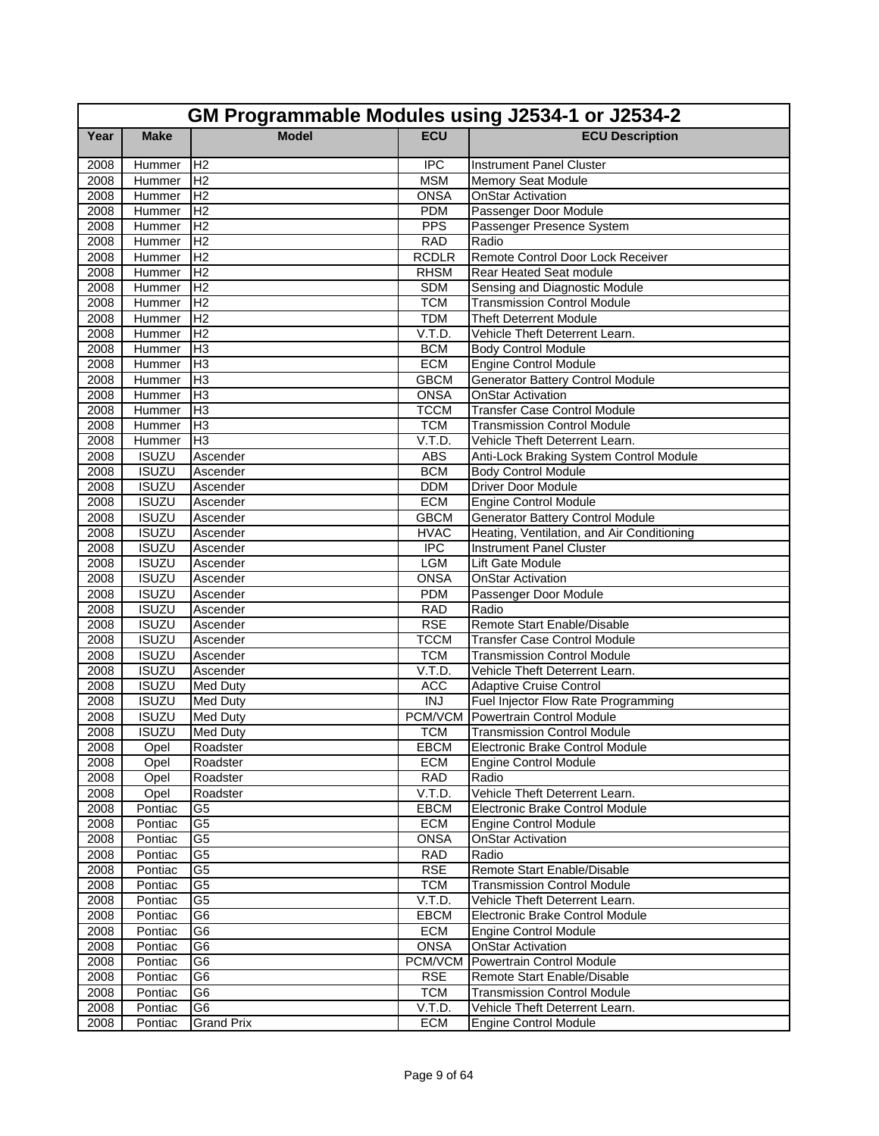|              | GM Programmable Modules using J2534-1 or J2534-2 |                                    |                          |                                                                      |  |
|--------------|--------------------------------------------------|------------------------------------|--------------------------|----------------------------------------------------------------------|--|
| Year         | <b>Make</b>                                      | <b>Model</b>                       | <b>ECU</b>               | <b>ECU Description</b>                                               |  |
| 2008         | Hummer                                           | H <sub>2</sub>                     | <b>IPC</b>               | <b>Instrument Panel Cluster</b>                                      |  |
| 2008         | Hummer                                           | H <sub>2</sub>                     | <b>MSM</b>               | <b>Memory Seat Module</b>                                            |  |
| 2008         | Hummer                                           | H <sub>2</sub>                     | <b>ONSA</b>              | <b>OnStar Activation</b>                                             |  |
| 2008         | Hummer                                           | H <sub>2</sub>                     | <b>PDM</b>               | Passenger Door Module                                                |  |
| 2008         | Hummer                                           | H <sub>2</sub>                     | <b>PPS</b>               | Passenger Presence System                                            |  |
| 2008         | Hummer                                           | H <sub>2</sub>                     | <b>RAD</b>               | Radio                                                                |  |
| 2008         | Hummer                                           | H <sub>2</sub>                     | <b>RCDLR</b>             | Remote Control Door Lock Receiver                                    |  |
| 2008         | Hummer                                           | IH <sub>2</sub>                    | <b>RHSM</b>              | <b>Rear Heated Seat module</b>                                       |  |
| 2008         | Hummer                                           | H <sub>2</sub>                     | <b>SDM</b>               | Sensing and Diagnostic Module                                        |  |
| 2008         | Hummer                                           | H <sub>2</sub>                     | <b>TCM</b>               | <b>Transmission Control Module</b>                                   |  |
| 2008         | Hummer                                           | H <sub>2</sub>                     | <b>TDM</b>               | <b>Theft Deterrent Module</b>                                        |  |
| 2008         | Hummer                                           | H <sub>2</sub>                     | V.T.D.                   | Vehicle Theft Deterrent Learn.                                       |  |
| 2008         | Hummer                                           | H <sub>3</sub>                     | <b>BCM</b>               | <b>Body Control Module</b>                                           |  |
| 2008         | Hummer                                           | H <sub>3</sub>                     | <b>ECM</b>               | <b>Engine Control Module</b>                                         |  |
| 2008         | Hummer                                           | H <sub>3</sub>                     | <b>GBCM</b>              | <b>Generator Battery Control Module</b>                              |  |
| 2008         | Hummer                                           | H <sub>3</sub>                     | <b>ONSA</b>              | <b>OnStar Activation</b>                                             |  |
| 2008         | Hummer                                           | H <sub>3</sub>                     | <b>TCCM</b>              | <b>Transfer Case Control Module</b>                                  |  |
| 2008         | Hummer                                           | H <sub>3</sub>                     | <b>TCM</b>               | <b>Transmission Control Module</b>                                   |  |
| 2008         | Hummer                                           | H <sub>3</sub>                     | V.T.D.                   | Vehicle Theft Deterrent Learn.                                       |  |
| 2008         | <b>ISUZU</b>                                     | Ascender                           | <b>ABS</b>               | Anti-Lock Braking System Control Module                              |  |
| 2008         | <b>ISUZU</b>                                     | Ascender                           | <b>BCM</b>               | <b>Body Control Module</b>                                           |  |
| 2008         | <b>ISUZU</b>                                     | Ascender                           | <b>DDM</b>               | <b>Driver Door Module</b>                                            |  |
| 2008         | <b>ISUZU</b>                                     | Ascender                           | <b>ECM</b>               | <b>Engine Control Module</b>                                         |  |
| 2008         | <b>ISUZU</b>                                     | Ascender                           | <b>GBCM</b>              | <b>Generator Battery Control Module</b>                              |  |
| 2008         | <b>ISUZU</b>                                     | Ascender                           | <b>HVAC</b>              | Heating, Ventilation, and Air Conditioning                           |  |
| 2008         | <b>ISUZU</b>                                     | Ascender                           | <b>IPC</b>               | <b>Instrument Panel Cluster</b>                                      |  |
| 2008         | <b>ISUZU</b>                                     | Ascender                           | <b>LGM</b>               | Lift Gate Module                                                     |  |
| 2008         | <b>ISUZU</b>                                     | Ascender                           | ONSA                     | <b>OnStar Activation</b>                                             |  |
| 2008<br>2008 | <b>ISUZU</b><br><b>ISUZU</b>                     | Ascender                           | <b>PDM</b><br><b>RAD</b> | Passenger Door Module<br>Radio                                       |  |
| 2008         | <b>ISUZU</b>                                     | Ascender<br>Ascender               | <b>RSE</b>               | Remote Start Enable/Disable                                          |  |
| 2008         | <b>ISUZU</b>                                     | Ascender                           | <b>TCCM</b>              | <b>Transfer Case Control Module</b>                                  |  |
|              | <b>ISUZU</b>                                     |                                    | <b>TCM</b>               |                                                                      |  |
| 2008<br>2008 | <b>ISUZU</b>                                     | Ascender<br>Ascender               | V.T.D.                   | <b>Transmission Control Module</b><br>Vehicle Theft Deterrent Learn. |  |
| 2008         | <b>ISUZU</b>                                     |                                    | <b>ACC</b>               | <b>Adaptive Cruise Control</b>                                       |  |
| 2008         | <b>ISUZU</b>                                     | <b>Med Duty</b><br><b>Med Duty</b> | <b>INJ</b>               | Fuel Injector Flow Rate Programming                                  |  |
| 2008         | <b>ISUZU</b>                                     | <b>Med Duty</b>                    | PCM/VCM                  | Powertrain Control Module                                            |  |
| 2008         | <b>ISUZU</b>                                     | Med Duty                           | <b>TCM</b>               | <b>Transmission Control Module</b>                                   |  |
| 2008         | Opel                                             | Roadster                           | <b>EBCM</b>              | Electronic Brake Control Module                                      |  |
| 2008         | Opel                                             | Roadster                           | <b>ECM</b>               | Engine Control Module                                                |  |
| 2008         | Opel                                             | Roadster                           | <b>RAD</b>               | Radio                                                                |  |
| 2008         | Opel                                             | Roadster                           | V.T.D.                   | Vehicle Theft Deterrent Learn.                                       |  |
| 2008         | Pontiac                                          | G5                                 | <b>EBCM</b>              | Electronic Brake Control Module                                      |  |
| 2008         | Pontiac                                          | G <sub>5</sub>                     | ECM                      | <b>Engine Control Module</b>                                         |  |
| 2008         | Pontiac                                          | G <sub>5</sub>                     | <b>ONSA</b>              | <b>OnStar Activation</b>                                             |  |
| 2008         | Pontiac                                          | G5                                 | <b>RAD</b>               | Radio                                                                |  |
| 2008         | Pontiac                                          | G <sub>5</sub>                     | <b>RSE</b>               | Remote Start Enable/Disable                                          |  |
| 2008         | Pontiac                                          | G5                                 | <b>TCM</b>               | Transmission Control Module                                          |  |
| 2008         | Pontiac                                          | G5                                 | V.T.D.                   | Vehicle Theft Deterrent Learn.                                       |  |
| 2008         | Pontiac                                          | G6                                 | <b>EBCM</b>              | Electronic Brake Control Module                                      |  |
| 2008         | Pontiac                                          | G6                                 | <b>ECM</b>               | <b>Engine Control Module</b>                                         |  |
| 2008         | Pontiac                                          | G6                                 | <b>ONSA</b>              | <b>OnStar Activation</b>                                             |  |
| 2008         | Pontiac                                          | G <sub>6</sub>                     | PCM/VCM                  | Powertrain Control Module                                            |  |
| 2008         | Pontiac                                          | G6                                 | <b>RSE</b>               | Remote Start Enable/Disable                                          |  |
| 2008         | Pontiac                                          | G6                                 | <b>TCM</b>               | <b>Transmission Control Module</b>                                   |  |
| 2008         | Pontiac                                          | G6                                 | V.T.D.                   | Vehicle Theft Deterrent Learn.                                       |  |
| 2008         | Pontiac                                          | <b>Grand Prix</b>                  | <b>ECM</b>               | <b>Engine Control Module</b>                                         |  |
|              |                                                  |                                    |                          |                                                                      |  |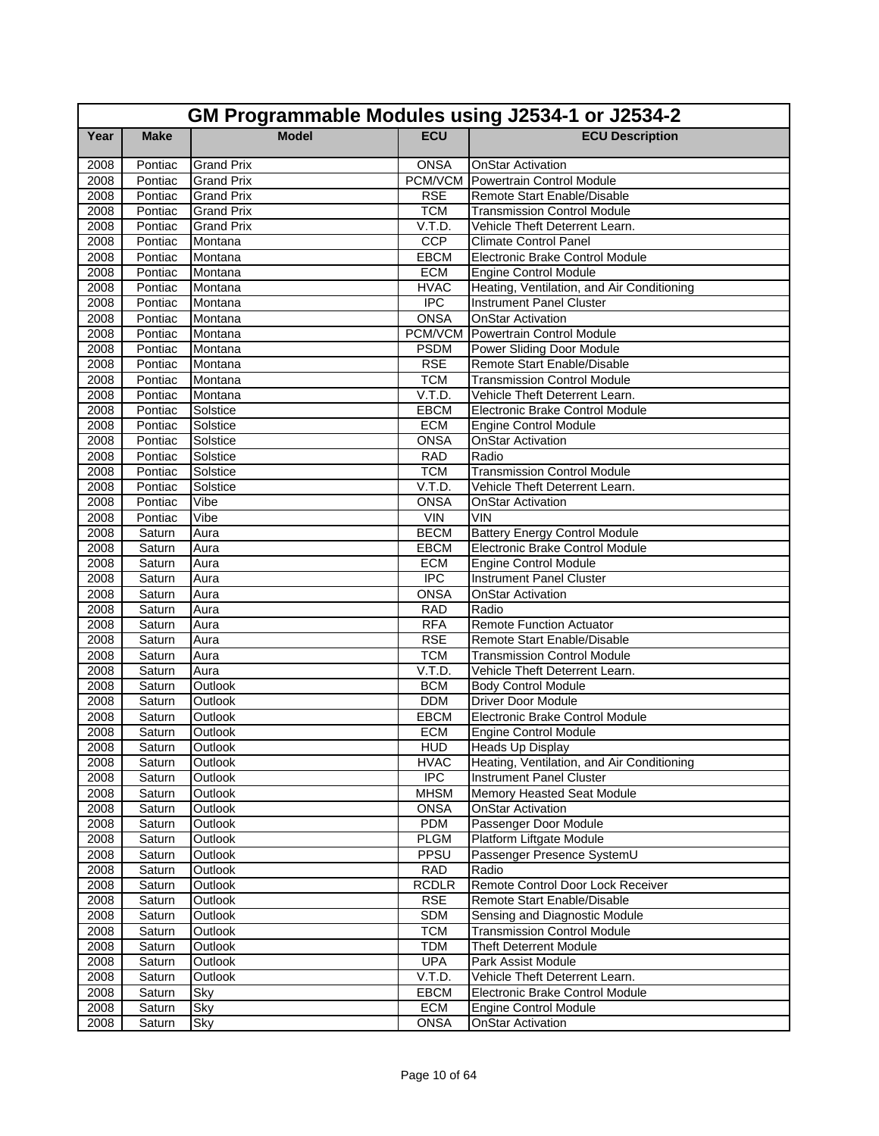|              | GM Programmable Modules using J2534-1 or J2534-2 |                   |                          |                                                                 |  |
|--------------|--------------------------------------------------|-------------------|--------------------------|-----------------------------------------------------------------|--|
| Year         | <b>Make</b>                                      | <b>Model</b>      | <b>ECU</b>               | <b>ECU Description</b>                                          |  |
| 2008         | Pontiac                                          | <b>Grand Prix</b> | <b>ONSA</b>              | <b>OnStar Activation</b>                                        |  |
| 2008         | Pontiac                                          | <b>Grand Prix</b> | PCM/VCM                  | Powertrain Control Module                                       |  |
| 2008         | Pontiac                                          | <b>Grand Prix</b> | <b>RSE</b>               | Remote Start Enable/Disable                                     |  |
| 2008         | Pontiac                                          | <b>Grand Prix</b> | <b>TCM</b>               | <b>Transmission Control Module</b>                              |  |
| 2008         | Pontiac                                          | <b>Grand Prix</b> | V.T.D.                   | Vehicle Theft Deterrent Learn.                                  |  |
| 2008         | Pontiac                                          | Montana           | CCP                      | <b>Climate Control Panel</b>                                    |  |
| 2008         | Pontiac                                          | Montana           | EBCM                     | <b>Electronic Brake Control Module</b>                          |  |
| 2008         | Pontiac                                          | Montana           | <b>ECM</b>               | <b>Engine Control Module</b>                                    |  |
| 2008         | Pontiac                                          | Montana           | <b>HVAC</b>              | Heating, Ventilation, and Air Conditioning                      |  |
| 2008         | Pontiac                                          | Montana           | $\overline{IPC}$         | <b>Instrument Panel Cluster</b>                                 |  |
| 2008         | Pontiac                                          | Montana           | <b>ONSA</b>              | <b>OnStar Activation</b>                                        |  |
| 2008         | Pontiac                                          | Montana           |                          | <b>PCM/VCM</b> Powertrain Control Module                        |  |
| 2008         | Pontiac                                          | Montana           | <b>PSDM</b>              | Power Sliding Door Module                                       |  |
| 2008         | Pontiac                                          | Montana           | <b>RSE</b>               | Remote Start Enable/Disable                                     |  |
| 2008         | Pontiac                                          | Montana           | <b>TCM</b>               | <b>Transmission Control Module</b>                              |  |
| 2008         | Pontiac                                          | Montana           | V.T.D.                   | Vehicle Theft Deterrent Learn.                                  |  |
| 2008         | Pontiac                                          | Solstice          | EBCM                     | Electronic Brake Control Module                                 |  |
| 2008         | Pontiac                                          | Solstice          | <b>ECM</b>               | <b>Engine Control Module</b>                                    |  |
| 2008         | Pontiac                                          | Solstice          | <b>ONSA</b>              | <b>OnStar Activation</b>                                        |  |
| 2008         | Pontiac                                          | Solstice          | <b>RAD</b>               | Radio                                                           |  |
| 2008         | Pontiac                                          | Solstice          | <b>TCM</b>               | <b>Transmission Control Module</b>                              |  |
| 2008         | Pontiac                                          | Solstice          | V.T.D.                   | Vehicle Theft Deterrent Learn.                                  |  |
| 2008         | Pontiac                                          | Vibe              | <b>ONSA</b>              | <b>OnStar Activation</b>                                        |  |
| 2008         | Pontiac                                          | Vibe              | VIN                      | <b>VIN</b>                                                      |  |
| 2008         | Saturn                                           | Aura              | <b>BECM</b>              | <b>Battery Energy Control Module</b>                            |  |
| 2008         | Saturn                                           | Aura              | <b>EBCM</b>              | <b>Electronic Brake Control Module</b>                          |  |
| 2008         | Saturn                                           | Aura              | <b>ECM</b><br><b>IPC</b> | <b>Engine Control Module</b><br><b>Instrument Panel Cluster</b> |  |
| 2008<br>2008 | Saturn                                           | Aura<br>Aura      | <b>ONSA</b>              | <b>OnStar Activation</b>                                        |  |
| 2008         | Saturn<br>Saturn                                 | Aura              | <b>RAD</b>               | Radio                                                           |  |
| 2008         | Saturn                                           | Aura              | <b>RFA</b>               | <b>Remote Function Actuator</b>                                 |  |
| 2008         | Saturn                                           | Aura              | <b>RSE</b>               | Remote Start Enable/Disable                                     |  |
| 2008         | Saturn                                           | Aura              | <b>TCM</b>               | <b>Transmission Control Module</b>                              |  |
| 2008         | Saturn                                           | Aura              | V.T.D.                   | Vehicle Theft Deterrent Learn.                                  |  |
| 2008         | Saturn                                           | Outlook           | <b>BCM</b>               | <b>Body Control Module</b>                                      |  |
| 2008         | Saturn                                           | Outlook           | <b>DDM</b>               | <b>Driver Door Module</b>                                       |  |
| 2008         | Saturn                                           | Outlook           | EBCM                     | <b>Electronic Brake Control Module</b>                          |  |
| 2008         | Saturn                                           | Outlook           | <b>ECM</b>               | <b>Engine Control Module</b>                                    |  |
| 2008         | Saturn                                           | Outlook           | <b>HUD</b>               | <b>Heads Up Display</b>                                         |  |
| 2008         | Saturn                                           | Outlook           | <b>HVAC</b>              | Heating, Ventilation, and Air Conditioning                      |  |
| 2008         | Saturn                                           | Outlook           | $\overline{IPC}$         | <b>Instrument Panel Cluster</b>                                 |  |
| 2008         | Saturn                                           | Outlook           | <b>MHSM</b>              | Memory Heasted Seat Module                                      |  |
| 2008         | Saturn                                           | Outlook           | <b>ONSA</b>              | <b>OnStar Activation</b>                                        |  |
| 2008         | Saturn                                           | Outlook           | <b>PDM</b>               | Passenger Door Module                                           |  |
| 2008         | Saturn                                           | Outlook           | <b>PLGM</b>              | Platform Liftgate Module                                        |  |
| 2008         | Saturn                                           | Outlook           | PPSU                     | Passenger Presence SystemU                                      |  |
| 2008         | Saturn                                           | Outlook           | <b>RAD</b>               | Radio                                                           |  |
| 2008         | Saturn                                           | Outlook           | <b>RCDLR</b>             | Remote Control Door Lock Receiver                               |  |
| 2008         | Saturn                                           | Outlook           | <b>RSE</b>               | Remote Start Enable/Disable                                     |  |
| 2008         | Saturn                                           | Outlook           | <b>SDM</b>               | Sensing and Diagnostic Module                                   |  |
| 2008         | Saturn                                           | Outlook           | <b>TCM</b>               | <b>Transmission Control Module</b>                              |  |
| 2008         | Saturn                                           | Outlook           | <b>TDM</b>               | <b>Theft Deterrent Module</b>                                   |  |
| 2008         | Saturn                                           | Outlook           | <b>UPA</b>               | Park Assist Module                                              |  |
| 2008         | Saturn                                           | Outlook           | V.T.D.                   | Vehicle Theft Deterrent Learn.                                  |  |
| 2008         | Saturn                                           | Sky               | <b>EBCM</b>              | Electronic Brake Control Module                                 |  |
| 2008         | Saturn                                           | <b>Sky</b>        | ECM                      | <b>Engine Control Module</b>                                    |  |
| 2008         | Saturn                                           | Sky               | <b>ONSA</b>              | <b>OnStar Activation</b>                                        |  |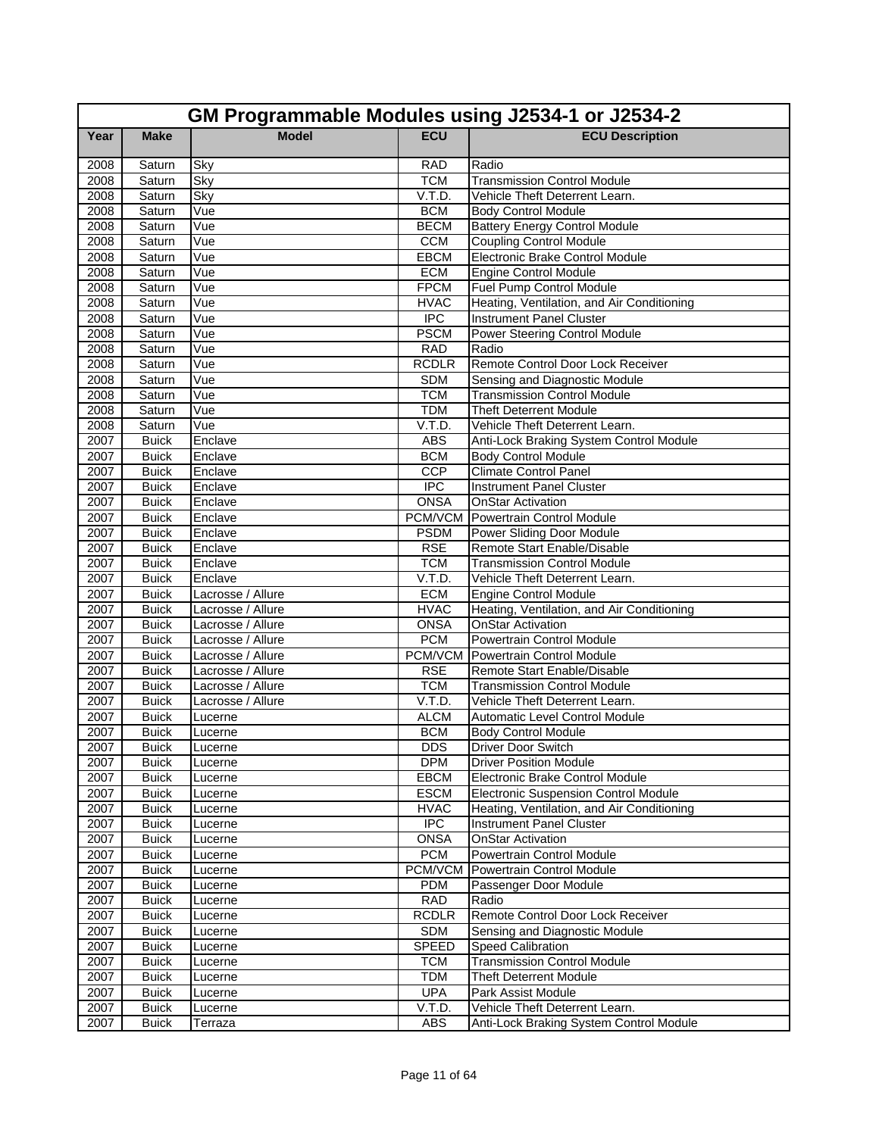|              | GM Programmable Modules using J2534-1 or J2534-2 |                                        |                      |                                                                        |  |
|--------------|--------------------------------------------------|----------------------------------------|----------------------|------------------------------------------------------------------------|--|
| Year         | <b>Make</b>                                      | <b>Model</b>                           | <b>ECU</b>           | <b>ECU Description</b>                                                 |  |
| 2008         | Saturn                                           | Sky                                    | <b>RAD</b>           | Radio                                                                  |  |
| 2008         | Saturn                                           | Sky                                    | <b>TCM</b>           | <b>Transmission Control Module</b>                                     |  |
| 2008         | Saturn                                           | Sky                                    | V.T.D.               | Vehicle Theft Deterrent Learn.                                         |  |
| 2008         | Saturn                                           | Vue                                    | <b>BCM</b>           | <b>Body Control Module</b>                                             |  |
| 2008         | Saturn                                           | Vue                                    | <b>BECM</b>          | <b>Battery Energy Control Module</b>                                   |  |
| 2008         | Saturn                                           | Vue                                    | <b>CCM</b>           | <b>Coupling Control Module</b>                                         |  |
| 2008         | Saturn                                           | Vue                                    | EBCM                 | Electronic Brake Control Module                                        |  |
| 2008         | Saturn                                           | Vue                                    | <b>ECM</b>           | Engine Control Module                                                  |  |
| 2008         | Saturn                                           | Vue                                    | <b>FPCM</b>          | Fuel Pump Control Module                                               |  |
| 2008         | Saturn                                           | Vue                                    | <b>HVAC</b>          | Heating, Ventilation, and Air Conditioning                             |  |
| 2008         | Saturn                                           | Vue                                    | $\overline{IPC}$     | <b>Instrument Panel Cluster</b>                                        |  |
| 2008         | Saturn                                           | Vue                                    | <b>PSCM</b>          | Power Steering Control Module                                          |  |
| 2008         | Saturn                                           | Vue                                    | <b>RAD</b>           | Radio                                                                  |  |
| 2008         | Saturn                                           | Vue                                    | <b>RCDLR</b>         | Remote Control Door Lock Receiver                                      |  |
| 2008         | Saturn                                           | Vue                                    | <b>SDM</b>           | Sensing and Diagnostic Module                                          |  |
| 2008         | Saturn                                           | Vue                                    | <b>TCM</b>           | <b>Transmission Control Module</b>                                     |  |
| 2008         | Saturn                                           | Vue                                    | TDM                  | <b>Theft Deterrent Module</b>                                          |  |
| 2008         | Saturn                                           | Vue                                    | V.T.D.               | Vehicle Theft Deterrent Learn.                                         |  |
| 2007         | <b>Buick</b>                                     | Enclave                                | <b>ABS</b>           | Anti-Lock Braking System Control Module                                |  |
| 2007         | <b>Buick</b>                                     | Enclave                                | <b>BCM</b>           | <b>Body Control Module</b>                                             |  |
| 2007         | <b>Buick</b>                                     | Enclave                                | CCP                  | <b>Climate Control Panel</b>                                           |  |
| 2007         | <b>Buick</b>                                     | Enclave                                | <b>IPC</b>           | <b>Instrument Panel Cluster</b>                                        |  |
| 2007         | <b>Buick</b>                                     | Enclave                                | <b>ONSA</b>          | <b>OnStar Activation</b>                                               |  |
| 2007         | <b>Buick</b>                                     | Enclave                                | PCM/VCM              | Powertrain Control Module                                              |  |
| 2007         | <b>Buick</b>                                     | Enclave                                | <b>PSDM</b>          | Power Sliding Door Module                                              |  |
| 2007         | <b>Buick</b>                                     | Enclave                                | <b>RSE</b>           | Remote Start Enable/Disable                                            |  |
| 2007         | <b>Buick</b>                                     | Enclave                                | <b>TCM</b>           | <b>Transmission Control Module</b>                                     |  |
| 2007         | <b>Buick</b>                                     | Enclave                                | V.T.D.<br><b>ECM</b> | Vehicle Theft Deterrent Learn.                                         |  |
| 2007<br>2007 | <b>Buick</b><br><b>Buick</b>                     | Lacrosse / Allure                      | <b>HVAC</b>          | <b>Engine Control Module</b>                                           |  |
| 2007         | <b>Buick</b>                                     | Lacrosse / Allure<br>Lacrosse / Allure | <b>ONSA</b>          | Heating, Ventilation, and Air Conditioning<br><b>OnStar Activation</b> |  |
| 2007         | <b>Buick</b>                                     | Lacrosse / Allure                      | <b>PCM</b>           | <b>Powertrain Control Module</b>                                       |  |
| 2007         | <b>Buick</b>                                     | Lacrosse / Allure                      | PCM/VCM              | Powertrain Control Module                                              |  |
| 2007         | <b>Buick</b>                                     | Lacrosse / Allure                      | <b>RSE</b>           | Remote Start Enable/Disable                                            |  |
| 2007         | <b>Buick</b>                                     | Lacrosse / Allure                      | <b>TCM</b>           | <b>Transmission Control Module</b>                                     |  |
| 2007         | <b>Buick</b>                                     | Lacrosse / Allure                      | V.T.D.               | Vehicle Theft Deterrent Learn.                                         |  |
| 2007         | <b>Buick</b>                                     | Lucerne                                | <b>ALCM</b>          | <b>Automatic Level Control Module</b>                                  |  |
| 2007         | <b>Buick</b>                                     | Lucerne                                | <b>BCM</b>           | <b>Body Control Module</b>                                             |  |
| 2007         | <b>Buick</b>                                     | Lucerne                                | <b>DDS</b>           | <b>Driver Door Switch</b>                                              |  |
| 2007         | <b>Buick</b>                                     | Lucerne                                | <b>DPM</b>           | <b>Driver Position Module</b>                                          |  |
| 2007         | <b>Buick</b>                                     | Lucerne                                | <b>EBCM</b>          | Electronic Brake Control Module                                        |  |
| 2007         | <b>Buick</b>                                     | Lucerne                                | <b>ESCM</b>          | <b>Electronic Suspension Control Module</b>                            |  |
| 2007         | <b>Buick</b>                                     | Lucerne                                | <b>HVAC</b>          | Heating, Ventilation, and Air Conditioning                             |  |
| 2007         | <b>Buick</b>                                     | Lucerne                                | <b>IPC</b>           | <b>Instrument Panel Cluster</b>                                        |  |
| 2007         | <b>Buick</b>                                     | Lucerne                                | <b>ONSA</b>          | <b>OnStar Activation</b>                                               |  |
| 2007         | <b>Buick</b>                                     | Lucerne                                | <b>PCM</b>           | <b>Powertrain Control Module</b>                                       |  |
| 2007         | <b>Buick</b>                                     | Lucerne                                | <b>PCM/VCM</b>       | Powertrain Control Module                                              |  |
| 2007         | <b>Buick</b>                                     | Lucerne                                | <b>PDM</b>           | Passenger Door Module                                                  |  |
| 2007         | <b>Buick</b>                                     | Lucerne                                | <b>RAD</b>           | Radio                                                                  |  |
| 2007         | <b>Buick</b>                                     | Lucerne                                | <b>RCDLR</b>         | Remote Control Door Lock Receiver                                      |  |
| 2007         | <b>Buick</b>                                     | Lucerne                                | <b>SDM</b>           | Sensing and Diagnostic Module                                          |  |
| 2007         | <b>Buick</b>                                     | Lucerne                                | <b>SPEED</b>         | Speed Calibration                                                      |  |
| 2007         | <b>Buick</b>                                     | Lucerne                                | <b>TCM</b>           | <b>Transmission Control Module</b>                                     |  |
| 2007         | <b>Buick</b>                                     | Lucerne                                | <b>TDM</b>           | <b>Theft Deterrent Module</b>                                          |  |
| 2007         | <b>Buick</b>                                     | Lucerne                                | <b>UPA</b>           | Park Assist Module                                                     |  |
| 2007         | <b>Buick</b>                                     | Lucerne                                | V.T.D.               | Vehicle Theft Deterrent Learn.                                         |  |
| 2007         | <b>Buick</b>                                     | Terraza                                | ABS                  | Anti-Lock Braking System Control Module                                |  |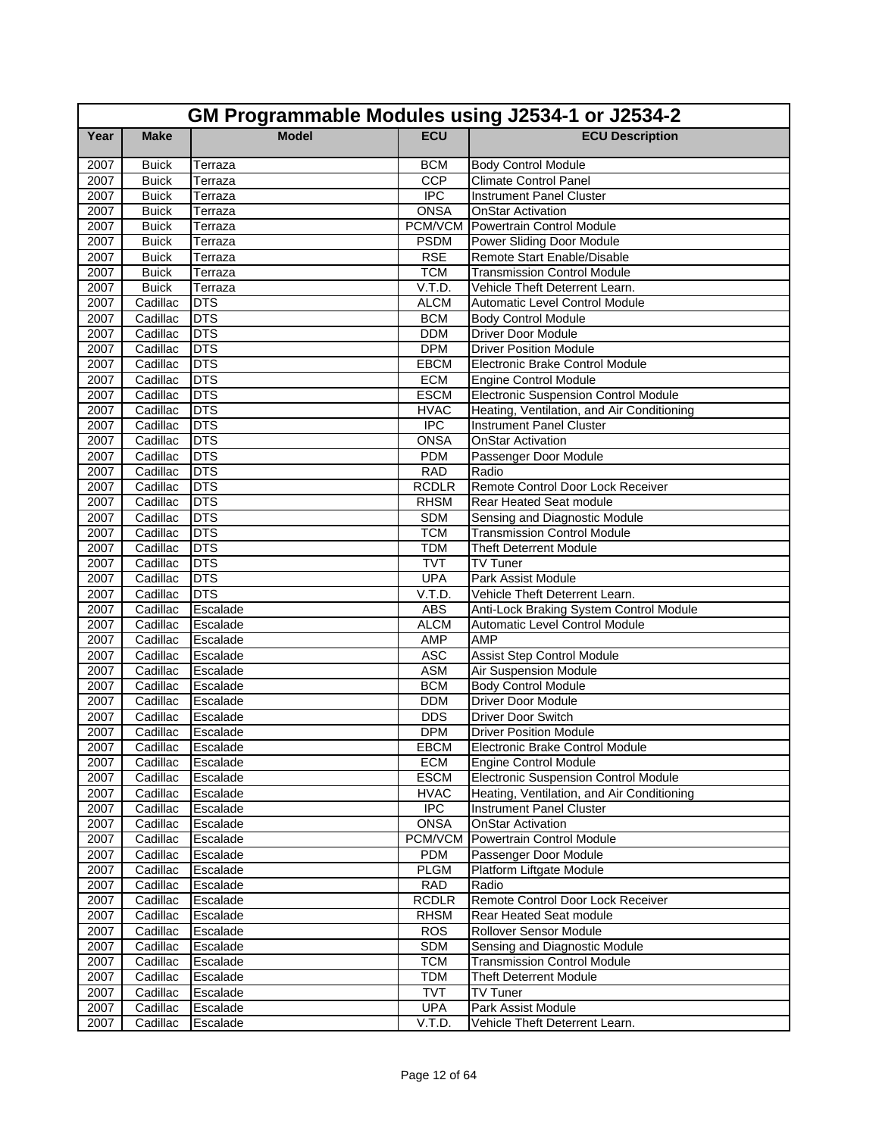|      | GM Programmable Modules using J2534-1 or J2534-2 |              |                  |                                             |  |
|------|--------------------------------------------------|--------------|------------------|---------------------------------------------|--|
| Year | <b>Make</b>                                      | <b>Model</b> | <b>ECU</b>       | <b>ECU Description</b>                      |  |
| 2007 | <b>Buick</b>                                     | Terraza      | <b>BCM</b>       | <b>Body Control Module</b>                  |  |
| 2007 | <b>Buick</b>                                     | Terraza      | CCP              | <b>Climate Control Panel</b>                |  |
| 2007 | <b>Buick</b>                                     | Terraza      | $\overline{IPC}$ | <b>Instrument Panel Cluster</b>             |  |
| 2007 | <b>Buick</b>                                     | Terraza      | <b>ONSA</b>      | <b>OnStar Activation</b>                    |  |
| 2007 | <b>Buick</b>                                     | Terraza      |                  | <b>PCM/VCM</b> Powertrain Control Module    |  |
| 2007 | <b>Buick</b>                                     | Terraza      | <b>PSDM</b>      | Power Sliding Door Module                   |  |
| 2007 | <b>Buick</b>                                     | Terraza      | <b>RSE</b>       | Remote Start Enable/Disable                 |  |
| 2007 | <b>Buick</b>                                     | Terraza      | <b>TCM</b>       | <b>Transmission Control Module</b>          |  |
| 2007 | <b>Buick</b>                                     | Terraza      | V.T.D.           | Vehicle Theft Deterrent Learn.              |  |
| 2007 | Cadillac                                         | <b>DTS</b>   | <b>ALCM</b>      | <b>Automatic Level Control Module</b>       |  |
| 2007 | Cadillac                                         | <b>DTS</b>   | <b>BCM</b>       | <b>Body Control Module</b>                  |  |
| 2007 | Cadillac                                         | <b>DTS</b>   | <b>DDM</b>       | <b>Driver Door Module</b>                   |  |
| 2007 | Cadillac                                         | <b>DTS</b>   | <b>DPM</b>       | <b>Driver Position Module</b>               |  |
| 2007 | Cadillac                                         | <b>DTS</b>   | <b>EBCM</b>      | Electronic Brake Control Module             |  |
| 2007 | Cadillac                                         | DTS          | <b>ECM</b>       | <b>Engine Control Module</b>                |  |
| 2007 | Cadillac                                         | <b>DTS</b>   | <b>ESCM</b>      | <b>Electronic Suspension Control Module</b> |  |
| 2007 | Cadillac                                         | <b>DTS</b>   | <b>HVAC</b>      | Heating, Ventilation, and Air Conditioning  |  |
| 2007 | Cadillac                                         | <b>DTS</b>   | <b>IPC</b>       | <b>Instrument Panel Cluster</b>             |  |
| 2007 | Cadillac                                         | <b>DTS</b>   | <b>ONSA</b>      | <b>OnStar Activation</b>                    |  |
| 2007 | Cadillac                                         | <b>DTS</b>   | <b>PDM</b>       | Passenger Door Module                       |  |
| 2007 | Cadillac                                         | <b>DTS</b>   | <b>RAD</b>       | Radio                                       |  |
| 2007 | Cadillac                                         | <b>DTS</b>   | <b>RCDLR</b>     | Remote Control Door Lock Receiver           |  |
| 2007 | Cadillac                                         | <b>DTS</b>   | <b>RHSM</b>      | Rear Heated Seat module                     |  |
| 2007 | Cadillac                                         | <b>DTS</b>   | <b>SDM</b>       | Sensing and Diagnostic Module               |  |
| 2007 | Cadillac                                         | DTS          | <b>TCM</b>       | <b>Transmission Control Module</b>          |  |
| 2007 | Cadillac                                         | <b>DTS</b>   | <b>TDM</b>       | <b>Theft Deterrent Module</b>               |  |
| 2007 | Cadillac                                         | <b>DTS</b>   | <b>TVT</b>       | TV Tuner                                    |  |
| 2007 | Cadillac                                         | <b>DTS</b>   | <b>UPA</b>       | Park Assist Module                          |  |
| 2007 | Cadillac                                         | <b>DTS</b>   | V.T.D.           | Vehicle Theft Deterrent Learn.              |  |
| 2007 | Cadillac                                         | Escalade     | <b>ABS</b>       | Anti-Lock Braking System Control Module     |  |
| 2007 | Cadillac                                         | Escalade     | <b>ALCM</b>      | Automatic Level Control Module              |  |
| 2007 | Cadillac                                         | Escalade     | AMP              | <b>AMP</b>                                  |  |
| 2007 | Cadillac                                         | Escalade     | <b>ASC</b>       | Assist Step Control Module                  |  |
| 2007 | Cadillac                                         | Escalade     | <b>ASM</b>       | Air Suspension Module                       |  |
| 2007 | Cadillac                                         | Escalade     | <b>BCM</b>       | <b>Body Control Module</b>                  |  |
| 2007 | Cadillac                                         | Escalade     | <b>DDM</b>       | <b>Driver Door Module</b>                   |  |
| 2007 | Cadillac                                         | Escalade     | <b>DDS</b>       | <b>Driver Door Switch</b>                   |  |
| 2007 | Cadillac                                         | Escalade     | <b>DPM</b>       | <b>Driver Position Module</b>               |  |
| 2007 | Cadillac Escalade                                |              | <b>EBCM</b>      | Electronic Brake Control Module             |  |
| 2007 | Cadillac                                         | Escalade     | <b>ECM</b>       | Engine Control Module                       |  |
| 2007 | Cadillac                                         | Escalade     | <b>ESCM</b>      | <b>Electronic Suspension Control Module</b> |  |
| 2007 | Cadillac                                         | Escalade     | <b>HVAC</b>      | Heating, Ventilation, and Air Conditioning  |  |
| 2007 | Cadillac                                         | Escalade     | <b>IPC</b>       | Instrument Panel Cluster                    |  |
| 2007 | Cadillac                                         | Escalade     | <b>ONSA</b>      | <b>OnStar Activation</b>                    |  |
| 2007 | Cadillac                                         | Escalade     | <b>PCM/VCM</b>   | Powertrain Control Module                   |  |
| 2007 | Cadillac                                         | Escalade     | <b>PDM</b>       | Passenger Door Module                       |  |
| 2007 | Cadillac                                         | Escalade     | <b>PLGM</b>      | Platform Liftgate Module                    |  |
| 2007 | Cadillac                                         | Escalade     | <b>RAD</b>       | Radio                                       |  |
| 2007 | Cadillac                                         | Escalade     | <b>RCDLR</b>     | Remote Control Door Lock Receiver           |  |
| 2007 | Cadillac                                         | Escalade     | <b>RHSM</b>      | Rear Heated Seat module                     |  |
| 2007 | Cadillac                                         | Escalade     | <b>ROS</b>       | Rollover Sensor Module                      |  |
| 2007 | Cadillac                                         | Escalade     | <b>SDM</b>       | Sensing and Diagnostic Module               |  |
| 2007 | Cadillac                                         | Escalade     | <b>TCM</b>       | <b>Transmission Control Module</b>          |  |
| 2007 | Cadillac                                         | Escalade     | <b>TDM</b>       | <b>Theft Deterrent Module</b>               |  |
| 2007 | Cadillac                                         | Escalade     | <b>TVT</b>       | <b>TV Tuner</b>                             |  |
| 2007 | Cadillac                                         | Escalade     | <b>UPA</b>       | Park Assist Module                          |  |
| 2007 | Cadillac                                         | Escalade     | V.T.D.           | Vehicle Theft Deterrent Learn.              |  |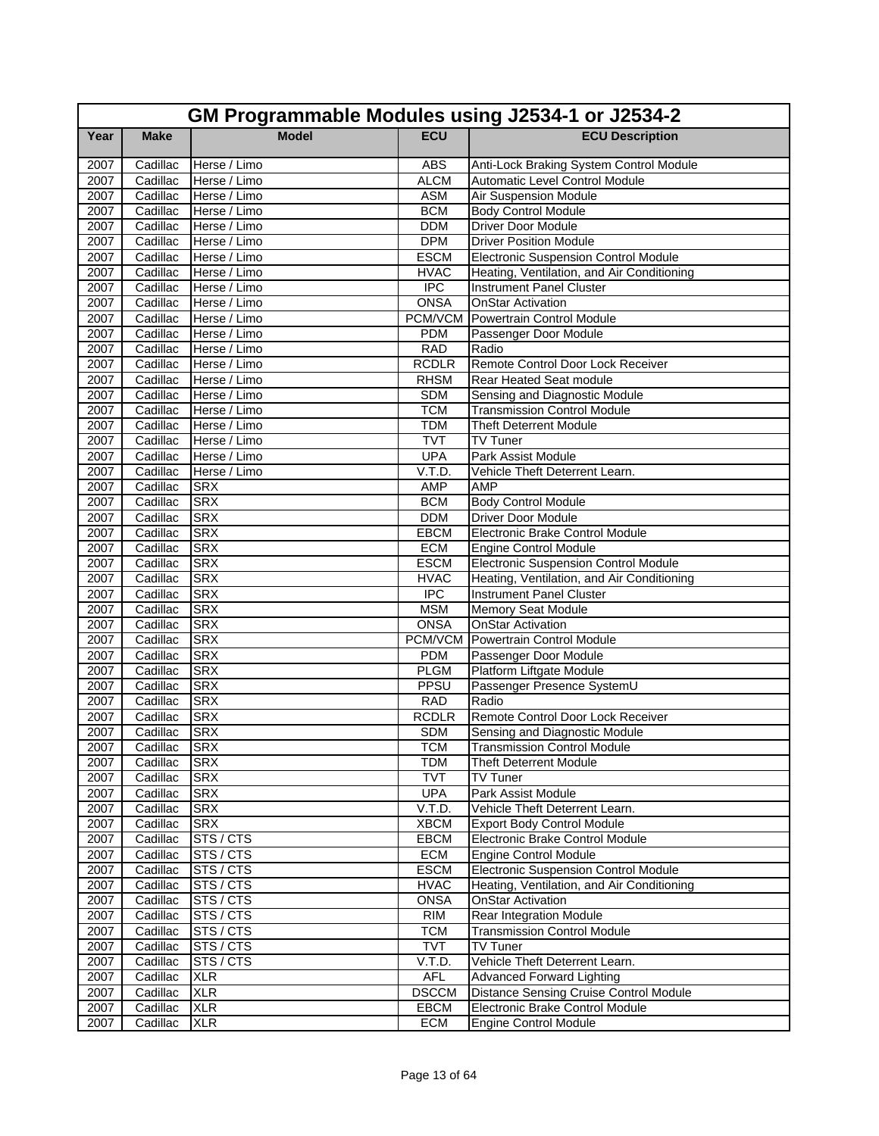|              | GM Programmable Modules using J2534-1 or J2534-2 |                          |                           |                                                       |  |
|--------------|--------------------------------------------------|--------------------------|---------------------------|-------------------------------------------------------|--|
| Year         | <b>Make</b>                                      | <b>Model</b>             | <b>ECU</b>                | <b>ECU Description</b>                                |  |
| 2007         | Cadillac                                         | Herse / Limo             | <b>ABS</b>                | Anti-Lock Braking System Control Module               |  |
| 2007         | Cadillac                                         | Herse / Limo             | <b>ALCM</b>               | Automatic Level Control Module                        |  |
| 2007         | Cadillac                                         | Herse / Limo             | <b>ASM</b>                | Air Suspension Module                                 |  |
| 2007         | Cadillac                                         | Herse / Limo             | <b>BCM</b>                | <b>Body Control Module</b>                            |  |
| 2007         | Cadillac                                         | Herse / Limo             | DDM                       | <b>Driver Door Module</b>                             |  |
| 2007         | Cadillac                                         | Herse / Limo             | <b>DPM</b>                | <b>Driver Position Module</b>                         |  |
| 2007         | Cadillac                                         | Herse / Limo             | <b>ESCM</b>               | <b>Electronic Suspension Control Module</b>           |  |
| 2007         | Cadillac                                         | Herse / Limo             | <b>HVAC</b>               | Heating, Ventilation, and Air Conditioning            |  |
| 2007         | Cadillac                                         | Herse / Limo             | <b>IPC</b>                | <b>Instrument Panel Cluster</b>                       |  |
| 2007         | Cadillac                                         | Herse / Limo             | <b>ONSA</b>               | <b>OnStar Activation</b>                              |  |
| 2007         | Cadillac                                         | Herse / Limo             |                           | <b>PCM/VCM</b> Powertrain Control Module              |  |
| 2007         | Cadillac                                         | Herse / Limo             | <b>PDM</b>                | Passenger Door Module                                 |  |
| 2007         | Cadillac                                         | Herse / Limo             | <b>RAD</b>                | Radio                                                 |  |
| 2007         | Cadillac                                         | Herse / Limo             | <b>RCDLR</b>              | Remote Control Door Lock Receiver                     |  |
| 2007         | Cadillac                                         | Herse / Limo             | <b>RHSM</b>               | Rear Heated Seat module                               |  |
| 2007         | Cadillac                                         | Herse / Limo             | <b>SDM</b>                | Sensing and Diagnostic Module                         |  |
| 2007         | Cadillac                                         | Herse / Limo             | <b>TCM</b>                | <b>Transmission Control Module</b>                    |  |
| 2007         | Cadillac                                         | Herse / Limo             | <b>TDM</b>                | <b>Theft Deterrent Module</b>                         |  |
| 2007         | Cadillac                                         | Herse / Limo             | <b>TVT</b>                | TV Tuner                                              |  |
| 2007         | Cadillac                                         | Herse / Limo             | <b>UPA</b>                | Park Assist Module                                    |  |
| 2007         | Cadillac                                         | Herse / Limo             | V.T.D.                    | Vehicle Theft Deterrent Learn.                        |  |
| 2007         | Cadillac                                         | <b>SRX</b>               | <b>AMP</b>                | <b>AMP</b>                                            |  |
| 2007         | Cadillac                                         | <b>SRX</b>               | <b>BCM</b>                | <b>Body Control Module</b>                            |  |
| 2007         | Cadillac                                         | <b>SRX</b>               | <b>DDM</b>                | <b>Driver Door Module</b>                             |  |
| 2007         | Cadillac                                         | <b>SRX</b>               | EBCM                      | Electronic Brake Control Module                       |  |
| 2007         | Cadillac                                         | <b>SRX</b>               | <b>ECM</b>                | <b>Engine Control Module</b>                          |  |
| 2007         | Cadillac                                         | <b>SRX</b>               | <b>ESCM</b>               | <b>Electronic Suspension Control Module</b>           |  |
| 2007         | Cadillac                                         | <b>SRX</b>               | <b>HVAC</b>               | Heating, Ventilation, and Air Conditioning            |  |
| 2007         | Cadillac                                         | <b>SRX</b>               | <b>IPC</b>                | Instrument Panel Cluster                              |  |
| 2007         | Cadillac                                         | <b>SRX</b><br><b>SRX</b> | <b>MSM</b><br><b>ONSA</b> | <b>Memory Seat Module</b>                             |  |
| 2007         | Cadillac<br>Cadillac                             | <b>SRX</b>               | PCM/VCM                   | <b>OnStar Activation</b><br>Powertrain Control Module |  |
| 2007         | Cadillac                                         | <b>SRX</b>               | <b>PDM</b>                |                                                       |  |
| 2007<br>2007 | Cadillac                                         | <b>SRX</b>               | <b>PLGM</b>               | Passenger Door Module<br>Platform Liftgate Module     |  |
| 2007         | Cadillac                                         | <b>SRX</b>               | <b>PPSU</b>               | Passenger Presence SystemU                            |  |
| 2007         | Cadillac                                         | <b>SRX</b>               | <b>RAD</b>                | Radio                                                 |  |
| 2007         | Cadillac                                         | <b>SRX</b>               | <b>RCDLR</b>              | Remote Control Door Lock Receiver                     |  |
| 2007         | Cadillac                                         | <b>SRX</b>               | SDM                       | Sensing and Diagnostic Module                         |  |
| 2007         | Cadillac SRX                                     |                          | <b>TCM</b>                | <b>Transmission Control Module</b>                    |  |
| 2007         | Cadillac                                         | <b>SRX</b>               | <b>TDM</b>                | <b>Theft Deterrent Module</b>                         |  |
| 2007         | Cadillac                                         | <b>SRX</b>               | <b>TVT</b>                | TV Tuner                                              |  |
| 2007         | Cadillac                                         | <b>SRX</b>               | <b>UPA</b>                | Park Assist Module                                    |  |
| 2007         | Cadillac                                         | <b>SRX</b>               | V.T.D.                    | Vehicle Theft Deterrent Learn.                        |  |
| 2007         | Cadillac                                         | <b>SRX</b>               | <b>XBCM</b>               | <b>Export Body Control Module</b>                     |  |
| 2007         | Cadillac                                         | STS/CTS                  | <b>EBCM</b>               | Electronic Brake Control Module                       |  |
| 2007         | Cadillac                                         | STS/CTS                  | <b>ECM</b>                | <b>Engine Control Module</b>                          |  |
| 2007         | Cadillac                                         | STS/CTS                  | <b>ESCM</b>               | Electronic Suspension Control Module                  |  |
| 2007         | Cadillac                                         | STS / CTS                | <b>HVAC</b>               | Heating, Ventilation, and Air Conditioning            |  |
| 2007         | Cadillac                                         | STS/CTS                  | <b>ONSA</b>               | <b>OnStar Activation</b>                              |  |
| 2007         | Cadillac                                         | STS / CTS                | <b>RIM</b>                | Rear Integration Module                               |  |
| 2007         | Cadillac                                         | STS / CTS                | <b>TCM</b>                | <b>Transmission Control Module</b>                    |  |
| 2007         | Cadillac                                         | STS / CTS                | <b>TVT</b>                | TV Tuner                                              |  |
| 2007         | Cadillac                                         | STS/CTS                  | V.T.D.                    | Vehicle Theft Deterrent Learn.                        |  |
| 2007         | Cadillac                                         | <b>XLR</b>               | <b>AFL</b>                | <b>Advanced Forward Lighting</b>                      |  |
| 2007         | Cadillac                                         | <b>XLR</b>               | <b>DSCCM</b>              | Distance Sensing Cruise Control Module                |  |
| 2007         | Cadillac                                         | <b>XLR</b>               | <b>EBCM</b>               | Electronic Brake Control Module                       |  |
| 2007         | Cadillac                                         | <b>XLR</b>               | <b>ECM</b>                | Engine Control Module                                 |  |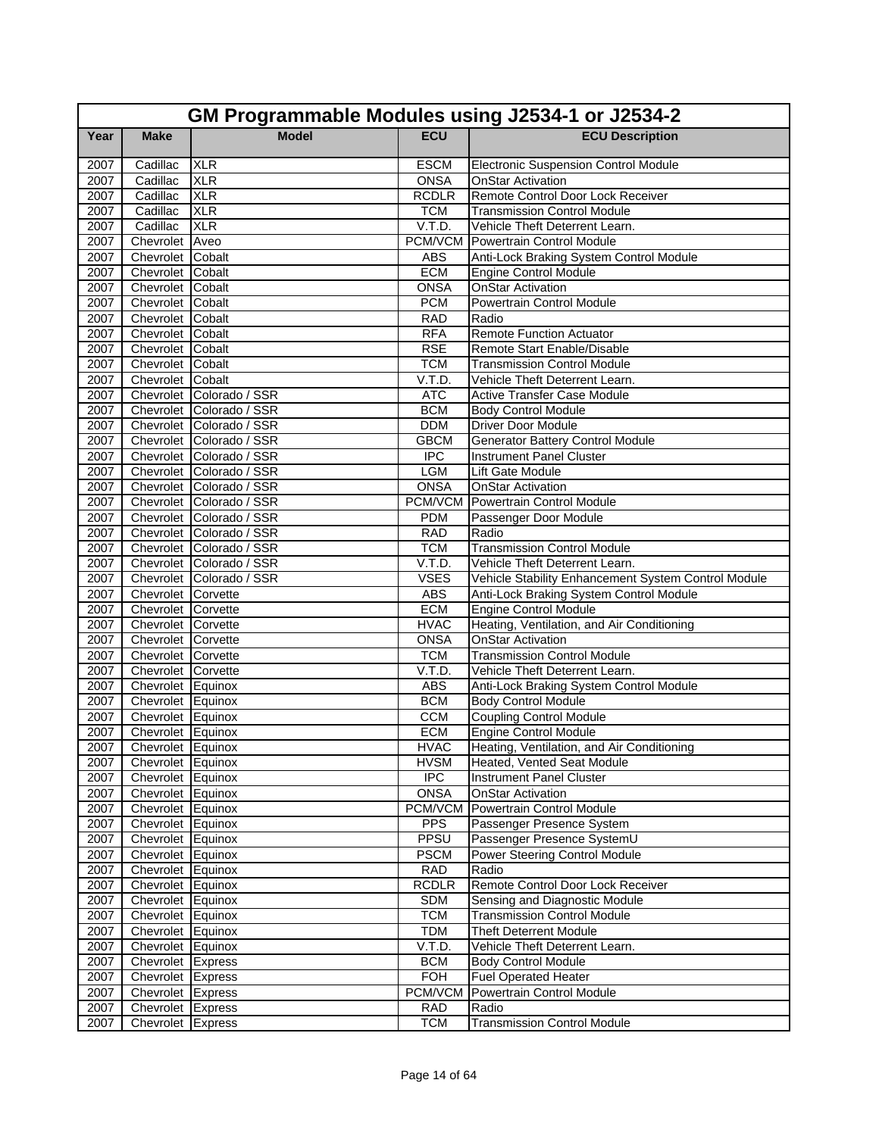|              | GM Programmable Modules using J2534-1 or J2534-2 |                          |                      |                                                                       |  |
|--------------|--------------------------------------------------|--------------------------|----------------------|-----------------------------------------------------------------------|--|
| Year         | <b>Make</b>                                      | <b>Model</b>             | <b>ECU</b>           | <b>ECU Description</b>                                                |  |
| 2007         | Cadillac                                         | <b>XLR</b>               | <b>ESCM</b>          | <b>Electronic Suspension Control Module</b>                           |  |
| 2007         | Cadillac                                         | <b>XLR</b>               | <b>ONSA</b>          | <b>OnStar Activation</b>                                              |  |
| 2007         | Cadillac                                         | <b>XLR</b>               | <b>RCDLR</b>         | Remote Control Door Lock Receiver                                     |  |
| 2007         | Cadillac                                         | <b>XLR</b>               | <b>TCM</b>           | <b>Transmission Control Module</b>                                    |  |
| 2007         | Cadillac                                         | <b>XLR</b>               | V.T.D.               | Vehicle Theft Deterrent Learn.                                        |  |
| 2007         | Chevrolet Aveo                                   |                          | PCM/VCM              | Powertrain Control Module                                             |  |
| 2007         | Chevrolet Cobalt                                 |                          | <b>ABS</b>           | Anti-Lock Braking System Control Module                               |  |
| 2007         | Chevrolet Cobalt                                 |                          | <b>ECM</b>           | <b>Engine Control Module</b>                                          |  |
| 2007         | Chevrolet Cobalt                                 |                          | <b>ONSA</b>          | <b>OnStar Activation</b>                                              |  |
| 2007         | Chevrolet Cobalt                                 |                          | <b>PCM</b>           | <b>Powertrain Control Module</b>                                      |  |
| 2007         | Chevrolet Cobalt                                 |                          | <b>RAD</b>           | Radio                                                                 |  |
| 2007         | Chevrolet Cobalt                                 |                          | <b>RFA</b>           | <b>Remote Function Actuator</b>                                       |  |
| 2007         | Chevrolet Cobalt                                 |                          | <b>RSE</b>           | Remote Start Enable/Disable                                           |  |
| 2007         | Chevrolet Cobalt                                 |                          | <b>TCM</b>           | <b>Transmission Control Module</b>                                    |  |
| 2007         | Chevrolet Cobalt                                 |                          | V.T.D.               | Vehicle Theft Deterrent Learn.                                        |  |
| 2007         |                                                  | Chevrolet Colorado / SSR | <b>ATC</b>           | <b>Active Transfer Case Module</b>                                    |  |
| 2007         |                                                  | Chevrolet Colorado / SSR | <b>BCM</b>           | <b>Body Control Module</b>                                            |  |
| 2007         |                                                  | Chevrolet Colorado / SSR | <b>DDM</b>           | <b>Driver Door Module</b>                                             |  |
| 2007         |                                                  | Chevrolet Colorado / SSR | <b>GBCM</b>          | <b>Generator Battery Control Module</b>                               |  |
| 2007         |                                                  | Chevrolet Colorado / SSR | <b>IPC</b>           | <b>Instrument Panel Cluster</b>                                       |  |
| 2007         |                                                  | Chevrolet Colorado / SSR | <b>LGM</b>           | Lift Gate Module                                                      |  |
| 2007         |                                                  | Chevrolet Colorado / SSR | <b>ONSA</b>          | <b>OnStar Activation</b>                                              |  |
| 2007         |                                                  | Chevrolet Colorado / SSR |                      | <b>PCM/VCM Powertrain Control Module</b>                              |  |
| 2007         |                                                  | Chevrolet Colorado / SSR | <b>PDM</b>           | Passenger Door Module                                                 |  |
| 2007         |                                                  | Chevrolet Colorado / SSR | <b>RAD</b>           | Radio                                                                 |  |
| 2007         |                                                  | Chevrolet Colorado / SSR | <b>TCM</b>           | <b>Transmission Control Module</b>                                    |  |
| 2007         |                                                  | Chevrolet Colorado / SSR | V.T.D.               | Vehicle Theft Deterrent Learn.                                        |  |
| 2007         |                                                  | Chevrolet Colorado / SSR | <b>VSES</b>          | Vehicle Stability Enhancement System Control Module                   |  |
| 2007         | Chevrolet Corvette                               |                          | <b>ABS</b>           | Anti-Lock Braking System Control Module                               |  |
| 2007         | Chevrolet Corvette                               |                          | <b>ECM</b>           | <b>Engine Control Module</b>                                          |  |
| 2007         | Chevrolet Corvette                               |                          | <b>HVAC</b>          | Heating, Ventilation, and Air Conditioning                            |  |
| 2007         | Chevrolet Corvette                               |                          | <b>ONSA</b>          | <b>OnStar Activation</b>                                              |  |
| 2007<br>2007 | Chevrolet Corvette                               |                          | <b>TCM</b><br>V.T.D. | <b>Transmission Control Module</b><br>Vehicle Theft Deterrent Learn.  |  |
| 2007         | Chevrolet Corvette<br>Chevrolet Equinox          |                          | <b>ABS</b>           |                                                                       |  |
| 2007         | Chevrolet Equinox                                |                          | <b>BCM</b>           | Anti-Lock Braking System Control Module<br><b>Body Control Module</b> |  |
| 2007         | Chevrolet Equinox                                |                          | <b>CCM</b>           | <b>Coupling Control Module</b>                                        |  |
| 2007         | Chevrolet Equinox                                |                          | <b>ECM</b>           | Engine Control Module                                                 |  |
|              | 2007 Chevrolet Equinox                           |                          | <b>HVAC</b>          | Heating, Ventilation, and Air Conditioning                            |  |
| 2007         | Chevrolet Equinox                                |                          | <b>HVSM</b>          | Heated, Vented Seat Module                                            |  |
| 2007         | Chevrolet Equinox                                |                          | $\overline{IPC}$     | Instrument Panel Cluster                                              |  |
| 2007         | Chevrolet Equinox                                |                          | <b>ONSA</b>          | <b>OnStar Activation</b>                                              |  |
| 2007         | Chevrolet Equinox                                |                          |                      | PCM/VCM Powertrain Control Module                                     |  |
| 2007         | Chevrolet Equinox                                |                          | <b>PPS</b>           | Passenger Presence System                                             |  |
| 2007         | Chevrolet Equinox                                |                          | PPSU                 | Passenger Presence SystemU                                            |  |
| 2007         | Chevrolet Equinox                                |                          | <b>PSCM</b>          | Power Steering Control Module                                         |  |
| 2007         | Chevrolet Equinox                                |                          | <b>RAD</b>           | Radio                                                                 |  |
| 2007         | Chevrolet Equinox                                |                          | <b>RCDLR</b>         | Remote Control Door Lock Receiver                                     |  |
| 2007         | Chevrolet Equinox                                |                          | <b>SDM</b>           | Sensing and Diagnostic Module                                         |  |
| 2007         | Chevrolet Equinox                                |                          | <b>TCM</b>           | <b>Transmission Control Module</b>                                    |  |
| 2007         | Chevrolet Equinox                                |                          | <b>TDM</b>           | <b>Theft Deterrent Module</b>                                         |  |
| 2007         | Chevrolet Equinox                                |                          | V.T.D.               | Vehicle Theft Deterrent Learn.                                        |  |
| 2007         | Chevrolet Express                                |                          | <b>BCM</b>           | <b>Body Control Module</b>                                            |  |
| 2007         | Chevrolet Express                                |                          | <b>FOH</b>           | <b>Fuel Operated Heater</b>                                           |  |
| 2007         | Chevrolet Express                                |                          | <b>PCM/VCM</b>       | Powertrain Control Module                                             |  |
| 2007         | Chevrolet Express                                |                          | <b>RAD</b>           | Radio                                                                 |  |
| 2007         | Chevrolet Express                                |                          | <b>TCM</b>           | <b>Transmission Control Module</b>                                    |  |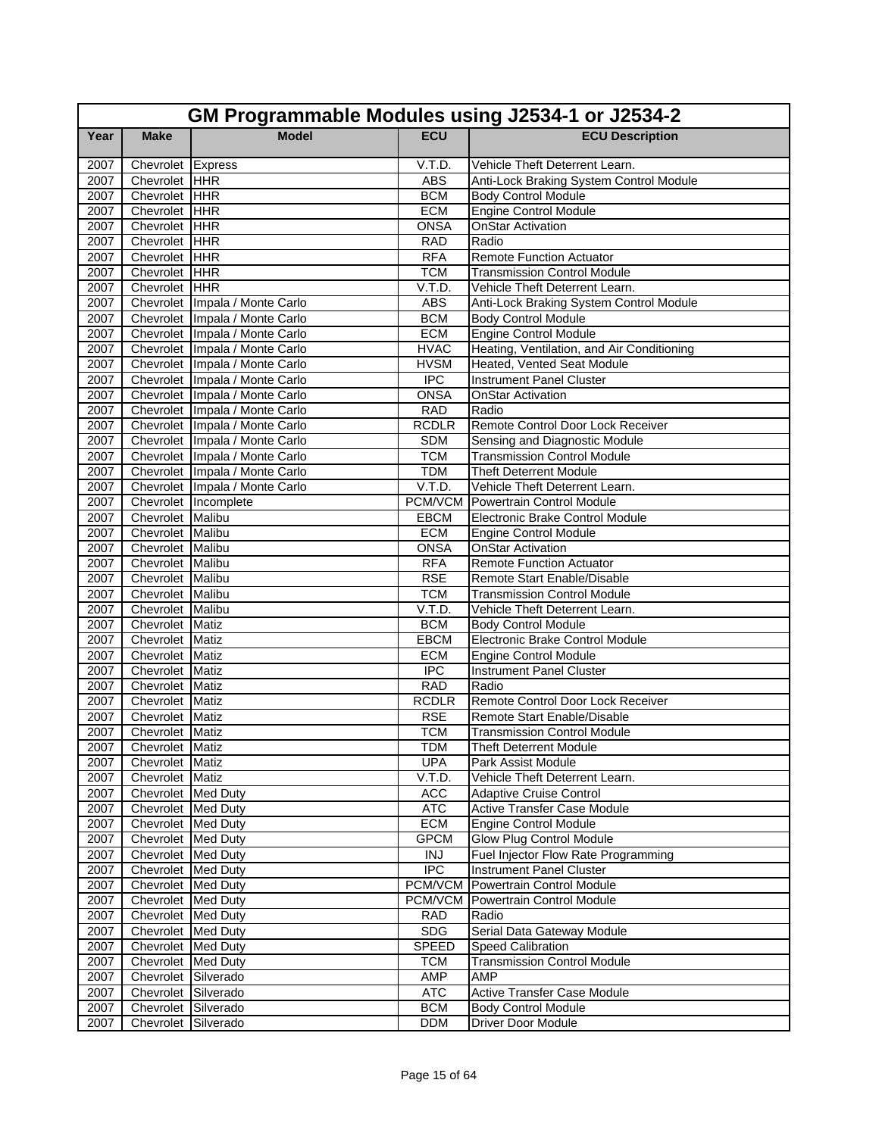|              | GM Programmable Modules using J2534-1 or J2534-2 |                                  |                      |                                                              |  |  |
|--------------|--------------------------------------------------|----------------------------------|----------------------|--------------------------------------------------------------|--|--|
| Year         | <b>Make</b>                                      | <b>Model</b>                     | <b>ECU</b>           | <b>ECU Description</b>                                       |  |  |
| 2007         | Chevrolet Express                                |                                  | V.T.D.               | Vehicle Theft Deterrent Learn.                               |  |  |
| 2007         | Chevrolet HHR                                    |                                  | <b>ABS</b>           | Anti-Lock Braking System Control Module                      |  |  |
| 2007         | Chevrolet HHR                                    |                                  | <b>BCM</b>           | <b>Body Control Module</b>                                   |  |  |
| 2007         | Chevrolet HHR                                    |                                  | <b>ECM</b>           | <b>Engine Control Module</b>                                 |  |  |
| 2007         | Chevrolet HHR                                    |                                  | <b>ONSA</b>          | <b>OnStar Activation</b>                                     |  |  |
| 2007         | Chevrolet HHR                                    |                                  | <b>RAD</b>           | Radio                                                        |  |  |
| 2007         | Chevrolet HHR                                    |                                  | <b>RFA</b>           | <b>Remote Function Actuator</b>                              |  |  |
| 2007         | Chevrolet HHR                                    |                                  | <b>TCM</b>           | <b>Transmission Control Module</b>                           |  |  |
| 2007         | Chevrolet HHR                                    |                                  | V.T.D.               | Vehicle Theft Deterrent Learn.                               |  |  |
| 2007         |                                                  | Chevrolet   Impala / Monte Carlo | <b>ABS</b>           | Anti-Lock Braking System Control Module                      |  |  |
| 2007         |                                                  | Chevrolet Impala / Monte Carlo   | <b>BCM</b>           | <b>Body Control Module</b>                                   |  |  |
| 2007         |                                                  | Chevrolet   Impala / Monte Carlo | <b>ECM</b>           | <b>Engine Control Module</b>                                 |  |  |
| 2007         |                                                  | Chevrolet Impala / Monte Carlo   | <b>HVAC</b>          | Heating, Ventilation, and Air Conditioning                   |  |  |
| 2007         |                                                  | Chevrolet Impala / Monte Carlo   | <b>HVSM</b>          | Heated, Vented Seat Module                                   |  |  |
| 2007         |                                                  | Chevrolet Impala / Monte Carlo   | <b>IPC</b>           | <b>Instrument Panel Cluster</b>                              |  |  |
| 2007         |                                                  | Chevrolet   Impala / Monte Carlo | <b>ONSA</b>          | <b>OnStar Activation</b>                                     |  |  |
| 2007         |                                                  | Chevrolet Impala / Monte Carlo   | <b>RAD</b>           | Radio                                                        |  |  |
| 2007         |                                                  | Chevrolet Impala / Monte Carlo   | <b>RCDLR</b>         | Remote Control Door Lock Receiver                            |  |  |
| 2007         |                                                  | Chevrolet   Impala / Monte Carlo | <b>SDM</b>           | Sensing and Diagnostic Module                                |  |  |
| 2007         |                                                  | Chevrolet Impala / Monte Carlo   | <b>TCM</b>           | <b>Transmission Control Module</b>                           |  |  |
| 2007         |                                                  | Chevrolet   Impala / Monte Carlo | <b>TDM</b>           | <b>Theft Deterrent Module</b>                                |  |  |
| 2007         |                                                  | Chevrolet Impala / Monte Carlo   | V.T.D.               | Vehicle Theft Deterrent Learn.                               |  |  |
| 2007         |                                                  | Chevrolet Incomplete             |                      | <b>PCM/VCM</b> Powertrain Control Module                     |  |  |
| 2007         | Chevrolet Malibu                                 |                                  | <b>EBCM</b>          | Electronic Brake Control Module                              |  |  |
| 2007         | Chevrolet Malibu                                 |                                  | <b>ECM</b>           | <b>Engine Control Module</b>                                 |  |  |
| 2007         | Chevrolet Malibu                                 |                                  | <b>ONSA</b>          | <b>OnStar Activation</b>                                     |  |  |
| 2007         | Chevrolet Malibu                                 |                                  | <b>RFA</b>           | <b>Remote Function Actuator</b>                              |  |  |
| 2007         | Chevrolet Malibu                                 |                                  | <b>RSE</b>           | Remote Start Enable/Disable                                  |  |  |
| 2007         | Chevrolet Malibu                                 |                                  | <b>TCM</b><br>V.T.D. | <b>Transmission Control Module</b>                           |  |  |
| 2007<br>2007 | Chevrolet Malibu<br>Chevrolet Matiz              |                                  | <b>BCM</b>           | Vehicle Theft Deterrent Learn.<br><b>Body Control Module</b> |  |  |
| 2007         | Chevrolet Matiz                                  |                                  | <b>EBCM</b>          | Electronic Brake Control Module                              |  |  |
| 2007         | Chevrolet Matiz                                  |                                  | <b>ECM</b>           | <b>Engine Control Module</b>                                 |  |  |
| 2007         | Chevrolet Matiz                                  |                                  | <b>IPC</b>           | <b>Instrument Panel Cluster</b>                              |  |  |
| 2007         | Chevrolet Matiz                                  |                                  | <b>RAD</b>           | Radio                                                        |  |  |
| 2007         | Chevrolet Matiz                                  |                                  | <b>RCDLR</b>         | Remote Control Door Lock Receiver                            |  |  |
| 2007         | Chevrolet Matiz                                  |                                  | <b>RSE</b>           | Remote Start Enable/Disable                                  |  |  |
| 2007         | Chevrolet Matiz                                  |                                  | <b>TCM</b>           | <b>Transmission Control Module</b>                           |  |  |
| 2007         | Chevrolet Matiz                                  |                                  | <b>TDM</b>           | <b>Theft Deterrent Module</b>                                |  |  |
| 2007         | Chevrolet Matiz                                  |                                  | <b>UPA</b>           | Park Assist Module                                           |  |  |
| 2007         | Chevrolet Matiz                                  |                                  | V.T.D.               | Vehicle Theft Deterrent Learn.                               |  |  |
| 2007         | Chevrolet Med Duty                               |                                  | <b>ACC</b>           | <b>Adaptive Cruise Control</b>                               |  |  |
| 2007         | Chevrolet Med Duty                               |                                  | <b>ATC</b>           | Active Transfer Case Module                                  |  |  |
| 2007         | Chevrolet Med Duty                               |                                  | ECM                  | <b>Engine Control Module</b>                                 |  |  |
| 2007         | Chevrolet Med Duty                               |                                  | <b>GPCM</b>          | Glow Plug Control Module                                     |  |  |
| 2007         | Chevrolet Med Duty                               |                                  | <b>INJ</b>           | Fuel Injector Flow Rate Programming                          |  |  |
| 2007         | Chevrolet Med Duty                               |                                  | <b>IPC</b>           | Instrument Panel Cluster                                     |  |  |
| 2007         | Chevrolet Med Duty                               |                                  | PCM/VCM              | Powertrain Control Module                                    |  |  |
| 2007         | Chevrolet Med Duty                               |                                  | PCM/VCM              | Powertrain Control Module                                    |  |  |
| 2007         | Chevrolet Med Duty                               |                                  | <b>RAD</b>           | Radio                                                        |  |  |
| 2007         | Chevrolet Med Duty                               |                                  | <b>SDG</b>           | Serial Data Gateway Module                                   |  |  |
| 2007         | Chevrolet Med Duty                               |                                  | <b>SPEED</b>         | Speed Calibration                                            |  |  |
| 2007         | Chevrolet Med Duty                               |                                  | <b>TCM</b>           | <b>Transmission Control Module</b>                           |  |  |
| 2007         | Chevrolet Silverado                              |                                  | AMP                  | AMP                                                          |  |  |
| 2007         | Chevrolet Silverado                              |                                  | <b>ATC</b>           | Active Transfer Case Module                                  |  |  |
| 2007         | Chevrolet Silverado                              |                                  | <b>BCM</b>           | <b>Body Control Module</b>                                   |  |  |
| 2007         | Chevrolet Silverado                              |                                  | <b>DDM</b>           | Driver Door Module                                           |  |  |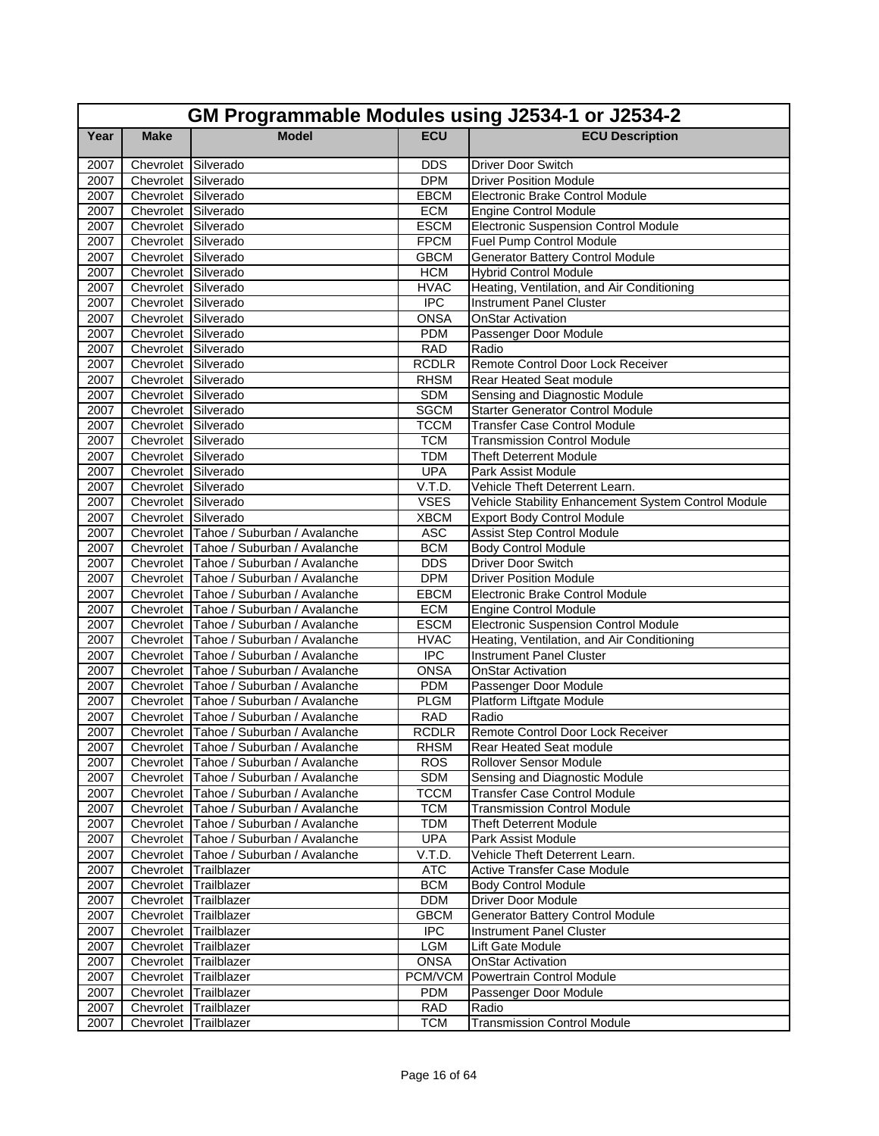|      | GM Programmable Modules using J2534-1 or J2534-2 |                                        |                  |                                                     |  |  |
|------|--------------------------------------------------|----------------------------------------|------------------|-----------------------------------------------------|--|--|
| Year | <b>Make</b>                                      | <b>Model</b>                           | <b>ECU</b>       | <b>ECU Description</b>                              |  |  |
| 2007 | Chevrolet Silverado                              |                                        | <b>DDS</b>       | <b>Driver Door Switch</b>                           |  |  |
| 2007 | Chevrolet Silverado                              |                                        | <b>DPM</b>       | <b>Driver Position Module</b>                       |  |  |
| 2007 | Chevrolet Silverado                              |                                        | EBCM             | Electronic Brake Control Module                     |  |  |
| 2007 | Chevrolet Silverado                              |                                        | <b>ECM</b>       | <b>Engine Control Module</b>                        |  |  |
| 2007 | Chevrolet Silverado                              |                                        | <b>ESCM</b>      | <b>Electronic Suspension Control Module</b>         |  |  |
| 2007 | Chevrolet Silverado                              |                                        | <b>FPCM</b>      | Fuel Pump Control Module                            |  |  |
| 2007 | Chevrolet Silverado                              |                                        | <b>GBCM</b>      | <b>Generator Battery Control Module</b>             |  |  |
| 2007 | Chevrolet Silverado                              |                                        | <b>HCM</b>       | <b>Hybrid Control Module</b>                        |  |  |
| 2007 | Chevrolet Silverado                              |                                        | <b>HVAC</b>      | Heating, Ventilation, and Air Conditioning          |  |  |
| 2007 | Chevrolet Silverado                              |                                        | <b>IPC</b>       | <b>Instrument Panel Cluster</b>                     |  |  |
| 2007 | Chevrolet Silverado                              |                                        | <b>ONSA</b>      | <b>OnStar Activation</b>                            |  |  |
| 2007 | Chevrolet Silverado                              |                                        | <b>PDM</b>       | Passenger Door Module                               |  |  |
| 2007 | Chevrolet Silverado                              |                                        | <b>RAD</b>       | Radio                                               |  |  |
| 2007 | Chevrolet Silverado                              |                                        | <b>RCDLR</b>     | Remote Control Door Lock Receiver                   |  |  |
| 2007 | Chevrolet Silverado                              |                                        | <b>RHSM</b>      | Rear Heated Seat module                             |  |  |
| 2007 | Chevrolet Silverado                              |                                        | <b>SDM</b>       | Sensing and Diagnostic Module                       |  |  |
| 2007 | Chevrolet Silverado                              |                                        | <b>SGCM</b>      | <b>Starter Generator Control Module</b>             |  |  |
| 2007 | Chevrolet Silverado                              |                                        | <b>TCCM</b>      | <b>Transfer Case Control Module</b>                 |  |  |
| 2007 | Chevrolet Silverado                              |                                        | <b>TCM</b>       | <b>Transmission Control Module</b>                  |  |  |
| 2007 | Chevrolet Silverado                              |                                        | <b>TDM</b>       | <b>Theft Deterrent Module</b>                       |  |  |
| 2007 | Chevrolet Silverado                              |                                        | <b>UPA</b>       | Park Assist Module                                  |  |  |
| 2007 | Chevrolet Silverado                              |                                        | V.T.D.           | Vehicle Theft Deterrent Learn.                      |  |  |
| 2007 | Chevrolet Silverado                              |                                        | <b>VSES</b>      | Vehicle Stability Enhancement System Control Module |  |  |
| 2007 | Chevrolet Silverado                              |                                        | <b>XBCM</b>      | <b>Export Body Control Module</b>                   |  |  |
| 2007 |                                                  | Chevrolet Tahoe / Suburban / Avalanche | <b>ASC</b>       | <b>Assist Step Control Module</b>                   |  |  |
| 2007 |                                                  | Chevrolet Tahoe / Suburban / Avalanche | <b>BCM</b>       | <b>Body Control Module</b>                          |  |  |
| 2007 |                                                  | Chevrolet Tahoe / Suburban / Avalanche | <b>DDS</b>       | <b>Driver Door Switch</b>                           |  |  |
| 2007 |                                                  | Chevrolet Tahoe / Suburban / Avalanche | <b>DPM</b>       | <b>Driver Position Module</b>                       |  |  |
| 2007 |                                                  | Chevrolet Tahoe / Suburban / Avalanche | <b>EBCM</b>      | Electronic Brake Control Module                     |  |  |
| 2007 |                                                  | Chevrolet Tahoe / Suburban / Avalanche | <b>ECM</b>       | <b>Engine Control Module</b>                        |  |  |
| 2007 |                                                  | Chevrolet Tahoe / Suburban / Avalanche | <b>ESCM</b>      | <b>Electronic Suspension Control Module</b>         |  |  |
| 2007 |                                                  | Chevrolet Tahoe / Suburban / Avalanche | <b>HVAC</b>      | Heating, Ventilation, and Air Conditioning          |  |  |
| 2007 |                                                  | Chevrolet Tahoe / Suburban / Avalanche | $\overline{IPC}$ | <b>Instrument Panel Cluster</b>                     |  |  |
| 2007 |                                                  | Chevrolet Tahoe / Suburban / Avalanche | <b>ONSA</b>      | <b>OnStar Activation</b>                            |  |  |
| 2007 |                                                  | Chevrolet Tahoe / Suburban / Avalanche | <b>PDM</b>       | Passenger Door Module                               |  |  |
| 2007 |                                                  | Chevrolet Tahoe / Suburban / Avalanche | <b>PLGM</b>      | Platform Liftgate Module                            |  |  |
| 2007 |                                                  | Chevrolet Tahoe / Suburban / Avalanche | <b>RAD</b>       | Radio                                               |  |  |
| 2007 |                                                  | Chevrolet Tahoe / Suburban / Avalanche | <b>RCDLR</b>     | Remote Control Door Lock Receiver                   |  |  |
| 2007 |                                                  | Chevrolet Tahoe / Suburban / Avalanche | <b>RHSM</b>      | Rear Heated Seat module                             |  |  |
| 2007 |                                                  | Chevrolet Tahoe / Suburban / Avalanche | <b>ROS</b>       | Rollover Sensor Module                              |  |  |
| 2007 |                                                  | Chevrolet Tahoe / Suburban / Avalanche | SDM              | Sensing and Diagnostic Module                       |  |  |
| 2007 |                                                  | Chevrolet Tahoe / Suburban / Avalanche | <b>TCCM</b>      | <b>Transfer Case Control Module</b>                 |  |  |
| 2007 |                                                  | Chevrolet Tahoe / Suburban / Avalanche | <b>TCM</b>       | <b>Transmission Control Module</b>                  |  |  |
| 2007 |                                                  | Chevrolet Tahoe / Suburban / Avalanche | <b>TDM</b>       | <b>Theft Deterrent Module</b>                       |  |  |
| 2007 |                                                  | Chevrolet Tahoe / Suburban / Avalanche | <b>UPA</b>       | Park Assist Module                                  |  |  |
| 2007 |                                                  | Chevrolet Tahoe / Suburban / Avalanche | V.T.D.           | Vehicle Theft Deterrent Learn.                      |  |  |
| 2007 |                                                  | Chevrolet Trailblazer                  | <b>ATC</b>       | <b>Active Transfer Case Module</b>                  |  |  |
| 2007 |                                                  | Chevrolet Trailblazer                  | <b>BCM</b>       | <b>Body Control Module</b>                          |  |  |
| 2007 |                                                  | Chevrolet Trailblazer                  | <b>DDM</b>       | Driver Door Module                                  |  |  |
| 2007 |                                                  | Chevrolet Trailblazer                  | <b>GBCM</b>      | Generator Battery Control Module                    |  |  |
| 2007 |                                                  | Chevrolet Trailblazer                  | $\overline{IPC}$ | <b>Instrument Panel Cluster</b>                     |  |  |
| 2007 |                                                  | Chevrolet Trailblazer                  | LGM              | Lift Gate Module                                    |  |  |
| 2007 |                                                  | Chevrolet Trailblazer                  | <b>ONSA</b>      | OnStar Activation                                   |  |  |
| 2007 |                                                  | Chevrolet Trailblazer                  | PCM/VCM          | <b>Powertrain Control Module</b>                    |  |  |
| 2007 |                                                  | Chevrolet Trailblazer                  | PDM              | Passenger Door Module                               |  |  |
| 2007 |                                                  | Chevrolet Trailblazer                  | <b>RAD</b>       | Radio                                               |  |  |
| 2007 |                                                  | Chevrolet Trailblazer                  | <b>TCM</b>       | <b>Transmission Control Module</b>                  |  |  |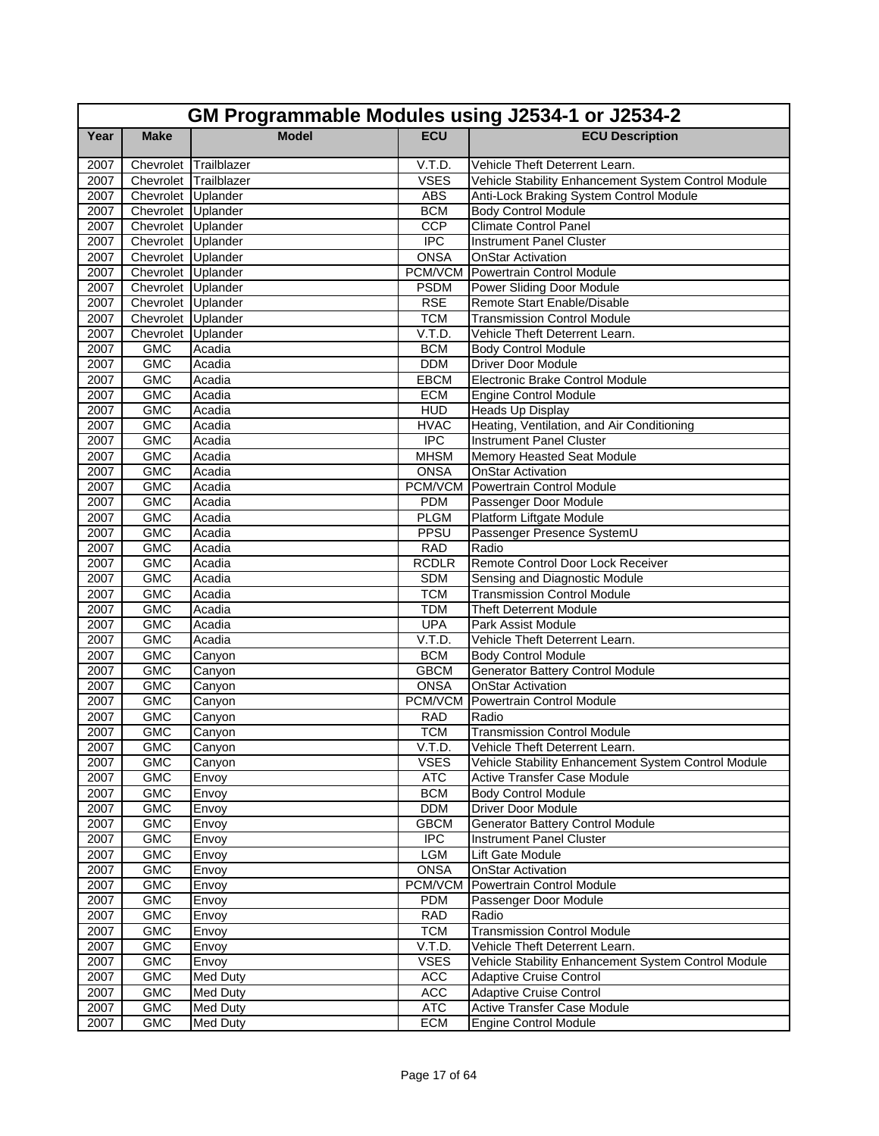|              | GM Programmable Modules using J2534-1 or J2534-2 |                  |                    |                                                     |  |  |
|--------------|--------------------------------------------------|------------------|--------------------|-----------------------------------------------------|--|--|
| Year         | <b>Make</b>                                      | <b>Model</b>     | <b>ECU</b>         | <b>ECU Description</b>                              |  |  |
| 2007         | Chevrolet                                        | Trailblazer      | V.T.D.             | Vehicle Theft Deterrent Learn.                      |  |  |
| 2007         | Chevrolet Trailblazer                            |                  | <b>VSES</b>        | Vehicle Stability Enhancement System Control Module |  |  |
| 2007         | Chevrolet Uplander                               |                  | <b>ABS</b>         | Anti-Lock Braking System Control Module             |  |  |
| 2007         | Chevrolet Uplander                               |                  | <b>BCM</b>         | <b>Body Control Module</b>                          |  |  |
| 2007         | Chevrolet Uplander                               |                  | <b>CCP</b>         | <b>Climate Control Panel</b>                        |  |  |
| 2007         | Chevrolet Uplander                               |                  | <b>IPC</b>         | <b>Instrument Panel Cluster</b>                     |  |  |
| 2007         | Chevrolet Uplander                               |                  | <b>ONSA</b>        | <b>OnStar Activation</b>                            |  |  |
| 2007         | Chevrolet Uplander                               |                  |                    | <b>PCM/VCM</b> Powertrain Control Module            |  |  |
| 2007         | Chevrolet Uplander                               |                  | <b>PSDM</b>        | Power Sliding Door Module                           |  |  |
| 2007         | Chevrolet Uplander                               |                  | <b>RSE</b>         | Remote Start Enable/Disable                         |  |  |
| 2007         | Chevrolet Uplander                               |                  | <b>TCM</b>         | <b>Transmission Control Module</b>                  |  |  |
| 2007         | Chevrolet Uplander                               |                  | V.T.D.             | Vehicle Theft Deterrent Learn.                      |  |  |
| 2007         | <b>GMC</b>                                       | Acadia           | <b>BCM</b>         | <b>Body Control Module</b>                          |  |  |
| 2007         | <b>GMC</b>                                       | Acadia           | <b>DDM</b>         | <b>Driver Door Module</b>                           |  |  |
| 2007         | <b>GMC</b>                                       | Acadia           | <b>EBCM</b>        | Electronic Brake Control Module                     |  |  |
| 2007         | <b>GMC</b>                                       | Acadia           | <b>ECM</b>         | <b>Engine Control Module</b>                        |  |  |
| 2007         | <b>GMC</b>                                       | Acadia           | <b>HUD</b>         | Heads Up Display                                    |  |  |
| 2007         | <b>GMC</b>                                       | Acadia           | <b>HVAC</b>        | Heating, Ventilation, and Air Conditioning          |  |  |
| 2007         | <b>GMC</b>                                       | Acadia           | $\overline{IPC}$   | <b>Instrument Panel Cluster</b>                     |  |  |
| 2007         | <b>GMC</b>                                       | Acadia           | <b>MHSM</b>        | Memory Heasted Seat Module                          |  |  |
| 2007         | <b>GMC</b>                                       | Acadia           | <b>ONSA</b>        | <b>OnStar Activation</b>                            |  |  |
| 2007         | <b>GMC</b>                                       | Acadia           | PCM/VCM            | Powertrain Control Module                           |  |  |
| 2007         | <b>GMC</b>                                       | Acadia           | <b>PDM</b>         | Passenger Door Module                               |  |  |
| 2007         | <b>GMC</b>                                       | Acadia           | <b>PLGM</b>        | Platform Liftgate Module                            |  |  |
| 2007<br>2007 | <b>GMC</b><br><b>GMC</b>                         | Acadia<br>Acadia | PPSU<br><b>RAD</b> | Passenger Presence SystemU<br>Radio                 |  |  |
| 2007         | <b>GMC</b>                                       | Acadia           | <b>RCDLR</b>       | Remote Control Door Lock Receiver                   |  |  |
| 2007         | <b>GMC</b>                                       | Acadia           | <b>SDM</b>         | Sensing and Diagnostic Module                       |  |  |
| 2007         | <b>GMC</b>                                       | Acadia           | <b>TCM</b>         | <b>Transmission Control Module</b>                  |  |  |
| 2007         | <b>GMC</b>                                       | Acadia           | <b>TDM</b>         | <b>Theft Deterrent Module</b>                       |  |  |
| 2007         | <b>GMC</b>                                       | Acadia           | <b>UPA</b>         | Park Assist Module                                  |  |  |
| 2007         | <b>GMC</b>                                       | Acadia           | V.T.D.             | Vehicle Theft Deterrent Learn.                      |  |  |
| 2007         | <b>GMC</b>                                       | Canyon           | <b>BCM</b>         | <b>Body Control Module</b>                          |  |  |
| 2007         | <b>GMC</b>                                       | Canyon           | <b>GBCM</b>        | <b>Generator Battery Control Module</b>             |  |  |
| 2007         | <b>GMC</b>                                       | Canyon           | <b>ONSA</b>        | <b>OnStar Activation</b>                            |  |  |
| 2007         | <b>GMC</b>                                       | Canyon           | PCM/VCM            | Powertrain Control Module                           |  |  |
| 2007         | <b>GMC</b>                                       | Canyon           | <b>RAD</b>         | Radio                                               |  |  |
| 2007         | <b>GMC</b>                                       | Canyon           | <b>TCM</b>         | <b>Transmission Control Module</b>                  |  |  |
| 2007         | GMC                                              | Canyon           | V.T.D.             | Vehicle Theft Deterrent Learn.                      |  |  |
| 2007         | <b>GMC</b>                                       | Canyon           | <b>VSES</b>        | Vehicle Stability Enhancement System Control Module |  |  |
| 2007         | <b>GMC</b>                                       | Envoy            | <b>ATC</b>         | <b>Active Transfer Case Module</b>                  |  |  |
| 2007         | GMC                                              | Envoy            | <b>BCM</b>         | <b>Body Control Module</b>                          |  |  |
| 2007         | <b>GMC</b>                                       | Envoy            | <b>DDM</b>         | Driver Door Module                                  |  |  |
| 2007         | <b>GMC</b>                                       | Envoy            | <b>GBCM</b>        | <b>Generator Battery Control Module</b>             |  |  |
| 2007         | <b>GMC</b>                                       | Envoy            | <b>IPC</b>         | <b>Instrument Panel Cluster</b>                     |  |  |
| 2007         | <b>GMC</b>                                       | Envoy            | LGM                | Lift Gate Module                                    |  |  |
| 2007         | <b>GMC</b>                                       | Envoy            | <b>ONSA</b>        | <b>OnStar Activation</b>                            |  |  |
| 2007         | <b>GMC</b>                                       | Envoy            | PCM/VCM            | Powertrain Control Module                           |  |  |
| 2007         | <b>GMC</b>                                       | Envoy            | <b>PDM</b>         | Passenger Door Module                               |  |  |
| 2007         | <b>GMC</b>                                       | Envoy            | <b>RAD</b>         | Radio                                               |  |  |
| 2007         | GMC                                              | Envoy            | <b>TCM</b>         | <b>Transmission Control Module</b>                  |  |  |
| 2007         | <b>GMC</b>                                       | Envoy            | V.T.D.             | Vehicle Theft Deterrent Learn.                      |  |  |
| 2007         | <b>GMC</b>                                       | Envoy            | <b>VSES</b>        | Vehicle Stability Enhancement System Control Module |  |  |
| 2007         | <b>GMC</b>                                       | Med Duty         | <b>ACC</b>         | <b>Adaptive Cruise Control</b>                      |  |  |
| 2007         | <b>GMC</b>                                       | Med Duty         | <b>ACC</b>         | <b>Adaptive Cruise Control</b>                      |  |  |
| 2007         | <b>GMC</b>                                       | Med Duty         | ATC                | Active Transfer Case Module                         |  |  |
| 2007         | <b>GMC</b>                                       | Med Duty         | <b>ECM</b>         | <b>Engine Control Module</b>                        |  |  |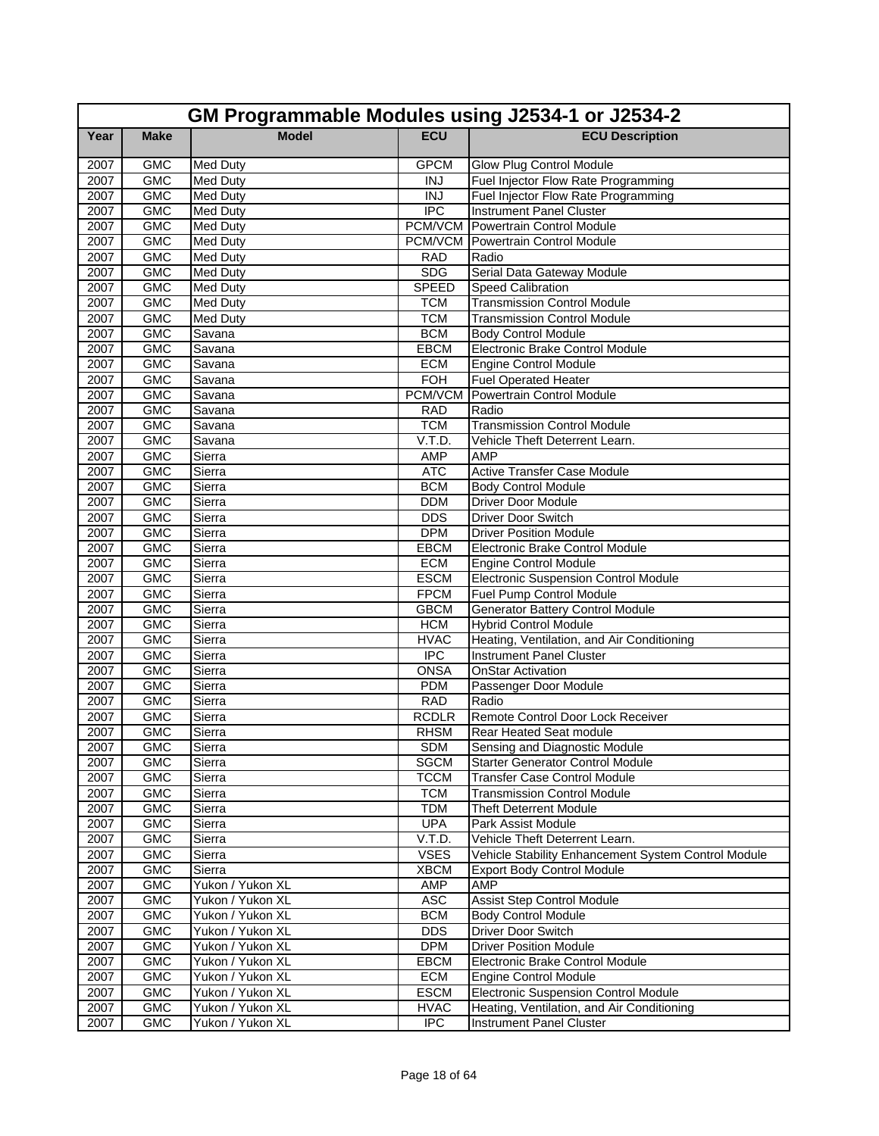|      | GM Programmable Modules using J2534-1 or J2534-2 |                                      |                           |                                                     |  |
|------|--------------------------------------------------|--------------------------------------|---------------------------|-----------------------------------------------------|--|
| Year | <b>Make</b>                                      | <b>Model</b>                         | <b>ECU</b>                | <b>ECU Description</b>                              |  |
| 2007 | <b>GMC</b>                                       | <b>Med Duty</b>                      | <b>GPCM</b>               | Glow Plug Control Module                            |  |
| 2007 | <b>GMC</b>                                       | <b>Med Duty</b>                      | <b>INJ</b>                | Fuel Injector Flow Rate Programming                 |  |
| 2007 | <b>GMC</b>                                       | <b>Med Duty</b>                      | <b>INJ</b>                | Fuel Injector Flow Rate Programming                 |  |
| 2007 | <b>GMC</b>                                       | <b>Med Duty</b>                      | <b>IPC</b>                | <b>Instrument Panel Cluster</b>                     |  |
| 2007 | <b>GMC</b>                                       | <b>Med Duty</b>                      |                           | <b>PCM/VCM</b> Powertrain Control Module            |  |
| 2007 | <b>GMC</b>                                       | <b>Med Duty</b>                      |                           | <b>PCM/VCM</b> Powertrain Control Module            |  |
| 2007 | <b>GMC</b>                                       | <b>Med Duty</b>                      | <b>RAD</b>                | Radio                                               |  |
| 2007 | <b>GMC</b>                                       | Med Duty                             | <b>SDG</b>                | Serial Data Gateway Module                          |  |
| 2007 | <b>GMC</b>                                       | <b>Med Duty</b>                      | <b>SPEED</b>              | <b>Speed Calibration</b>                            |  |
| 2007 | <b>GMC</b>                                       | <b>Med Duty</b>                      | <b>TCM</b>                | <b>Transmission Control Module</b>                  |  |
| 2007 | <b>GMC</b>                                       | Med Duty                             | <b>TCM</b>                | <b>Transmission Control Module</b>                  |  |
| 2007 | <b>GMC</b>                                       | Savana                               | <b>BCM</b>                | <b>Body Control Module</b>                          |  |
| 2007 | <b>GMC</b>                                       | Savana                               | <b>EBCM</b>               | Electronic Brake Control Module                     |  |
| 2007 | <b>GMC</b>                                       | Savana                               | <b>ECM</b>                | <b>Engine Control Module</b>                        |  |
| 2007 | <b>GMC</b>                                       | Savana                               | <b>FOH</b>                | <b>Fuel Operated Heater</b>                         |  |
| 2007 | <b>GMC</b>                                       | Savana                               | PCM/VCM                   | <b>Powertrain Control Module</b>                    |  |
| 2007 | <b>GMC</b>                                       | Savana                               | <b>RAD</b>                | Radio                                               |  |
| 2007 | <b>GMC</b>                                       | Savana                               | <b>TCM</b>                | <b>Transmission Control Module</b>                  |  |
| 2007 | <b>GMC</b>                                       | Savana                               | V.T.D.                    | Vehicle Theft Deterrent Learn.                      |  |
| 2007 | <b>GMC</b>                                       | Sierra                               | <b>AMP</b>                | <b>AMP</b>                                          |  |
| 2007 | <b>GMC</b>                                       | Sierra                               | <b>ATC</b>                | <b>Active Transfer Case Module</b>                  |  |
| 2007 | <b>GMC</b>                                       | Sierra                               | <b>BCM</b>                | <b>Body Control Module</b>                          |  |
| 2007 | <b>GMC</b>                                       | Sierra                               | <b>DDM</b>                | <b>Driver Door Module</b>                           |  |
| 2007 | <b>GMC</b>                                       | Sierra                               | <b>DDS</b>                | Driver Door Switch                                  |  |
| 2007 | <b>GMC</b>                                       | Sierra                               | <b>DPM</b>                | <b>Driver Position Module</b>                       |  |
| 2007 | <b>GMC</b>                                       | Sierra                               | <b>EBCM</b>               | Electronic Brake Control Module                     |  |
| 2007 | <b>GMC</b>                                       | Sierra                               | <b>ECM</b>                | <b>Engine Control Module</b>                        |  |
| 2007 | <b>GMC</b>                                       | Sierra                               | <b>ESCM</b>               | <b>Electronic Suspension Control Module</b>         |  |
| 2007 | <b>GMC</b>                                       | Sierra                               | <b>FPCM</b>               | Fuel Pump Control Module                            |  |
| 2007 | <b>GMC</b>                                       | Sierra                               | <b>GBCM</b>               | <b>Generator Battery Control Module</b>             |  |
| 2007 | <b>GMC</b>                                       | Sierra                               | <b>HCM</b>                | <b>Hybrid Control Module</b>                        |  |
| 2007 | <b>GMC</b>                                       | Sierra                               | <b>HVAC</b>               | Heating, Ventilation, and Air Conditioning          |  |
| 2007 | <b>GMC</b>                                       | Sierra                               | $\overline{IPC}$          | <b>Instrument Panel Cluster</b>                     |  |
| 2007 | <b>GMC</b>                                       | Sierra                               | <b>ONSA</b>               | <b>OnStar Activation</b>                            |  |
| 2007 | <b>GMC</b>                                       | Sierra                               | <b>PDM</b>                | Passenger Door Module                               |  |
| 2007 | <b>GMC</b>                                       | Sierra                               | <b>RAD</b>                | Radio                                               |  |
| 2007 | <b>GMC</b>                                       | Sierra                               | <b>RCDLR</b>              | Remote Control Door Lock Receiver                   |  |
| 2007 | <b>GMC</b>                                       | Sierra                               | <b>RHSM</b>               | Rear Heated Seat module                             |  |
| 2007 | <b>GMC</b>                                       | Sierra                               | <b>SDM</b>                | Sensing and Diagnostic Module                       |  |
| 2007 | <b>GMC</b>                                       | Sierra                               | <b>SGCM</b>               | <b>Starter Generator Control Module</b>             |  |
| 2007 | <b>GMC</b>                                       | Sierra                               | <b>TCCM</b>               | <b>Transfer Case Control Module</b>                 |  |
| 2007 | GMC                                              | Sierra                               | <b>TCM</b>                | <b>Transmission Control Module</b>                  |  |
| 2007 | <b>GMC</b>                                       | Sierra                               | <b>TDM</b>                | <b>Theft Deterrent Module</b>                       |  |
| 2007 | <b>GMC</b>                                       | Sierra                               | <b>UPA</b>                | Park Assist Module                                  |  |
| 2007 | <b>GMC</b>                                       | Sierra                               | V.T.D.                    | Vehicle Theft Deterrent Learn.                      |  |
| 2007 | <b>GMC</b>                                       | Sierra                               | <b>VSES</b>               | Vehicle Stability Enhancement System Control Module |  |
| 2007 | GMC                                              | Sierra                               | <b>XBCM</b>               | <b>Export Body Control Module</b>                   |  |
| 2007 | <b>GMC</b>                                       | Yukon / Yukon XL                     | AMP                       | AMP                                                 |  |
| 2007 | <b>GMC</b>                                       | Yukon / Yukon XL                     | <b>ASC</b>                | <b>Assist Step Control Module</b>                   |  |
| 2007 | <b>GMC</b>                                       | Yukon / Yukon XL                     | <b>BCM</b><br><b>DDS</b>  | <b>Body Control Module</b>                          |  |
| 2007 | GMC                                              | Yukon / Yukon XL                     |                           | Driver Door Switch                                  |  |
| 2007 | <b>GMC</b><br><b>GMC</b>                         | Yukon / Yukon XL<br>Yukon / Yukon XL | <b>DPM</b><br><b>EBCM</b> | <b>Driver Position Module</b>                       |  |
| 2007 |                                                  |                                      |                           | Electronic Brake Control Module                     |  |
| 2007 | <b>GMC</b><br><b>GMC</b>                         | Yukon / Yukon XL                     | <b>ECM</b><br><b>ESCM</b> | <b>Engine Control Module</b>                        |  |
| 2007 |                                                  | Yukon / Yukon XL                     |                           | Electronic Suspension Control Module                |  |
| 2007 | GMC                                              | Yukon / Yukon XL<br>Yukon / Yukon XL | <b>HVAC</b><br><b>IPC</b> | Heating, Ventilation, and Air Conditioning          |  |
| 2007 | <b>GMC</b>                                       |                                      |                           | <b>Instrument Panel Cluster</b>                     |  |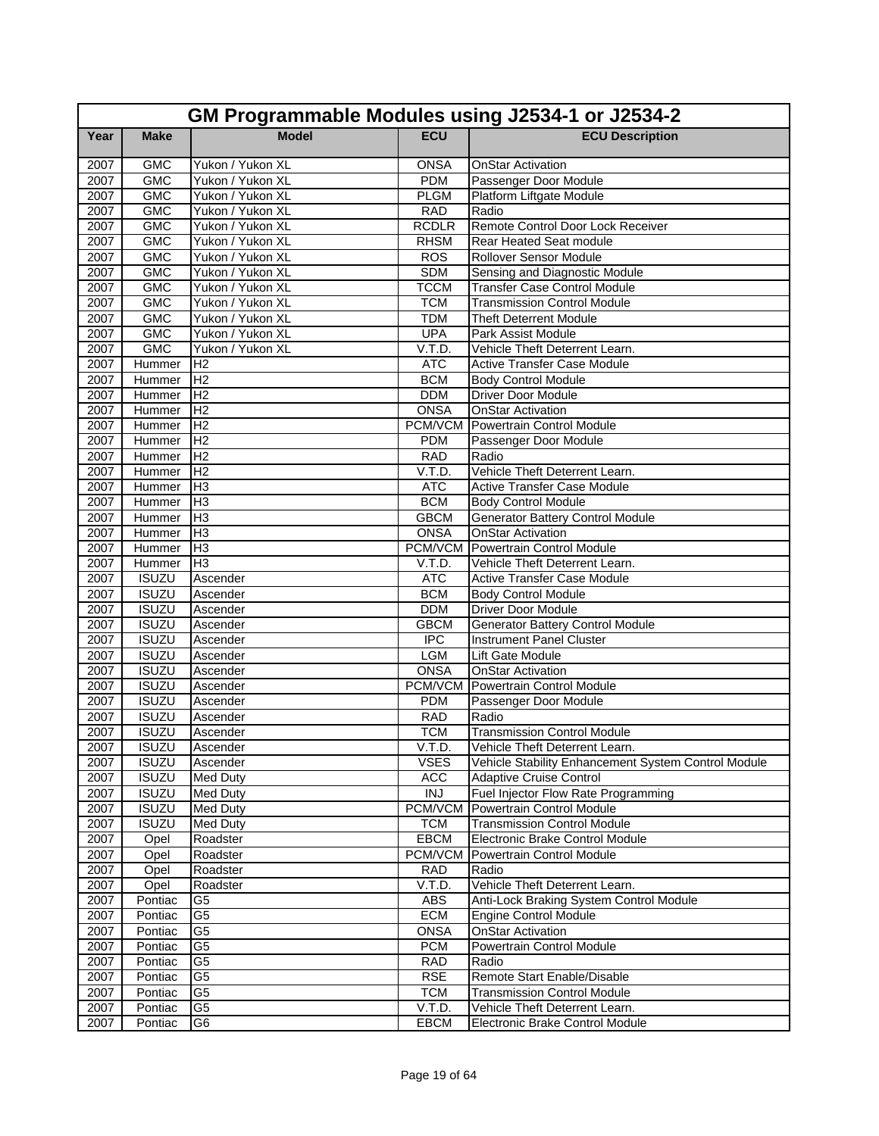|              | GM Programmable Modules using J2534-1 or J2534-2 |                      |                           |                                                     |  |  |
|--------------|--------------------------------------------------|----------------------|---------------------------|-----------------------------------------------------|--|--|
| Year         | <b>Make</b>                                      | <b>Model</b>         | <b>ECU</b>                | <b>ECU Description</b>                              |  |  |
| 2007         | <b>GMC</b>                                       | Yukon / Yukon XL     | <b>ONSA</b>               | OnStar Activation                                   |  |  |
| 2007         | <b>GMC</b>                                       | Yukon / Yukon XL     | <b>PDM</b>                | Passenger Door Module                               |  |  |
| 2007         | <b>GMC</b>                                       | Yukon / Yukon XL     | <b>PLGM</b>               | Platform Liftgate Module                            |  |  |
| 2007         | <b>GMC</b>                                       | Yukon / Yukon XL     | <b>RAD</b>                | Radio                                               |  |  |
| 2007         | <b>GMC</b>                                       | Yukon / Yukon XL     | <b>RCDLR</b>              | Remote Control Door Lock Receiver                   |  |  |
| 2007         | <b>GMC</b>                                       | Yukon / Yukon XL     | <b>RHSM</b>               | Rear Heated Seat module                             |  |  |
| 2007         | <b>GMC</b>                                       | Yukon / Yukon XL     | <b>ROS</b>                | Rollover Sensor Module                              |  |  |
| 2007         | <b>GMC</b>                                       | Yukon / Yukon XL     | <b>SDM</b>                | Sensing and Diagnostic Module                       |  |  |
| 2007         | <b>GMC</b>                                       | Yukon / Yukon XL     | <b>TCCM</b>               | <b>Transfer Case Control Module</b>                 |  |  |
| 2007         | <b>GMC</b>                                       | Yukon / Yukon XL     | <b>TCM</b>                | <b>Transmission Control Module</b>                  |  |  |
| 2007         | <b>GMC</b>                                       | Yukon / Yukon XL     | <b>TDM</b>                | <b>Theft Deterrent Module</b>                       |  |  |
| 2007         | <b>GMC</b>                                       | Yukon / Yukon XL     | <b>UPA</b>                | Park Assist Module                                  |  |  |
| 2007         | <b>GMC</b>                                       | Yukon / Yukon XL     | V.T.D.                    | Vehicle Theft Deterrent Learn.                      |  |  |
| 2007         | Hummer                                           | IH <sub>2</sub>      | <b>ATC</b>                | <b>Active Transfer Case Module</b>                  |  |  |
| 2007         | Hummer                                           | H <sub>2</sub>       | <b>BCM</b>                | <b>Body Control Module</b>                          |  |  |
| 2007         | Hummer                                           | H <sub>2</sub>       | <b>DDM</b>                | Driver Door Module                                  |  |  |
| 2007         | Hummer                                           | H <sub>2</sub>       | <b>ONSA</b>               | OnStar Activation                                   |  |  |
| 2007         | Hummer                                           | H <sub>2</sub>       | PCM/VCM                   | Powertrain Control Module                           |  |  |
| 2007         | Hummer                                           | H <sub>2</sub>       | <b>PDM</b>                | Passenger Door Module                               |  |  |
| 2007         | Hummer                                           | H <sub>2</sub>       | <b>RAD</b>                | Radio                                               |  |  |
| 2007         | Hummer                                           | IH <sub>2</sub>      | V.T.D.                    | Vehicle Theft Deterrent Learn.                      |  |  |
| 2007         | Hummer                                           | lН3                  | <b>ATC</b>                | <b>Active Transfer Case Module</b>                  |  |  |
| 2007         | Hummer                                           | H <sub>3</sub>       | <b>BCM</b>                | <b>Body Control Module</b>                          |  |  |
| 2007         | Hummer                                           | H <sub>3</sub>       | <b>GBCM</b>               | <b>Generator Battery Control Module</b>             |  |  |
| 2007         | Hummer                                           | Iнз                  | <b>ONSA</b>               | <b>OnStar Activation</b>                            |  |  |
| 2007         | Hummer                                           | Iнз                  | PCM/VCM                   | <b>Powertrain Control Module</b>                    |  |  |
| 2007         | Hummer                                           | H <sub>3</sub>       | V.T.D.                    | Vehicle Theft Deterrent Learn.                      |  |  |
| 2007         | <b>ISUZU</b>                                     | Ascender             | <b>ATC</b>                | <b>Active Transfer Case Module</b>                  |  |  |
| 2007         | <b>ISUZU</b>                                     | Ascender             | <b>BCM</b>                | <b>Body Control Module</b>                          |  |  |
| 2007         | <b>ISUZU</b>                                     | Ascender             | <b>DDM</b>                | <b>Driver Door Module</b>                           |  |  |
| 2007         | <b>ISUZU</b>                                     | Ascender             | <b>GBCM</b>               | <b>Generator Battery Control Module</b>             |  |  |
| 2007         | <b>ISUZU</b>                                     | Ascender             | <b>IPC</b>                | <b>Instrument Panel Cluster</b>                     |  |  |
| 2007<br>2007 | <b>ISUZU</b><br><b>ISUZU</b>                     | Ascender<br>Ascender | <b>LGM</b><br><b>ONSA</b> | Lift Gate Module<br><b>OnStar Activation</b>        |  |  |
| 2007         | <b>ISUZU</b>                                     | Ascender             | PCM/VCM                   | Powertrain Control Module                           |  |  |
| 2007         | <b>ISUZU</b>                                     | Ascender             | <b>PDM</b>                | Passenger Door Module                               |  |  |
| 2007         | <b>ISUZU</b>                                     | Ascender             | <b>RAD</b>                | Radio                                               |  |  |
| 2007         | <b>ISUZU</b>                                     | Ascender             | <b>TCM</b>                | Transmission Control Module                         |  |  |
| 2007         | <b>ISUZU</b>                                     | Ascender             | V.T.D.                    | Vehicle Theft Deterrent Learn.                      |  |  |
| 2007         | <b>ISUZU</b>                                     | Ascender             | <b>VSES</b>               | Vehicle Stability Enhancement System Control Module |  |  |
| 2007         | <b>ISUZU</b>                                     | <b>Med Duty</b>      | <b>ACC</b>                | Adaptive Cruise Control                             |  |  |
| 2007         | <b>ISUZU</b>                                     | <b>Med Duty</b>      | <b>INJ</b>                | Fuel Injector Flow Rate Programming                 |  |  |
| 2007         | <b>ISUZU</b>                                     | <b>Med Duty</b>      | <b>PCM/VCM</b>            | Powertrain Control Module                           |  |  |
| 2007         | <b>ISUZU</b>                                     | <b>Med Duty</b>      | <b>TCM</b>                | <b>Transmission Control Module</b>                  |  |  |
| 2007         | Opel                                             | Roadster             | <b>EBCM</b>               | Electronic Brake Control Module                     |  |  |
| 2007         | Opel                                             | Roadster             | PCM/VCM                   | Powertrain Control Module                           |  |  |
| 2007         | Opel                                             | Roadster             | <b>RAD</b>                | Radio                                               |  |  |
| 2007         | Opel                                             | Roadster             | V.T.D.                    | Vehicle Theft Deterrent Learn.                      |  |  |
| 2007         | Pontiac                                          | G <sub>5</sub>       | <b>ABS</b>                | Anti-Lock Braking System Control Module             |  |  |
| 2007         | Pontiac                                          | G <sub>5</sub>       | <b>ECM</b>                | <b>Engine Control Module</b>                        |  |  |
| 2007         | Pontiac                                          | G <sub>5</sub>       | <b>ONSA</b>               | <b>OnStar Activation</b>                            |  |  |
| 2007         | Pontiac                                          | G <sub>5</sub>       | <b>PCM</b>                | Powertrain Control Module                           |  |  |
| 2007         | Pontiac                                          | G <sub>5</sub>       | <b>RAD</b>                | Radio                                               |  |  |
| 2007         | Pontiac                                          | G <sub>5</sub>       | <b>RSE</b>                | Remote Start Enable/Disable                         |  |  |
| 2007         | Pontiac                                          | G5                   | <b>TCM</b>                | Transmission Control Module                         |  |  |
| 2007         | Pontiac                                          | G <sub>5</sub>       | V.T.D.                    | Vehicle Theft Deterrent Learn.                      |  |  |
| 2007         | Pontiac                                          | G6                   | <b>EBCM</b>               | Electronic Brake Control Module                     |  |  |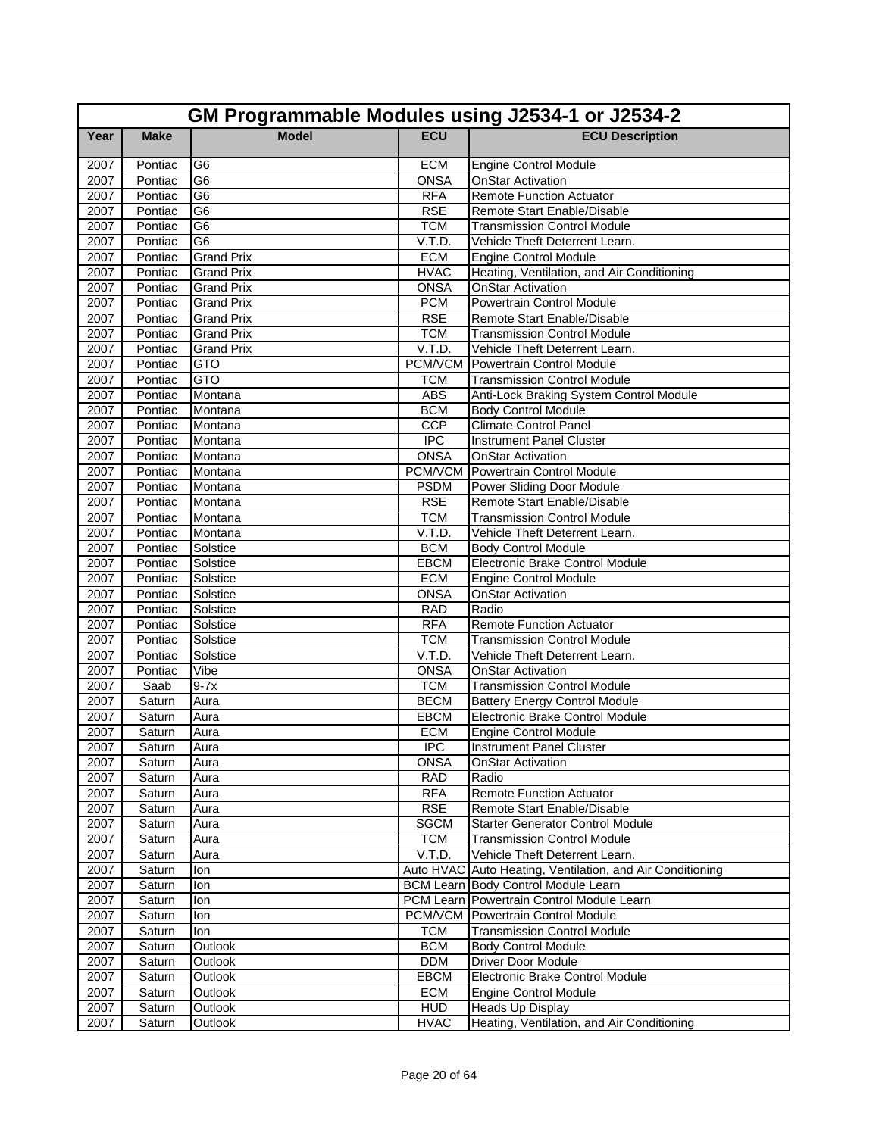|              | GM Programmable Modules using J2534-1 or J2534-2 |                   |                           |                                                           |  |
|--------------|--------------------------------------------------|-------------------|---------------------------|-----------------------------------------------------------|--|
| Year         | <b>Make</b>                                      | <b>Model</b>      | <b>ECU</b>                | <b>ECU Description</b>                                    |  |
| 2007         | Pontiac                                          | G6                | <b>ECM</b>                | <b>Engine Control Module</b>                              |  |
| 2007         | Pontiac                                          | G <sub>6</sub>    | <b>ONSA</b>               | <b>OnStar Activation</b>                                  |  |
| 2007         | Pontiac                                          | G6                | <b>RFA</b>                | <b>Remote Function Actuator</b>                           |  |
| 2007         | Pontiac                                          | G6                | <b>RSE</b>                | Remote Start Enable/Disable                               |  |
| 2007         | Pontiac                                          | G6                | <b>TCM</b>                | <b>Transmission Control Module</b>                        |  |
| 2007         | Pontiac                                          | G6                | V.T.D.                    | Vehicle Theft Deterrent Learn.                            |  |
| 2007         | Pontiac                                          | <b>Grand Prix</b> | <b>ECM</b>                | <b>Engine Control Module</b>                              |  |
| 2007         | Pontiac                                          | Grand Prix        | <b>HVAC</b>               | Heating, Ventilation, and Air Conditioning                |  |
| 2007         | Pontiac                                          | <b>Grand Prix</b> | <b>ONSA</b>               | <b>OnStar Activation</b>                                  |  |
| 2007         | Pontiac                                          | <b>Grand Prix</b> | <b>PCM</b>                | Powertrain Control Module                                 |  |
| 2007         | Pontiac                                          | <b>Grand Prix</b> | <b>RSE</b>                | Remote Start Enable/Disable                               |  |
| 2007         | Pontiac                                          | <b>Grand Prix</b> | <b>TCM</b>                | <b>Transmission Control Module</b>                        |  |
| 2007         | Pontiac                                          | <b>Grand Prix</b> | V.T.D.                    | Vehicle Theft Deterrent Learn.                            |  |
| 2007         | Pontiac                                          | <b>GTO</b>        |                           | <b>PCM/VCM</b> Powertrain Control Module                  |  |
| 2007         | Pontiac                                          | <b>GTO</b>        | <b>TCM</b>                | <b>Transmission Control Module</b>                        |  |
| 2007         | Pontiac                                          | Montana           | <b>ABS</b>                | Anti-Lock Braking System Control Module                   |  |
| 2007         | Pontiac                                          | Montana           | <b>BCM</b>                | <b>Body Control Module</b>                                |  |
| 2007         | Pontiac                                          | Montana           | <b>CCP</b>                | <b>Climate Control Panel</b>                              |  |
| 2007         | Pontiac                                          | Montana           | $\overline{IPC}$          | <b>Instrument Panel Cluster</b>                           |  |
| 2007         | Pontiac                                          | Montana           | <b>ONSA</b>               | <b>OnStar Activation</b>                                  |  |
| 2007         | Pontiac                                          | Montana           | PCM/VCM                   | Powertrain Control Module                                 |  |
| 2007         | Pontiac                                          | Montana           | <b>PSDM</b>               | Power Sliding Door Module                                 |  |
| 2007         | Pontiac                                          | Montana           | <b>RSE</b>                | Remote Start Enable/Disable                               |  |
| 2007         | Pontiac                                          | Montana           | <b>TCM</b>                | <b>Transmission Control Module</b>                        |  |
| 2007         | Pontiac                                          | Montana           | V.T.D.                    | Vehicle Theft Deterrent Learn.                            |  |
| 2007         | Pontiac                                          | Solstice          | <b>BCM</b>                | <b>Body Control Module</b>                                |  |
| 2007         | Pontiac                                          | Solstice          | EBCM                      | Electronic Brake Control Module                           |  |
| 2007         | Pontiac                                          | Solstice          | <b>ECM</b>                | <b>Engine Control Module</b>                              |  |
| 2007         | Pontiac                                          | Solstice          | <b>ONSA</b>               | <b>OnStar Activation</b>                                  |  |
| 2007         | Pontiac                                          | Solstice          | <b>RAD</b>                | Radio                                                     |  |
| 2007         | Pontiac                                          | Solstice          | <b>RFA</b>                | <b>Remote Function Actuator</b>                           |  |
| 2007         | Pontiac                                          | Solstice          | <b>TCM</b>                | <b>Transmission Control Module</b>                        |  |
| 2007         | Pontiac                                          | Solstice          | V.T.D.                    | Vehicle Theft Deterrent Learn.                            |  |
| 2007         | Pontiac                                          | Vibe              | <b>ONSA</b>               | <b>OnStar Activation</b>                                  |  |
| 2007         | Saab                                             | $9-7x$            | <b>TCM</b>                | <b>Transmission Control Module</b>                        |  |
| 2007         | Saturn                                           | Aura              | <b>BECM</b>               | <b>Battery Energy Control Module</b>                      |  |
| 2007         | Saturn                                           | Aura              | EBCM                      | <b>Electronic Brake Control Module</b>                    |  |
| 2007         | Saturn                                           | Aura              | <b>ECM</b>                | <b>Engine Control Module</b>                              |  |
| 2007         | Saturn                                           | Aura              | <b>IPC</b>                | Instrument Panel Cluster                                  |  |
| 2007<br>2007 | Saturn<br>Saturn                                 | Aura<br>Aura      | <b>ONSA</b><br><b>RAD</b> | <b>OnStar Activation</b><br>Radio                         |  |
| 2007         |                                                  |                   | <b>RFA</b>                | <b>Remote Function Actuator</b>                           |  |
| 2007         | Saturn<br>Saturn                                 | Aura<br>Aura      | <b>RSE</b>                | Remote Start Enable/Disable                               |  |
| 2007         | Saturn                                           | Aura              | <b>SGCM</b>               | <b>Starter Generator Control Module</b>                   |  |
| 2007         | Saturn                                           | Aura              | <b>TCM</b>                | <b>Transmission Control Module</b>                        |  |
| 2007         | Saturn                                           | Aura              | V.T.D.                    | Vehicle Theft Deterrent Learn.                            |  |
| 2007         | Saturn                                           | lon               |                           | Auto HVAC Auto Heating, Ventilation, and Air Conditioning |  |
| 2007         | Saturn                                           | lon               |                           | BCM Learn Body Control Module Learn                       |  |
| 2007         | Saturn                                           | lon               |                           | PCM Learn Powertrain Control Module Learn                 |  |
| 2007         | Saturn                                           | lon               |                           | <b>PCM/VCM</b> Powertrain Control Module                  |  |
| 2007         | Saturn                                           | lon               | <b>TCM</b>                | <b>Transmission Control Module</b>                        |  |
| 2007         | Saturn                                           | Outlook           | <b>BCM</b>                | <b>Body Control Module</b>                                |  |
| 2007         | Saturn                                           | Outlook           | <b>DDM</b>                | <b>Driver Door Module</b>                                 |  |
| 2007         | Saturn                                           | Outlook           | EBCM                      | Electronic Brake Control Module                           |  |
| 2007         | Saturn                                           | Outlook           | <b>ECM</b>                | <b>Engine Control Module</b>                              |  |
| 2007         | Saturn                                           | Outlook           | <b>HUD</b>                | Heads Up Display                                          |  |
| 2007         | Saturn                                           | Outlook           | <b>HVAC</b>               | Heating, Ventilation, and Air Conditioning                |  |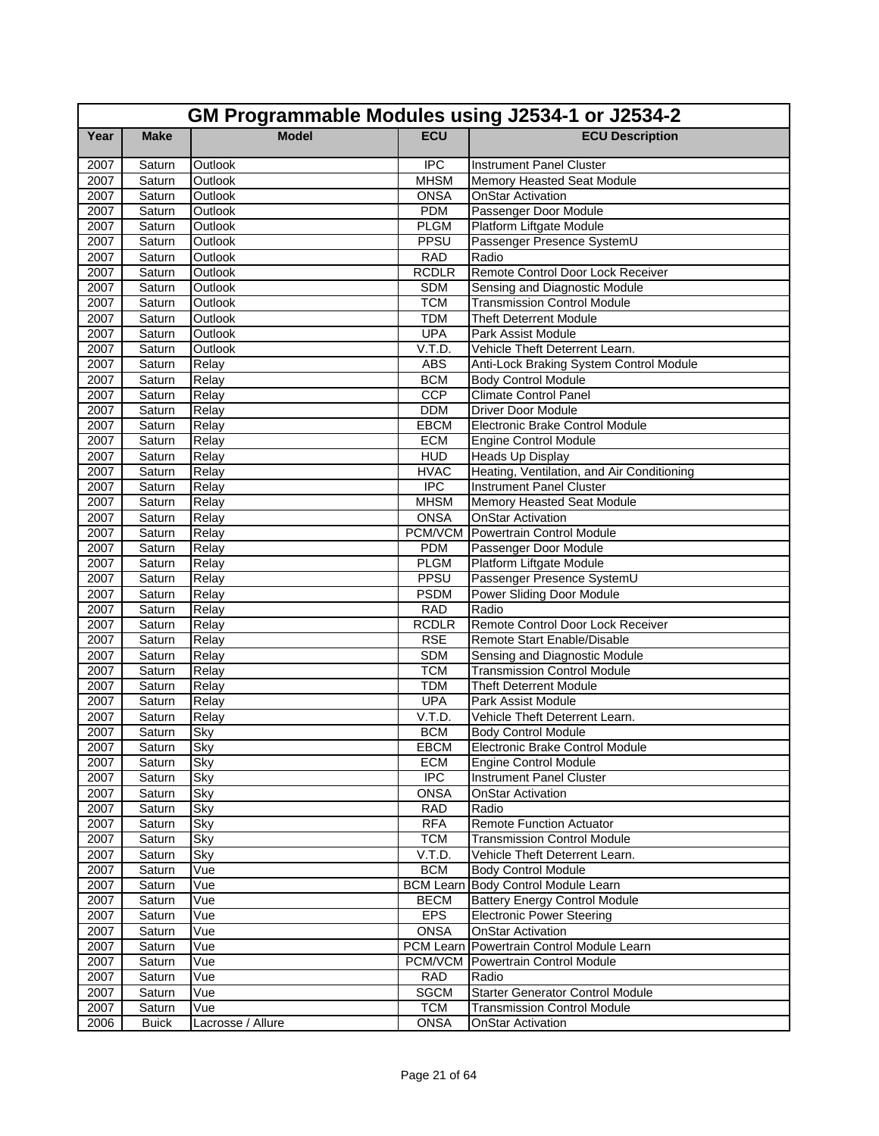|      | GM Programmable Modules using J2534-1 or J2534-2 |                   |              |                                            |  |
|------|--------------------------------------------------|-------------------|--------------|--------------------------------------------|--|
| Year | <b>Make</b>                                      | <b>Model</b>      | <b>ECU</b>   | <b>ECU Description</b>                     |  |
| 2007 | Saturn                                           | Outlook           | <b>IPC</b>   | <b>Instrument Panel Cluster</b>            |  |
| 2007 | Saturn                                           | Outlook           | <b>MHSM</b>  | Memory Heasted Seat Module                 |  |
| 2007 | Saturn                                           | Outlook           | <b>ONSA</b>  | <b>OnStar Activation</b>                   |  |
| 2007 | Saturn                                           | Outlook           | <b>PDM</b>   | Passenger Door Module                      |  |
| 2007 | Saturn                                           | Outlook           | <b>PLGM</b>  | Platform Liftgate Module                   |  |
| 2007 | Saturn                                           | Outlook           | PPSU         | Passenger Presence SystemU                 |  |
| 2007 | Saturn                                           | Outlook           | <b>RAD</b>   | Radio                                      |  |
| 2007 | Saturn                                           | Outlook           | <b>RCDLR</b> | Remote Control Door Lock Receiver          |  |
| 2007 | Saturn                                           | Outlook           | <b>SDM</b>   | Sensing and Diagnostic Module              |  |
| 2007 | Saturn                                           | Outlook           | <b>TCM</b>   | <b>Transmission Control Module</b>         |  |
| 2007 | Saturn                                           | Outlook           | <b>TDM</b>   | <b>Theft Deterrent Module</b>              |  |
| 2007 | Saturn                                           | Outlook           | <b>UPA</b>   | Park Assist Module                         |  |
| 2007 | Saturn                                           | Outlook           | V.T.D.       | Vehicle Theft Deterrent Learn.             |  |
| 2007 | Saturn                                           | Relay             | <b>ABS</b>   | Anti-Lock Braking System Control Module    |  |
| 2007 | Saturn                                           | Relay             | <b>BCM</b>   | <b>Body Control Module</b>                 |  |
| 2007 | Saturn                                           | Relay             | CCP          | <b>Climate Control Panel</b>               |  |
| 2007 | Saturn                                           | Relay             | <b>DDM</b>   | <b>Driver Door Module</b>                  |  |
| 2007 | Saturn                                           | Relay             | <b>EBCM</b>  | Electronic Brake Control Module            |  |
| 2007 | Saturn                                           | Relay             | <b>ECM</b>   | <b>Engine Control Module</b>               |  |
| 2007 | Saturn                                           | Relay             | <b>HUD</b>   | <b>Heads Up Display</b>                    |  |
| 2007 | Saturn                                           | Relay             | <b>HVAC</b>  | Heating, Ventilation, and Air Conditioning |  |
| 2007 | Saturn                                           | Relay             | <b>IPC</b>   | <b>Instrument Panel Cluster</b>            |  |
| 2007 | Saturn                                           | Relay             | <b>MHSM</b>  | Memory Heasted Seat Module                 |  |
| 2007 | Saturn                                           | Relay             | <b>ONSA</b>  | <b>OnStar Activation</b>                   |  |
| 2007 | Saturn                                           | Relay             | PCM/VCM      | Powertrain Control Module                  |  |
| 2007 | Saturn                                           | Relay             | <b>PDM</b>   | Passenger Door Module                      |  |
| 2007 | Saturn                                           | Relay             | <b>PLGM</b>  | Platform Liftgate Module                   |  |
| 2007 | Saturn                                           | Relay             | PPSU         | Passenger Presence SystemU                 |  |
| 2007 | Saturn                                           | Relay             | <b>PSDM</b>  | Power Sliding Door Module                  |  |
| 2007 | Saturn                                           | Relay             | <b>RAD</b>   | Radio                                      |  |
| 2007 | Saturn                                           | Relay             | <b>RCDLR</b> | Remote Control Door Lock Receiver          |  |
| 2007 | Saturn                                           | Relay             | <b>RSE</b>   | Remote Start Enable/Disable                |  |
| 2007 | Saturn                                           | Relay             | <b>SDM</b>   | Sensing and Diagnostic Module              |  |
| 2007 | Saturn                                           | Relay             | <b>TCM</b>   | <b>Transmission Control Module</b>         |  |
| 2007 | Saturn                                           | Relay             | <b>TDM</b>   | <b>Theft Deterrent Module</b>              |  |
| 2007 | Saturn                                           | Relay             | <b>UPA</b>   | Park Assist Module                         |  |
| 2007 | Saturn                                           | Relay             | V.T.D.       | Vehicle Theft Deterrent Learn.             |  |
| 2007 | Saturn                                           | Sky               | <b>BCM</b>   | <b>Body Control Module</b>                 |  |
| 2007 | Saturn                                           | Sky               | <b>EBCM</b>  | Electronic Brake Control Module            |  |
| 2007 | Saturn                                           | Sky               | <b>ECM</b>   | Engine Control Module                      |  |
| 2007 | Saturn                                           | Sky               | <b>IPC</b>   | <b>Instrument Panel Cluster</b>            |  |
| 2007 | Saturn                                           | Sky               | <b>ONSA</b>  | <b>OnStar Activation</b>                   |  |
| 2007 | Saturn                                           | Sky               | <b>RAD</b>   | Radio                                      |  |
| 2007 | Saturn                                           | Sky               | <b>RFA</b>   | <b>Remote Function Actuator</b>            |  |
| 2007 | Saturn                                           | Sky               | <b>TCM</b>   | <b>Transmission Control Module</b>         |  |
| 2007 | Saturn                                           | Sky               | V.T.D.       | Vehicle Theft Deterrent Learn.             |  |
| 2007 | Saturn                                           | Vue               | <b>BCM</b>   | <b>Body Control Module</b>                 |  |
| 2007 | Saturn                                           | Vue               |              | <b>BCM Learn Body Control Module Learn</b> |  |
| 2007 | Saturn                                           | Vue               | <b>BECM</b>  | <b>Battery Energy Control Module</b>       |  |
| 2007 | Saturn                                           | Vue               | <b>EPS</b>   | <b>Electronic Power Steering</b>           |  |
| 2007 | Saturn                                           | Vue               | <b>ONSA</b>  | <b>OnStar Activation</b>                   |  |
| 2007 | Saturn                                           | Vue               | PCM Learn    | Powertrain Control Module Learn            |  |
| 2007 | Saturn                                           | Vue               |              | <b>PCM/VCM</b> Powertrain Control Module   |  |
| 2007 | Saturn                                           | Vue               | <b>RAD</b>   | Radio                                      |  |
| 2007 | Saturn                                           | Vue               | <b>SGCM</b>  | <b>Starter Generator Control Module</b>    |  |
| 2007 | Saturn                                           | Vue               | <b>TCM</b>   | <b>Transmission Control Module</b>         |  |
| 2006 | <b>Buick</b>                                     | Lacrosse / Allure | <b>ONSA</b>  | <b>OnStar Activation</b>                   |  |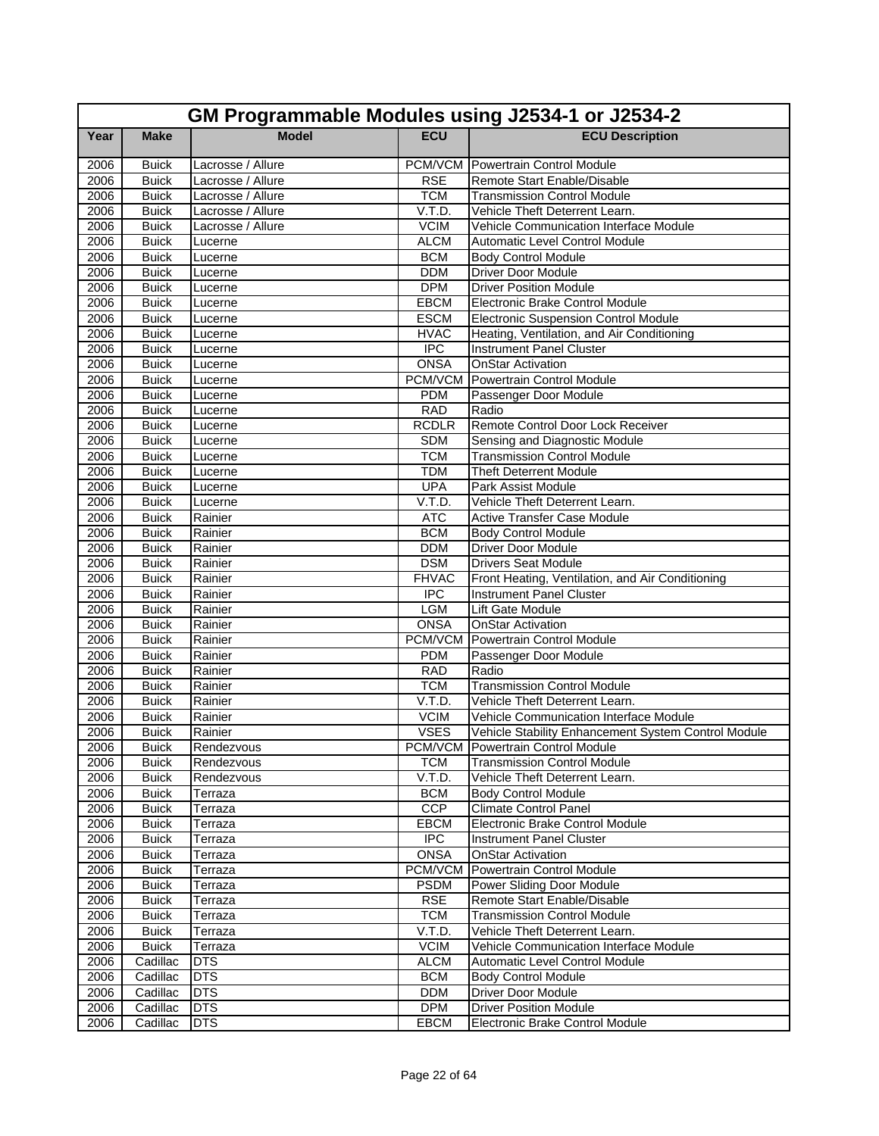|      | GM Programmable Modules using J2534-1 or J2534-2 |                   |              |                                                     |  |
|------|--------------------------------------------------|-------------------|--------------|-----------------------------------------------------|--|
| Year | <b>Make</b>                                      | <b>Model</b>      | <b>ECU</b>   | <b>ECU Description</b>                              |  |
| 2006 | <b>Buick</b>                                     | Lacrosse / Allure |              | <b>PCM/VCM</b> Powertrain Control Module            |  |
| 2006 | <b>Buick</b>                                     | Lacrosse / Allure | <b>RSE</b>   | Remote Start Enable/Disable                         |  |
| 2006 | <b>Buick</b>                                     | Lacrosse / Allure | <b>TCM</b>   | <b>Transmission Control Module</b>                  |  |
| 2006 | <b>Buick</b>                                     | Lacrosse / Allure | V.T.D.       | Vehicle Theft Deterrent Learn.                      |  |
| 2006 | <b>Buick</b>                                     | Lacrosse / Allure | <b>VCIM</b>  | Vehicle Communication Interface Module              |  |
| 2006 | <b>Buick</b>                                     | Lucerne           | <b>ALCM</b>  | <b>Automatic Level Control Module</b>               |  |
| 2006 | <b>Buick</b>                                     | Lucerne           | <b>BCM</b>   | <b>Body Control Module</b>                          |  |
| 2006 | <b>Buick</b>                                     | Lucerne           | <b>DDM</b>   | Driver Door Module                                  |  |
| 2006 | <b>Buick</b>                                     | Lucerne           | <b>DPM</b>   | <b>Driver Position Module</b>                       |  |
| 2006 | <b>Buick</b>                                     | Lucerne           | EBCM         | Electronic Brake Control Module                     |  |
| 2006 | <b>Buick</b>                                     | Lucerne           | <b>ESCM</b>  | <b>Electronic Suspension Control Module</b>         |  |
| 2006 | <b>Buick</b>                                     | Lucerne           | <b>HVAC</b>  | Heating, Ventilation, and Air Conditioning          |  |
| 2006 | <b>Buick</b>                                     | Lucerne           | <b>IPC</b>   | <b>Instrument Panel Cluster</b>                     |  |
| 2006 | <b>Buick</b>                                     | Lucerne           | <b>ONSA</b>  | <b>OnStar Activation</b>                            |  |
| 2006 | <b>Buick</b>                                     | Lucerne           | PCM/VCM      | Powertrain Control Module                           |  |
| 2006 | <b>Buick</b>                                     | Lucerne           | <b>PDM</b>   | Passenger Door Module                               |  |
| 2006 | <b>Buick</b>                                     | Lucerne           | <b>RAD</b>   | Radio                                               |  |
| 2006 | <b>Buick</b>                                     | Lucerne           | <b>RCDLR</b> | Remote Control Door Lock Receiver                   |  |
| 2006 | <b>Buick</b>                                     | Lucerne           | <b>SDM</b>   | Sensing and Diagnostic Module                       |  |
| 2006 | <b>Buick</b>                                     | Lucerne           | <b>TCM</b>   | <b>Transmission Control Module</b>                  |  |
| 2006 | <b>Buick</b>                                     | Lucerne           | <b>TDM</b>   | <b>Theft Deterrent Module</b>                       |  |
| 2006 | <b>Buick</b>                                     | Lucerne           | <b>UPA</b>   | Park Assist Module                                  |  |
| 2006 | <b>Buick</b>                                     | Lucerne           | V.T.D.       | Vehicle Theft Deterrent Learn.                      |  |
| 2006 | <b>Buick</b>                                     | Rainier           | <b>ATC</b>   | <b>Active Transfer Case Module</b>                  |  |
| 2006 | <b>Buick</b>                                     | Rainier           | <b>BCM</b>   | <b>Body Control Module</b>                          |  |
| 2006 | <b>Buick</b>                                     | Rainier           | <b>DDM</b>   | <b>Driver Door Module</b>                           |  |
| 2006 | <b>Buick</b>                                     | Rainier           | <b>DSM</b>   | <b>Drivers Seat Module</b>                          |  |
| 2006 | <b>Buick</b>                                     | Rainier           | <b>FHVAC</b> | Front Heating, Ventilation, and Air Conditioning    |  |
| 2006 | <b>Buick</b>                                     | Rainier           | <b>IPC</b>   | Instrument Panel Cluster                            |  |
| 2006 | <b>Buick</b>                                     | Rainier           | <b>LGM</b>   | Lift Gate Module                                    |  |
| 2006 | <b>Buick</b>                                     | Rainier           | <b>ONSA</b>  | <b>OnStar Activation</b>                            |  |
| 2006 | <b>Buick</b>                                     | Rainier           |              | <b>PCM/VCM</b> Powertrain Control Module            |  |
| 2006 | <b>Buick</b>                                     | Rainier           | <b>PDM</b>   | Passenger Door Module                               |  |
| 2006 | <b>Buick</b>                                     | Rainier           | <b>RAD</b>   | Radio                                               |  |
| 2006 | <b>Buick</b>                                     | Rainier           | <b>TCM</b>   | <b>Transmission Control Module</b>                  |  |
| 2006 | <b>Buick</b>                                     | Rainier           | V.T.D.       | Vehicle Theft Deterrent Learn.                      |  |
| 2006 | <b>Buick</b>                                     | Rainier           | <b>VCIM</b>  | Vehicle Communication Interface Module              |  |
| 2006 | <b>Buick</b>                                     | Rainier           | <b>VSES</b>  | Vehicle Stability Enhancement System Control Module |  |
| 2006 | <b>Buick</b>                                     | Rendezvous        |              | PCM/VCM Powertrain Control Module                   |  |
| 2006 | <b>Buick</b>                                     | Rendezvous        | <b>TCM</b>   | <b>Transmission Control Module</b>                  |  |
| 2006 | <b>Buick</b>                                     | Rendezvous        | V.T.D.       | Vehicle Theft Deterrent Learn.                      |  |
| 2006 | <b>Buick</b>                                     | Terraza           | <b>BCM</b>   | <b>Body Control Module</b>                          |  |
| 2006 | <b>Buick</b>                                     | Terraza           | <b>CCP</b>   | <b>Climate Control Panel</b>                        |  |
| 2006 | <b>Buick</b>                                     | Terraza           | EBCM         | Electronic Brake Control Module                     |  |
| 2006 | <b>Buick</b>                                     | Terraza           | <b>IPC</b>   | Instrument Panel Cluster                            |  |
| 2006 | <b>Buick</b>                                     | Terraza           | <b>ONSA</b>  | OnStar Activation                                   |  |
| 2006 | <b>Buick</b>                                     | Terraza           | PCM/VCM      | Powertrain Control Module                           |  |
| 2006 | <b>Buick</b>                                     | Terraza           | <b>PSDM</b>  | Power Sliding Door Module                           |  |
| 2006 | <b>Buick</b>                                     | Terraza           | <b>RSE</b>   | Remote Start Enable/Disable                         |  |
| 2006 | <b>Buick</b>                                     | Terraza           | <b>TCM</b>   | <b>Transmission Control Module</b>                  |  |
| 2006 | <b>Buick</b>                                     | Terraza           | V.T.D.       | Vehicle Theft Deterrent Learn.                      |  |
| 2006 | <b>Buick</b>                                     | Terraza           | <b>VCIM</b>  | Vehicle Communication Interface Module              |  |
| 2006 | Cadillac                                         | <b>DTS</b>        | <b>ALCM</b>  | Automatic Level Control Module                      |  |
| 2006 | Cadillac                                         | <b>DTS</b>        | <b>BCM</b>   | <b>Body Control Module</b>                          |  |
| 2006 | Cadillac                                         | DTS               | <b>DDM</b>   | Driver Door Module                                  |  |
| 2006 | Cadillac                                         | <b>DTS</b>        | <b>DPM</b>   | <b>Driver Position Module</b>                       |  |
| 2006 | Cadillac                                         | <b>DTS</b>        | <b>EBCM</b>  | Electronic Brake Control Module                     |  |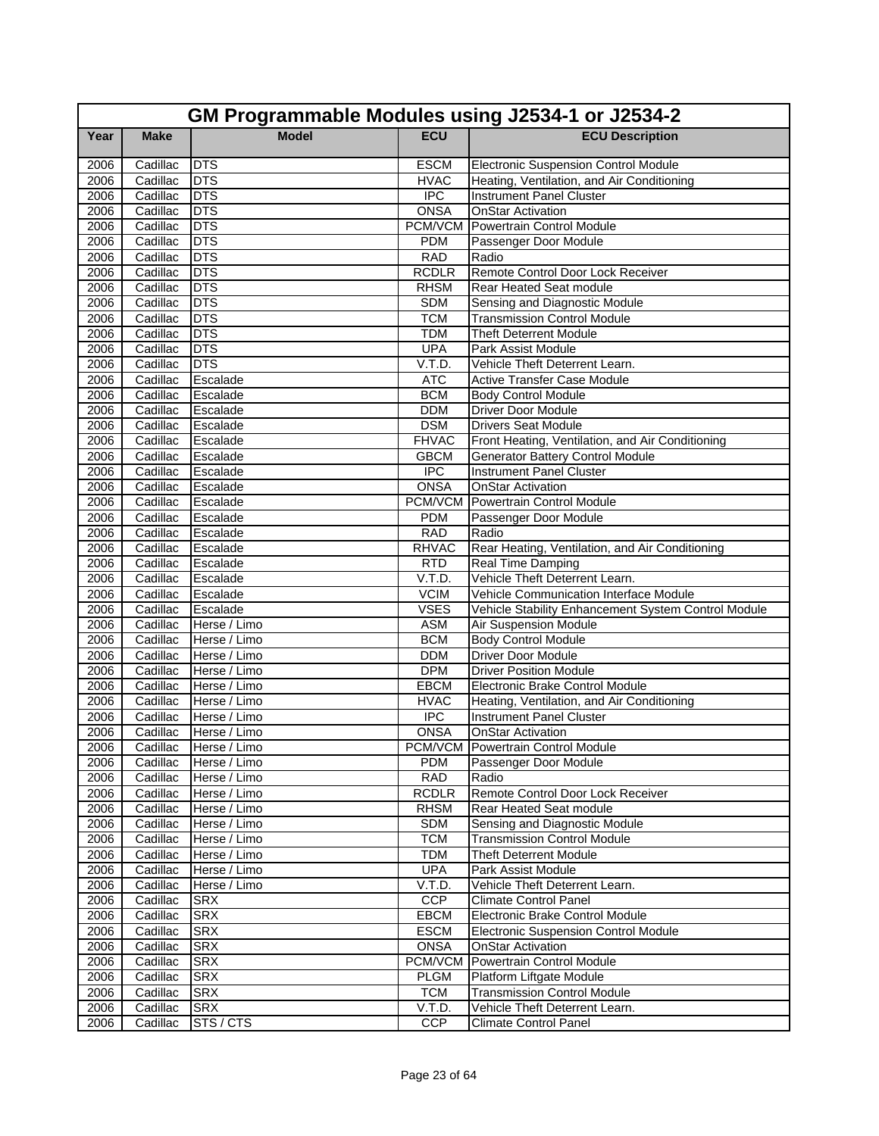|              | GM Programmable Modules using J2534-1 or J2534-2 |                          |                            |                                                                              |  |
|--------------|--------------------------------------------------|--------------------------|----------------------------|------------------------------------------------------------------------------|--|
| Year         | <b>Make</b>                                      | <b>Model</b>             | <b>ECU</b>                 | <b>ECU Description</b>                                                       |  |
| 2006         | Cadillac                                         | <b>DTS</b>               | <b>ESCM</b>                | <b>Electronic Suspension Control Module</b>                                  |  |
| 2006         | Cadillac                                         | <b>DTS</b>               | <b>HVAC</b>                | Heating, Ventilation, and Air Conditioning                                   |  |
| 2006         | Cadillac                                         | <b>DTS</b>               | <b>IPC</b>                 | <b>Instrument Panel Cluster</b>                                              |  |
| 2006         | Cadillac                                         | <b>DTS</b>               | <b>ONSA</b>                | <b>OnStar Activation</b>                                                     |  |
| 2006         | Cadillac                                         | <b>DTS</b>               | PCM/VCM                    | Powertrain Control Module                                                    |  |
| 2006         | Cadillac                                         | <b>DTS</b>               | <b>PDM</b>                 | Passenger Door Module                                                        |  |
| 2006         | Cadillac                                         | <b>DTS</b>               | <b>RAD</b>                 | Radio                                                                        |  |
| 2006         | Cadillac                                         | <b>DTS</b>               | <b>RCDLR</b>               | Remote Control Door Lock Receiver                                            |  |
| 2006         | Cadillac                                         | <b>DTS</b>               | <b>RHSM</b>                | Rear Heated Seat module                                                      |  |
| 2006         | Cadillac                                         | <b>DTS</b>               | <b>SDM</b>                 | Sensing and Diagnostic Module                                                |  |
| 2006         | Cadillac                                         | <b>DTS</b>               | <b>TCM</b>                 | <b>Transmission Control Module</b>                                           |  |
| 2006         | Cadillac                                         | <b>DTS</b>               | <b>TDM</b>                 | <b>Theft Deterrent Module</b>                                                |  |
| 2006         | Cadillac                                         | <b>DTS</b>               | <b>UPA</b>                 | Park Assist Module                                                           |  |
| 2006         | Cadillac                                         | <b>DTS</b>               | V.T.D.                     | Vehicle Theft Deterrent Learn.                                               |  |
| 2006         | Cadillac                                         | Escalade                 | <b>ATC</b>                 | Active Transfer Case Module                                                  |  |
| 2006         | Cadillac                                         | Escalade                 | <b>BCM</b>                 | <b>Body Control Module</b>                                                   |  |
| 2006         | Cadillac                                         | Escalade                 | <b>DDM</b>                 | Driver Door Module                                                           |  |
| 2006         | Cadillac                                         | Escalade                 | <b>DSM</b>                 | <b>Drivers Seat Module</b>                                                   |  |
| 2006         | Cadillac                                         | Escalade                 | <b>FHVAC</b>               | Front Heating, Ventilation, and Air Conditioning                             |  |
| 2006         | Cadillac                                         | Escalade                 | <b>GBCM</b>                | <b>Generator Battery Control Module</b>                                      |  |
| 2006         | Cadillac                                         | Escalade                 | $\overline{IPC}$           | <b>Instrument Panel Cluster</b>                                              |  |
| 2006         | Cadillac                                         | Escalade                 | <b>ONSA</b>                | <b>OnStar Activation</b>                                                     |  |
| 2006         | Cadillac                                         | Escalade                 |                            | <b>PCM/VCM Powertrain Control Module</b>                                     |  |
| 2006         | Cadillac                                         | Escalade                 | <b>PDM</b>                 | Passenger Door Module                                                        |  |
| 2006         | Cadillac                                         | Escalade                 | <b>RAD</b>                 | Radio                                                                        |  |
| 2006         | Cadillac                                         | Escalade                 | <b>RHVAC</b>               | Rear Heating, Ventilation, and Air Conditioning                              |  |
| 2006         | Cadillac                                         | Escalade                 | <b>RTD</b>                 | Real Time Damping                                                            |  |
| 2006         | Cadillac                                         | Escalade                 | V.T.D.                     | Vehicle Theft Deterrent Learn.                                               |  |
| 2006<br>2006 | Cadillac<br>Cadillac                             | Escalade                 | <b>VCIM</b><br><b>VSES</b> | Vehicle Communication Interface Module                                       |  |
| 2006         | Cadillac                                         | Escalade<br>Herse / Limo | <b>ASM</b>                 | Vehicle Stability Enhancement System Control Module<br>Air Suspension Module |  |
| 2006         | Cadillac                                         | Herse / Limo             | <b>BCM</b>                 | <b>Body Control Module</b>                                                   |  |
| 2006         | Cadillac                                         | Herse / Limo             | <b>DDM</b>                 | Driver Door Module                                                           |  |
| 2006         | Cadillac                                         | Herse / Limo             | <b>DPM</b>                 | <b>Driver Position Module</b>                                                |  |
| 2006         | Cadillac                                         | Herse / Limo             | EBCM                       | Electronic Brake Control Module                                              |  |
| 2006         | Cadillac                                         | Herse / Limo             | <b>HVAC</b>                | Heating, Ventilation, and Air Conditioning                                   |  |
| 2006         | Cadillac                                         | Herse / Limo             | <b>IPC</b>                 | <b>Instrument Panel Cluster</b>                                              |  |
| 2006         | Cadillac                                         | Herse / Limo             | <b>ONSA</b>                | OnStar Activation                                                            |  |
| 2006         |                                                  | Cadillac Herse / Limo    |                            | PCM/VCM Powertrain Control Module                                            |  |
| 2006         | Cadillac                                         | Herse / Limo             | PDM                        | Passenger Door Module                                                        |  |
| 2006         | Cadillac                                         | Herse / Limo             | <b>RAD</b>                 | Radio                                                                        |  |
| 2006         | Cadillac                                         | Herse / Limo             | <b>RCDLR</b>               | Remote Control Door Lock Receiver                                            |  |
| 2006         | Cadillac                                         | Herse / Limo             | <b>RHSM</b>                | Rear Heated Seat module                                                      |  |
| 2006         | Cadillac                                         | Herse / Limo             | <b>SDM</b>                 | Sensing and Diagnostic Module                                                |  |
| 2006         | Cadillac                                         | Herse / Limo             | <b>TCM</b>                 | <b>Transmission Control Module</b>                                           |  |
| 2006         | Cadillac                                         | Herse / Limo             | <b>TDM</b>                 | Theft Deterrent Module                                                       |  |
| 2006         | Cadillac                                         | Herse / Limo             | <b>UPA</b>                 | Park Assist Module                                                           |  |
| 2006         | Cadillac                                         | Herse / Limo             | V.T.D.                     | Vehicle Theft Deterrent Learn.                                               |  |
| 2006         | Cadillac                                         | <b>SRX</b>               | <b>CCP</b>                 | <b>Climate Control Panel</b>                                                 |  |
| 2006         | Cadillac                                         | <b>SRX</b>               | <b>EBCM</b>                | Electronic Brake Control Module                                              |  |
| 2006         | Cadillac                                         | <b>SRX</b>               | <b>ESCM</b>                | <b>Electronic Suspension Control Module</b>                                  |  |
| 2006         | Cadillac                                         | <b>SRX</b>               | <b>ONSA</b>                | <b>OnStar Activation</b>                                                     |  |
| 2006         | Cadillac                                         | <b>SRX</b>               | PCM/VCM                    | Powertrain Control Module                                                    |  |
| 2006         | Cadillac                                         | <b>SRX</b>               | <b>PLGM</b>                | Platform Liftgate Module                                                     |  |
| 2006         | Cadillac                                         | <b>SRX</b>               | <b>TCM</b>                 | <b>Transmission Control Module</b>                                           |  |
| 2006         | Cadillac                                         | <b>SRX</b>               | V.T.D.                     | Vehicle Theft Deterrent Learn.                                               |  |
| 2006         | Cadillac                                         | STS / CTS                | <b>CCP</b>                 | <b>Climate Control Panel</b>                                                 |  |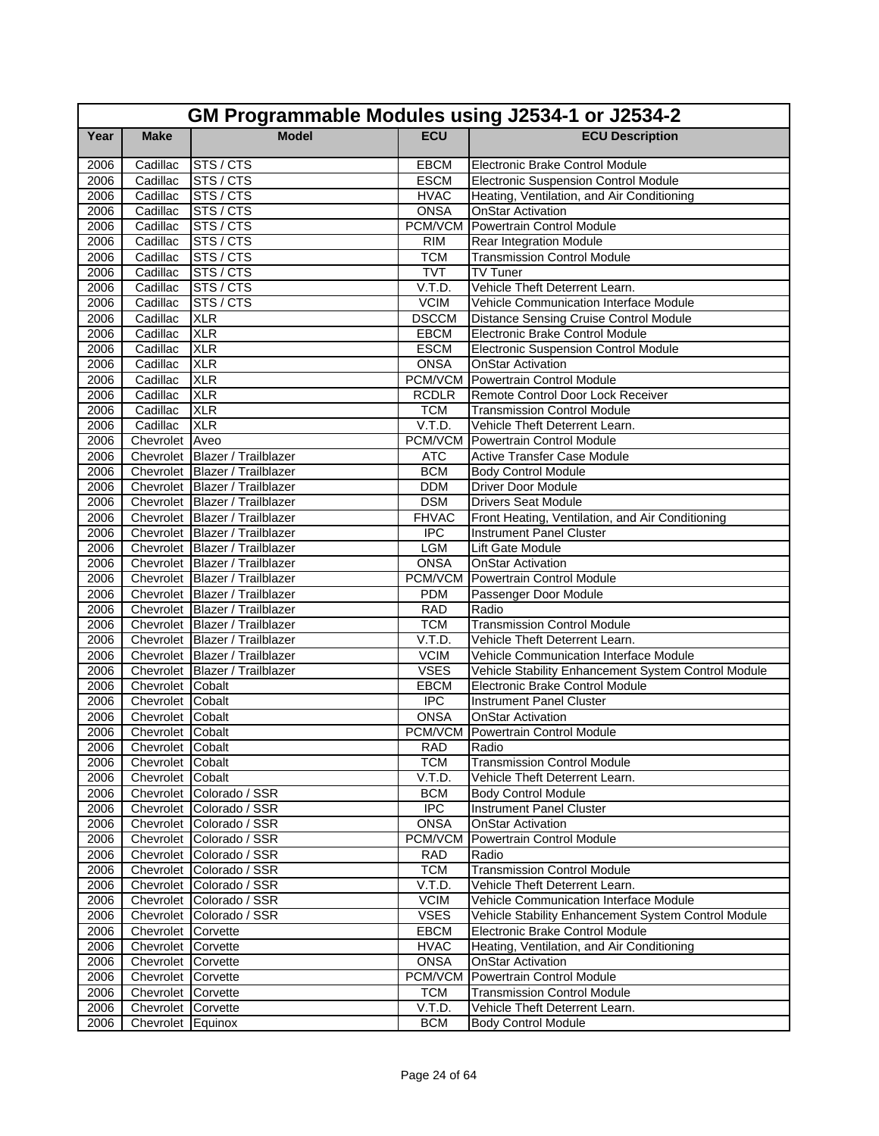|              | GM Programmable Modules using J2534-1 or J2534-2 |                                                                  |                       |                                                                 |  |
|--------------|--------------------------------------------------|------------------------------------------------------------------|-----------------------|-----------------------------------------------------------------|--|
| Year         | <b>Make</b>                                      | <b>Model</b>                                                     | <b>ECU</b>            | <b>ECU Description</b>                                          |  |
| 2006         | Cadillac                                         | STS / CTS                                                        | <b>EBCM</b>           | Electronic Brake Control Module                                 |  |
| 2006         | Cadillac                                         | STS / CTS                                                        | <b>ESCM</b>           | <b>Electronic Suspension Control Module</b>                     |  |
| 2006         | Cadillac                                         | STS/CTS                                                          | <b>HVAC</b>           | Heating, Ventilation, and Air Conditioning                      |  |
| 2006         | Cadillac                                         | STS / CTS                                                        | <b>ONSA</b>           | <b>OnStar Activation</b>                                        |  |
| 2006         | Cadillac                                         | STS / CTS                                                        | PCM/VCM               | Powertrain Control Module                                       |  |
| 2006         | Cadillac                                         | STS / CTS                                                        | <b>RIM</b>            | Rear Integration Module                                         |  |
| 2006         | Cadillac                                         | STS / CTS                                                        | <b>TCM</b>            | <b>Transmission Control Module</b>                              |  |
| 2006         | Cadillac                                         | STS / CTS                                                        | <b>TVT</b>            | TV Tuner                                                        |  |
| 2006         | Cadillac                                         | STS/CTS                                                          | V.T.D.                | Vehicle Theft Deterrent Learn.                                  |  |
| 2006         | Cadillac                                         | STS / CTS                                                        | <b>VCIM</b>           | Vehicle Communication Interface Module                          |  |
| 2006         | Cadillac                                         | <b>XLR</b>                                                       | <b>DSCCM</b>          | <b>Distance Sensing Cruise Control Module</b>                   |  |
| 2006         | Cadillac                                         | <b>XLR</b>                                                       | EBCM                  | Electronic Brake Control Module                                 |  |
| 2006         | Cadillac                                         | <b>XLR</b>                                                       | <b>ESCM</b>           | <b>Electronic Suspension Control Module</b>                     |  |
| 2006         | Cadillac                                         | <b>XLR</b>                                                       | <b>ONSA</b>           | <b>OnStar Activation</b>                                        |  |
| 2006         | Cadillac                                         | <b>XLR</b>                                                       | PCM/VCM               | Powertrain Control Module                                       |  |
| 2006         | Cadillac                                         | <b>XLR</b>                                                       | <b>RCDLR</b>          | Remote Control Door Lock Receiver                               |  |
| 2006         | Cadillac                                         | <b>XLR</b>                                                       | <b>TCM</b>            | <b>Transmission Control Module</b>                              |  |
| 2006         | Cadillac                                         | <b>XLR</b>                                                       | V.T.D.                | Vehicle Theft Deterrent Learn.                                  |  |
| 2006         | Chevrolet Aveo                                   |                                                                  | PCM/VCM               | Powertrain Control Module                                       |  |
| 2006         |                                                  | Chevrolet Blazer / Trailblazer                                   | <b>ATC</b>            | <b>Active Transfer Case Module</b>                              |  |
| 2006         |                                                  | Chevrolet Blazer / Trailblazer                                   | <b>BCM</b>            | <b>Body Control Module</b>                                      |  |
| 2006         |                                                  | Chevrolet Blazer / Trailblazer                                   | <b>DDM</b>            | <b>Driver Door Module</b>                                       |  |
| 2006         |                                                  | Chevrolet Blazer / Trailblazer                                   | <b>DSM</b>            | <b>Drivers Seat Module</b>                                      |  |
| 2006         |                                                  | Chevrolet Blazer / Trailblazer                                   | <b>FHVAC</b>          | Front Heating, Ventilation, and Air Conditioning                |  |
| 2006         |                                                  | Chevrolet Blazer / Trailblazer                                   | <b>IPC</b>            | <b>Instrument Panel Cluster</b>                                 |  |
| 2006         |                                                  | Chevrolet Blazer / Trailblazer                                   | <b>LGM</b>            | Lift Gate Module                                                |  |
| 2006         |                                                  | Chevrolet Blazer / Trailblazer                                   | <b>ONSA</b>           | <b>OnStar Activation</b>                                        |  |
| 2006         |                                                  | Chevrolet Blazer / Trailblazer<br>Chevrolet Blazer / Trailblazer | PCM/VCM<br><b>PDM</b> | Powertrain Control Module                                       |  |
| 2006<br>2006 |                                                  | Chevrolet Blazer / Trailblazer                                   | <b>RAD</b>            | Passenger Door Module<br>Radio                                  |  |
| 2006         |                                                  | Chevrolet Blazer / Trailblazer                                   | <b>TCM</b>            | <b>Transmission Control Module</b>                              |  |
| 2006         |                                                  | Chevrolet Blazer / Trailblazer                                   | V.T.D.                | Vehicle Theft Deterrent Learn.                                  |  |
| 2006         |                                                  | Chevrolet Blazer / Trailblazer                                   | <b>VCIM</b>           | Vehicle Communication Interface Module                          |  |
| 2006         |                                                  | Chevrolet Blazer / Trailblazer                                   | <b>VSES</b>           | Vehicle Stability Enhancement System Control Module             |  |
| 2006         | Chevrolet Cobalt                                 |                                                                  | EBCM                  | <b>Electronic Brake Control Module</b>                          |  |
| 2006         | Chevrolet Cobalt                                 |                                                                  | <b>IPC</b>            | <b>Instrument Panel Cluster</b>                                 |  |
| 2006         | Chevrolet Cobalt                                 |                                                                  | <b>ONSA</b>           | <b>OnStar Activation</b>                                        |  |
| 2006         | Chevrolet Cobalt                                 |                                                                  | PCM/VCM               | Powertrain Control Module                                       |  |
| 2006         | Chevrolet Cobalt                                 |                                                                  | <b>RAD</b>            | Radio                                                           |  |
| 2006         | Chevrolet Cobalt                                 |                                                                  | <b>TCM</b>            | <b>Transmission Control Module</b>                              |  |
| 2006         | Chevrolet Cobalt                                 |                                                                  | V.T.D.                | Vehicle Theft Deterrent Learn.                                  |  |
| 2006         |                                                  | Chevrolet Colorado / SSR                                         | <b>BCM</b>            | <b>Body Control Module</b>                                      |  |
| 2006         |                                                  | Chevrolet Colorado / SSR                                         | <b>IPC</b>            | Instrument Panel Cluster                                        |  |
| 2006         |                                                  | Chevrolet Colorado / SSR                                         | <b>ONSA</b>           | <b>OnStar Activation</b>                                        |  |
| 2006         |                                                  | Chevrolet Colorado / SSR                                         | PCM/VCM               | Powertrain Control Module                                       |  |
| 2006         |                                                  | Chevrolet Colorado / SSR                                         | <b>RAD</b>            | Radio                                                           |  |
| 2006         |                                                  | Chevrolet Colorado / SSR                                         | <b>TCM</b>            | <b>Transmission Control Module</b>                              |  |
| 2006         |                                                  | Chevrolet Colorado / SSR                                         | V.T.D.                | Vehicle Theft Deterrent Learn.                                  |  |
| 2006         |                                                  | Chevrolet Colorado / SSR                                         | <b>VCIM</b>           | Vehicle Communication Interface Module                          |  |
| 2006         |                                                  | Chevrolet Colorado / SSR                                         | <b>VSES</b>           | Vehicle Stability Enhancement System Control Module             |  |
| 2006         | Chevrolet Corvette                               |                                                                  | <b>EBCM</b>           | Electronic Brake Control Module                                 |  |
| 2006         | Chevrolet Corvette                               |                                                                  | <b>HVAC</b>           | Heating, Ventilation, and Air Conditioning                      |  |
| 2006         | Chevrolet Corvette                               |                                                                  | <b>ONSA</b>           | <b>OnStar Activation</b>                                        |  |
| 2006         | Chevrolet Corvette                               |                                                                  | PCM/VCM               | Powertrain Control Module<br><b>Transmission Control Module</b> |  |
| 2006<br>2006 | Chevrolet Corvette                               |                                                                  | <b>TCM</b><br>V.T.D.  | Vehicle Theft Deterrent Learn.                                  |  |
| 2006         | Chevrolet Corvette<br>Chevrolet Equinox          |                                                                  | <b>BCM</b>            | <b>Body Control Module</b>                                      |  |
|              |                                                  |                                                                  |                       |                                                                 |  |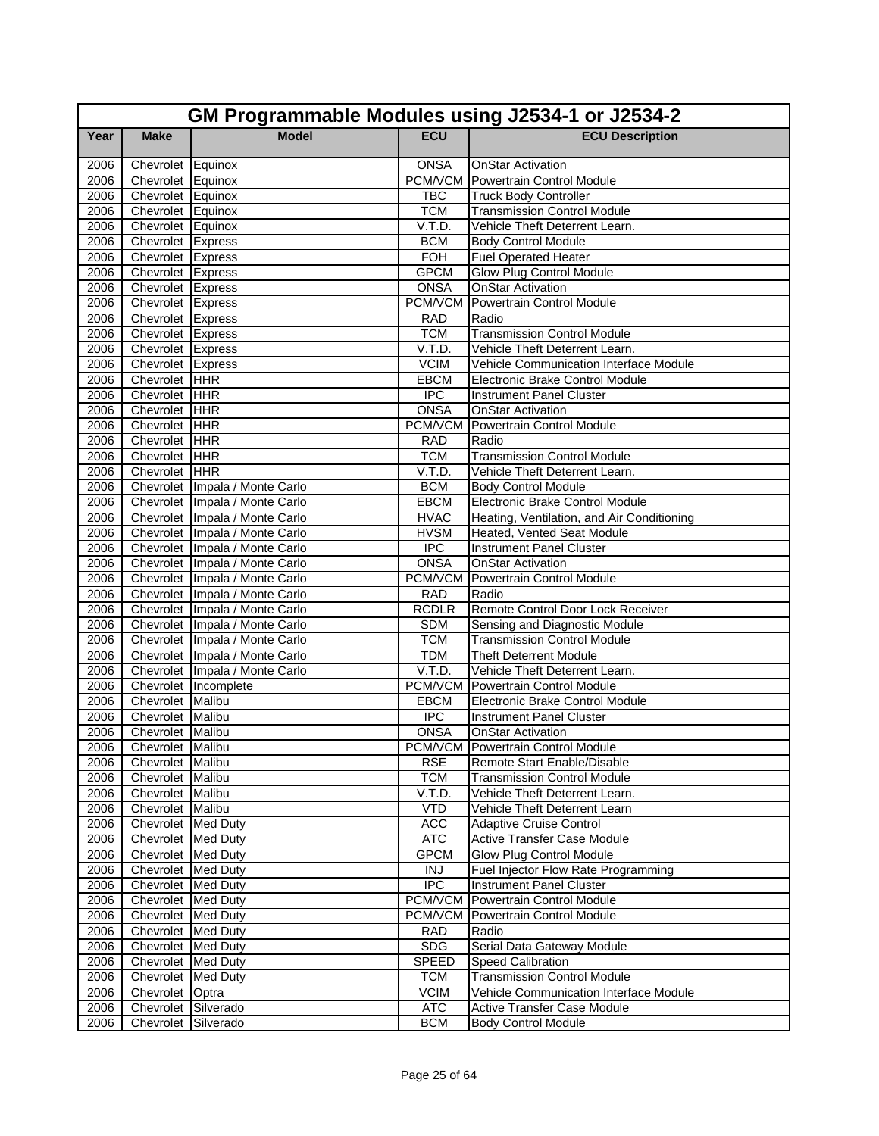|              | GM Programmable Modules using J2534-1 or J2534-2 |                                                                  |                          |                                                                     |  |  |
|--------------|--------------------------------------------------|------------------------------------------------------------------|--------------------------|---------------------------------------------------------------------|--|--|
| Year         | <b>Make</b>                                      | <b>Model</b>                                                     | <b>ECU</b>               | <b>ECU Description</b>                                              |  |  |
| 2006         | Chevrolet Equinox                                |                                                                  | <b>ONSA</b>              | <b>OnStar Activation</b>                                            |  |  |
| 2006         | Chevrolet Equinox                                |                                                                  |                          | PCM/VCM Powertrain Control Module                                   |  |  |
| 2006         | Chevrolet Equinox                                |                                                                  | <b>TBC</b>               | <b>Truck Body Controller</b>                                        |  |  |
| 2006         | Chevrolet Equinox                                |                                                                  | <b>TCM</b>               | <b>Transmission Control Module</b>                                  |  |  |
| 2006         | Chevrolet Equinox                                |                                                                  | V.T.D.                   | Vehicle Theft Deterrent Learn.                                      |  |  |
| 2006         | Chevrolet Express                                |                                                                  | <b>BCM</b>               | <b>Body Control Module</b>                                          |  |  |
| 2006         | Chevrolet Express                                |                                                                  | <b>FOH</b>               | <b>Fuel Operated Heater</b>                                         |  |  |
| 2006         | Chevrolet Express                                |                                                                  | <b>GPCM</b>              | Glow Plug Control Module                                            |  |  |
| 2006         | Chevrolet Express                                |                                                                  | <b>ONSA</b>              | <b>OnStar Activation</b>                                            |  |  |
| 2006         | Chevrolet Express                                |                                                                  | PCM/VCM                  | Powertrain Control Module                                           |  |  |
| 2006         | Chevrolet Express                                |                                                                  | <b>RAD</b>               | Radio                                                               |  |  |
| 2006         | Chevrolet Express                                |                                                                  | <b>TCM</b>               | <b>Transmission Control Module</b>                                  |  |  |
| 2006         | Chevrolet Express                                |                                                                  | V.T.D.                   | Vehicle Theft Deterrent Learn.                                      |  |  |
| 2006         | Chevrolet Express                                |                                                                  | <b>VCIM</b>              | Vehicle Communication Interface Module                              |  |  |
| 2006         | Chevrolet HHR                                    |                                                                  | <b>EBCM</b>              | <b>Electronic Brake Control Module</b>                              |  |  |
| 2006         | Chevrolet HHR                                    |                                                                  | <b>IPC</b>               | Instrument Panel Cluster                                            |  |  |
| 2006         | Chevrolet HHR                                    |                                                                  | <b>ONSA</b>              | <b>OnStar Activation</b>                                            |  |  |
| 2006         | Chevrolet HHR                                    |                                                                  | PCM/VCM                  | Powertrain Control Module                                           |  |  |
| 2006         | Chevrolet HHR                                    |                                                                  | <b>RAD</b>               | Radio                                                               |  |  |
| 2006         | Chevrolet HHR                                    |                                                                  | <b>TCM</b>               | <b>Transmission Control Module</b>                                  |  |  |
| 2006         | Chevrolet HHR                                    |                                                                  | V.T.D.                   | Vehicle Theft Deterrent Learn.                                      |  |  |
| 2006         |                                                  | Chevrolet Impala / Monte Carlo                                   | <b>BCM</b>               | <b>Body Control Module</b>                                          |  |  |
| 2006         |                                                  | Chevrolet Impala / Monte Carlo                                   | <b>EBCM</b>              | Electronic Brake Control Module                                     |  |  |
| 2006         |                                                  | Chevrolet   Impala / Monte Carlo                                 | <b>HVAC</b>              | Heating, Ventilation, and Air Conditioning                          |  |  |
| 2006         |                                                  | Chevrolet Impala / Monte Carlo                                   | <b>HVSM</b>              | Heated, Vented Seat Module                                          |  |  |
| 2006         |                                                  | Chevrolet   Impala / Monte Carlo                                 | <b>IPC</b>               | <b>Instrument Panel Cluster</b>                                     |  |  |
| 2006         |                                                  | Chevrolet Impala / Monte Carlo                                   | <b>ONSA</b>              | OnStar Activation                                                   |  |  |
| 2006         |                                                  | Chevrolet Impala / Monte Carlo                                   | PCM/VCM                  | Powertrain Control Module                                           |  |  |
| 2006         |                                                  | Chevrolet Impala / Monte Carlo                                   | RAD                      | Radio                                                               |  |  |
| 2006         |                                                  | Chevrolet   Impala / Monte Carlo                                 | <b>RCDLR</b>             | Remote Control Door Lock Receiver                                   |  |  |
| 2006         |                                                  | Chevrolet Impala / Monte Carlo<br>Chevrolet Impala / Monte Carlo | <b>SDM</b><br><b>TCM</b> | Sensing and Diagnostic Module<br><b>Transmission Control Module</b> |  |  |
| 2006         |                                                  | Chevrolet Impala / Monte Carlo                                   | <b>TDM</b>               | <b>Theft Deterrent Module</b>                                       |  |  |
| 2006<br>2006 |                                                  | Chevrolet Impala / Monte Carlo                                   | V.T.D.                   | Vehicle Theft Deterrent Learn.                                      |  |  |
| 2006         |                                                  | Chevrolet Incomplete                                             |                          | <b>PCM/VCM</b> Powertrain Control Module                            |  |  |
| 2006         | Chevrolet Malibu                                 |                                                                  | <b>EBCM</b>              | <b>Electronic Brake Control Module</b>                              |  |  |
| 2006         | Chevrolet Malibu                                 |                                                                  | <b>IPC</b>               | <b>Instrument Panel Cluster</b>                                     |  |  |
| 2006         | Chevrolet Malibu                                 |                                                                  | <b>ONSA</b>              | <b>OnStar Activation</b>                                            |  |  |
| 2006         | Chevrolet Malibu                                 |                                                                  |                          | PCM/VCM Powertrain Control Module                                   |  |  |
| 2006         | Chevrolet Malibu                                 |                                                                  | <b>RSE</b>               | Remote Start Enable/Disable                                         |  |  |
| 2006         | Chevrolet Malibu                                 |                                                                  | <b>TCM</b>               | <b>Transmission Control Module</b>                                  |  |  |
| 2006         | Chevrolet Malibu                                 |                                                                  | V.T.D.                   | Vehicle Theft Deterrent Learn.                                      |  |  |
| 2006         | Chevrolet Malibu                                 |                                                                  | <b>VTD</b>               | Vehicle Theft Deterrent Learn                                       |  |  |
| 2006         | Chevrolet Med Duty                               |                                                                  | <b>ACC</b>               | <b>Adaptive Cruise Control</b>                                      |  |  |
| 2006         | Chevrolet Med Duty                               |                                                                  | <b>ATC</b>               | Active Transfer Case Module                                         |  |  |
| 2006         | Chevrolet Med Duty                               |                                                                  | <b>GPCM</b>              | Glow Plug Control Module                                            |  |  |
| 2006         | Chevrolet Med Duty                               |                                                                  | <b>INJ</b>               | Fuel Injector Flow Rate Programming                                 |  |  |
| 2006         | Chevrolet Med Duty                               |                                                                  | <b>IPC</b>               | <b>Instrument Panel Cluster</b>                                     |  |  |
| 2006         | Chevrolet Med Duty                               |                                                                  | PCM/VCM                  | Powertrain Control Module                                           |  |  |
| 2006         | Chevrolet Med Duty                               |                                                                  |                          | PCM/VCM Powertrain Control Module                                   |  |  |
| 2006         | Chevrolet Med Duty                               |                                                                  | <b>RAD</b>               | Radio                                                               |  |  |
| 2006         | Chevrolet Med Duty                               |                                                                  | <b>SDG</b>               | Serial Data Gateway Module                                          |  |  |
| 2006         | Chevrolet Med Duty                               |                                                                  | <b>SPEED</b>             | <b>Speed Calibration</b>                                            |  |  |
| 2006         | Chevrolet Med Duty                               |                                                                  | <b>TCM</b>               | <b>Transmission Control Module</b>                                  |  |  |
| 2006         | Chevrolet Optra                                  |                                                                  | <b>VCIM</b>              | <b>Vehicle Communication Interface Module</b>                       |  |  |
| 2006         | Chevrolet Silverado                              |                                                                  | <b>ATC</b>               | Active Transfer Case Module                                         |  |  |
| 2006         | Chevrolet Silverado                              |                                                                  | <b>BCM</b>               | <b>Body Control Module</b>                                          |  |  |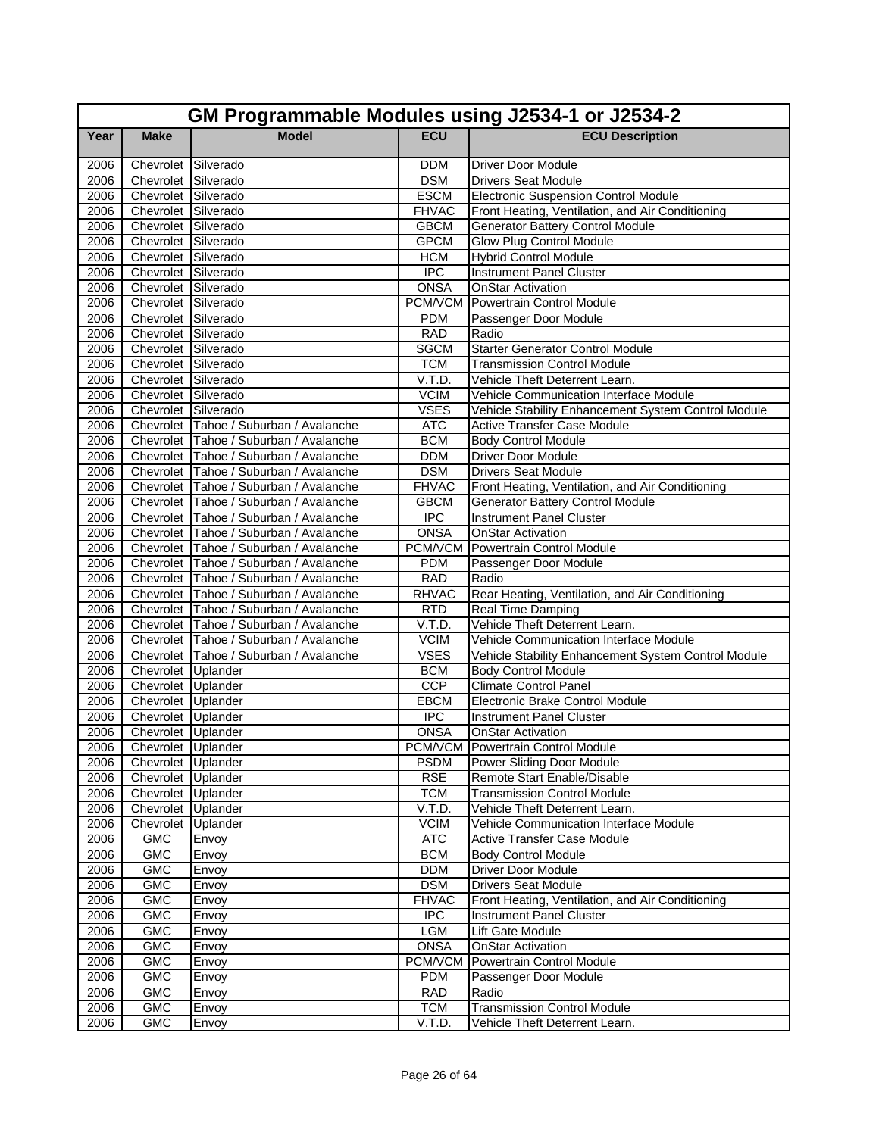|      | GM Programmable Modules using J2534-1 or J2534-2 |                                        |                  |                                                     |  |  |
|------|--------------------------------------------------|----------------------------------------|------------------|-----------------------------------------------------|--|--|
| Year | <b>Make</b>                                      | <b>Model</b>                           | <b>ECU</b>       | <b>ECU Description</b>                              |  |  |
| 2006 | Chevrolet Silverado                              |                                        | <b>DDM</b>       | Driver Door Module                                  |  |  |
| 2006 | Chevrolet Silverado                              |                                        | <b>DSM</b>       | <b>Drivers Seat Module</b>                          |  |  |
| 2006 | Chevrolet Silverado                              |                                        | <b>ESCM</b>      | <b>Electronic Suspension Control Module</b>         |  |  |
| 2006 | Chevrolet Silverado                              |                                        | <b>FHVAC</b>     | Front Heating, Ventilation, and Air Conditioning    |  |  |
| 2006 | Chevrolet Silverado                              |                                        | <b>GBCM</b>      | <b>Generator Battery Control Module</b>             |  |  |
| 2006 | Chevrolet Silverado                              |                                        | <b>GPCM</b>      | Glow Plug Control Module                            |  |  |
| 2006 | Chevrolet Silverado                              |                                        | <b>HCM</b>       | <b>Hybrid Control Module</b>                        |  |  |
| 2006 | Chevrolet Silverado                              |                                        | $\overline{IPC}$ | <b>Instrument Panel Cluster</b>                     |  |  |
| 2006 | Chevrolet Silverado                              |                                        | <b>ONSA</b>      | <b>OnStar Activation</b>                            |  |  |
| 2006 | Chevrolet Silverado                              |                                        | PCM/VCM          | <b>Powertrain Control Module</b>                    |  |  |
| 2006 | Chevrolet Silverado                              |                                        | <b>PDM</b>       | Passenger Door Module                               |  |  |
| 2006 | Chevrolet Silverado                              |                                        | <b>RAD</b>       | Radio                                               |  |  |
| 2006 | Chevrolet Silverado                              |                                        | <b>SGCM</b>      | <b>Starter Generator Control Module</b>             |  |  |
| 2006 | Chevrolet Silverado                              |                                        | <b>TCM</b>       | <b>Transmission Control Module</b>                  |  |  |
| 2006 | Chevrolet Silverado                              |                                        | V.T.D.           | Vehicle Theft Deterrent Learn.                      |  |  |
| 2006 | Chevrolet Silverado                              |                                        | <b>VCIM</b>      | Vehicle Communication Interface Module              |  |  |
| 2006 | Chevrolet Silverado                              |                                        | <b>VSES</b>      | Vehicle Stability Enhancement System Control Module |  |  |
| 2006 |                                                  | Chevrolet Tahoe / Suburban / Avalanche | <b>ATC</b>       | Active Transfer Case Module                         |  |  |
| 2006 |                                                  | Chevrolet Tahoe / Suburban / Avalanche | <b>BCM</b>       | <b>Body Control Module</b>                          |  |  |
| 2006 |                                                  | Chevrolet Tahoe / Suburban / Avalanche | <b>DDM</b>       | <b>Driver Door Module</b>                           |  |  |
| 2006 |                                                  | Chevrolet Tahoe / Suburban / Avalanche | <b>DSM</b>       | <b>Drivers Seat Module</b>                          |  |  |
| 2006 |                                                  | Chevrolet Tahoe / Suburban / Avalanche | <b>FHVAC</b>     | Front Heating, Ventilation, and Air Conditioning    |  |  |
| 2006 |                                                  | Chevrolet Tahoe / Suburban / Avalanche | <b>GBCM</b>      | <b>Generator Battery Control Module</b>             |  |  |
| 2006 |                                                  | Chevrolet Tahoe / Suburban / Avalanche | <b>IPC</b>       | <b>Instrument Panel Cluster</b>                     |  |  |
| 2006 |                                                  | Chevrolet Tahoe / Suburban / Avalanche | <b>ONSA</b>      | <b>OnStar Activation</b>                            |  |  |
| 2006 |                                                  | Chevrolet Tahoe / Suburban / Avalanche | PCM/VCM          | Powertrain Control Module                           |  |  |
| 2006 |                                                  | Chevrolet Tahoe / Suburban / Avalanche | <b>PDM</b>       | Passenger Door Module                               |  |  |
| 2006 |                                                  | Chevrolet Tahoe / Suburban / Avalanche | <b>RAD</b>       | Radio                                               |  |  |
| 2006 |                                                  | Chevrolet Tahoe / Suburban / Avalanche | <b>RHVAC</b>     | Rear Heating, Ventilation, and Air Conditioning     |  |  |
| 2006 |                                                  | Chevrolet Tahoe / Suburban / Avalanche | <b>RTD</b>       | Real Time Damping                                   |  |  |
| 2006 |                                                  | Chevrolet Tahoe / Suburban / Avalanche | V.T.D.           | Vehicle Theft Deterrent Learn.                      |  |  |
| 2006 |                                                  | Chevrolet Tahoe / Suburban / Avalanche | <b>VCIM</b>      | Vehicle Communication Interface Module              |  |  |
| 2006 |                                                  | Chevrolet Tahoe / Suburban / Avalanche | <b>VSES</b>      | Vehicle Stability Enhancement System Control Module |  |  |
| 2006 | Chevrolet Uplander                               |                                        | <b>BCM</b>       | <b>Body Control Module</b>                          |  |  |
| 2006 | Chevrolet Uplander                               |                                        | <b>CCP</b>       | <b>Climate Control Panel</b>                        |  |  |
| 2006 | Chevrolet Uplander                               |                                        | EBCM             | Electronic Brake Control Module                     |  |  |
| 2006 | Chevrolet Uplander                               |                                        | <b>IPC</b>       | Instrument Panel Cluster                            |  |  |
| 2006 | Chevrolet Uplander                               |                                        | <b>ONSA</b>      | <b>OnStar Activation</b>                            |  |  |
| 2006 | Chevrolet Uplander                               |                                        |                  | PCM/VCM Powertrain Control Module                   |  |  |
| 2006 | Chevrolet Uplander                               |                                        | <b>PSDM</b>      | Power Sliding Door Module                           |  |  |
| 2006 | Chevrolet Uplander                               |                                        | <b>RSE</b>       | Remote Start Enable/Disable                         |  |  |
| 2006 | Chevrolet Uplander                               |                                        | <b>TCM</b>       | <b>Transmission Control Module</b>                  |  |  |
| 2006 | Chevrolet Uplander                               |                                        | V.T.D.           | Vehicle Theft Deterrent Learn.                      |  |  |
| 2006 | Chevrolet Uplander                               |                                        | <b>VCIM</b>      | Vehicle Communication Interface Module              |  |  |
| 2006 | <b>GMC</b>                                       | Envoy                                  | <b>ATC</b>       | Active Transfer Case Module                         |  |  |
| 2006 | <b>GMC</b>                                       | Envoy                                  | <b>BCM</b>       | <b>Body Control Module</b>                          |  |  |
| 2006 | GMC                                              | Envoy                                  | <b>DDM</b>       | Driver Door Module                                  |  |  |
| 2006 | <b>GMC</b>                                       | Envoy                                  | <b>DSM</b>       | <b>Drivers Seat Module</b>                          |  |  |
| 2006 | <b>GMC</b>                                       | Envoy                                  | <b>FHVAC</b>     | Front Heating, Ventilation, and Air Conditioning    |  |  |
| 2006 | <b>GMC</b>                                       | Envoy                                  | <b>IPC</b>       | Instrument Panel Cluster                            |  |  |
| 2006 | <b>GMC</b>                                       | Envoy                                  | <b>LGM</b>       | Lift Gate Module                                    |  |  |
| 2006 | <b>GMC</b>                                       | Envoy                                  | <b>ONSA</b>      | <b>OnStar Activation</b>                            |  |  |
| 2006 | <b>GMC</b>                                       | Envoy                                  |                  | PCM/VCM Powertrain Control Module                   |  |  |
| 2006 | <b>GMC</b>                                       | Envoy                                  | <b>PDM</b>       | Passenger Door Module                               |  |  |
| 2006 | <b>GMC</b>                                       | Envoy                                  | <b>RAD</b>       | Radio                                               |  |  |
| 2006 | <b>GMC</b>                                       | Envoy                                  | <b>TCM</b>       | <b>Transmission Control Module</b>                  |  |  |
| 2006 | <b>GMC</b>                                       | Envoy                                  | V.T.D.           | Vehicle Theft Deterrent Learn.                      |  |  |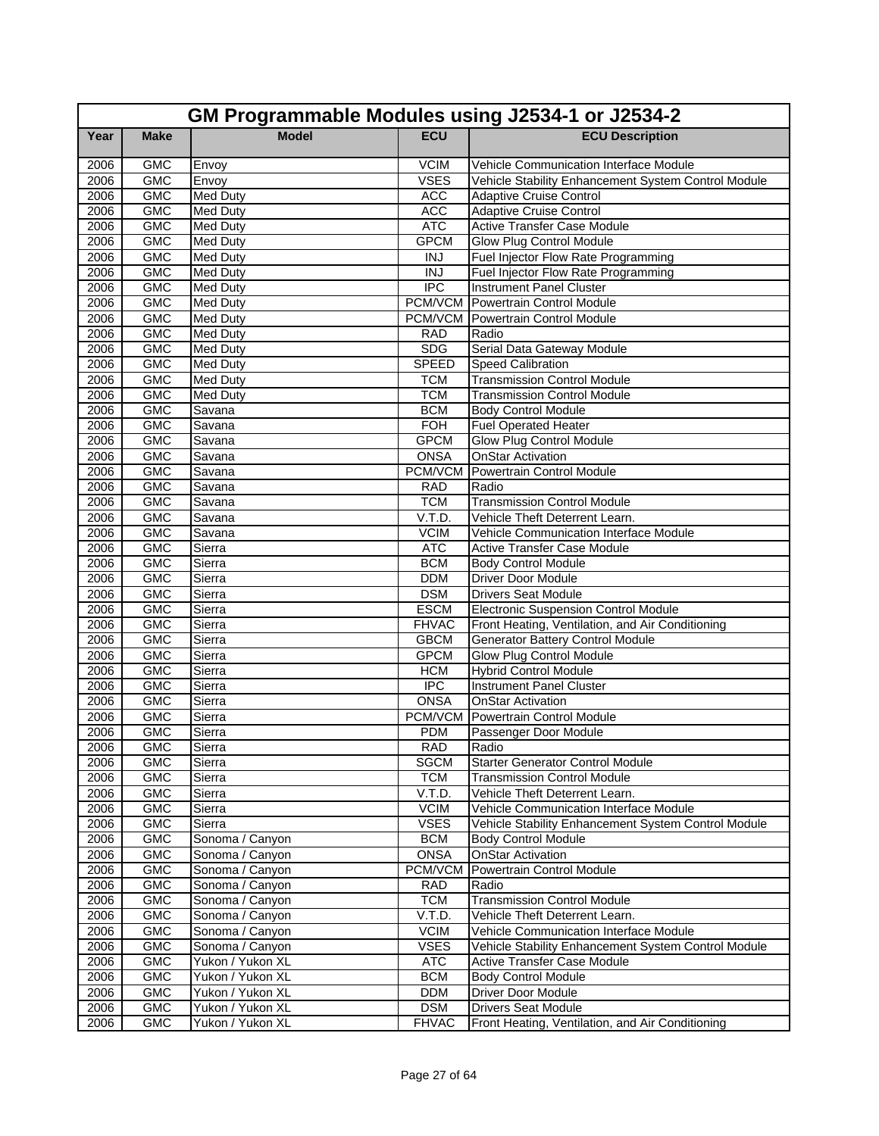|      | GM Programmable Modules using J2534-1 or J2534-2 |                  |                            |                                                     |  |  |
|------|--------------------------------------------------|------------------|----------------------------|-----------------------------------------------------|--|--|
| Year | <b>Make</b>                                      | <b>Model</b>     | <b>ECU</b>                 | <b>ECU Description</b>                              |  |  |
| 2006 | <b>GMC</b>                                       | Envoy            | <b>VCIM</b>                | Vehicle Communication Interface Module              |  |  |
| 2006 | <b>GMC</b>                                       | Envoy            | <b>VSES</b>                | Vehicle Stability Enhancement System Control Module |  |  |
| 2006 | <b>GMC</b>                                       | <b>Med Duty</b>  | <b>ACC</b>                 | <b>Adaptive Cruise Control</b>                      |  |  |
| 2006 | <b>GMC</b>                                       | <b>Med Duty</b>  | <b>ACC</b>                 | <b>Adaptive Cruise Control</b>                      |  |  |
| 2006 | <b>GMC</b>                                       | <b>Med Duty</b>  | <b>ATC</b>                 | <b>Active Transfer Case Module</b>                  |  |  |
| 2006 | <b>GMC</b>                                       | <b>Med Duty</b>  | <b>GPCM</b>                | Glow Plug Control Module                            |  |  |
| 2006 | <b>GMC</b>                                       | <b>Med Duty</b>  | <b>INJ</b>                 | Fuel Injector Flow Rate Programming                 |  |  |
| 2006 | <b>GMC</b>                                       | Med Duty         | <b>INJ</b>                 | Fuel Injector Flow Rate Programming                 |  |  |
| 2006 | <b>GMC</b>                                       | <b>Med Duty</b>  | $\overline{IPC}$           | <b>Instrument Panel Cluster</b>                     |  |  |
| 2006 | <b>GMC</b>                                       | <b>Med Duty</b>  |                            | <b>PCM/VCM</b> Powertrain Control Module            |  |  |
| 2006 | <b>GMC</b>                                       | <b>Med Duty</b>  |                            | <b>PCM/VCM</b> Powertrain Control Module            |  |  |
| 2006 | <b>GMC</b>                                       | <b>Med Duty</b>  | <b>RAD</b>                 | Radio                                               |  |  |
| 2006 | <b>GMC</b>                                       | Med Duty         | <b>SDG</b>                 | Serial Data Gateway Module                          |  |  |
| 2006 | <b>GMC</b>                                       | <b>Med Duty</b>  | <b>SPEED</b>               | <b>Speed Calibration</b>                            |  |  |
| 2006 | <b>GMC</b>                                       | <b>Med Duty</b>  | <b>TCM</b>                 | <b>Transmission Control Module</b>                  |  |  |
| 2006 | <b>GMC</b>                                       | <b>Med Duty</b>  | <b>TCM</b>                 | <b>Transmission Control Module</b>                  |  |  |
| 2006 | <b>GMC</b>                                       | Savana           | <b>BCM</b>                 | <b>Body Control Module</b>                          |  |  |
| 2006 | <b>GMC</b>                                       | Savana           | <b>FOH</b>                 | <b>Fuel Operated Heater</b>                         |  |  |
| 2006 | <b>GMC</b>                                       | Savana           | <b>GPCM</b>                | <b>Glow Plug Control Module</b>                     |  |  |
| 2006 | <b>GMC</b>                                       | Savana           | <b>ONSA</b>                | <b>OnStar Activation</b>                            |  |  |
| 2006 | <b>GMC</b>                                       | Savana           | PCM/VCM                    | Powertrain Control Module                           |  |  |
| 2006 | <b>GMC</b>                                       | Savana           | <b>RAD</b>                 | Radio                                               |  |  |
| 2006 | <b>GMC</b>                                       | Savana           | <b>TCM</b>                 | <b>Transmission Control Module</b>                  |  |  |
| 2006 | <b>GMC</b>                                       | Savana           | V.T.D.                     | Vehicle Theft Deterrent Learn.                      |  |  |
| 2006 | <b>GMC</b>                                       | Savana           | <b>VCIM</b>                | Vehicle Communication Interface Module              |  |  |
| 2006 | <b>GMC</b>                                       | Sierra           | <b>ATC</b>                 | <b>Active Transfer Case Module</b>                  |  |  |
| 2006 | <b>GMC</b>                                       | Sierra           | <b>BCM</b>                 | <b>Body Control Module</b>                          |  |  |
| 2006 | <b>GMC</b>                                       | Sierra           | <b>DDM</b>                 | <b>Driver Door Module</b>                           |  |  |
| 2006 | <b>GMC</b>                                       | Sierra           | <b>DSM</b>                 | <b>Drivers Seat Module</b>                          |  |  |
| 2006 | <b>GMC</b>                                       | Sierra           | <b>ESCM</b>                | <b>Electronic Suspension Control Module</b>         |  |  |
| 2006 | <b>GMC</b>                                       | Sierra           | <b>FHVAC</b>               | Front Heating, Ventilation, and Air Conditioning    |  |  |
| 2006 | <b>GMC</b>                                       | Sierra           | <b>GBCM</b>                | <b>Generator Battery Control Module</b>             |  |  |
| 2006 | <b>GMC</b>                                       | Sierra           | <b>GPCM</b>                | Glow Plug Control Module                            |  |  |
| 2006 | <b>GMC</b>                                       | Sierra           | <b>HCM</b>                 | <b>Hybrid Control Module</b>                        |  |  |
| 2006 | <b>GMC</b>                                       | Sierra           | $\overline{IPC}$           | <b>Instrument Panel Cluster</b>                     |  |  |
| 2006 | <b>GMC</b>                                       | Sierra           | <b>ONSA</b>                | <b>OnStar Activation</b>                            |  |  |
| 2006 | <b>GMC</b>                                       | Sierra           | PCM/VCM                    | Powertrain Control Module                           |  |  |
| 2006 | <b>GMC</b>                                       | Sierra           | <b>PDM</b>                 | Passenger Door Module                               |  |  |
| 2006 | <b>GMC</b>                                       | Sierra           | <b>RAD</b>                 | Radio                                               |  |  |
| 2006 | <b>GMC</b>                                       | Sierra           | <b>SGCM</b>                | <b>Starter Generator Control Module</b>             |  |  |
| 2006 | <b>GMC</b>                                       | Sierra           | <b>TCM</b>                 | <b>Transmission Control Module</b>                  |  |  |
| 2006 | GMC                                              | Sierra           | V.T.D.                     | Vehicle Theft Deterrent Learn.                      |  |  |
| 2006 | <b>GMC</b>                                       | Sierra           | <b>VCIM</b><br><b>VSES</b> | Vehicle Communication Interface Module              |  |  |
| 2006 | <b>GMC</b>                                       | Sierra           |                            | Vehicle Stability Enhancement System Control Module |  |  |
| 2006 | <b>GMC</b>                                       | Sonoma / Canyon  | <b>BCM</b>                 | <b>Body Control Module</b>                          |  |  |
| 2006 | <b>GMC</b>                                       | Sonoma / Canyon  | <b>ONSA</b>                | <b>OnStar Activation</b>                            |  |  |
| 2006 | <b>GMC</b>                                       | Sonoma / Canyon  | PCM/VCM                    | <b>Powertrain Control Module</b>                    |  |  |
| 2006 | <b>GMC</b>                                       | Sonoma / Canyon  | <b>RAD</b><br><b>TCM</b>   | Radio                                               |  |  |
| 2006 | <b>GMC</b>                                       | Sonoma / Canyon  |                            | <b>Transmission Control Module</b>                  |  |  |
| 2006 | <b>GMC</b>                                       | Sonoma / Canyon  | V.T.D.                     | Vehicle Theft Deterrent Learn.                      |  |  |
| 2006 | GMC                                              | Sonoma / Canyon  | <b>VCIM</b><br><b>VSES</b> | Vehicle Communication Interface Module              |  |  |
| 2006 | <b>GMC</b><br><b>GMC</b>                         | Sonoma / Canyon  | <b>ATC</b>                 | Vehicle Stability Enhancement System Control Module |  |  |
| 2006 |                                                  | Yukon / Yukon XL |                            | Active Transfer Case Module                         |  |  |
| 2006 | <b>GMC</b><br><b>GMC</b>                         | Yukon / Yukon XL | <b>BCM</b><br><b>DDM</b>   | <b>Body Control Module</b>                          |  |  |
| 2006 |                                                  | Yukon / Yukon XL |                            | Driver Door Module                                  |  |  |
| 2006 | <b>GMC</b>                                       | Yukon / Yukon XL | <b>DSM</b>                 | <b>Drivers Seat Module</b>                          |  |  |
| 2006 | GMC                                              | Yukon / Yukon XL | <b>FHVAC</b>               | Front Heating, Ventilation, and Air Conditioning    |  |  |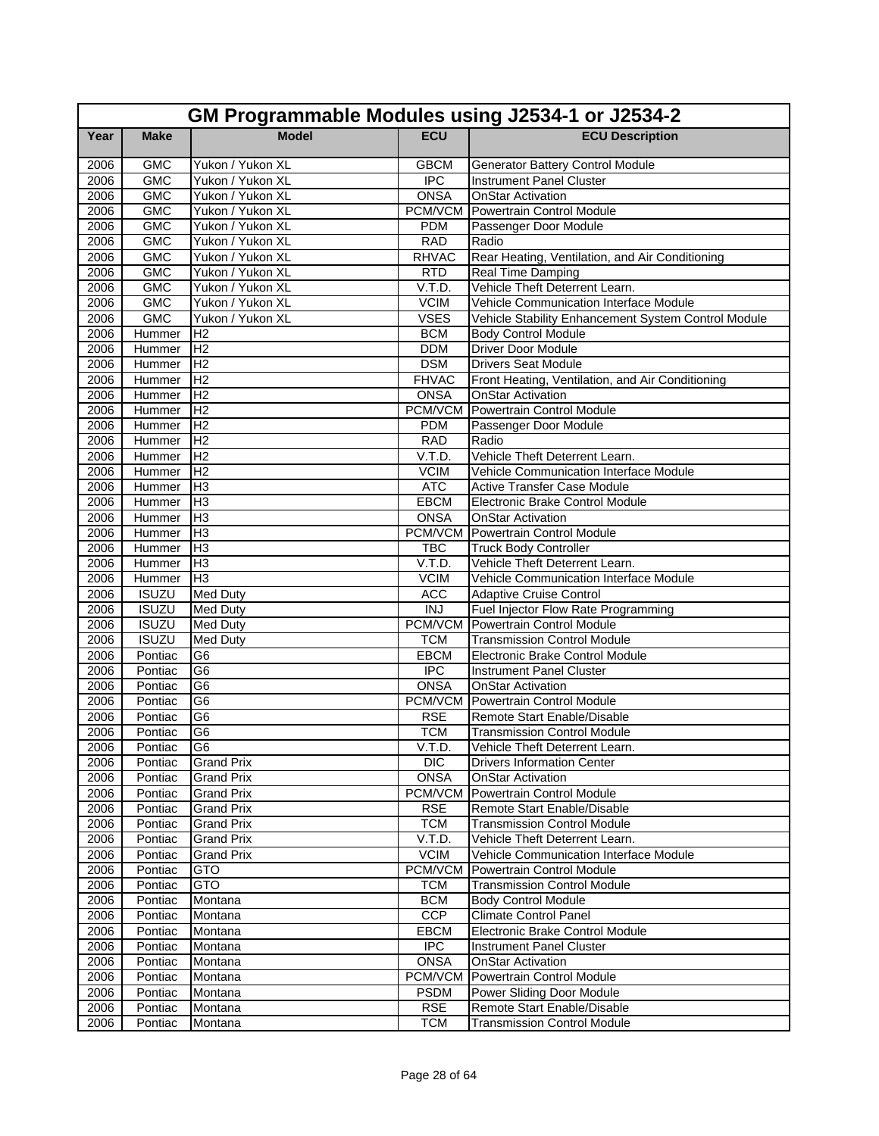|              | GM Programmable Modules using J2534-1 or J2534-2 |                                  |                      |                                                                              |  |
|--------------|--------------------------------------------------|----------------------------------|----------------------|------------------------------------------------------------------------------|--|
| Year         | <b>Make</b>                                      | <b>Model</b>                     | <b>ECU</b>           | <b>ECU Description</b>                                                       |  |
| 2006         | <b>GMC</b>                                       | Yukon / Yukon XL                 | <b>GBCM</b>          | <b>Generator Battery Control Module</b>                                      |  |
| 2006         | <b>GMC</b>                                       | Yukon / Yukon XL                 | <b>IPC</b>           | <b>Instrument Panel Cluster</b>                                              |  |
| 2006         | <b>GMC</b>                                       | Yukon / Yukon XL                 | <b>ONSA</b>          | <b>OnStar Activation</b>                                                     |  |
| 2006         | <b>GMC</b>                                       | Yukon / Yukon XL                 | PCM/VCM              | Powertrain Control Module                                                    |  |
| 2006         | <b>GMC</b>                                       | Yukon / Yukon XL                 | <b>PDM</b>           | Passenger Door Module                                                        |  |
| 2006         | <b>GMC</b>                                       | Yukon / Yukon XL                 | <b>RAD</b>           | Radio                                                                        |  |
| 2006         | <b>GMC</b>                                       | Yukon / Yukon XL                 | <b>RHVAC</b>         | Rear Heating, Ventilation, and Air Conditioning                              |  |
| 2006         | <b>GMC</b>                                       | Yukon / Yukon XL                 | <b>RTD</b>           | Real Time Damping                                                            |  |
| 2006         | <b>GMC</b>                                       | Yukon / Yukon XL                 | V.T.D.               | Vehicle Theft Deterrent Learn.                                               |  |
| 2006         | <b>GMC</b>                                       | Yukon / Yukon XL                 | <b>VCIM</b>          | Vehicle Communication Interface Module                                       |  |
| 2006         | <b>GMC</b>                                       | Yukon / Yukon XL                 | <b>VSES</b>          | Vehicle Stability Enhancement System Control Module                          |  |
| 2006         | Hummer                                           | IH <sub>2</sub>                  | <b>BCM</b>           | <b>Body Control Module</b>                                                   |  |
| 2006         | Hummer                                           | H <sub>2</sub>                   | <b>DDM</b>           | <b>Driver Door Module</b>                                                    |  |
| 2006         | Hummer                                           | H <sub>2</sub>                   | <b>DSM</b>           | <b>Drivers Seat Module</b>                                                   |  |
| 2006         | Hummer                                           | H <sub>2</sub>                   | <b>FHVAC</b>         | Front Heating, Ventilation, and Air Conditioning                             |  |
| 2006         | Hummer                                           | H <sub>2</sub>                   | <b>ONSA</b>          | <b>OnStar Activation</b>                                                     |  |
| 2006         | Hummer                                           | H <sub>2</sub>                   | PCM/VCM              | Powertrain Control Module                                                    |  |
| 2006         | Hummer                                           | H <sub>2</sub>                   | <b>PDM</b>           | Passenger Door Module                                                        |  |
| 2006         | Hummer<br>Hummer                                 | H <sub>2</sub><br>H <sub>2</sub> | <b>RAD</b><br>V.T.D. | Radio<br>Vehicle Theft Deterrent Learn.                                      |  |
| 2006         |                                                  |                                  | <b>VCIM</b>          |                                                                              |  |
| 2006<br>2006 | Hummer<br>Hummer                                 | IH <sub>2</sub><br>lН3           | <b>ATC</b>           | Vehicle Communication Interface Module<br><b>Active Transfer Case Module</b> |  |
|              |                                                  | H <sub>3</sub>                   | EBCM                 | Electronic Brake Control Module                                              |  |
| 2006<br>2006 | Hummer<br>Hummer                                 | H <sub>3</sub>                   | <b>ONSA</b>          | <b>OnStar Activation</b>                                                     |  |
| 2006         |                                                  | Iнз                              | PCM/VCM              | Powertrain Control Module                                                    |  |
| 2006         | Hummer<br>Hummer                                 | lН3                              | <b>TBC</b>           | <b>Truck Body Controller</b>                                                 |  |
| 2006         | Hummer                                           | H <sub>3</sub>                   | V.T.D.               | Vehicle Theft Deterrent Learn.                                               |  |
| 2006         | Hummer                                           | H <sub>3</sub>                   | <b>VCIM</b>          | Vehicle Communication Interface Module                                       |  |
| 2006         | <b>ISUZU</b>                                     | <b>Med Duty</b>                  | <b>ACC</b>           | <b>Adaptive Cruise Control</b>                                               |  |
| 2006         | <b>ISUZU</b>                                     | <b>Med Duty</b>                  | <b>INJ</b>           | Fuel Injector Flow Rate Programming                                          |  |
| 2006         | <b>ISUZU</b>                                     | <b>Med Duty</b>                  | PCM/VCM              | Powertrain Control Module                                                    |  |
| 2006         | <b>ISUZU</b>                                     | <b>Med Duty</b>                  | <b>TCM</b>           | <b>Transmission Control Module</b>                                           |  |
| 2006         | Pontiac                                          | G <sub>6</sub>                   | <b>EBCM</b>          | <b>Electronic Brake Control Module</b>                                       |  |
| 2006         | Pontiac                                          | G <sub>6</sub>                   | <b>IPC</b>           | Instrument Panel Cluster                                                     |  |
| 2006         | Pontiac                                          | G <sub>6</sub>                   | <b>ONSA</b>          | <b>OnStar Activation</b>                                                     |  |
| 2006         | Pontiac                                          | G <sub>6</sub>                   | PCM/VCM              | Powertrain Control Module                                                    |  |
| 2006         | Pontiac                                          | G6                               | <b>RSE</b>           | Remote Start Enable/Disable                                                  |  |
| 2006         | Pontiac                                          | G <sub>6</sub>                   | <b>TCM</b>           | Transmission Control Module                                                  |  |
| 2006         | Pontiac G6                                       |                                  | V.T.D.               | Vehicle Theft Deterrent Learn.                                               |  |
| 2006         | Pontiac                                          | <b>Grand Prix</b>                | DIC.                 | <b>Drivers Information Center</b>                                            |  |
| 2006         | Pontiac                                          | <b>Grand Prix</b>                | <b>ONSA</b>          | <b>OnStar Activation</b>                                                     |  |
| 2006         | Pontiac                                          | <b>Grand Prix</b>                | PCM/VCM              | Powertrain Control Module                                                    |  |
| 2006         | Pontiac                                          | <b>Grand Prix</b>                | <b>RSE</b>           | Remote Start Enable/Disable                                                  |  |
| 2006         | Pontiac                                          | <b>Grand Prix</b>                | <b>TCM</b>           | <b>Transmission Control Module</b>                                           |  |
| 2006         | Pontiac                                          | <b>Grand Prix</b>                | V.T.D.               | Vehicle Theft Deterrent Learn.                                               |  |
| 2006         | Pontiac                                          | <b>Grand Prix</b>                | <b>VCIM</b>          | Vehicle Communication Interface Module                                       |  |
| 2006         | Pontiac                                          | <b>GTO</b>                       | PCM/VCM              | Powertrain Control Module                                                    |  |
| 2006         | Pontiac                                          | <b>GTO</b>                       | <b>TCM</b>           | <b>Transmission Control Module</b>                                           |  |
| 2006         | Pontiac                                          | Montana                          | <b>BCM</b>           | <b>Body Control Module</b>                                                   |  |
| 2006         | Pontiac                                          | Montana                          | <b>CCP</b>           | <b>Climate Control Panel</b>                                                 |  |
| 2006         | Pontiac                                          | Montana                          | EBCM                 | <b>Electronic Brake Control Module</b>                                       |  |
| 2006         | Pontiac                                          | Montana                          | $\overline{IPC}$     | <b>Instrument Panel Cluster</b>                                              |  |
| 2006         | Pontiac                                          | Montana                          | <b>ONSA</b>          | <b>OnStar Activation</b>                                                     |  |
| 2006         | Pontiac                                          | Montana                          | PCM/VCM              | Powertrain Control Module                                                    |  |
| 2006         | Pontiac                                          | Montana                          | <b>PSDM</b>          | Power Sliding Door Module                                                    |  |
| 2006         | Pontiac                                          | Montana                          | <b>RSE</b>           | Remote Start Enable/Disable                                                  |  |
| 2006         | Pontiac                                          | Montana                          | <b>TCM</b>           | <b>Transmission Control Module</b>                                           |  |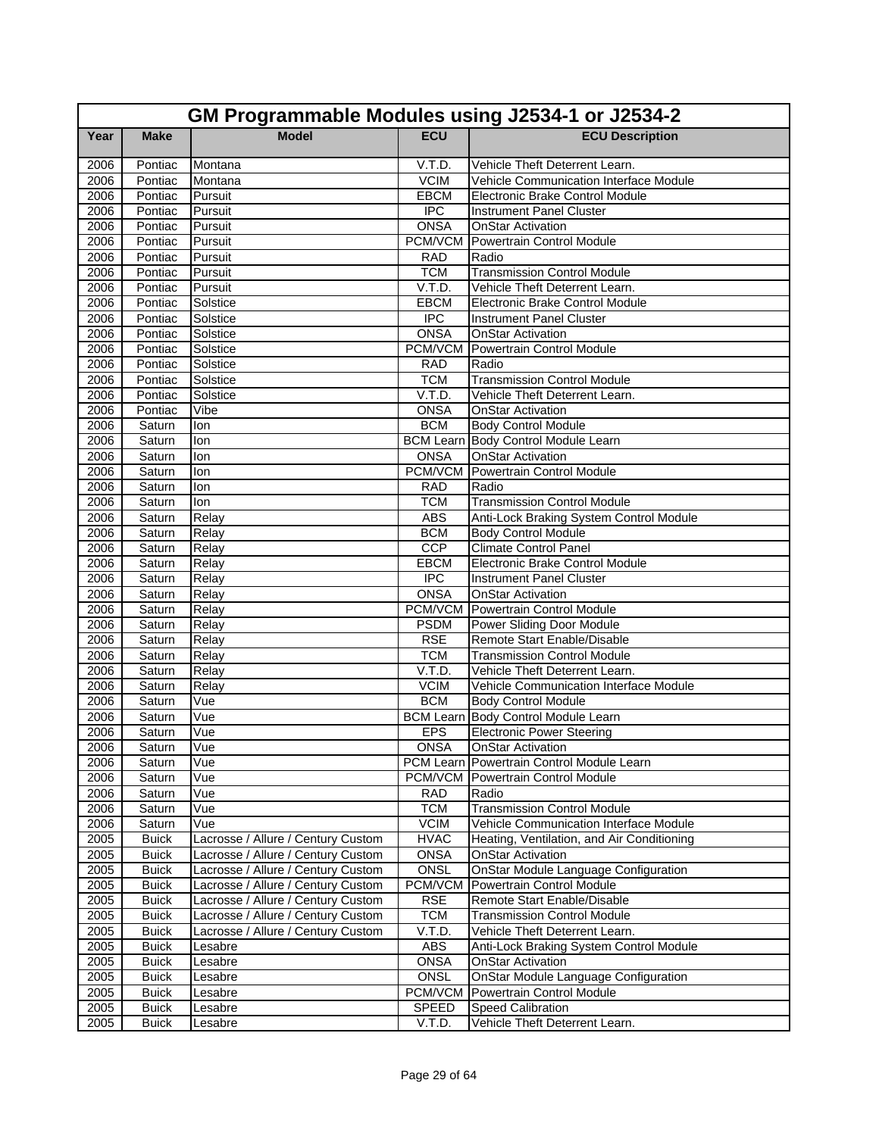|              | GM Programmable Modules using J2534-1 or J2534-2 |                                                                          |                            |                                                                         |  |  |
|--------------|--------------------------------------------------|--------------------------------------------------------------------------|----------------------------|-------------------------------------------------------------------------|--|--|
| Year         | <b>Make</b>                                      | <b>Model</b>                                                             | <b>ECU</b>                 | <b>ECU Description</b>                                                  |  |  |
| 2006         | Pontiac                                          | Montana                                                                  | V.T.D.                     | Vehicle Theft Deterrent Learn.                                          |  |  |
| 2006         | Pontiac                                          | Montana                                                                  | <b>VCIM</b>                | Vehicle Communication Interface Module                                  |  |  |
| 2006         | Pontiac                                          | Pursuit                                                                  | EBCM                       | Electronic Brake Control Module                                         |  |  |
| 2006         | Pontiac                                          | Pursuit                                                                  | <b>IPC</b>                 | <b>Instrument Panel Cluster</b>                                         |  |  |
| 2006         | Pontiac                                          | Pursuit                                                                  | <b>ONSA</b>                | <b>OnStar Activation</b>                                                |  |  |
| 2006         | Pontiac                                          | Pursuit                                                                  | PCM/VCM                    | Powertrain Control Module                                               |  |  |
| 2006         | Pontiac                                          | Pursuit                                                                  | <b>RAD</b>                 | Radio                                                                   |  |  |
| 2006         | Pontiac                                          | Pursuit                                                                  | <b>TCM</b>                 | <b>Transmission Control Module</b>                                      |  |  |
| 2006         | Pontiac                                          | Pursuit                                                                  | V.T.D.                     | Vehicle Theft Deterrent Learn.                                          |  |  |
| 2006         | Pontiac                                          | Solstice                                                                 | <b>EBCM</b>                | <b>Electronic Brake Control Module</b>                                  |  |  |
| 2006         | Pontiac                                          | Solstice                                                                 | <b>IPC</b>                 | <b>Instrument Panel Cluster</b>                                         |  |  |
| 2006         | Pontiac                                          | Solstice                                                                 | <b>ONSA</b>                | <b>OnStar Activation</b>                                                |  |  |
| 2006         | Pontiac                                          | Solstice                                                                 | PCM/VCM                    | Powertrain Control Module                                               |  |  |
| 2006         | Pontiac                                          | Solstice                                                                 | <b>RAD</b>                 | Radio                                                                   |  |  |
| 2006         | Pontiac                                          | Solstice                                                                 | <b>TCM</b>                 | <b>Transmission Control Module</b>                                      |  |  |
| 2006         | Pontiac                                          | Solstice                                                                 | V.T.D.                     | Vehicle Theft Deterrent Learn.                                          |  |  |
| 2006         | Pontiac                                          | Vibe                                                                     | <b>ONSA</b>                | <b>OnStar Activation</b>                                                |  |  |
| 2006         | Saturn                                           | lon                                                                      | <b>BCM</b>                 | <b>Body Control Module</b>                                              |  |  |
| 2006         | Saturn                                           | lon                                                                      | <b>BCM Learn</b>           | Body Control Module Learn                                               |  |  |
| 2006         | Saturn                                           | lon                                                                      | <b>ONSA</b>                | <b>OnStar Activation</b>                                                |  |  |
| 2006         | Saturn                                           | lon                                                                      |                            | <b>PCM/VCM</b> Powertrain Control Module                                |  |  |
| 2006         | Saturn                                           | lon                                                                      | <b>RAD</b>                 | Radio                                                                   |  |  |
| 2006         | Saturn                                           | lon                                                                      | <b>TCM</b>                 | <b>Transmission Control Module</b>                                      |  |  |
| 2006         | Saturn                                           | Relay                                                                    | <b>ABS</b>                 | Anti-Lock Braking System Control Module                                 |  |  |
| 2006         | Saturn                                           | Relay                                                                    | <b>BCM</b>                 | <b>Body Control Module</b>                                              |  |  |
| 2006         | Saturn                                           | Relay                                                                    | CCP                        | <b>Climate Control Panel</b>                                            |  |  |
| 2006         | Saturn                                           | Relay                                                                    | EBCM                       | Electronic Brake Control Module                                         |  |  |
| 2006         | Saturn                                           | Relay                                                                    | <b>IPC</b>                 | <b>Instrument Panel Cluster</b>                                         |  |  |
| 2006         | Saturn                                           | Relay                                                                    | <b>ONSA</b>                | <b>OnStar Activation</b>                                                |  |  |
| 2006         | Saturn                                           | Relay                                                                    |                            | <b>PCM/VCM</b> Powertrain Control Module                                |  |  |
| 2006         | Saturn                                           | Relay                                                                    | <b>PSDM</b>                | Power Sliding Door Module                                               |  |  |
| 2006         | Saturn                                           | Relay                                                                    | <b>RSE</b>                 | Remote Start Enable/Disable                                             |  |  |
| 2006         | Saturn                                           | Relay                                                                    | <b>TCM</b>                 | <b>Transmission Control Module</b>                                      |  |  |
| 2006         | Saturn                                           | Relay                                                                    | V.T.D.                     | Vehicle Theft Deterrent Learn.                                          |  |  |
| 2006         | Saturn                                           | Relay                                                                    | <b>VCIM</b>                | Vehicle Communication Interface Module                                  |  |  |
| 2006         | Saturn                                           | Vue                                                                      | <b>BCM</b>                 | <b>Body Control Module</b>                                              |  |  |
| 2006         | Saturn                                           | Vue                                                                      |                            | BCM Learn Body Control Module Learn                                     |  |  |
| 2006         | Saturn                                           | Vue                                                                      | <b>EPS</b>                 | <b>Electronic Power Steering</b>                                        |  |  |
| 2006         | Saturn                                           | Vue                                                                      | ONSA                       | <b>OnStar Activation</b>                                                |  |  |
| 2006         | Saturn                                           | Vue                                                                      |                            | PCM Learn Powertrain Control Module Learn                               |  |  |
| 2006         | Saturn                                           | Vue                                                                      |                            | PCM/VCM Powertrain Control Module                                       |  |  |
| 2006         | Saturn                                           | Vue                                                                      | <b>RAD</b>                 | Radio                                                                   |  |  |
| 2006         | Saturn                                           | Vue                                                                      | <b>TCM</b>                 | <b>Transmission Control Module</b>                                      |  |  |
| 2006         | Saturn                                           | Vue                                                                      | <b>VCIM</b><br><b>HVAC</b> | <b>Vehicle Communication Interface Module</b>                           |  |  |
| 2005         | <b>Buick</b>                                     | Lacrosse / Allure / Century Custom<br>Lacrosse / Allure / Century Custom |                            | Heating, Ventilation, and Air Conditioning                              |  |  |
| 2005         | <b>Buick</b>                                     | Lacrosse / Allure / Century Custom                                       | <b>ONSA</b><br>ONSL        | <b>OnStar Activation</b><br><b>OnStar Module Language Configuration</b> |  |  |
| 2005         | <b>Buick</b>                                     | Lacrosse / Allure / Century Custom                                       | PCM/VCM                    | Powertrain Control Module                                               |  |  |
| 2005<br>2005 | <b>Buick</b><br><b>Buick</b>                     | Lacrosse / Allure / Century Custom                                       | <b>RSE</b>                 | Remote Start Enable/Disable                                             |  |  |
| 2005         | <b>Buick</b>                                     | Lacrosse / Allure / Century Custom                                       | <b>TCM</b>                 | <b>Transmission Control Module</b>                                      |  |  |
| 2005         |                                                  | Lacrosse / Allure / Century Custom                                       | V.T.D.                     | Vehicle Theft Deterrent Learn.                                          |  |  |
| 2005         | <b>Buick</b>                                     |                                                                          | ABS                        | Anti-Lock Braking System Control Module                                 |  |  |
| 2005         | <b>Buick</b><br><b>Buick</b>                     | Lesabre<br>Lesabre                                                       | <b>ONSA</b>                | <b>OnStar Activation</b>                                                |  |  |
| 2005         | <b>Buick</b>                                     |                                                                          | <b>ONSL</b>                | OnStar Module Language Configuration                                    |  |  |
| 2005         | <b>Buick</b>                                     | Lesabre<br>Lesabre                                                       | PCM/VCM                    | Powertrain Control Module                                               |  |  |
| 2005         | <b>Buick</b>                                     | Lesabre                                                                  | SPEED                      | Speed Calibration                                                       |  |  |
| 2005         | <b>Buick</b>                                     | Lesabre                                                                  | V.T.D.                     | Vehicle Theft Deterrent Learn.                                          |  |  |
|              |                                                  |                                                                          |                            |                                                                         |  |  |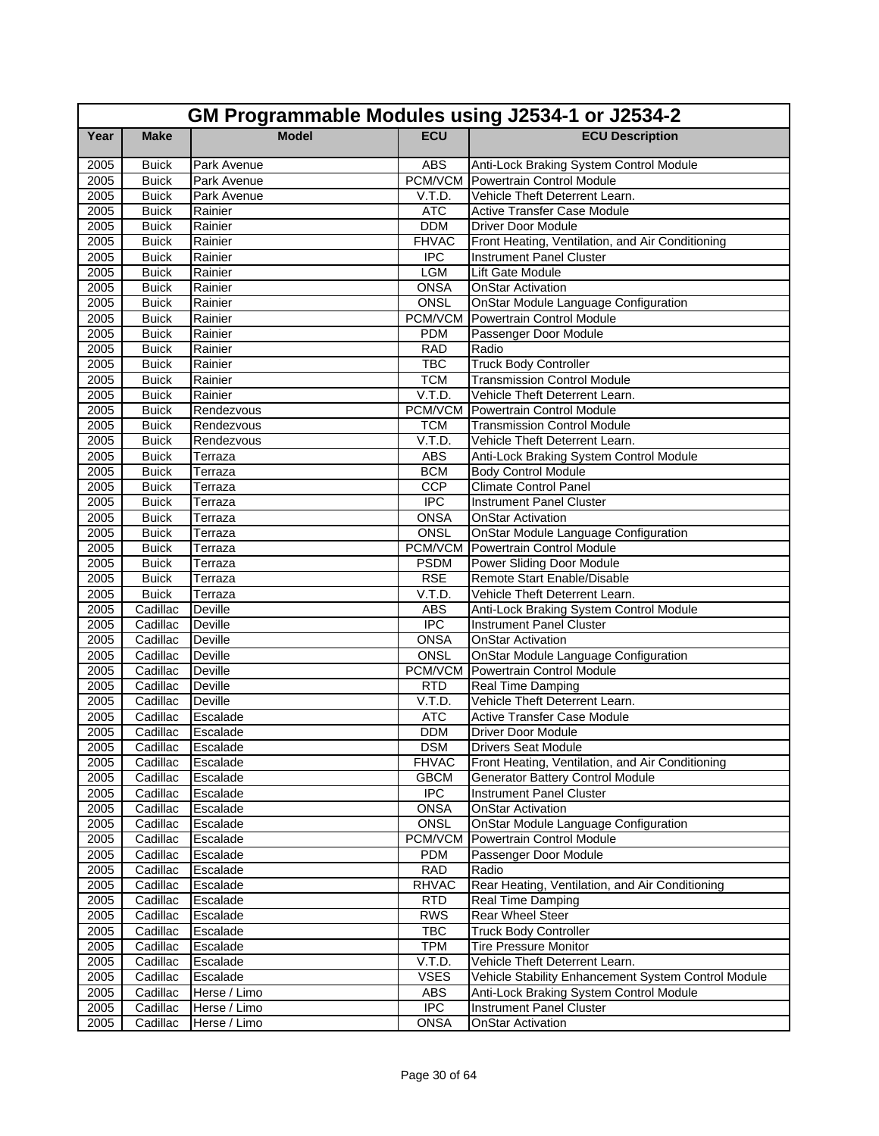|              | GM Programmable Modules using J2534-1 or J2534-2 |                    |                      |                                                                      |  |
|--------------|--------------------------------------------------|--------------------|----------------------|----------------------------------------------------------------------|--|
| Year         | <b>Make</b>                                      | <b>Model</b>       | <b>ECU</b>           | <b>ECU Description</b>                                               |  |
| 2005         | <b>Buick</b>                                     | Park Avenue        | <b>ABS</b>           | Anti-Lock Braking System Control Module                              |  |
| 2005         | <b>Buick</b>                                     | Park Avenue        | PCM/VCM              | Powertrain Control Module                                            |  |
| 2005         | <b>Buick</b>                                     | Park Avenue        | V.T.D.               | Vehicle Theft Deterrent Learn.                                       |  |
| 2005         | <b>Buick</b>                                     | Rainier            | <b>ATC</b>           | <b>Active Transfer Case Module</b>                                   |  |
| 2005         | <b>Buick</b>                                     | Rainier            | <b>DDM</b>           | <b>Driver Door Module</b>                                            |  |
| 2005         | <b>Buick</b>                                     | Rainier            | <b>FHVAC</b>         | Front Heating, Ventilation, and Air Conditioning                     |  |
| 2005         | <b>Buick</b>                                     | Rainier            | $\overline{IPC}$     | <b>Instrument Panel Cluster</b>                                      |  |
| 2005         | <b>Buick</b>                                     | Rainier            | <b>LGM</b>           | Lift Gate Module                                                     |  |
| 2005         | <b>Buick</b>                                     | Rainier            | <b>ONSA</b>          | <b>OnStar Activation</b>                                             |  |
| 2005         | <b>Buick</b>                                     | Rainier            | <b>ONSL</b>          | OnStar Module Language Configuration                                 |  |
| 2005         | <b>Buick</b>                                     | Rainier            | PCM/VCM              | Powertrain Control Module                                            |  |
| 2005         | <b>Buick</b>                                     | Rainier            | <b>PDM</b>           | Passenger Door Module                                                |  |
| 2005         | <b>Buick</b>                                     | Rainier            | <b>RAD</b>           | Radio                                                                |  |
| 2005         | <b>Buick</b>                                     | Rainier            | <b>TBC</b>           | <b>Truck Body Controller</b>                                         |  |
| 2005         | <b>Buick</b>                                     | Rainier<br>Rainier | <b>TCM</b><br>V.T.D. | <b>Transmission Control Module</b><br>Vehicle Theft Deterrent Learn. |  |
| 2005<br>2005 | <b>Buick</b><br><b>Buick</b>                     | Rendezvous         | PCM/VCM              | Powertrain Control Module                                            |  |
| 2005         | <b>Buick</b>                                     | Rendezvous         | <b>TCM</b>           | <b>Transmission Control Module</b>                                   |  |
| 2005         | <b>Buick</b>                                     | Rendezvous         | V.T.D.               | Vehicle Theft Deterrent Learn.                                       |  |
| 2005         | <b>Buick</b>                                     | Terraza            | <b>ABS</b>           | Anti-Lock Braking System Control Module                              |  |
| 2005         | <b>Buick</b>                                     | Terraza            | <b>BCM</b>           | <b>Body Control Module</b>                                           |  |
| 2005         | <b>Buick</b>                                     | Terraza            | CCP                  | <b>Climate Control Panel</b>                                         |  |
| 2005         | <b>Buick</b>                                     | Terraza            | $\overline{IPC}$     | <b>Instrument Panel Cluster</b>                                      |  |
| 2005         | <b>Buick</b>                                     | Terraza            | <b>ONSA</b>          | <b>OnStar Activation</b>                                             |  |
| 2005         | <b>Buick</b>                                     | Terraza            | ONSL                 | OnStar Module Language Configuration                                 |  |
| 2005         | <b>Buick</b>                                     | Terraza            | PCM/VCM              | Powertrain Control Module                                            |  |
| 2005         | <b>Buick</b>                                     | Terraza            | <b>PSDM</b>          | Power Sliding Door Module                                            |  |
| 2005         | <b>Buick</b>                                     | Terraza            | <b>RSE</b>           | Remote Start Enable/Disable                                          |  |
| 2005         | <b>Buick</b>                                     | Terraza            | V.T.D.               | Vehicle Theft Deterrent Learn.                                       |  |
| 2005         | Cadillac                                         | <b>Deville</b>     | <b>ABS</b>           | Anti-Lock Braking System Control Module                              |  |
| 2005         | Cadillac                                         | Deville            | <b>IPC</b>           | <b>Instrument Panel Cluster</b>                                      |  |
| 2005         | Cadillac                                         | <b>Deville</b>     | ONSA                 | <b>OnStar Activation</b>                                             |  |
| 2005         | Cadillac                                         | <b>Deville</b>     | <b>ONSL</b>          | OnStar Module Language Configuration                                 |  |
| 2005         | Cadillac                                         | Deville            | PCM/VCM              | <b>Powertrain Control Module</b>                                     |  |
| 2005         | Cadillac                                         | Deville            | <b>RTD</b>           | Real Time Damping                                                    |  |
| 2005         | Cadillac                                         | <b>Deville</b>     | V.T.D.               | Vehicle Theft Deterrent Learn.                                       |  |
| 2005         | Cadillac                                         | Escalade           | <b>ATC</b>           | <b>Active Transfer Case Module</b>                                   |  |
| 2005         | Cadillac                                         | Escalade           | <b>DDM</b>           | Driver Door Module                                                   |  |
| 2005         | Cadillac Escalade                                |                    | <b>DSM</b>           | <b>Drivers Seat Module</b>                                           |  |
| 2005         | Cadillac                                         | Escalade           | <b>FHVAC</b>         | Front Heating, Ventilation, and Air Conditioning                     |  |
| 2005         | Cadillac                                         | Escalade           | <b>GBCM</b>          | Generator Battery Control Module                                     |  |
| 2005         | Cadillac                                         | Escalade           | $\overline{IPC}$     | <b>Instrument Panel Cluster</b>                                      |  |
| 2005         | Cadillac                                         | Escalade           | <b>ONSA</b>          | <b>OnStar Activation</b>                                             |  |
| 2005         | Cadillac                                         | Escalade           | <b>ONSL</b>          | OnStar Module Language Configuration                                 |  |
| 2005         | Cadillac                                         | Escalade           | PCM/VCM              | Powertrain Control Module                                            |  |
| 2005         | Cadillac                                         | Escalade           | <b>PDM</b>           | Passenger Door Module                                                |  |
| 2005         | Cadillac                                         | Escalade           | <b>RAD</b>           | Radio                                                                |  |
| 2005         | Cadillac                                         | Escalade           | <b>RHVAC</b>         | Rear Heating, Ventilation, and Air Conditioning                      |  |
| 2005         | Cadillac                                         | Escalade           | RTD                  | Real Time Damping                                                    |  |
| 2005         | Cadillac                                         | Escalade           | <b>RWS</b>           | Rear Wheel Steer                                                     |  |
| 2005         | Cadillac                                         | Escalade           | <b>TBC</b>           | <b>Truck Body Controller</b>                                         |  |
| 2005         | Cadillac                                         | Escalade           | <b>TPM</b>           | <b>Tire Pressure Monitor</b>                                         |  |
| 2005         | Cadillac                                         | Escalade           | V.T.D.               | Vehicle Theft Deterrent Learn.                                       |  |
| 2005         | Cadillac                                         | Escalade           | <b>VSES</b>          | Vehicle Stability Enhancement System Control Module                  |  |
| 2005         | Cadillac                                         | Herse / Limo       | ABS                  | Anti-Lock Braking System Control Module                              |  |
| 2005         | Cadillac                                         | Herse / Limo       | $\overline{IPC}$     | <b>Instrument Panel Cluster</b>                                      |  |
| 2005         | Cadillac                                         | Herse / Limo       | ONSA                 | <b>OnStar Activation</b>                                             |  |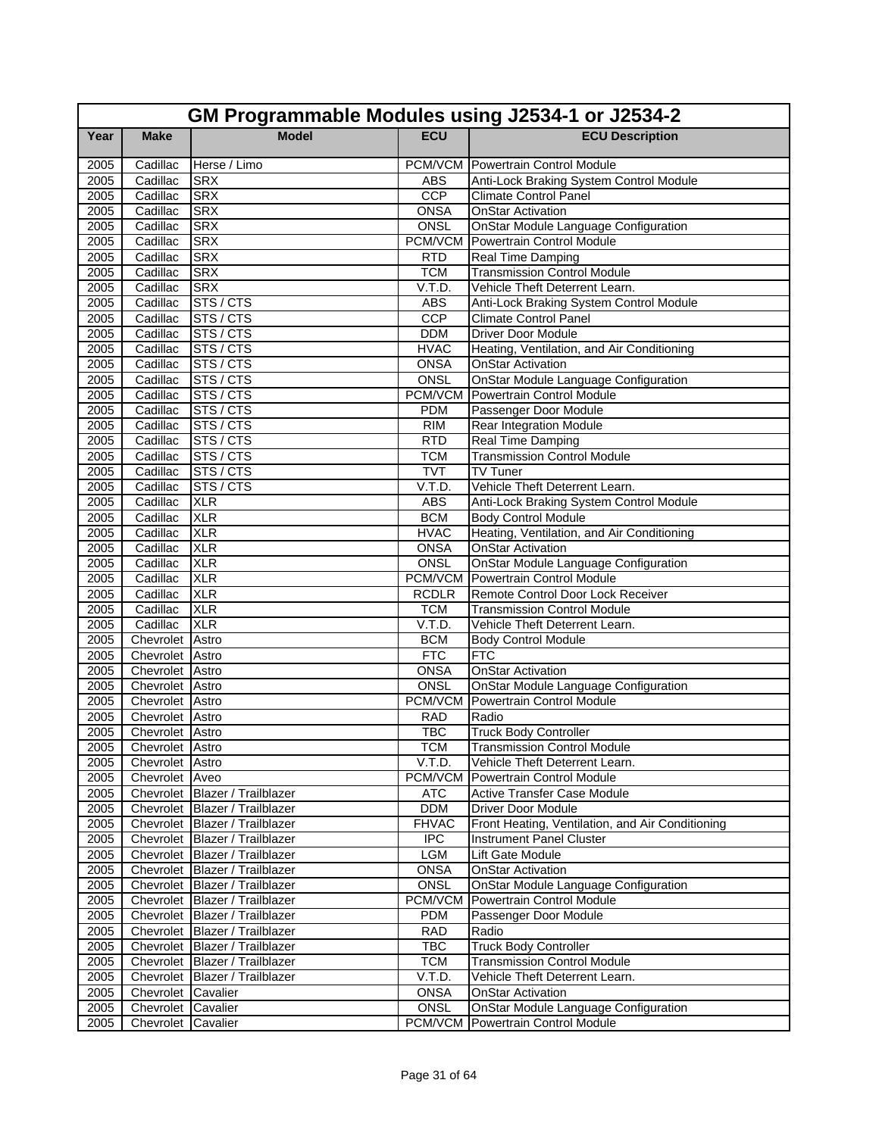|                   | GM Programmable Modules using J2534-1 or J2534-2 |                                |                               |                                                                          |  |  |
|-------------------|--------------------------------------------------|--------------------------------|-------------------------------|--------------------------------------------------------------------------|--|--|
| Year              | <b>Make</b>                                      | <b>Model</b>                   | <b>ECU</b>                    | <b>ECU Description</b>                                                   |  |  |
| 2005              | Cadillac                                         | Herse / Limo                   |                               | <b>PCM/VCM</b> Powertrain Control Module                                 |  |  |
| 2005              | Cadillac                                         | <b>SRX</b>                     | <b>ABS</b>                    | Anti-Lock Braking System Control Module                                  |  |  |
| 2005              | Cadillac                                         | <b>SRX</b>                     | CCP                           | <b>Climate Control Panel</b>                                             |  |  |
| 2005              | Cadillac                                         | <b>SRX</b>                     | <b>ONSA</b>                   | <b>OnStar Activation</b>                                                 |  |  |
| 2005              | Cadillac                                         | <b>SRX</b>                     | ONSL                          | <b>OnStar Module Language Configuration</b>                              |  |  |
| 2005              | Cadillac                                         | <b>SRX</b>                     | PCM/VCM                       | Powertrain Control Module                                                |  |  |
| 2005              | Cadillac                                         | <b>SRX</b>                     | <b>RTD</b>                    | Real Time Damping                                                        |  |  |
| 2005              | Cadillac                                         | <b>SRX</b>                     | <b>TCM</b>                    | <b>Transmission Control Module</b>                                       |  |  |
| 2005              | Cadillac                                         | <b>SRX</b>                     | V.T.D.                        | Vehicle Theft Deterrent Learn.                                           |  |  |
| 2005              | Cadillac                                         | STS / CTS                      | <b>ABS</b>                    | Anti-Lock Braking System Control Module                                  |  |  |
| 2005              | Cadillac                                         | STS / CTS                      | CCP                           | <b>Climate Control Panel</b>                                             |  |  |
| 2005              | Cadillac                                         | STS/CTS                        | <b>DDM</b>                    | <b>Driver Door Module</b>                                                |  |  |
| 2005              | Cadillac                                         | STS/CTS                        | <b>HVAC</b>                   | Heating, Ventilation, and Air Conditioning                               |  |  |
| 2005              | Cadillac                                         | STS / CTS                      | <b>ONSA</b>                   | <b>OnStar Activation</b>                                                 |  |  |
| 2005              | Cadillac                                         | STS / CTS                      | <b>ONSL</b>                   | OnStar Module Language Configuration                                     |  |  |
| 2005              | Cadillac                                         | STS/CTS                        | PCM/VCM                       | Powertrain Control Module                                                |  |  |
| 2005              | Cadillac                                         | STS/CTS                        | <b>PDM</b>                    | Passenger Door Module                                                    |  |  |
| 2005              | Cadillac                                         | STS/CTS                        | RIM                           | <b>Rear Integration Module</b>                                           |  |  |
| 2005              | Cadillac                                         | STS / CTS                      | <b>RTD</b>                    | Real Time Damping                                                        |  |  |
| 2005              | Cadillac                                         | STS / CTS                      | <b>TCM</b>                    | <b>Transmission Control Module</b>                                       |  |  |
| 2005              | Cadillac                                         | STS/CTS                        | <b>TVT</b>                    | TV Tuner                                                                 |  |  |
| 2005              | Cadillac                                         | STS/CTS                        | V.T.D.                        | Vehicle Theft Deterrent Learn.                                           |  |  |
| 2005              | Cadillac                                         | <b>XLR</b>                     | <b>ABS</b>                    | Anti-Lock Braking System Control Module                                  |  |  |
| 2005              | Cadillac                                         | <b>XLR</b>                     | <b>BCM</b>                    | <b>Body Control Module</b>                                               |  |  |
| 2005              | Cadillac                                         | <b>XLR</b>                     | <b>HVAC</b>                   | Heating, Ventilation, and Air Conditioning                               |  |  |
| 2005              | Cadillac                                         | <b>XLR</b>                     | <b>ONSA</b>                   | <b>OnStar Activation</b>                                                 |  |  |
| 2005              | Cadillac                                         | <b>XLR</b>                     | <b>ONSL</b><br><b>PCM/VCM</b> | OnStar Module Language Configuration                                     |  |  |
| 2005              | Cadillac<br>Cadillac                             | <b>XLR</b><br><b>XLR</b>       | <b>RCDLR</b>                  | Powertrain Control Module                                                |  |  |
| 2005<br>2005      | Cadillac                                         | <b>XLR</b>                     | <b>TCM</b>                    | Remote Control Door Lock Receiver<br><b>Transmission Control Module</b>  |  |  |
| 2005              | Cadillac                                         | <b>XLR</b>                     | V.T.D.                        | Vehicle Theft Deterrent Learn.                                           |  |  |
| 2005              | Chevrolet Astro                                  |                                | <b>BCM</b>                    | <b>Body Control Module</b>                                               |  |  |
| 2005              | Chevrolet Astro                                  |                                | FTC                           | <b>FTC</b>                                                               |  |  |
| 2005              | Chevrolet Astro                                  |                                | <b>ONSA</b>                   | <b>OnStar Activation</b>                                                 |  |  |
| $\overline{2005}$ | Chevrolet Astro                                  |                                | ONSL                          | <b>OnStar Module Language Configuration</b>                              |  |  |
| 2005              | Chevrolet Astro                                  |                                | PCM/VCM                       | <b>Powertrain Control Module</b>                                         |  |  |
| 2005              | Chevrolet Astro                                  |                                | <b>RAD</b>                    | Radio                                                                    |  |  |
| 2005              | Chevrolet Astro                                  |                                | <b>TBC</b>                    | <b>Truck Body Controller</b>                                             |  |  |
| 2005              | Chevrolet Astro                                  |                                | <b>TCM</b>                    | <b>Transmission Control Module</b>                                       |  |  |
| 2005              | Chevrolet Astro                                  |                                | V.T.D.                        | Vehicle Theft Deterrent Learn.                                           |  |  |
| 2005              | Chevrolet Aveo                                   |                                | PCM/VCM                       | Powertrain Control Module                                                |  |  |
| 2005              |                                                  | Chevrolet Blazer / Trailblazer | <b>ATC</b>                    | Active Transfer Case Module                                              |  |  |
| 2005              |                                                  | Chevrolet Blazer / Trailblazer | <b>DDM</b>                    | Driver Door Module                                                       |  |  |
| 2005              |                                                  | Chevrolet Blazer / Trailblazer | <b>FHVAC</b>                  | Front Heating, Ventilation, and Air Conditioning                         |  |  |
| 2005              |                                                  | Chevrolet Blazer / Trailblazer | <b>IPC</b>                    | Instrument Panel Cluster                                                 |  |  |
| 2005              |                                                  | Chevrolet Blazer / Trailblazer | LGM                           | Lift Gate Module                                                         |  |  |
| 2005              |                                                  | Chevrolet Blazer / Trailblazer | <b>ONSA</b>                   | <b>OnStar Activation</b>                                                 |  |  |
| 2005              |                                                  | Chevrolet Blazer / Trailblazer | <b>ONSL</b>                   | OnStar Module Language Configuration                                     |  |  |
| 2005              |                                                  | Chevrolet Blazer / Trailblazer | <b>PCM/VCM</b>                | Powertrain Control Module                                                |  |  |
| 2005              |                                                  | Chevrolet Blazer / Trailblazer | <b>PDM</b>                    | Passenger Door Module                                                    |  |  |
| 2005              |                                                  | Chevrolet Blazer / Trailblazer | <b>RAD</b>                    | Radio                                                                    |  |  |
| 2005              |                                                  | Chevrolet Blazer / Trailblazer | <b>TBC</b>                    | <b>Truck Body Controller</b>                                             |  |  |
| 2005              |                                                  | Chevrolet Blazer / Trailblazer | <b>TCM</b>                    | <b>Transmission Control Module</b>                                       |  |  |
| 2005              |                                                  | Chevrolet Blazer / Trailblazer | V.T.D.                        | Vehicle Theft Deterrent Learn.                                           |  |  |
| 2005              | Chevrolet Cavalier                               |                                | <b>ONSA</b>                   | <b>OnStar Activation</b>                                                 |  |  |
| 2005              | Chevrolet Cavalier                               |                                | ONSL<br>PCM/VCM               | OnStar Module Language Configuration<br><b>Powertrain Control Module</b> |  |  |
| 2005              | Chevrolet Cavalier                               |                                |                               |                                                                          |  |  |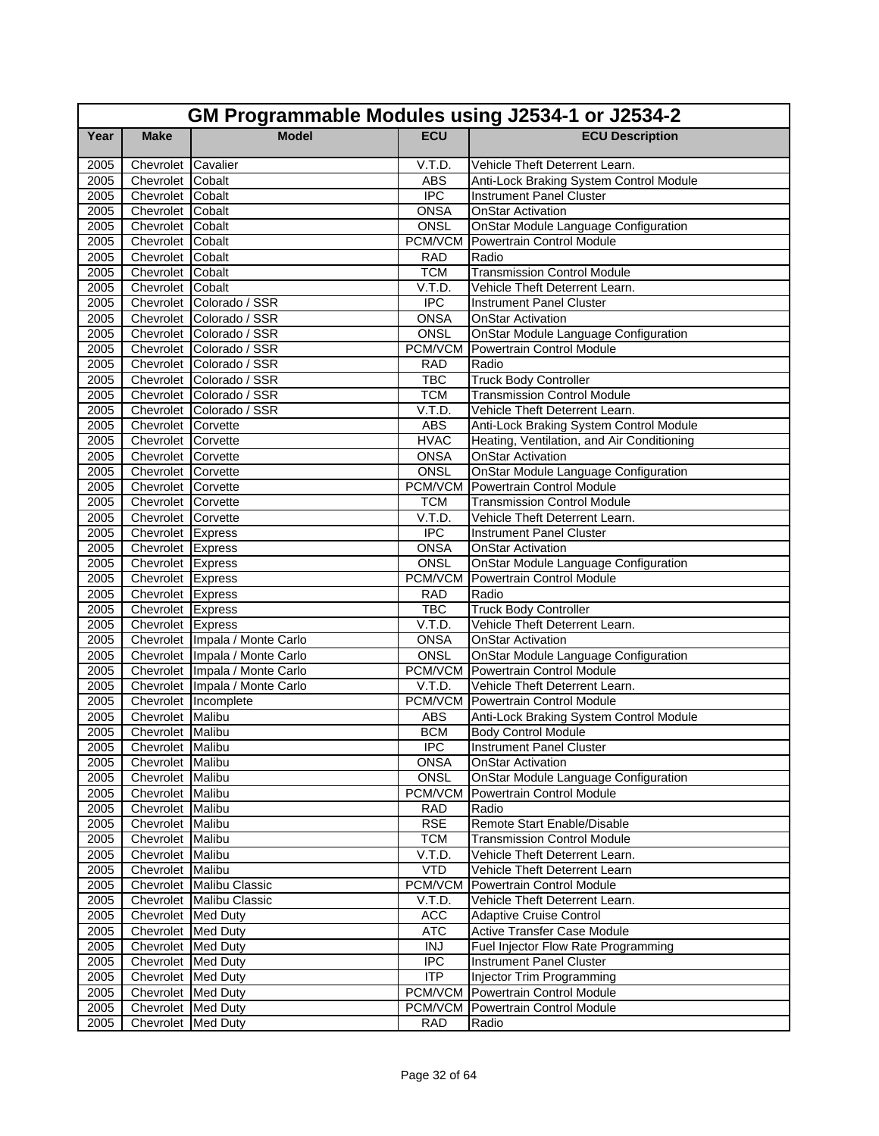|      | GM Programmable Modules using J2534-1 or J2534-2 |                                  |                  |                                             |  |  |
|------|--------------------------------------------------|----------------------------------|------------------|---------------------------------------------|--|--|
| Year | <b>Make</b>                                      | <b>Model</b>                     | <b>ECU</b>       | <b>ECU Description</b>                      |  |  |
| 2005 | Chevrolet Cavalier                               |                                  | V.T.D.           | Vehicle Theft Deterrent Learn.              |  |  |
| 2005 | Chevrolet Cobalt                                 |                                  | <b>ABS</b>       | Anti-Lock Braking System Control Module     |  |  |
| 2005 | Chevrolet Cobalt                                 |                                  | <b>IPC</b>       | <b>Instrument Panel Cluster</b>             |  |  |
| 2005 | Chevrolet Cobalt                                 |                                  | <b>ONSA</b>      | <b>OnStar Activation</b>                    |  |  |
| 2005 | Chevrolet Cobalt                                 |                                  | <b>ONSL</b>      | <b>OnStar Module Language Configuration</b> |  |  |
| 2005 | Chevrolet Cobalt                                 |                                  | PCM/VCM          | Powertrain Control Module                   |  |  |
| 2005 | Chevrolet Cobalt                                 |                                  | <b>RAD</b>       | Radio                                       |  |  |
| 2005 | Chevrolet Cobalt                                 |                                  | <b>TCM</b>       | <b>Transmission Control Module</b>          |  |  |
| 2005 | Chevrolet Cobalt                                 |                                  | V.T.D.           | Vehicle Theft Deterrent Learn.              |  |  |
| 2005 |                                                  | Chevrolet Colorado / SSR         | $\overline{IPC}$ | <b>Instrument Panel Cluster</b>             |  |  |
| 2005 |                                                  | Chevrolet Colorado / SSR         | ONSA             | <b>OnStar Activation</b>                    |  |  |
| 2005 |                                                  | Chevrolet Colorado / SSR         | ONSL             | <b>OnStar Module Language Configuration</b> |  |  |
| 2005 |                                                  | Chevrolet Colorado / SSR         | PCM/VCM          | Powertrain Control Module                   |  |  |
| 2005 |                                                  | Chevrolet Colorado / SSR         | <b>RAD</b>       | Radio                                       |  |  |
| 2005 |                                                  | Chevrolet Colorado / SSR         | <b>TBC</b>       | <b>Truck Body Controller</b>                |  |  |
| 2005 |                                                  | Chevrolet Colorado / SSR         | <b>TCM</b>       | <b>Transmission Control Module</b>          |  |  |
| 2005 |                                                  | Chevrolet Colorado / SSR         | V.T.D.           | Vehicle Theft Deterrent Learn.              |  |  |
| 2005 | Chevrolet Corvette                               |                                  | <b>ABS</b>       | Anti-Lock Braking System Control Module     |  |  |
| 2005 | Chevrolet Corvette                               |                                  | <b>HVAC</b>      | Heating, Ventilation, and Air Conditioning  |  |  |
| 2005 | Chevrolet Corvette                               |                                  | <b>ONSA</b>      | <b>OnStar Activation</b>                    |  |  |
| 2005 | Chevrolet Corvette                               |                                  | <b>ONSL</b>      | OnStar Module Language Configuration        |  |  |
| 2005 | Chevrolet Corvette                               |                                  | PCM/VCM          | <b>Powertrain Control Module</b>            |  |  |
| 2005 | Chevrolet Corvette                               |                                  | <b>TCM</b>       | <b>Transmission Control Module</b>          |  |  |
| 2005 | Chevrolet Corvette                               |                                  | V.T.D.           | Vehicle Theft Deterrent Learn.              |  |  |
| 2005 | Chevrolet Express                                |                                  | <b>IPC</b>       | <b>Instrument Panel Cluster</b>             |  |  |
| 2005 | Chevrolet Express                                |                                  | <b>ONSA</b>      | <b>OnStar Activation</b>                    |  |  |
| 2005 | Chevrolet Express                                |                                  | <b>ONSL</b>      | OnStar Module Language Configuration        |  |  |
| 2005 | Chevrolet Express                                |                                  | <b>PCM/VCM</b>   | <b>Powertrain Control Module</b>            |  |  |
| 2005 | Chevrolet Express                                |                                  | <b>RAD</b>       | Radio                                       |  |  |
| 2005 | Chevrolet Express                                |                                  | <b>TBC</b>       | <b>Truck Body Controller</b>                |  |  |
| 2005 | Chevrolet Express                                |                                  | V.T.D.           | Vehicle Theft Deterrent Learn.              |  |  |
| 2005 |                                                  | Chevrolet   Impala / Monte Carlo | <b>ONSA</b>      | <b>OnStar Activation</b>                    |  |  |
| 2005 |                                                  | Chevrolet   Impala / Monte Carlo | ONSL             | OnStar Module Language Configuration        |  |  |
| 2005 |                                                  | Chevrolet Impala / Monte Carlo   | PCM/VCM          | <b>Powertrain Control Module</b>            |  |  |
| 2005 |                                                  | Chevrolet Impala / Monte Carlo   | V.T.D.           | Vehicle Theft Deterrent Learn.              |  |  |
| 2005 |                                                  | Chevrolet Incomplete             | PCM/VCM          | Powertrain Control Module                   |  |  |
| 2005 | Chevrolet Malibu                                 |                                  | <b>ABS</b>       | Anti-Lock Braking System Control Module     |  |  |
| 2005 | Chevrolet Malibu                                 |                                  | <b>BCM</b>       | <b>Body Control Module</b>                  |  |  |
| 2005 | Chevrolet Malibu                                 |                                  | <b>IPC</b>       | Instrument Panel Cluster                    |  |  |
| 2005 | Chevrolet Malibu                                 |                                  | <b>ONSA</b>      | <b>OnStar Activation</b>                    |  |  |
| 2005 | Chevrolet Malibu                                 |                                  | ONSL             | <b>OnStar Module Language Configuration</b> |  |  |
| 2005 | Chevrolet Malibu                                 |                                  | PCM/VCM          | Powertrain Control Module                   |  |  |
| 2005 | Chevrolet Malibu                                 |                                  | <b>RAD</b>       | Radio                                       |  |  |
| 2005 | Chevrolet Malibu                                 |                                  | <b>RSE</b>       | Remote Start Enable/Disable                 |  |  |
| 2005 | Chevrolet Malibu                                 |                                  | <b>TCM</b>       | <b>Transmission Control Module</b>          |  |  |
| 2005 | Chevrolet Malibu                                 |                                  | V.T.D.           | Vehicle Theft Deterrent Learn.              |  |  |
| 2005 | Chevrolet Malibu                                 |                                  | VTD              | Vehicle Theft Deterrent Learn               |  |  |
| 2005 |                                                  | Chevrolet Malibu Classic         | PCM/VCM          | Powertrain Control Module                   |  |  |
| 2005 |                                                  | Chevrolet Malibu Classic         | V.T.D.           | Vehicle Theft Deterrent Learn.              |  |  |
| 2005 | Chevrolet Med Duty                               |                                  | ACC              | <b>Adaptive Cruise Control</b>              |  |  |
| 2005 | Chevrolet Med Duty                               |                                  | <b>ATC</b>       | <b>Active Transfer Case Module</b>          |  |  |
| 2005 | Chevrolet Med Duty                               |                                  | <b>INJ</b>       | Fuel Injector Flow Rate Programming         |  |  |
| 2005 | Chevrolet Med Duty                               |                                  | <b>IPC</b>       | Instrument Panel Cluster                    |  |  |
| 2005 | Chevrolet Med Duty                               |                                  | ITP              | Injector Trim Programming                   |  |  |
| 2005 | Chevrolet Med Duty                               |                                  | PCM/VCM          | Powertrain Control Module                   |  |  |
| 2005 | Chevrolet Med Duty                               |                                  | PCM/VCM          | Powertrain Control Module                   |  |  |
| 2005 | Chevrolet Med Duty                               |                                  | <b>RAD</b>       | Radio                                       |  |  |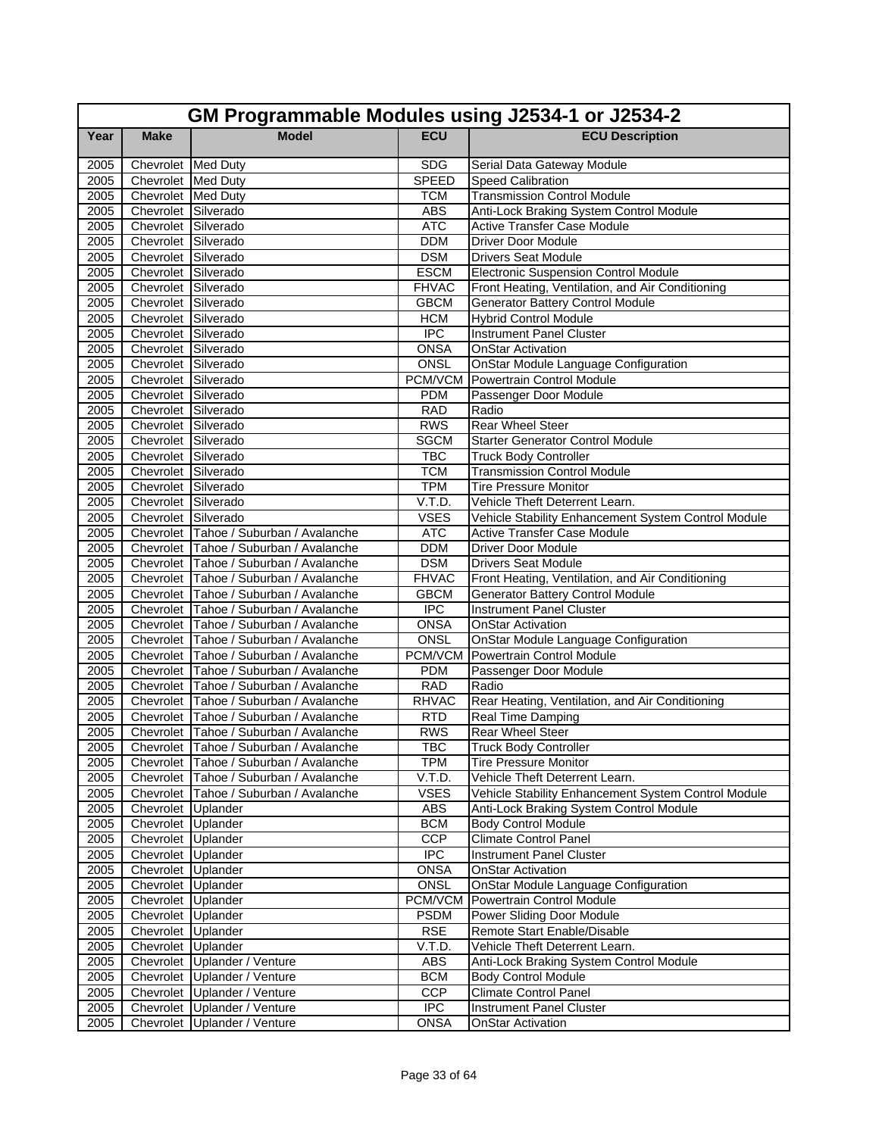|      | GM Programmable Modules using J2534-1 or J2534-2 |                                             |                  |                                                     |  |  |
|------|--------------------------------------------------|---------------------------------------------|------------------|-----------------------------------------------------|--|--|
| Year | <b>Make</b>                                      | <b>Model</b>                                | <b>ECU</b>       | <b>ECU Description</b>                              |  |  |
| 2005 | Chevrolet Med Duty                               |                                             | <b>SDG</b>       | Serial Data Gateway Module                          |  |  |
| 2005 | Chevrolet Med Duty                               |                                             | <b>SPEED</b>     | Speed Calibration                                   |  |  |
| 2005 | Chevrolet Med Duty                               |                                             | <b>TCM</b>       | <b>Transmission Control Module</b>                  |  |  |
| 2005 | Chevrolet Silverado                              |                                             | <b>ABS</b>       | Anti-Lock Braking System Control Module             |  |  |
| 2005 | Chevrolet Silverado                              |                                             | <b>ATC</b>       | <b>Active Transfer Case Module</b>                  |  |  |
| 2005 | Chevrolet Silverado                              |                                             | <b>DDM</b>       | <b>Driver Door Module</b>                           |  |  |
| 2005 | Chevrolet Silverado                              |                                             | <b>DSM</b>       | <b>Drivers Seat Module</b>                          |  |  |
| 2005 | Chevrolet Silverado                              |                                             | <b>ESCM</b>      | <b>Electronic Suspension Control Module</b>         |  |  |
| 2005 | Chevrolet Silverado                              |                                             | <b>FHVAC</b>     | Front Heating, Ventilation, and Air Conditioning    |  |  |
| 2005 | Chevrolet Silverado                              |                                             | <b>GBCM</b>      | <b>Generator Battery Control Module</b>             |  |  |
| 2005 | Chevrolet Silverado                              |                                             | <b>HCM</b>       | <b>Hybrid Control Module</b>                        |  |  |
| 2005 | Chevrolet Silverado                              |                                             | <b>IPC</b>       | Instrument Panel Cluster                            |  |  |
| 2005 | Chevrolet Silverado                              |                                             | <b>ONSA</b>      | <b>OnStar Activation</b>                            |  |  |
| 2005 | Chevrolet Silverado                              |                                             | <b>ONSL</b>      | <b>OnStar Module Language Configuration</b>         |  |  |
| 2005 | Chevrolet Silverado                              |                                             | PCM/VCM          | <b>Powertrain Control Module</b>                    |  |  |
| 2005 | Chevrolet Silverado                              |                                             | <b>PDM</b>       | Passenger Door Module                               |  |  |
| 2005 | Chevrolet Silverado                              |                                             | <b>RAD</b>       | Radio                                               |  |  |
| 2005 | Chevrolet Silverado                              |                                             | <b>RWS</b>       | <b>Rear Wheel Steer</b>                             |  |  |
| 2005 | Chevrolet Silverado                              |                                             | <b>SGCM</b>      | <b>Starter Generator Control Module</b>             |  |  |
| 2005 | Chevrolet Silverado                              |                                             | <b>TBC</b>       | <b>Truck Body Controller</b>                        |  |  |
| 2005 | Chevrolet Silverado                              |                                             | <b>TCM</b>       | <b>Transmission Control Module</b>                  |  |  |
| 2005 | Chevrolet Silverado                              |                                             | <b>TPM</b>       | <b>Tire Pressure Monitor</b>                        |  |  |
| 2005 | Chevrolet Silverado                              |                                             | V.T.D.           | Vehicle Theft Deterrent Learn.                      |  |  |
| 2005 | Chevrolet Silverado                              |                                             | <b>VSES</b>      | Vehicle Stability Enhancement System Control Module |  |  |
| 2005 |                                                  | Chevrolet   Tahoe / Suburban / Avalanche    | <b>ATC</b>       | <b>Active Transfer Case Module</b>                  |  |  |
| 2005 |                                                  | Chevrolet Tahoe / Suburban / Avalanche      | <b>DDM</b>       | <b>Driver Door Module</b>                           |  |  |
| 2005 |                                                  | Chevrolet   Tahoe / Suburban / Avalanche    | <b>DSM</b>       | <b>Drivers Seat Module</b>                          |  |  |
| 2005 |                                                  | Chevrolet Tahoe / Suburban / Avalanche      | <b>FHVAC</b>     | Front Heating, Ventilation, and Air Conditioning    |  |  |
| 2005 |                                                  | Chevrolet Tahoe / Suburban / Avalanche      | <b>GBCM</b>      | <b>Generator Battery Control Module</b>             |  |  |
| 2005 |                                                  | Chevrolet Tahoe / Suburban / Avalanche      | <b>IPC</b>       | <b>Instrument Panel Cluster</b>                     |  |  |
| 2005 |                                                  | Chevrolet Tahoe / Suburban / Avalanche      | <b>ONSA</b>      | <b>OnStar Activation</b>                            |  |  |
| 2005 |                                                  | Chevrolet   Tahoe / Suburban / Avalanche    | <b>ONSL</b>      | <b>OnStar Module Language Configuration</b>         |  |  |
| 2005 |                                                  | Chevrolet Tahoe / Suburban / Avalanche      | PCM/VCM          | <b>Powertrain Control Module</b>                    |  |  |
| 2005 |                                                  | Chevrolet Tahoe / Suburban / Avalanche      | <b>PDM</b>       | Passenger Door Module                               |  |  |
| 2005 |                                                  | Chevrolet Tahoe / Suburban / Avalanche      | <b>RAD</b>       | Radio                                               |  |  |
| 2005 |                                                  | Chevrolet Tahoe / Suburban / Avalanche      | <b>RHVAC</b>     | Rear Heating, Ventilation, and Air Conditioning     |  |  |
| 2005 |                                                  | Chevrolet Tahoe / Suburban / Avalanche      | <b>RTD</b>       | <b>Real Time Damping</b>                            |  |  |
| 2005 |                                                  | Chevrolet Tahoe / Suburban / Avalanche      | <b>RWS</b>       | Rear Wheel Steer                                    |  |  |
|      |                                                  | 2005 Chevrolet Tahoe / Suburban / Avalanche | <b>TBC</b>       | <b>Truck Body Controller</b>                        |  |  |
| 2005 |                                                  | Chevrolet Tahoe / Suburban / Avalanche      | <b>TPM</b>       | <b>Tire Pressure Monitor</b>                        |  |  |
| 2005 |                                                  | Chevrolet Tahoe / Suburban / Avalanche      | V.T.D.           | Vehicle Theft Deterrent Learn.                      |  |  |
| 2005 |                                                  | Chevrolet Tahoe / Suburban / Avalanche      | <b>VSES</b>      | Vehicle Stability Enhancement System Control Module |  |  |
| 2005 | Chevrolet Uplander                               |                                             | <b>ABS</b>       | Anti-Lock Braking System Control Module             |  |  |
| 2005 | Chevrolet Uplander                               |                                             | <b>BCM</b>       | <b>Body Control Module</b>                          |  |  |
| 2005 | Chevrolet Uplander                               |                                             | CCP              | <b>Climate Control Panel</b>                        |  |  |
| 2005 | Chevrolet Uplander                               |                                             | $\overline{IPC}$ | <b>Instrument Panel Cluster</b>                     |  |  |
| 2005 | Chevrolet Uplander                               |                                             | <b>ONSA</b>      | <b>OnStar Activation</b>                            |  |  |
| 2005 | Chevrolet Uplander                               |                                             | ONSL             | OnStar Module Language Configuration                |  |  |
| 2005 | Chevrolet Uplander                               |                                             | PCM/VCM          | Powertrain Control Module                           |  |  |
| 2005 | Chevrolet Uplander                               |                                             | <b>PSDM</b>      | Power Sliding Door Module                           |  |  |
| 2005 | Chevrolet Uplander                               |                                             | <b>RSE</b>       | Remote Start Enable/Disable                         |  |  |
| 2005 | Chevrolet Uplander                               |                                             | V.T.D.           | Vehicle Theft Deterrent Learn.                      |  |  |
| 2005 |                                                  | Chevrolet Uplander / Venture                | <b>ABS</b>       | Anti-Lock Braking System Control Module             |  |  |
| 2005 |                                                  | Chevrolet Uplander / Venture                | <b>BCM</b>       | <b>Body Control Module</b>                          |  |  |
| 2005 |                                                  | Chevrolet Uplander / Venture                | <b>CCP</b>       | Climate Control Panel                               |  |  |
| 2005 |                                                  | Chevrolet Uplander / Venture                | <b>IPC</b>       | <b>Instrument Panel Cluster</b>                     |  |  |
| 2005 |                                                  | Chevrolet Uplander / Venture                | <b>ONSA</b>      | <b>OnStar Activation</b>                            |  |  |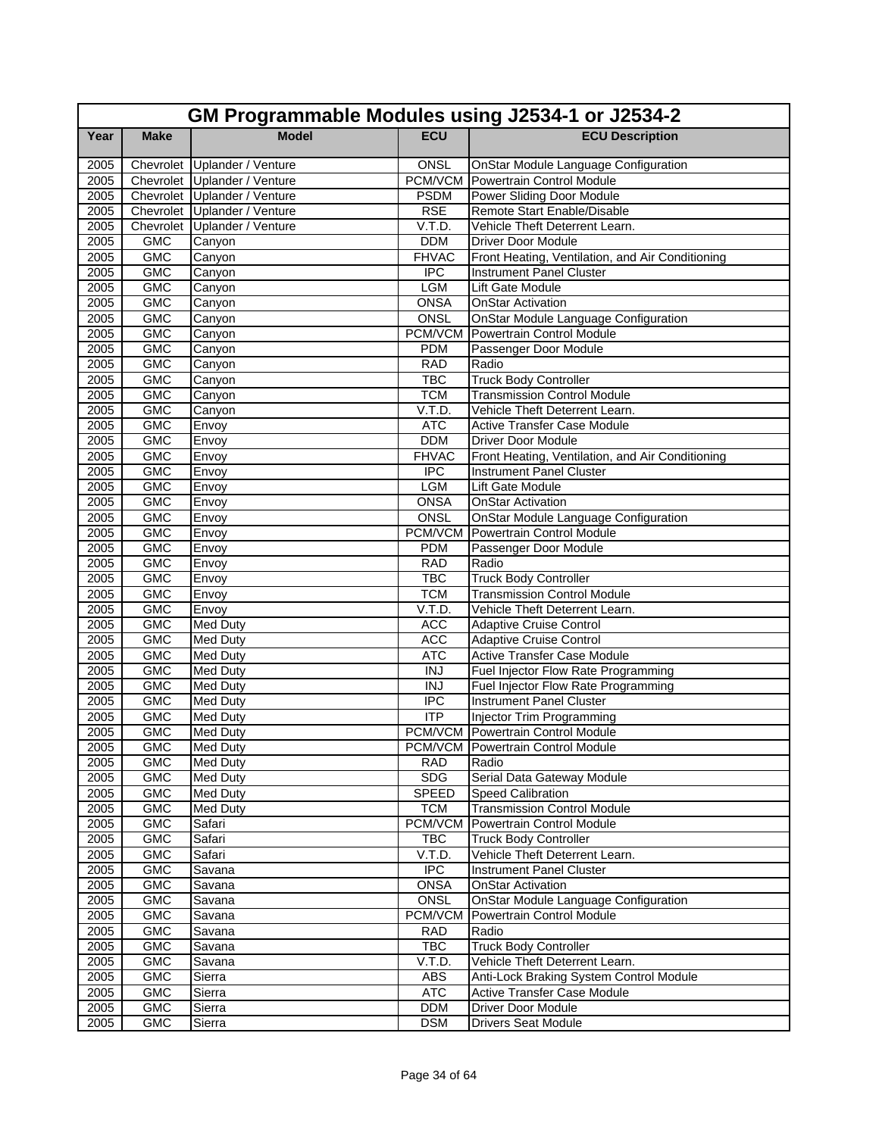|              | GM Programmable Modules using J2534-1 or J2534-2 |                              |                          |                                                                      |  |  |
|--------------|--------------------------------------------------|------------------------------|--------------------------|----------------------------------------------------------------------|--|--|
| Year         | <b>Make</b>                                      | <b>Model</b>                 | <b>ECU</b>               | <b>ECU Description</b>                                               |  |  |
| 2005         |                                                  | Chevrolet Uplander / Venture | ONSL                     | <b>OnStar Module Language Configuration</b>                          |  |  |
| 2005         |                                                  | Chevrolet Uplander / Venture |                          | <b>PCM/VCM</b> Powertrain Control Module                             |  |  |
| 2005         |                                                  | Chevrolet Uplander / Venture | <b>PSDM</b>              | <b>Power Sliding Door Module</b>                                     |  |  |
| 2005         |                                                  | Chevrolet Uplander / Venture | <b>RSE</b>               | Remote Start Enable/Disable                                          |  |  |
| 2005         |                                                  | Chevrolet Uplander / Venture | V.T.D.                   | Vehicle Theft Deterrent Learn.                                       |  |  |
| 2005         | <b>GMC</b>                                       | Canyon                       | <b>DDM</b>               | <b>Driver Door Module</b>                                            |  |  |
| 2005         | <b>GMC</b>                                       | Canyon                       | <b>FHVAC</b>             | Front Heating, Ventilation, and Air Conditioning                     |  |  |
| 2005         | <b>GMC</b>                                       | Canyon                       | <b>IPC</b>               | <b>Instrument Panel Cluster</b>                                      |  |  |
| 2005         | <b>GMC</b>                                       | Canyon                       | <b>LGM</b>               | Lift Gate Module                                                     |  |  |
| 2005         | <b>GMC</b>                                       | Canyon                       | <b>ONSA</b>              | <b>OnStar Activation</b>                                             |  |  |
| 2005         | <b>GMC</b>                                       | Canyon                       | ONSL                     | OnStar Module Language Configuration                                 |  |  |
| 2005         | <b>GMC</b>                                       | Canyon                       |                          | <b>PCM/VCM</b> Powertrain Control Module                             |  |  |
| 2005         | <b>GMC</b>                                       | Canyon                       | <b>PDM</b>               | Passenger Door Module                                                |  |  |
| 2005         | <b>GMC</b>                                       | Canyon                       | <b>RAD</b>               | Radio                                                                |  |  |
| 2005         | <b>GMC</b>                                       | Canyon                       | <b>TBC</b>               | <b>Truck Body Controller</b>                                         |  |  |
| 2005         | <b>GMC</b>                                       | Canyon                       | <b>TCM</b>               | <b>Transmission Control Module</b>                                   |  |  |
| 2005         | <b>GMC</b>                                       | Canyon                       | V.T.D.                   | Vehicle Theft Deterrent Learn.                                       |  |  |
| 2005         | <b>GMC</b>                                       | Envoy                        | <b>ATC</b>               | Active Transfer Case Module                                          |  |  |
| 2005         | <b>GMC</b>                                       | Envoy                        | <b>DDM</b>               | <b>Driver Door Module</b>                                            |  |  |
| 2005         | <b>GMC</b>                                       | Envoy                        | <b>FHVAC</b>             | Front Heating, Ventilation, and Air Conditioning                     |  |  |
| 2005         | <b>GMC</b>                                       | Envoy                        | $\overline{IPC}$         | Instrument Panel Cluster                                             |  |  |
| 2005         | <b>GMC</b>                                       | Envoy                        | <b>LGM</b>               | Lift Gate Module                                                     |  |  |
| 2005         | <b>GMC</b>                                       | Envoy                        | <b>ONSA</b>              | <b>OnStar Activation</b>                                             |  |  |
| 2005         | <b>GMC</b>                                       | Envoy                        | ONSL                     | OnStar Module Language Configuration                                 |  |  |
| 2005         | <b>GMC</b>                                       | Envoy                        | PCM/VCM                  | Powertrain Control Module                                            |  |  |
| 2005         | <b>GMC</b>                                       | Envoy                        | <b>PDM</b>               | Passenger Door Module                                                |  |  |
| 2005         | <b>GMC</b>                                       | Envoy                        | <b>RAD</b>               | Radio                                                                |  |  |
| 2005         | GMC                                              | Envoy                        | <b>TBC</b>               | <b>Truck Body Controller</b>                                         |  |  |
| 2005         | <b>GMC</b>                                       | Envoy                        | <b>TCM</b>               | <b>Transmission Control Module</b>                                   |  |  |
| 2005         | <b>GMC</b>                                       | Envoy                        | V.T.D.                   | Vehicle Theft Deterrent Learn.                                       |  |  |
| 2005<br>2005 | <b>GMC</b><br><b>GMC</b>                         | Med Duty                     | <b>ACC</b><br><b>ACC</b> | <b>Adaptive Cruise Control</b>                                       |  |  |
|              | <b>GMC</b>                                       | Med Duty                     | <b>ATC</b>               | <b>Adaptive Cruise Control</b><br><b>Active Transfer Case Module</b> |  |  |
| 2005<br>2005 | <b>GMC</b>                                       | Med Duty<br>Med Duty         | <b>INJ</b>               | Fuel Injector Flow Rate Programming                                  |  |  |
| 2005         | <b>GMC</b>                                       | Med Duty                     | <b>INJ</b>               | Fuel Injector Flow Rate Programming                                  |  |  |
| 2005         | <b>GMC</b>                                       | Med Duty                     | <b>IPC</b>               | <b>Instrument Panel Cluster</b>                                      |  |  |
| 2005         | <b>GMC</b>                                       | <b>Med Duty</b>              | $\overline{ITP}$         | <b>Injector Trim Programming</b>                                     |  |  |
| 2005         | <b>GMC</b>                                       | Med Duty                     |                          | <b>PCM/VCM</b> Powertrain Control Module                             |  |  |
| 2005         | GMC                                              | <b>Med Duty</b>              |                          | PCM/VCM Powertrain Control Module                                    |  |  |
| 2005         | <b>GMC</b>                                       | <b>Med Duty</b>              | RAD                      | Radio                                                                |  |  |
| 2005         | <b>GMC</b>                                       | Med Duty                     | <b>SDG</b>               | Serial Data Gateway Module                                           |  |  |
| 2005         | <b>GMC</b>                                       | Med Duty                     | <b>SPEED</b>             | <b>Speed Calibration</b>                                             |  |  |
| 2005         | <b>GMC</b>                                       | Med Duty                     | <b>TCM</b>               | <b>Transmission Control Module</b>                                   |  |  |
| 2005         | <b>GMC</b>                                       | Safari                       | PCM/VCM                  | Powertrain Control Module                                            |  |  |
| 2005         | <b>GMC</b>                                       | Safari                       | <b>TBC</b>               | <b>Truck Body Controller</b>                                         |  |  |
| 2005         | GMC                                              | Safari                       | V.T.D.                   | Vehicle Theft Deterrent Learn.                                       |  |  |
| 2005         | <b>GMC</b>                                       | Savana                       | $\overline{IPC}$         | <b>Instrument Panel Cluster</b>                                      |  |  |
| 2005         | <b>GMC</b>                                       | Savana                       | <b>ONSA</b>              | <b>OnStar Activation</b>                                             |  |  |
| 2005         | <b>GMC</b>                                       | Savana                       | ONSL                     | <b>OnStar Module Language Configuration</b>                          |  |  |
| 2005         | <b>GMC</b>                                       | Savana                       | PCM/VCM                  | Powertrain Control Module                                            |  |  |
| 2005         | <b>GMC</b>                                       | Savana                       | <b>RAD</b>               | Radio                                                                |  |  |
| 2005         | <b>GMC</b>                                       | Savana                       | <b>TBC</b>               | <b>Truck Body Controller</b>                                         |  |  |
| 2005         | GMC                                              | Savana                       | V.T.D.                   | Vehicle Theft Deterrent Learn.                                       |  |  |
| 2005         | <b>GMC</b>                                       | Sierra                       | ABS                      | Anti-Lock Braking System Control Module                              |  |  |
| 2005         | <b>GMC</b>                                       | Sierra                       | <b>ATC</b>               | Active Transfer Case Module                                          |  |  |
| 2005         | <b>GMC</b>                                       | Sierra                       | <b>DDM</b>               | Driver Door Module                                                   |  |  |
| 2005         | <b>GMC</b>                                       | Sierra                       | <b>DSM</b>               | <b>Drivers Seat Module</b>                                           |  |  |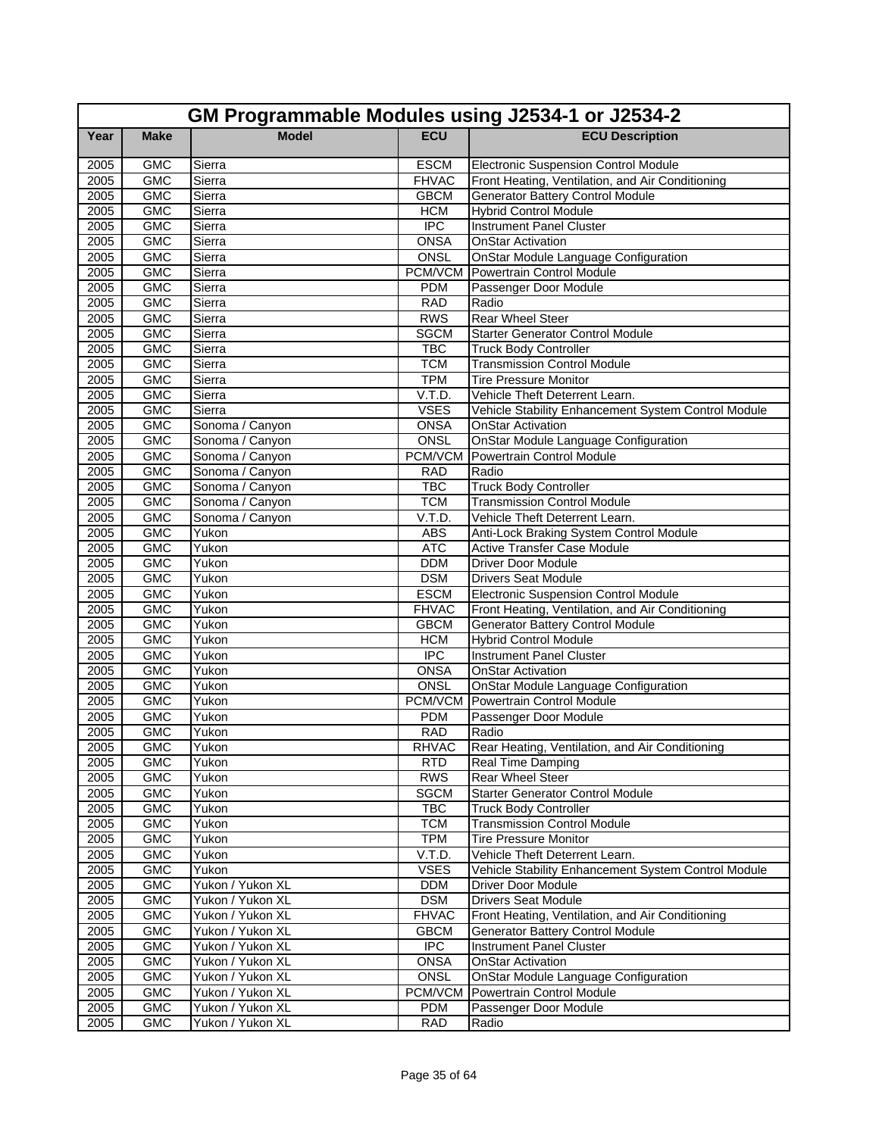|              | GM Programmable Modules using J2534-1 or J2534-2 |                  |                                |                                                                   |  |  |
|--------------|--------------------------------------------------|------------------|--------------------------------|-------------------------------------------------------------------|--|--|
| Year         | <b>Make</b>                                      | <b>Model</b>     | <b>ECU</b>                     | <b>ECU Description</b>                                            |  |  |
| 2005         | <b>GMC</b>                                       | Sierra           | <b>ESCM</b>                    | Electronic Suspension Control Module                              |  |  |
| 2005         | <b>GMC</b>                                       | Sierra           | <b>FHVAC</b>                   | Front Heating, Ventilation, and Air Conditioning                  |  |  |
| 2005         | <b>GMC</b>                                       | Sierra           | <b>GBCM</b>                    | <b>Generator Battery Control Module</b>                           |  |  |
| 2005         | <b>GMC</b>                                       | Sierra           | <b>HCM</b>                     | <b>Hybrid Control Module</b>                                      |  |  |
| 2005         | <b>GMC</b>                                       | Sierra           | <b>IPC</b>                     | <b>Instrument Panel Cluster</b>                                   |  |  |
| 2005         | <b>GMC</b>                                       | Sierra           | <b>ONSA</b>                    | <b>OnStar Activation</b>                                          |  |  |
| 2005         | <b>GMC</b>                                       | Sierra           | ONSL                           | <b>OnStar Module Language Configuration</b>                       |  |  |
| 2005         | <b>GMC</b>                                       | Sierra           | PCM/VCM                        | Powertrain Control Module                                         |  |  |
| 2005         | <b>GMC</b>                                       | Sierra           | <b>PDM</b>                     | Passenger Door Module                                             |  |  |
| 2005         | <b>GMC</b>                                       | Sierra           | <b>RAD</b>                     | Radio                                                             |  |  |
| 2005         | <b>GMC</b>                                       | Sierra           | <b>RWS</b>                     | <b>Rear Wheel Steer</b>                                           |  |  |
| 2005         | <b>GMC</b>                                       | Sierra           | <b>SGCM</b>                    | <b>Starter Generator Control Module</b>                           |  |  |
| 2005         | <b>GMC</b>                                       | Sierra           | <b>TBC</b>                     | <b>Truck Body Controller</b>                                      |  |  |
| 2005         | <b>GMC</b>                                       | Sierra           | <b>TCM</b>                     | <b>Transmission Control Module</b>                                |  |  |
| 2005         | <b>GMC</b>                                       | Sierra           | <b>TPM</b>                     | Tire Pressure Monitor                                             |  |  |
| 2005         | <b>GMC</b>                                       | Sierra           | V.T.D.                         | Vehicle Theft Deterrent Learn.                                    |  |  |
| 2005         | <b>GMC</b>                                       | Sierra           | <b>VSES</b>                    | Vehicle Stability Enhancement System Control Module               |  |  |
| 2005         | <b>GMC</b>                                       | Sonoma / Canyon  | <b>ONSA</b>                    | <b>OnStar Activation</b>                                          |  |  |
| 2005         | <b>GMC</b>                                       | Sonoma / Canyon  | ONSL                           | OnStar Module Language Configuration                              |  |  |
| 2005         | <b>GMC</b>                                       | Sonoma / Canyon  | <b>PCM/VCM</b>                 | <b>Powertrain Control Module</b>                                  |  |  |
| 2005         | <b>GMC</b>                                       | Sonoma / Canyon  | <b>RAD</b>                     | Radio                                                             |  |  |
| 2005         | <b>GMC</b>                                       | Sonoma / Canyon  | <b>TBC</b>                     | <b>Truck Body Controller</b>                                      |  |  |
| 2005         | <b>GMC</b>                                       | Sonoma / Canyon  | <b>TCM</b>                     | <b>Transmission Control Module</b>                                |  |  |
| 2005         | <b>GMC</b>                                       | Sonoma / Canyon  | V.T.D.                         | Vehicle Theft Deterrent Learn.                                    |  |  |
| 2005         | <b>GMC</b>                                       | Yukon            | <b>ABS</b>                     | Anti-Lock Braking System Control Module                           |  |  |
| 2005         | <b>GMC</b>                                       | Yukon            | <b>ATC</b>                     | <b>Active Transfer Case Module</b>                                |  |  |
| 2005         | <b>GMC</b>                                       | Yukon            | <b>DDM</b>                     | <b>Driver Door Module</b>                                         |  |  |
| 2005         | <b>GMC</b>                                       | Yukon            | <b>DSM</b>                     | <b>Drivers Seat Module</b>                                        |  |  |
| 2005         | <b>GMC</b>                                       | Yukon            | <b>ESCM</b>                    | <b>Electronic Suspension Control Module</b>                       |  |  |
| 2005         | <b>GMC</b>                                       | Yukon            | <b>FHVAC</b>                   | Front Heating, Ventilation, and Air Conditioning                  |  |  |
| 2005         | <b>GMC</b>                                       | Yukon            | <b>GBCM</b>                    | <b>Generator Battery Control Module</b>                           |  |  |
| 2005         | <b>GMC</b>                                       | Yukon            | <b>HCM</b><br>$\overline{IPC}$ | <b>Hybrid Control Module</b>                                      |  |  |
| 2005         | <b>GMC</b><br><b>GMC</b>                         | Yukon<br>Yukon   | <b>ONSA</b>                    | Instrument Panel Cluster<br><b>OnStar Activation</b>              |  |  |
| 2005<br>2005 | <b>GMC</b>                                       | Yukon            | ONSL                           |                                                                   |  |  |
| 2005         | <b>GMC</b>                                       |                  | PCM/VCM                        | OnStar Module Language Configuration<br>Powertrain Control Module |  |  |
| 2005         | <b>GMC</b>                                       | Yukon<br>Yukon   | <b>PDM</b>                     |                                                                   |  |  |
| 2005         | <b>GMC</b>                                       | Yukon            | <b>RAD</b>                     | Passenger Door Module<br>Radio                                    |  |  |
| 2005         | GMC                                              | Yukon            | RHVAC                          | Rear Heating, Ventilation, and Air Conditioning                   |  |  |
| 2005         | <b>GMC</b>                                       | Yukon            | <b>RTD</b>                     | Real Time Damping                                                 |  |  |
| 2005         | <b>GMC</b>                                       | Yukon            | <b>RWS</b>                     | <b>Rear Wheel Steer</b>                                           |  |  |
| 2005         | <b>GMC</b>                                       | Yukon            | <b>SGCM</b>                    | <b>Starter Generator Control Module</b>                           |  |  |
| 2005         | <b>GMC</b>                                       | Yukon            | <b>TBC</b>                     | <b>Truck Body Controller</b>                                      |  |  |
| 2005         | <b>GMC</b>                                       | Yukon            | <b>TCM</b>                     | <b>Transmission Control Module</b>                                |  |  |
| 2005         | <b>GMC</b>                                       | Yukon            | <b>TPM</b>                     | <b>Tire Pressure Monitor</b>                                      |  |  |
| 2005         | <b>GMC</b>                                       | Yukon            | V.T.D.                         | Vehicle Theft Deterrent Learn.                                    |  |  |
| 2005         | <b>GMC</b>                                       | Yukon            | <b>VSES</b>                    | Vehicle Stability Enhancement System Control Module               |  |  |
| 2005         | <b>GMC</b>                                       | Yukon / Yukon XL | <b>DDM</b>                     | <b>Driver Door Module</b>                                         |  |  |
| 2005         | <b>GMC</b>                                       | Yukon / Yukon XL | <b>DSM</b>                     | <b>Drivers Seat Module</b>                                        |  |  |
| 2005         | <b>GMC</b>                                       | Yukon / Yukon XL | <b>FHVAC</b>                   | Front Heating, Ventilation, and Air Conditioning                  |  |  |
| 2005         | GMC                                              | Yukon / Yukon XL | <b>GBCM</b>                    | <b>Generator Battery Control Module</b>                           |  |  |
| 2005         | <b>GMC</b>                                       | Yukon / Yukon XL | <b>IPC</b>                     | Instrument Panel Cluster                                          |  |  |
| 2005         | <b>GMC</b>                                       | Yukon / Yukon XL | <b>ONSA</b>                    | <b>OnStar Activation</b>                                          |  |  |
|              | <b>GMC</b>                                       | Yukon / Yukon XL | ONSL                           | OnStar Module Language Configuration                              |  |  |
| 2005<br>2005 | <b>GMC</b>                                       | Yukon / Yukon XL | <b>PCM/VCM</b>                 | <b>Powertrain Control Module</b>                                  |  |  |
| 2005         | <b>GMC</b>                                       | Yukon / Yukon XL | PDM                            | Passenger Door Module                                             |  |  |
| 2005         | <b>GMC</b>                                       | Yukon / Yukon XL | <b>RAD</b>                     | Radio                                                             |  |  |
|              |                                                  |                  |                                |                                                                   |  |  |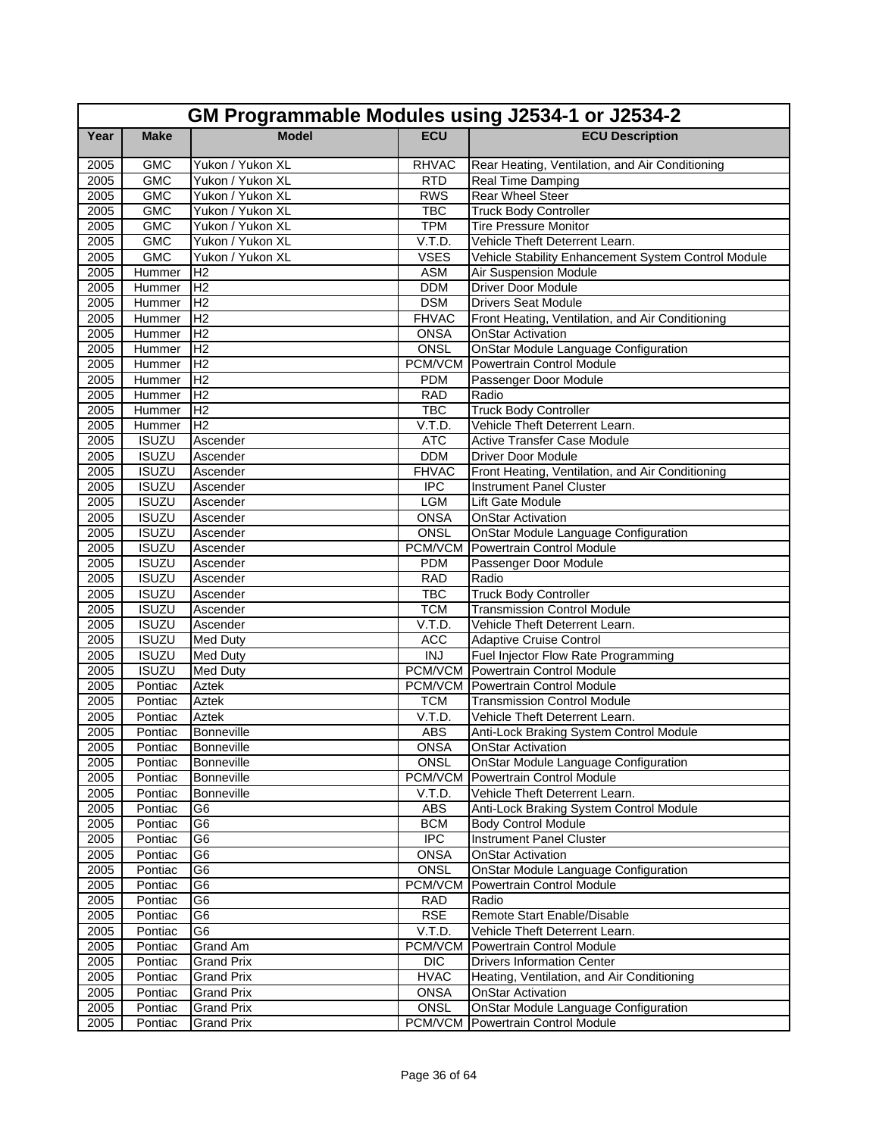|      | GM Programmable Modules using J2534-1 or J2534-2 |                    |                |                                                     |  |  |
|------|--------------------------------------------------|--------------------|----------------|-----------------------------------------------------|--|--|
| Year | <b>Make</b>                                      | <b>Model</b>       | <b>ECU</b>     | <b>ECU Description</b>                              |  |  |
| 2005 | <b>GMC</b>                                       | Yukon / Yukon XL   | <b>RHVAC</b>   | Rear Heating, Ventilation, and Air Conditioning     |  |  |
| 2005 | <b>GMC</b>                                       | Yukon / Yukon XL   | <b>RTD</b>     | Real Time Damping                                   |  |  |
| 2005 | <b>GMC</b>                                       | Yukon / Yukon XL   | <b>RWS</b>     | <b>Rear Wheel Steer</b>                             |  |  |
| 2005 | <b>GMC</b>                                       | Yukon / Yukon XL   | <b>TBC</b>     | <b>Truck Body Controller</b>                        |  |  |
| 2005 | <b>GMC</b>                                       | Yukon / Yukon XL   | <b>TPM</b>     | <b>Tire Pressure Monitor</b>                        |  |  |
| 2005 | <b>GMC</b>                                       | Yukon / Yukon XL   | V.T.D.         | Vehicle Theft Deterrent Learn.                      |  |  |
| 2005 | <b>GMC</b>                                       | Yukon / Yukon XL   | <b>VSES</b>    | Vehicle Stability Enhancement System Control Module |  |  |
| 2005 | Hummer                                           | H <sub>2</sub>     | <b>ASM</b>     | Air Suspension Module                               |  |  |
| 2005 | Hummer                                           | H <sub>2</sub>     | <b>DDM</b>     | <b>Driver Door Module</b>                           |  |  |
| 2005 | Hummer                                           | H <sub>2</sub>     | <b>DSM</b>     | <b>Drivers Seat Module</b>                          |  |  |
| 2005 | Hummer                                           | H <sub>2</sub>     | <b>FHVAC</b>   | Front Heating, Ventilation, and Air Conditioning    |  |  |
| 2005 | Hummer                                           | H <sub>2</sub>     | <b>ONSA</b>    | <b>OnStar Activation</b>                            |  |  |
| 2005 | Hummer                                           | IH <sub>2</sub>    | <b>ONSL</b>    | <b>OnStar Module Language Configuration</b>         |  |  |
| 2005 | Hummer                                           | H <sub>2</sub>     | PCM/VCM        | Powertrain Control Module                           |  |  |
| 2005 | Hummer                                           | H <sub>2</sub>     | <b>PDM</b>     | Passenger Door Module                               |  |  |
| 2005 | Hummer                                           | H <sub>2</sub>     | <b>RAD</b>     | Radio                                               |  |  |
| 2005 | Hummer                                           | H <sub>2</sub>     | <b>TBC</b>     | <b>Truck Body Controller</b>                        |  |  |
| 2005 | Hummer                                           | H <sub>2</sub>     | V.T.D.         | Vehicle Theft Deterrent Learn.                      |  |  |
| 2005 | <b>ISUZU</b>                                     | Ascender           | <b>ATC</b>     | <b>Active Transfer Case Module</b>                  |  |  |
| 2005 | <b>ISUZU</b>                                     | Ascender           | <b>DDM</b>     | <b>Driver Door Module</b>                           |  |  |
| 2005 | <b>ISUZU</b>                                     | Ascender           | <b>FHVAC</b>   | Front Heating, Ventilation, and Air Conditioning    |  |  |
| 2005 | <b>ISUZU</b>                                     | Ascender           | <b>IPC</b>     | <b>Instrument Panel Cluster</b>                     |  |  |
| 2005 | <b>ISUZU</b>                                     | Ascender           | LGM            | Lift Gate Module                                    |  |  |
| 2005 | <b>ISUZU</b>                                     | Ascender           | <b>ONSA</b>    | <b>OnStar Activation</b>                            |  |  |
| 2005 | <b>ISUZU</b>                                     | Ascender           | <b>ONSL</b>    | <b>OnStar Module Language Configuration</b>         |  |  |
| 2005 | <b>ISUZU</b>                                     | Ascender           | PCM/VCM        | Powertrain Control Module                           |  |  |
| 2005 | <b>ISUZU</b>                                     | Ascender           | <b>PDM</b>     | Passenger Door Module                               |  |  |
| 2005 | <b>ISUZU</b>                                     | Ascender           | <b>RAD</b>     | Radio                                               |  |  |
| 2005 | <b>ISUZU</b>                                     | Ascender           | <b>TBC</b>     | <b>Truck Body Controller</b>                        |  |  |
| 2005 | <b>ISUZU</b>                                     | Ascender           | <b>TCM</b>     | <b>Transmission Control Module</b>                  |  |  |
| 2005 | <b>ISUZU</b>                                     | Ascender           | V.T.D.         | Vehicle Theft Deterrent Learn.                      |  |  |
| 2005 | <b>ISUZU</b>                                     | <b>Med Duty</b>    | <b>ACC</b>     | <b>Adaptive Cruise Control</b>                      |  |  |
| 2005 | <b>ISUZU</b>                                     | <b>Med Duty</b>    | $\overline{N}$ | Fuel Injector Flow Rate Programming                 |  |  |
| 2005 | <b>ISUZU</b>                                     | <b>Med Duty</b>    |                | <b>PCM/VCM</b> Powertrain Control Module            |  |  |
| 2005 | Pontiac                                          | <b>Aztek</b>       |                | <b>PCM/VCM</b> Powertrain Control Module            |  |  |
| 2005 | Pontiac                                          | Aztek              | <b>TCM</b>     | <b>Transmission Control Module</b>                  |  |  |
| 2005 | Pontiac                                          | Aztek              | V.T.D.         | Vehicle Theft Deterrent Learn.                      |  |  |
| 2005 | Pontiac                                          | Bonneville         | <b>ABS</b>     | Anti-Lock Braking System Control Module             |  |  |
| 2005 |                                                  | Pontiac Bonneville | <b>ONSA</b>    | <b>OnStar Activation</b>                            |  |  |
| 2005 | Pontiac                                          | Bonneville         | <b>ONSL</b>    | OnStar Module Language Configuration                |  |  |
| 2005 | Pontiac                                          | Bonneville         | PCM/VCM        | Powertrain Control Module                           |  |  |
| 2005 | Pontiac                                          | Bonneville         | V.T.D.         | Vehicle Theft Deterrent Learn.                      |  |  |
| 2005 | Pontiac                                          | G6                 | <b>ABS</b>     | Anti-Lock Braking System Control Module             |  |  |
| 2005 | Pontiac                                          | G <sub>6</sub>     | <b>BCM</b>     | <b>Body Control Module</b>                          |  |  |
| 2005 | Pontiac                                          | G <sub>6</sub>     | <b>IPC</b>     | Instrument Panel Cluster                            |  |  |
| 2005 | Pontiac                                          | G6                 | <b>ONSA</b>    | <b>OnStar Activation</b>                            |  |  |
| 2005 | Pontiac                                          | G6                 | ONSL           | OnStar Module Language Configuration                |  |  |
| 2005 | Pontiac                                          | G6                 | PCM/VCM        | Powertrain Control Module                           |  |  |
| 2005 | Pontiac                                          | G <sub>6</sub>     | <b>RAD</b>     | Radio                                               |  |  |
| 2005 | Pontiac                                          | G6                 | <b>RSE</b>     | Remote Start Enable/Disable                         |  |  |
| 2005 | Pontiac                                          | G6                 | V.T.D.         | Vehicle Theft Deterrent Learn.                      |  |  |
| 2005 | Pontiac                                          | Grand Am           | PCM/VCM        | Powertrain Control Module                           |  |  |
| 2005 | Pontiac                                          | <b>Grand Prix</b>  | <b>DIC</b>     | <b>Drivers Information Center</b>                   |  |  |
| 2005 | Pontiac                                          | <b>Grand Prix</b>  | <b>HVAC</b>    | Heating, Ventilation, and Air Conditioning          |  |  |
| 2005 | Pontiac                                          | <b>Grand Prix</b>  | <b>ONSA</b>    | <b>OnStar Activation</b>                            |  |  |
| 2005 | Pontiac                                          | Grand Prix         | ONSL           | OnStar Module Language Configuration                |  |  |
| 2005 | Pontiac                                          | <b>Grand Prix</b>  |                | PCM/VCM Powertrain Control Module                   |  |  |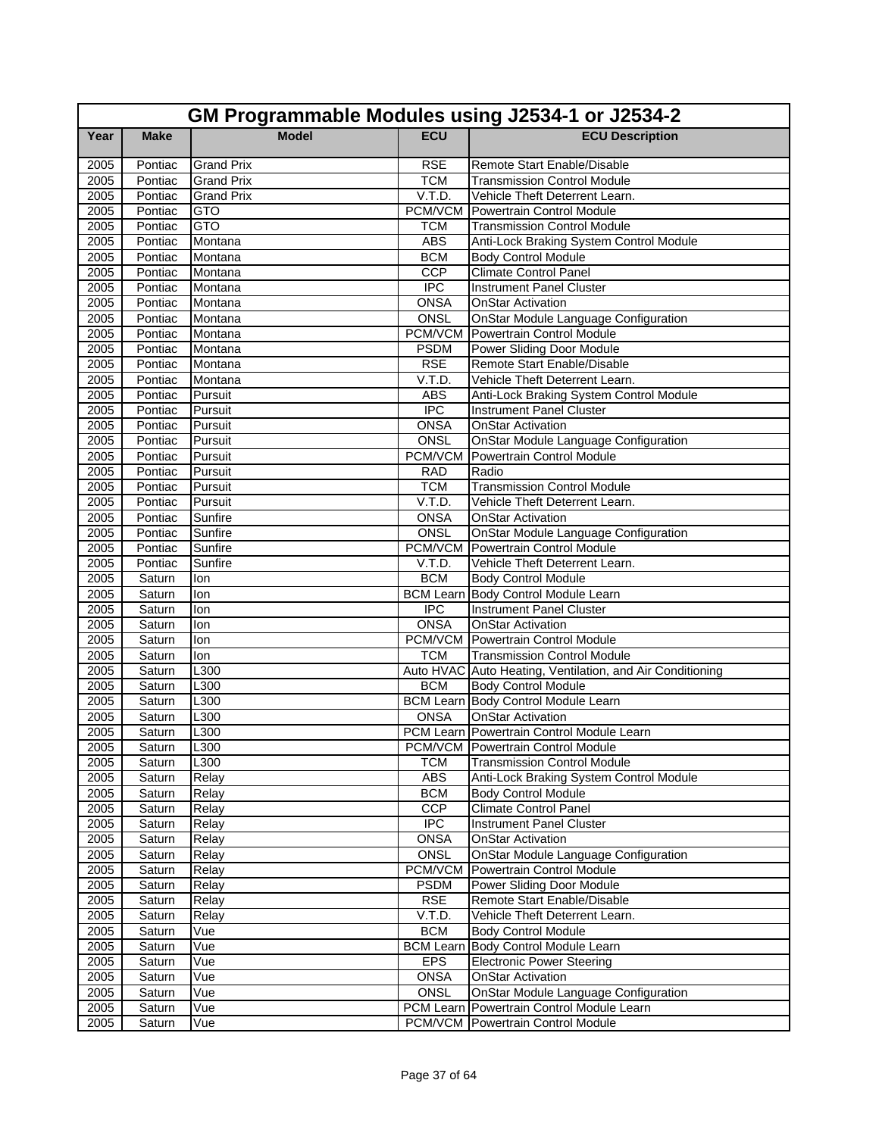|      | GM Programmable Modules using J2534-1 or J2534-2 |                   |                  |                                                           |  |
|------|--------------------------------------------------|-------------------|------------------|-----------------------------------------------------------|--|
| Year | <b>Make</b>                                      | <b>Model</b>      | <b>ECU</b>       | <b>ECU Description</b>                                    |  |
| 2005 | Pontiac                                          | <b>Grand Prix</b> | <b>RSE</b>       | Remote Start Enable/Disable                               |  |
| 2005 | Pontiac                                          | <b>Grand Prix</b> | <b>TCM</b>       | <b>Transmission Control Module</b>                        |  |
| 2005 | Pontiac                                          | <b>Grand Prix</b> | V.T.D.           | Vehicle Theft Deterrent Learn.                            |  |
| 2005 | Pontiac                                          | <b>GTO</b>        | PCM/VCM          | Powertrain Control Module                                 |  |
| 2005 | Pontiac                                          | GTO               | <b>TCM</b>       | Transmission Control Module                               |  |
| 2005 | Pontiac                                          | Montana           | <b>ABS</b>       | Anti-Lock Braking System Control Module                   |  |
| 2005 | Pontiac                                          | Montana           | <b>BCM</b>       | <b>Body Control Module</b>                                |  |
| 2005 | Pontiac                                          | Montana           | CCP              | <b>Climate Control Panel</b>                              |  |
| 2005 | Pontiac                                          | Montana           | <b>IPC</b>       | <b>Instrument Panel Cluster</b>                           |  |
| 2005 | Pontiac                                          | Montana           | <b>ONSA</b>      | <b>OnStar Activation</b>                                  |  |
| 2005 | Pontiac                                          | Montana           | ONSL             | OnStar Module Language Configuration                      |  |
| 2005 | Pontiac                                          | Montana           | PCM/VCM          | Powertrain Control Module                                 |  |
| 2005 | Pontiac                                          | Montana           | <b>PSDM</b>      | Power Sliding Door Module                                 |  |
| 2005 | Pontiac                                          | Montana           | <b>RSE</b>       | Remote Start Enable/Disable                               |  |
| 2005 | Pontiac                                          | Montana           | V.T.D.           | Vehicle Theft Deterrent Learn.                            |  |
| 2005 | Pontiac                                          | Pursuit           | <b>ABS</b>       | Anti-Lock Braking System Control Module                   |  |
| 2005 | Pontiac                                          | Pursuit           | <b>IPC</b>       | <b>Instrument Panel Cluster</b>                           |  |
| 2005 | Pontiac                                          | Pursuit           | <b>ONSA</b>      | <b>OnStar Activation</b>                                  |  |
| 2005 | Pontiac                                          | Pursuit           | <b>ONSL</b>      | OnStar Module Language Configuration                      |  |
| 2005 | Pontiac                                          | Pursuit           | PCM/VCM          | Powertrain Control Module                                 |  |
| 2005 | Pontiac                                          | Pursuit           | <b>RAD</b>       | Radio                                                     |  |
| 2005 | Pontiac                                          | Pursuit           | <b>TCM</b>       | <b>Transmission Control Module</b>                        |  |
| 2005 | Pontiac                                          | Pursuit           | V.T.D.           | Vehicle Theft Deterrent Learn.                            |  |
| 2005 | Pontiac                                          | Sunfire           | <b>ONSA</b>      | <b>OnStar Activation</b>                                  |  |
| 2005 | Pontiac                                          | Sunfire           | <b>ONSL</b>      | OnStar Module Language Configuration                      |  |
| 2005 | Pontiac                                          | Sunfire           |                  | <b>PCM/VCM</b> Powertrain Control Module                  |  |
| 2005 | Pontiac                                          | Sunfire           | V.T.D.           | Vehicle Theft Deterrent Learn.                            |  |
| 2005 | Saturn                                           | lon               | <b>BCM</b>       | <b>Body Control Module</b>                                |  |
| 2005 | Saturn                                           | lon               | <b>BCM Learn</b> | Body Control Module Learn                                 |  |
| 2005 | Saturn                                           | lon               | <b>IPC</b>       | <b>Instrument Panel Cluster</b>                           |  |
| 2005 | Saturn                                           | lon               | <b>ONSA</b>      | <b>OnStar Activation</b>                                  |  |
| 2005 | Saturn                                           | lon               |                  | <b>PCM/VCM</b> Powertrain Control Module                  |  |
| 2005 | Saturn                                           | lon               | <b>TCM</b>       | <b>Transmission Control Module</b>                        |  |
| 2005 | Saturn                                           | L300              |                  | Auto HVAC Auto Heating, Ventilation, and Air Conditioning |  |
| 2005 | Saturn                                           | L300              | <b>BCM</b>       | <b>Body Control Module</b>                                |  |
| 2005 | Saturn                                           | L300              |                  | <b>BCM Learn Body Control Module Learn</b>                |  |
| 2005 | Saturn                                           | L300              | <b>ONSA</b>      | <b>OnStar Activation</b>                                  |  |
| 2005 | Saturn                                           | L300              |                  | PCM Learn Powertrain Control Module Learn                 |  |
| 2005 | Saturn                                           | L <sub>300</sub>  |                  | PCM/VCM Powertrain Control Module                         |  |
| 2005 | Saturn                                           | L300              | <b>TCM</b>       | <b>Transmission Control Module</b>                        |  |
| 2005 | Saturn                                           | Relay             | ABS              | Anti-Lock Braking System Control Module                   |  |
| 2005 | Saturn                                           | Relay             | <b>BCM</b>       | <b>Body Control Module</b>                                |  |
| 2005 | Saturn                                           | Relay             | CCP              | <b>Climate Control Panel</b>                              |  |
| 2005 | Saturn                                           | Relay             | $\overline{IPC}$ | Instrument Panel Cluster                                  |  |
| 2005 | Saturn                                           | Relay             | <b>ONSA</b>      | <b>OnStar Activation</b>                                  |  |
| 2005 | Saturn                                           | Relay             | ONSL             | OnStar Module Language Configuration                      |  |
| 2005 | Saturn                                           | Relay             | <b>PCM/VCM</b>   | Powertrain Control Module                                 |  |
| 2005 | Saturn                                           | Relay             | <b>PSDM</b>      | Power Sliding Door Module                                 |  |
| 2005 | Saturn                                           | Relay             | <b>RSE</b>       | Remote Start Enable/Disable                               |  |
| 2005 | Saturn                                           | Relay             | V.T.D.           | Vehicle Theft Deterrent Learn.                            |  |
| 2005 | Saturn                                           | Vue               | <b>BCM</b>       | <b>Body Control Module</b>                                |  |
| 2005 | Saturn                                           | Vue               | <b>BCM Learn</b> | Body Control Module Learn                                 |  |
| 2005 | Saturn                                           | Vue               | EPS              | <b>Electronic Power Steering</b>                          |  |
| 2005 | Saturn                                           | Vue               | <b>ONSA</b>      | <b>OnStar Activation</b>                                  |  |
| 2005 | Saturn                                           | Vue               | ONSL             | OnStar Module Language Configuration                      |  |
| 2005 | Saturn                                           | Vue               |                  | PCM Learn Powertrain Control Module Learn                 |  |
| 2005 | Saturn                                           | Vue               |                  | <b>PCM/VCM</b> Powertrain Control Module                  |  |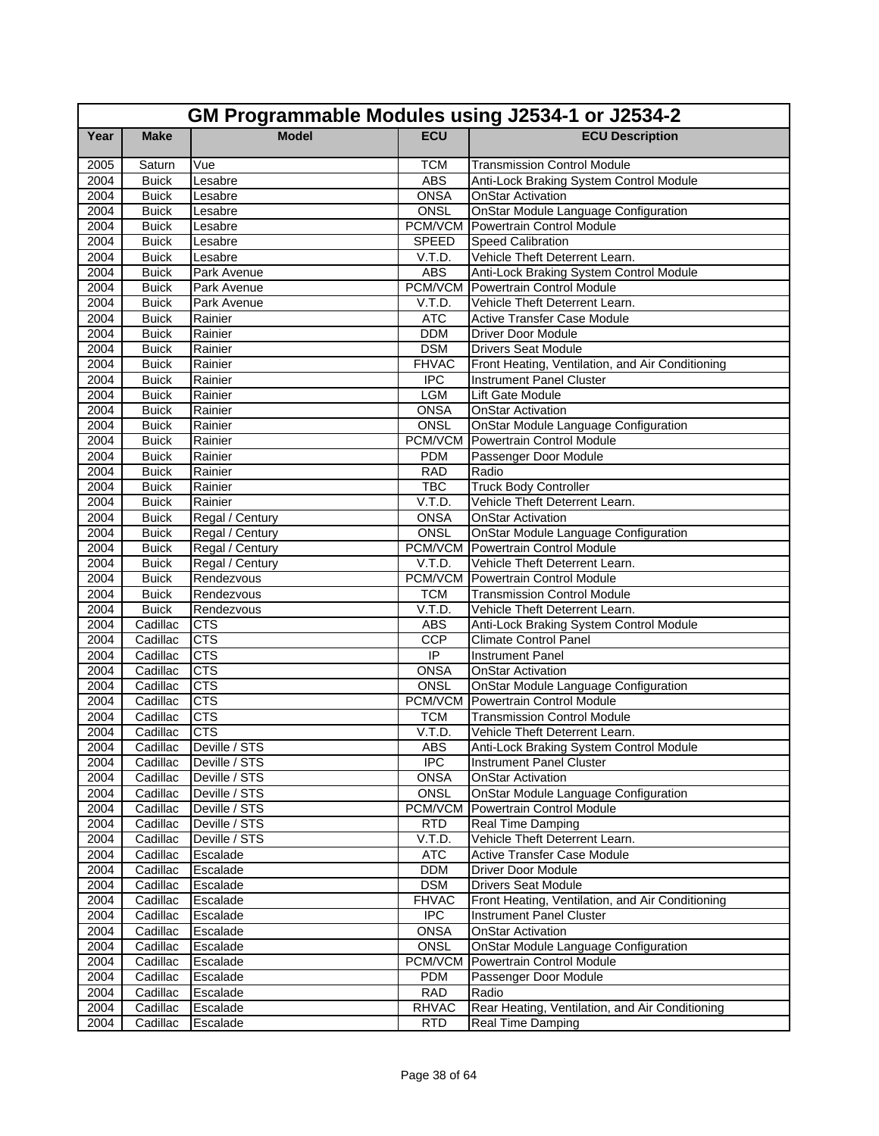|              | GM Programmable Modules using J2534-1 or J2534-2 |                          |                      |                                                                      |  |
|--------------|--------------------------------------------------|--------------------------|----------------------|----------------------------------------------------------------------|--|
| Year         | <b>Make</b>                                      | <b>Model</b>             | <b>ECU</b>           | <b>ECU Description</b>                                               |  |
| 2005         | Saturn                                           | Vue                      | <b>TCM</b>           | <b>Transmission Control Module</b>                                   |  |
| 2004         | <b>Buick</b>                                     | Lesabre                  | <b>ABS</b>           | Anti-Lock Braking System Control Module                              |  |
| 2004         | <b>Buick</b>                                     | Lesabre                  | <b>ONSA</b>          | <b>OnStar Activation</b>                                             |  |
| 2004         | <b>Buick</b>                                     | Lesabre                  | <b>ONSL</b>          | OnStar Module Language Configuration                                 |  |
| 2004         | <b>Buick</b>                                     | Lesabre                  | PCM/VCM              | Powertrain Control Module                                            |  |
| 2004         | <b>Buick</b>                                     | Lesabre                  | SPEED                | Speed Calibration                                                    |  |
| 2004         | <b>Buick</b>                                     | Lesabre                  | V.T.D.               | Vehicle Theft Deterrent Learn.                                       |  |
| 2004         | <b>Buick</b>                                     | Park Avenue              | <b>ABS</b>           | Anti-Lock Braking System Control Module                              |  |
| 2004         | <b>Buick</b>                                     | Park Avenue              | PCM/VCM              | Powertrain Control Module                                            |  |
| 2004         | <b>Buick</b>                                     | Park Avenue              | V.T.D.               | Vehicle Theft Deterrent Learn.                                       |  |
| 2004         | <b>Buick</b>                                     | Rainier                  | <b>ATC</b>           | <b>Active Transfer Case Module</b>                                   |  |
| 2004         | <b>Buick</b>                                     | Rainier                  | <b>DDM</b>           | <b>Driver Door Module</b>                                            |  |
| 2004         | <b>Buick</b>                                     | Rainier                  | <b>DSM</b>           | <b>Drivers Seat Module</b>                                           |  |
| 2004         | <b>Buick</b>                                     | Rainier                  | <b>FHVAC</b>         | Front Heating, Ventilation, and Air Conditioning                     |  |
| 2004         | <b>Buick</b>                                     | Rainier                  | <b>IPC</b>           | <b>Instrument Panel Cluster</b>                                      |  |
| 2004         | <b>Buick</b>                                     | Rainier                  | <b>LGM</b>           | Lift Gate Module                                                     |  |
| 2004         | <b>Buick</b>                                     | Rainier                  | <b>ONSA</b>          | <b>OnStar Activation</b>                                             |  |
| 2004         | <b>Buick</b>                                     | Rainier                  | <b>ONSL</b>          | <b>OnStar Module Language Configuration</b>                          |  |
| 2004         | <b>Buick</b>                                     | Rainier                  | <b>PCM/VCM</b>       | Powertrain Control Module                                            |  |
| 2004         | <b>Buick</b>                                     | Rainier                  | <b>PDM</b>           | Passenger Door Module                                                |  |
| 2004         | <b>Buick</b>                                     | Rainier                  | <b>RAD</b>           | Radio                                                                |  |
| 2004         | <b>Buick</b>                                     | Rainier                  | <b>TBC</b>           | <b>Truck Body Controller</b>                                         |  |
| 2004         | <b>Buick</b>                                     | Rainier                  | V.T.D.               | Vehicle Theft Deterrent Learn.                                       |  |
| 2004         | <b>Buick</b>                                     | Regal / Century          | <b>ONSA</b>          | <b>OnStar Activation</b>                                             |  |
| 2004         | <b>Buick</b>                                     | Regal / Century          | ONSL                 | <b>OnStar Module Language Configuration</b>                          |  |
| 2004         | <b>Buick</b>                                     | Regal / Century          | PCM/VCM              | Powertrain Control Module                                            |  |
| 2004         | <b>Buick</b>                                     | Regal / Century          | V.T.D.<br>PCM/VCM    | Vehicle Theft Deterrent Learn.                                       |  |
| 2004         | <b>Buick</b>                                     | Rendezvous               |                      | Powertrain Control Module                                            |  |
| 2004<br>2004 | <b>Buick</b><br><b>Buick</b>                     | Rendezvous<br>Rendezvous | <b>TCM</b><br>V.T.D. | <b>Transmission Control Module</b><br>Vehicle Theft Deterrent Learn. |  |
| 2004         | Cadillac                                         | <b>CTS</b>               | <b>ABS</b>           | Anti-Lock Braking System Control Module                              |  |
| 2004         | Cadillac                                         | <b>CTS</b>               | <b>CCP</b>           | <b>Climate Control Panel</b>                                         |  |
| 2004         | Cadillac                                         | <b>CTS</b>               | $\overline{IP}$      | <b>Instrument Panel</b>                                              |  |
| 2004         | Cadillac                                         | <b>CTS</b>               | <b>ONSA</b>          | <b>OnStar Activation</b>                                             |  |
| 2004         | Cadillac                                         | <b>CTS</b>               | ONSL                 | OnStar Module Language Configuration                                 |  |
| 2004         | Cadillac                                         | <b>CTS</b>               | PCM/VCM              | Powertrain Control Module                                            |  |
| 2004         | Cadillac                                         | <b>CTS</b>               | <b>TCM</b>           | <b>Transmission Control Module</b>                                   |  |
| 2004         | Cadillac                                         | <b>CTS</b>               | V.T.D.               | Vehicle Theft Deterrent Learn.                                       |  |
| 2004         |                                                  | Cadillac Deville / STS   | ABS                  | Anti-Lock Braking System Control Module                              |  |
| 2004         | Cadillac                                         | Deville / STS            | <b>IPC</b>           | <b>Instrument Panel Cluster</b>                                      |  |
| 2004         | Cadillac                                         | Deville / STS            | <b>ONSA</b>          | <b>OnStar Activation</b>                                             |  |
| 2004         | Cadillac                                         | Deville / STS            | ONSL                 | OnStar Module Language Configuration                                 |  |
| 2004         | Cadillac                                         | Deville / STS            | <b>PCM/VCM</b>       | Powertrain Control Module                                            |  |
| 2004         | Cadillac                                         | Deville / STS            | <b>RTD</b>           | Real Time Damping                                                    |  |
| 2004         | Cadillac                                         | Deville / STS            | V.T.D.               | Vehicle Theft Deterrent Learn.                                       |  |
| 2004         | Cadillac                                         | Escalade                 | <b>ATC</b>           | Active Transfer Case Module                                          |  |
| 2004         | Cadillac                                         | Escalade                 | <b>DDM</b>           | Driver Door Module                                                   |  |
| 2004         | Cadillac                                         | Escalade                 | <b>DSM</b>           | <b>Drivers Seat Module</b>                                           |  |
| 2004         | Cadillac                                         | Escalade                 | <b>FHVAC</b>         | Front Heating, Ventilation, and Air Conditioning                     |  |
| 2004         | Cadillac                                         | Escalade                 | <b>IPC</b>           | <b>Instrument Panel Cluster</b>                                      |  |
| 2004         | Cadillac                                         | Escalade                 | <b>ONSA</b>          | OnStar Activation                                                    |  |
| 2004         | Cadillac                                         | Escalade                 | ONSL                 | OnStar Module Language Configuration                                 |  |
| 2004         | Cadillac                                         | Escalade                 | PCM/VCM              | Powertrain Control Module                                            |  |
| 2004         | Cadillac                                         | Escalade                 | <b>PDM</b>           | Passenger Door Module                                                |  |
| 2004         | Cadillac                                         | Escalade                 | <b>RAD</b>           | Radio                                                                |  |
| 2004         | Cadillac                                         | Escalade                 | <b>RHVAC</b>         | Rear Heating, Ventilation, and Air Conditioning                      |  |
| 2004         | Cadillac                                         | Escalade                 | <b>RTD</b>           | Real Time Damping                                                    |  |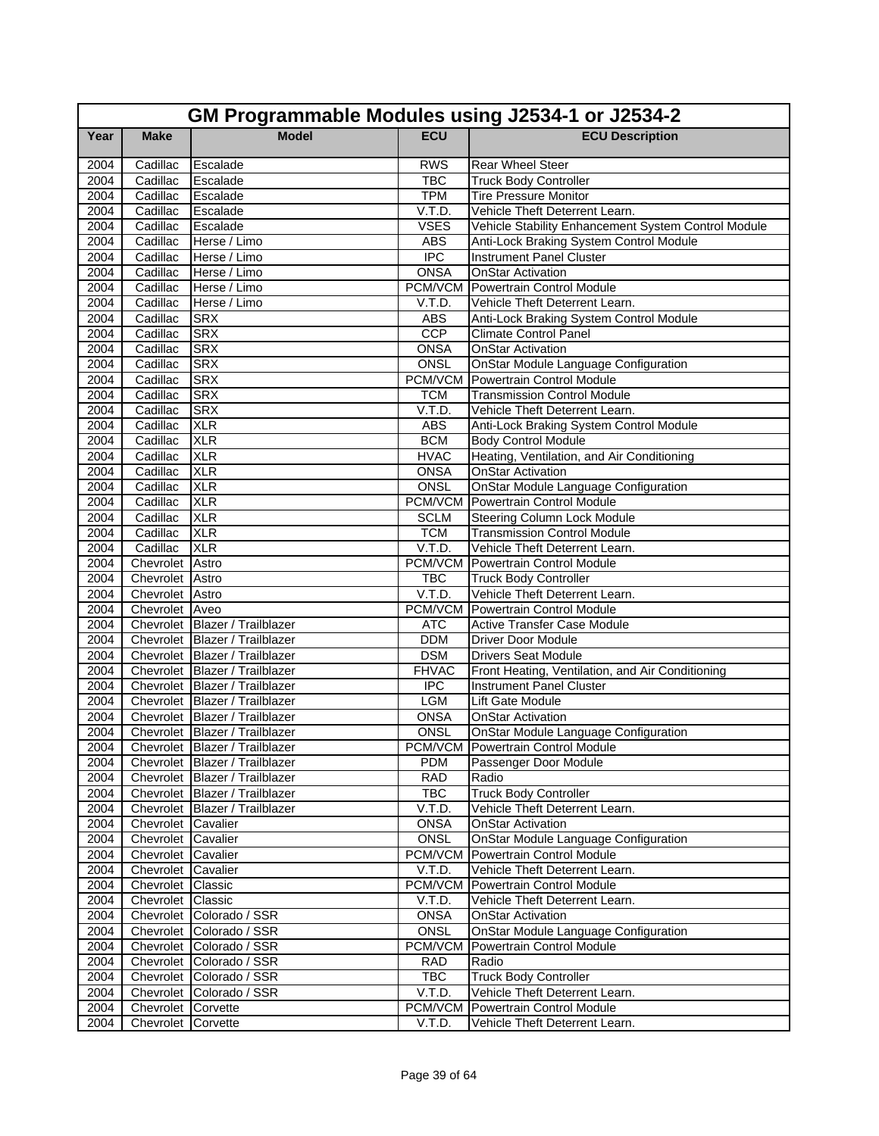|              | GM Programmable Modules using J2534-1 or J2534-2 |                                                                  |                         |                                                     |  |
|--------------|--------------------------------------------------|------------------------------------------------------------------|-------------------------|-----------------------------------------------------|--|
| Year         | <b>Make</b>                                      | <b>Model</b>                                                     | <b>ECU</b>              | <b>ECU Description</b>                              |  |
| 2004         | Cadillac                                         | Escalade                                                         | <b>RWS</b>              | Rear Wheel Steer                                    |  |
| 2004         | Cadillac                                         | Escalade                                                         | <b>TBC</b>              | <b>Truck Body Controller</b>                        |  |
| 2004         | Cadillac                                         | Escalade                                                         | <b>TPM</b>              | <b>Tire Pressure Monitor</b>                        |  |
| 2004         | Cadillac                                         | Escalade                                                         | V.T.D.                  | Vehicle Theft Deterrent Learn.                      |  |
| 2004         | Cadillac                                         | Escalade                                                         | <b>VSES</b>             | Vehicle Stability Enhancement System Control Module |  |
| 2004         | Cadillac                                         | Herse / Limo                                                     | <b>ABS</b>              | Anti-Lock Braking System Control Module             |  |
| 2004         | Cadillac                                         | Herse / Limo                                                     | <b>IPC</b>              | <b>Instrument Panel Cluster</b>                     |  |
| 2004         | Cadillac                                         | Herse / Limo                                                     | <b>ONSA</b>             | <b>OnStar Activation</b>                            |  |
| 2004         | Cadillac                                         | Herse / Limo                                                     | PCM/VCM                 | Powertrain Control Module                           |  |
| 2004         | Cadillac                                         | Herse / Limo                                                     | V.T.D.                  | Vehicle Theft Deterrent Learn.                      |  |
| 2004         | Cadillac                                         | <b>SRX</b>                                                       | <b>ABS</b>              | Anti-Lock Braking System Control Module             |  |
| 2004         | Cadillac                                         | <b>SRX</b>                                                       | <b>CCP</b>              | <b>Climate Control Panel</b>                        |  |
| 2004         | Cadillac                                         | <b>SRX</b>                                                       | <b>ONSA</b>             | <b>OnStar Activation</b>                            |  |
| 2004         | Cadillac                                         | <b>SRX</b>                                                       | <b>ONSL</b>             | OnStar Module Language Configuration                |  |
| 2004         | Cadillac                                         | <b>SRX</b>                                                       | PCM/VCM                 | Powertrain Control Module                           |  |
| 2004         | Cadillac                                         | <b>SRX</b>                                                       | <b>TCM</b>              | <b>Transmission Control Module</b>                  |  |
| 2004         | Cadillac                                         | <b>SRX</b>                                                       | V.T.D.                  | Vehicle Theft Deterrent Learn.                      |  |
| 2004         | Cadillac                                         | <b>XLR</b>                                                       | <b>ABS</b>              | Anti-Lock Braking System Control Module             |  |
| 2004         | Cadillac                                         | <b>XLR</b>                                                       | <b>BCM</b>              | <b>Body Control Module</b>                          |  |
| 2004         | Cadillac                                         | <b>XLR</b>                                                       | <b>HVAC</b>             | Heating, Ventilation, and Air Conditioning          |  |
| 2004         | Cadillac                                         | <b>XLR</b>                                                       | <b>ONSA</b>             | <b>OnStar Activation</b>                            |  |
| 2004         | Cadillac                                         | <b>XLR</b>                                                       | <b>ONSL</b>             | <b>OnStar Module Language Configuration</b>         |  |
| 2004         | Cadillac                                         | <b>XLR</b>                                                       |                         | <b>PCM/VCM</b> Powertrain Control Module            |  |
| 2004         | Cadillac                                         | <b>XLR</b>                                                       | <b>SCLM</b>             | <b>Steering Column Lock Module</b>                  |  |
| 2004         | Cadillac                                         | <b>XLR</b>                                                       | <b>TCM</b>              | <b>Transmission Control Module</b>                  |  |
| 2004         | Cadillac                                         | <b>XLR</b>                                                       | V.T.D.                  | Vehicle Theft Deterrent Learn.                      |  |
| 2004         | Chevrolet Astro                                  |                                                                  | PCM/VCM                 | Powertrain Control Module                           |  |
| 2004         | Chevrolet Astro                                  |                                                                  | <b>TBC</b>              | <b>Truck Body Controller</b>                        |  |
| 2004         | Chevrolet Astro                                  |                                                                  | V.T.D.                  | Vehicle Theft Deterrent Learn.                      |  |
| 2004         | Chevrolet Aveo                                   |                                                                  |                         | <b>PCM/VCM</b> Powertrain Control Module            |  |
| 2004         |                                                  | Chevrolet Blazer / Trailblazer                                   | <b>ATC</b>              | Active Transfer Case Module                         |  |
| 2004         |                                                  | Chevrolet Blazer / Trailblazer                                   | <b>DDM</b>              | <b>Driver Door Module</b>                           |  |
| 2004         |                                                  | Chevrolet Blazer / Trailblazer                                   | <b>DSM</b>              | <b>Drivers Seat Module</b>                          |  |
| 2004         |                                                  | Chevrolet Blazer / Trailblazer                                   | <b>FHVAC</b>            | Front Heating, Ventilation, and Air Conditioning    |  |
| 2004<br>2004 |                                                  | Chevrolet Blazer / Trailblazer<br>Chevrolet Blazer / Trailblazer | $\overline{IPC}$<br>LGM | <b>Instrument Panel Cluster</b><br>Lift Gate Module |  |
| 2004         |                                                  | Chevrolet Blazer / Trailblazer                                   | <b>ONSA</b>             | <b>OnStar Activation</b>                            |  |
| 2004         |                                                  | Chevrolet Blazer / Trailblazer                                   | <b>ONSL</b>             | OnStar Module Language Configuration                |  |
| 2004         |                                                  | Chevrolet Blazer / Trailblazer                                   |                         | PCM/VCM Powertrain Control Module                   |  |
| 2004         |                                                  | Chevrolet Blazer / Trailblazer                                   | <b>PDM</b>              | Passenger Door Module                               |  |
| 2004         |                                                  | Chevrolet Blazer / Trailblazer                                   | <b>RAD</b>              | Radio                                               |  |
| 2004         |                                                  | Chevrolet Blazer / Trailblazer                                   | TBC                     | <b>Truck Body Controller</b>                        |  |
| 2004         |                                                  | Chevrolet Blazer / Trailblazer                                   | V.T.D.                  | Vehicle Theft Deterrent Learn.                      |  |
| 2004         | Chevrolet Cavalier                               |                                                                  | <b>ONSA</b>             | <b>OnStar Activation</b>                            |  |
| 2004         | Chevrolet Cavalier                               |                                                                  | ONSL                    | <b>OnStar Module Language Configuration</b>         |  |
| 2004         | Chevrolet Cavalier                               |                                                                  | PCM/VCM                 | <b>Powertrain Control Module</b>                    |  |
| 2004         | Chevrolet Cavalier                               |                                                                  | V.T.D.                  | Vehicle Theft Deterrent Learn.                      |  |
| 2004         | Chevrolet Classic                                |                                                                  |                         | <b>PCM/VCM</b> Powertrain Control Module            |  |
| 2004         | Chevrolet Classic                                |                                                                  | V.T.D.                  | Vehicle Theft Deterrent Learn.                      |  |
| 2004         |                                                  | Chevrolet Colorado / SSR                                         | <b>ONSA</b>             | <b>OnStar Activation</b>                            |  |
| 2004         |                                                  | Chevrolet Colorado / SSR                                         | ONSL                    | <b>OnStar Module Language Configuration</b>         |  |
| 2004         |                                                  | Chevrolet Colorado / SSR                                         | PCM/VCM                 | Powertrain Control Module                           |  |
| 2004         |                                                  | Chevrolet Colorado / SSR                                         | <b>RAD</b>              | Radio                                               |  |
| 2004         |                                                  | Chevrolet Colorado / SSR                                         | <b>TBC</b>              | <b>Truck Body Controller</b>                        |  |
| 2004         |                                                  | Chevrolet Colorado / SSR                                         | V.T.D.                  | Vehicle Theft Deterrent Learn.                      |  |
| 2004         | Chevrolet Corvette                               |                                                                  | PCM/VCM                 | Powertrain Control Module                           |  |
| 2004         | Chevrolet Corvette                               |                                                                  | V.T.D.                  | Vehicle Theft Deterrent Learn.                      |  |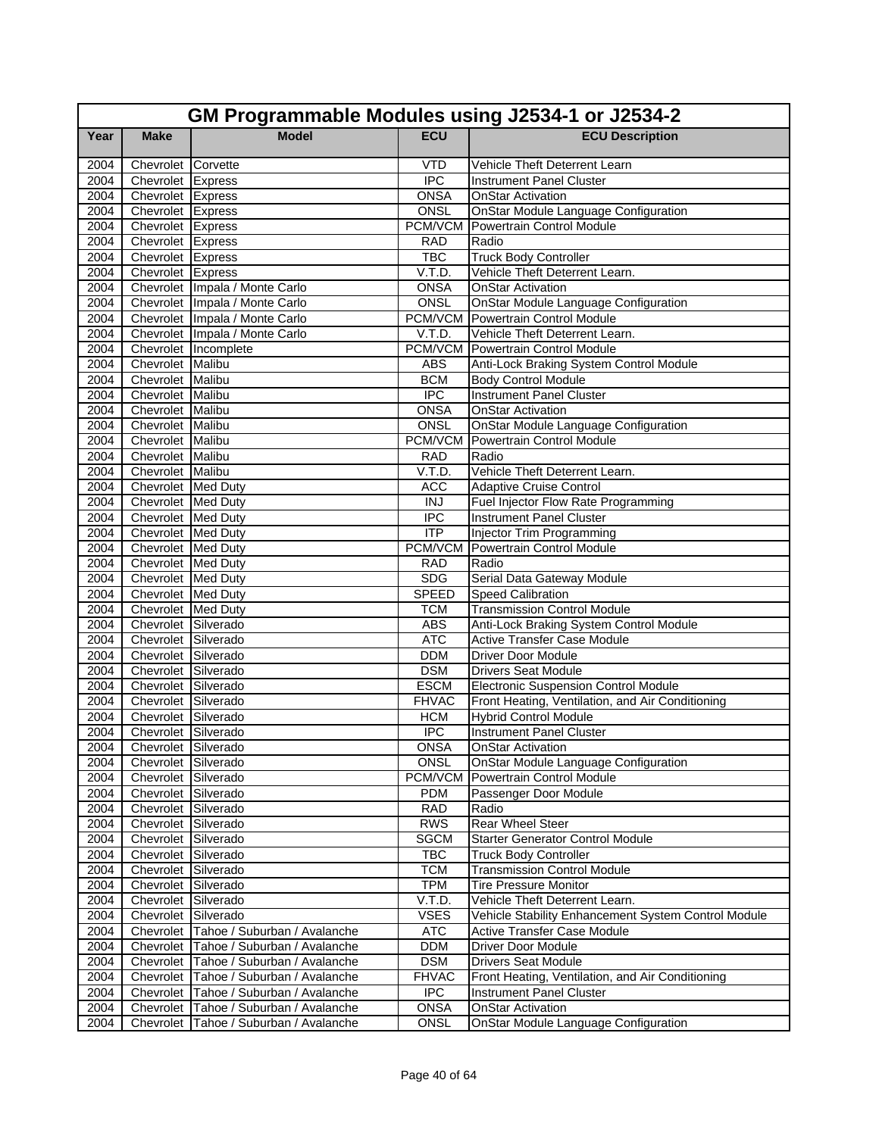|      | GM Programmable Modules using J2534-1 or J2534-2 |                                          |                  |                                                     |  |  |
|------|--------------------------------------------------|------------------------------------------|------------------|-----------------------------------------------------|--|--|
| Year | <b>Make</b>                                      | <b>Model</b>                             | <b>ECU</b>       | <b>ECU Description</b>                              |  |  |
| 2004 | Chevrolet Corvette                               |                                          | <b>VTD</b>       | Vehicle Theft Deterrent Learn                       |  |  |
| 2004 | Chevrolet Express                                |                                          | <b>IPC</b>       | <b>Instrument Panel Cluster</b>                     |  |  |
| 2004 | Chevrolet Express                                |                                          | <b>ONSA</b>      | <b>OnStar Activation</b>                            |  |  |
| 2004 | Chevrolet Express                                |                                          | ONSL             | OnStar Module Language Configuration                |  |  |
| 2004 | Chevrolet Express                                |                                          | PCM/VCM          | Powertrain Control Module                           |  |  |
| 2004 | Chevrolet Express                                |                                          | <b>RAD</b>       | Radio                                               |  |  |
| 2004 | Chevrolet Express                                |                                          | <b>TBC</b>       | <b>Truck Body Controller</b>                        |  |  |
| 2004 | Chevrolet Express                                |                                          | V.T.D.           | Vehicle Theft Deterrent Learn.                      |  |  |
| 2004 |                                                  | Chevrolet   Impala / Monte Carlo         | <b>ONSA</b>      | <b>OnStar Activation</b>                            |  |  |
| 2004 |                                                  | Chevrolet   Impala / Monte Carlo         | ONSL             | OnStar Module Language Configuration                |  |  |
| 2004 |                                                  | Chevrolet Impala / Monte Carlo           |                  | PCM/VCM Powertrain Control Module                   |  |  |
| 2004 |                                                  | Chevrolet   Impala / Monte Carlo         | V.T.D.           | Vehicle Theft Deterrent Learn.                      |  |  |
| 2004 |                                                  | Chevrolet Incomplete                     | PCM/VCM          | Powertrain Control Module                           |  |  |
| 2004 | Chevrolet Malibu                                 |                                          | <b>ABS</b>       | Anti-Lock Braking System Control Module             |  |  |
| 2004 | Chevrolet Malibu                                 |                                          | <b>BCM</b>       | <b>Body Control Module</b>                          |  |  |
| 2004 | Chevrolet Malibu                                 |                                          | <b>IPC</b>       | <b>Instrument Panel Cluster</b>                     |  |  |
| 2004 | Chevrolet Malibu                                 |                                          | <b>ONSA</b>      | <b>OnStar Activation</b>                            |  |  |
| 2004 | Chevrolet Malibu                                 |                                          | <b>ONSL</b>      | <b>OnStar Module Language Configuration</b>         |  |  |
| 2004 | Chevrolet Malibu                                 |                                          | PCM/VCM          | Powertrain Control Module                           |  |  |
| 2004 | Chevrolet Malibu                                 |                                          | <b>RAD</b>       | Radio                                               |  |  |
| 2004 | Chevrolet Malibu                                 |                                          | V.T.D.           | Vehicle Theft Deterrent Learn.                      |  |  |
| 2004 | Chevrolet Med Duty                               |                                          | <b>ACC</b>       | <b>Adaptive Cruise Control</b>                      |  |  |
| 2004 | Chevrolet Med Duty                               |                                          | <b>INJ</b>       | Fuel Injector Flow Rate Programming                 |  |  |
| 2004 | Chevrolet Med Duty                               |                                          | <b>IPC</b>       | <b>Instrument Panel Cluster</b>                     |  |  |
| 2004 | Chevrolet Med Duty                               |                                          | <b>ITP</b>       | Injector Trim Programming                           |  |  |
| 2004 | Chevrolet Med Duty                               |                                          | <b>PCM/VCM</b>   | <b>Powertrain Control Module</b>                    |  |  |
| 2004 | Chevrolet Med Duty                               |                                          | <b>RAD</b>       | Radio                                               |  |  |
| 2004 | Chevrolet Med Duty                               |                                          | <b>SDG</b>       | Serial Data Gateway Module                          |  |  |
| 2004 | Chevrolet Med Duty                               |                                          | <b>SPEED</b>     | <b>Speed Calibration</b>                            |  |  |
| 2004 | Chevrolet Med Duty                               |                                          | <b>TCM</b>       | <b>Transmission Control Module</b>                  |  |  |
| 2004 | Chevrolet Silverado                              |                                          | <b>ABS</b>       | Anti-Lock Braking System Control Module             |  |  |
| 2004 | Chevrolet Silverado                              |                                          | <b>ATC</b>       | <b>Active Transfer Case Module</b>                  |  |  |
| 2004 | Chevrolet Silverado                              |                                          | <b>DDM</b>       | <b>Driver Door Module</b>                           |  |  |
| 2004 | Chevrolet Silverado                              |                                          | <b>DSM</b>       | <b>Drivers Seat Module</b>                          |  |  |
| 2004 | Chevrolet Silverado                              |                                          | <b>ESCM</b>      | <b>Electronic Suspension Control Module</b>         |  |  |
| 2004 | Chevrolet Silverado                              |                                          | <b>FHVAC</b>     | Front Heating, Ventilation, and Air Conditioning    |  |  |
| 2004 | Chevrolet Silverado                              |                                          | <b>HCM</b>       | <b>Hybrid Control Module</b>                        |  |  |
| 2004 | Chevrolet Silverado                              |                                          | <b>IPC</b>       | <b>Instrument Panel Cluster</b>                     |  |  |
| 2004 | Chevrolet Silverado                              |                                          | <b>ONSA</b>      | <b>OnStar Activation</b>                            |  |  |
| 2004 | Chevrolet Silverado                              |                                          | <b>ONSL</b>      | OnStar Module Language Configuration                |  |  |
| 2004 | Chevrolet Silverado                              |                                          | PCM/VCM          | Powertrain Control Module                           |  |  |
| 2004 | Chevrolet Silverado                              |                                          | <b>PDM</b>       | Passenger Door Module                               |  |  |
| 2004 | Chevrolet Silverado                              |                                          | <b>RAD</b>       | Radio                                               |  |  |
| 2004 | Chevrolet Silverado                              |                                          | <b>RWS</b>       | <b>Rear Wheel Steer</b>                             |  |  |
| 2004 | Chevrolet Silverado                              |                                          | <b>SGCM</b>      | <b>Starter Generator Control Module</b>             |  |  |
| 2004 | Chevrolet Silverado                              |                                          | <b>TBC</b>       | <b>Truck Body Controller</b>                        |  |  |
| 2004 | Chevrolet Silverado                              |                                          | <b>TCM</b>       | <b>Transmission Control Module</b>                  |  |  |
| 2004 | Chevrolet Silverado                              |                                          | <b>TPM</b>       | <b>Tire Pressure Monitor</b>                        |  |  |
| 2004 | Chevrolet Silverado                              |                                          | V.T.D.           | Vehicle Theft Deterrent Learn.                      |  |  |
| 2004 | Chevrolet Silverado                              |                                          | <b>VSES</b>      | Vehicle Stability Enhancement System Control Module |  |  |
| 2004 |                                                  | Chevrolet Tahoe / Suburban / Avalanche   | <b>ATC</b>       | Active Transfer Case Module                         |  |  |
| 2004 |                                                  | Chevrolet Tahoe / Suburban / Avalanche   | <b>DDM</b>       | Driver Door Module                                  |  |  |
| 2004 |                                                  | Chevrolet   Tahoe / Suburban / Avalanche | <b>DSM</b>       | <b>Drivers Seat Module</b>                          |  |  |
| 2004 |                                                  | Chevrolet   Tahoe / Suburban / Avalanche | <b>FHVAC</b>     | Front Heating, Ventilation, and Air Conditioning    |  |  |
| 2004 |                                                  | Chevrolet   Tahoe / Suburban / Avalanche | $\overline{IPC}$ | <b>Instrument Panel Cluster</b>                     |  |  |
| 2004 |                                                  | Chevrolet Tahoe / Suburban / Avalanche   | <b>ONSA</b>      | <b>OnStar Activation</b>                            |  |  |
| 2004 |                                                  | Chevrolet Tahoe / Suburban / Avalanche   | ONSL             | <b>OnStar Module Language Configuration</b>         |  |  |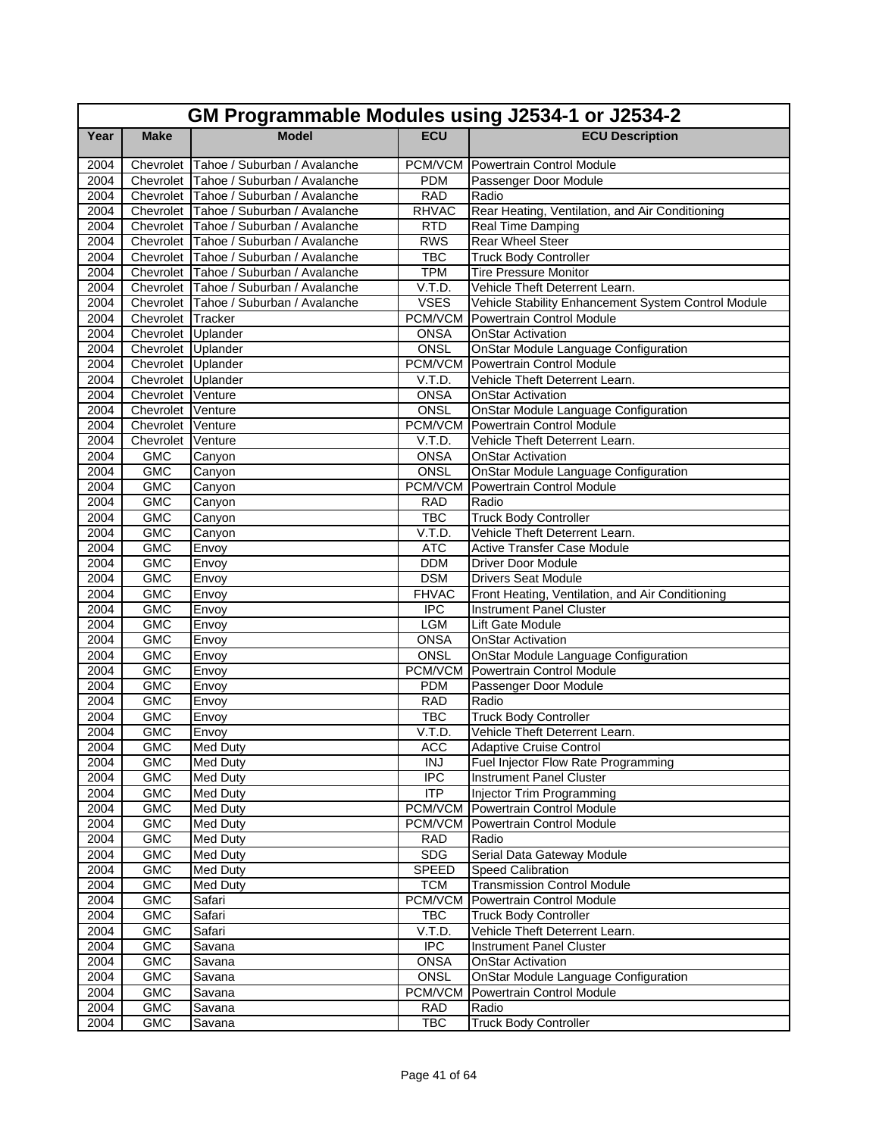|              | GM Programmable Modules using J2534-1 or J2534-2 |                                                                                  |                          |                                                                                       |  |  |
|--------------|--------------------------------------------------|----------------------------------------------------------------------------------|--------------------------|---------------------------------------------------------------------------------------|--|--|
| Year         | <b>Make</b>                                      | <b>Model</b>                                                                     | <b>ECU</b>               | <b>ECU Description</b>                                                                |  |  |
| 2004         |                                                  | Chevrolet Tahoe / Suburban / Avalanche                                           |                          | <b>PCM/VCM</b> Powertrain Control Module                                              |  |  |
| 2004         |                                                  | Chevrolet Tahoe / Suburban / Avalanche                                           | <b>PDM</b>               | Passenger Door Module                                                                 |  |  |
| 2004         |                                                  | Chevrolet Tahoe / Suburban / Avalanche                                           | <b>RAD</b>               | Radio                                                                                 |  |  |
| 2004         |                                                  | Chevrolet Tahoe / Suburban / Avalanche                                           | <b>RHVAC</b>             | Rear Heating, Ventilation, and Air Conditioning                                       |  |  |
| 2004         |                                                  | Chevrolet Tahoe / Suburban / Avalanche                                           | <b>RTD</b>               | <b>Real Time Damping</b>                                                              |  |  |
| 2004         |                                                  | Chevrolet Tahoe / Suburban / Avalanche                                           | <b>RWS</b>               | Rear Wheel Steer                                                                      |  |  |
| 2004         |                                                  | Chevrolet Tahoe / Suburban / Avalanche                                           | <b>TBC</b>               | <b>Truck Body Controller</b>                                                          |  |  |
| 2004         |                                                  | Chevrolet Tahoe / Suburban / Avalanche<br>Chevrolet Tahoe / Suburban / Avalanche | <b>TPM</b>               | <b>Tire Pressure Monitor</b>                                                          |  |  |
| 2004<br>2004 |                                                  | Chevrolet Tahoe / Suburban / Avalanche                                           | V.T.D.<br><b>VSES</b>    | Vehicle Theft Deterrent Learn.<br>Vehicle Stability Enhancement System Control Module |  |  |
| 2004         | Chevrolet Tracker                                |                                                                                  | PCM/VCM                  | <b>Powertrain Control Module</b>                                                      |  |  |
| 2004         | Chevrolet Uplander                               |                                                                                  | <b>ONSA</b>              | <b>OnStar Activation</b>                                                              |  |  |
| 2004         | Chevrolet Uplander                               |                                                                                  | ONSL                     | <b>OnStar Module Language Configuration</b>                                           |  |  |
| 2004         | Chevrolet Uplander                               |                                                                                  |                          | PCM/VCM Powertrain Control Module                                                     |  |  |
| 2004         | Chevrolet Uplander                               |                                                                                  | V.T.D.                   | Vehicle Theft Deterrent Learn.                                                        |  |  |
| 2004         | Chevrolet Venture                                |                                                                                  | <b>ONSA</b>              | <b>OnStar Activation</b>                                                              |  |  |
| 2004         | Chevrolet Venture                                |                                                                                  | ONSL                     | OnStar Module Language Configuration                                                  |  |  |
| 2004         | Chevrolet Venture                                |                                                                                  | <b>PCM/VCM</b>           | <b>Powertrain Control Module</b>                                                      |  |  |
| 2004         | Chevrolet                                        | Venture                                                                          | V.T.D.                   | Vehicle Theft Deterrent Learn.                                                        |  |  |
| 2004         | <b>GMC</b>                                       | Canyon                                                                           | <b>ONSA</b>              | <b>OnStar Activation</b>                                                              |  |  |
| 2004         | <b>GMC</b>                                       | Canyon                                                                           | <b>ONSL</b>              | <b>OnStar Module Language Configuration</b>                                           |  |  |
| 2004         | <b>GMC</b>                                       | Canyon                                                                           | PCM/VCM                  | Powertrain Control Module                                                             |  |  |
| 2004         | <b>GMC</b>                                       | Canyon                                                                           | <b>RAD</b>               | Radio                                                                                 |  |  |
| 2004         | <b>GMC</b>                                       | Canyon                                                                           | <b>TBC</b>               | <b>Truck Body Controller</b>                                                          |  |  |
| 2004         | <b>GMC</b>                                       | Canyon                                                                           | V.T.D.                   | Vehicle Theft Deterrent Learn.                                                        |  |  |
| 2004         | <b>GMC</b>                                       | Envoy                                                                            | <b>ATC</b>               | <b>Active Transfer Case Module</b>                                                    |  |  |
| 2004         | <b>GMC</b>                                       | Envoy                                                                            | <b>DDM</b>               | Driver Door Module                                                                    |  |  |
| 2004         | <b>GMC</b>                                       | Envoy                                                                            | <b>DSM</b>               | <b>Drivers Seat Module</b>                                                            |  |  |
| 2004         | <b>GMC</b>                                       | Envoy                                                                            | <b>FHVAC</b>             | Front Heating, Ventilation, and Air Conditioning                                      |  |  |
| 2004         | <b>GMC</b>                                       | Envoy                                                                            | <b>IPC</b>               | <b>Instrument Panel Cluster</b>                                                       |  |  |
| 2004         | <b>GMC</b>                                       | Envoy                                                                            | <b>LGM</b>               | Lift Gate Module                                                                      |  |  |
| 2004         | <b>GMC</b>                                       | Envoy                                                                            | <b>ONSA</b>              | <b>OnStar Activation</b>                                                              |  |  |
| 2004         | <b>GMC</b>                                       | Envoy                                                                            | ONSL                     | OnStar Module Language Configuration                                                  |  |  |
| 2004         | <b>GMC</b>                                       | Envoy                                                                            | <b>PCM/VCM</b>           | Powertrain Control Module                                                             |  |  |
| 2004<br>2004 | <b>GMC</b>                                       | Envoy                                                                            | <b>PDM</b>               | Passenger Door Module                                                                 |  |  |
| 2004         | <b>GMC</b><br><b>GMC</b>                         | Envoy<br>Envoy                                                                   | <b>RAD</b><br><b>TBC</b> | Radio<br><b>Truck Body Controller</b>                                                 |  |  |
| 2004         | <b>GMC</b>                                       | Envoy                                                                            | V.T.D.                   | Vehicle Theft Deterrent Learn.                                                        |  |  |
| 2004         | GMC                                              | <b>Med Duty</b>                                                                  | <b>ACC</b>               | <b>Adaptive Cruise Control</b>                                                        |  |  |
| 2004         | <b>GMC</b>                                       | <b>Med Duty</b>                                                                  | <b>INJ</b>               | Fuel Injector Flow Rate Programming                                                   |  |  |
| 2004         | <b>GMC</b>                                       | <b>Med Duty</b>                                                                  | <b>IPC</b>               | <b>Instrument Panel Cluster</b>                                                       |  |  |
| 2004         | <b>GMC</b>                                       | <b>Med Duty</b>                                                                  | $\overline{IP}$          | Injector Trim Programming                                                             |  |  |
| 2004         | <b>GMC</b>                                       | Med Duty                                                                         | <b>PCM/VCM</b>           | Powertrain Control Module                                                             |  |  |
| 2004         | <b>GMC</b>                                       | <b>Med Duty</b>                                                                  |                          | <b>PCM/VCM Powertrain Control Module</b>                                              |  |  |
| 2004         | <b>GMC</b>                                       | Med Duty                                                                         | <b>RAD</b>               | Radio                                                                                 |  |  |
| 2004         | <b>GMC</b>                                       | <b>Med Duty</b>                                                                  | <b>SDG</b>               | Serial Data Gateway Module                                                            |  |  |
| 2004         | GMC                                              | <b>Med Duty</b>                                                                  | <b>SPEED</b>             | <b>Speed Calibration</b>                                                              |  |  |
| 2004         | <b>GMC</b>                                       | <b>Med Duty</b>                                                                  | <b>TCM</b>               | <b>Transmission Control Module</b>                                                    |  |  |
| 2004         | <b>GMC</b>                                       | Safari                                                                           | PCM/VCM                  | <b>Powertrain Control Module</b>                                                      |  |  |
| 2004         | <b>GMC</b>                                       | Safari                                                                           | <b>TBC</b>               | <b>Truck Body Controller</b>                                                          |  |  |
| 2004         | <b>GMC</b>                                       | Safari                                                                           | V.T.D.                   | Vehicle Theft Deterrent Learn.                                                        |  |  |
| 2004         | <b>GMC</b>                                       | Savana                                                                           | $\overline{IPC}$         | <b>Instrument Panel Cluster</b>                                                       |  |  |
| 2004         | <b>GMC</b>                                       | Savana                                                                           | <b>ONSA</b>              | <b>OnStar Activation</b>                                                              |  |  |
| 2004         | <b>GMC</b>                                       | Savana                                                                           | <b>ONSL</b>              | OnStar Module Language Configuration                                                  |  |  |
| 2004         | <b>GMC</b>                                       | Savana                                                                           | PCM/VCM                  | Powertrain Control Module                                                             |  |  |
| 2004         | GMC                                              | Savana                                                                           | <b>RAD</b>               | Radio                                                                                 |  |  |
| 2004         | <b>GMC</b>                                       | Savana                                                                           | <b>TBC</b>               | <b>Truck Body Controller</b>                                                          |  |  |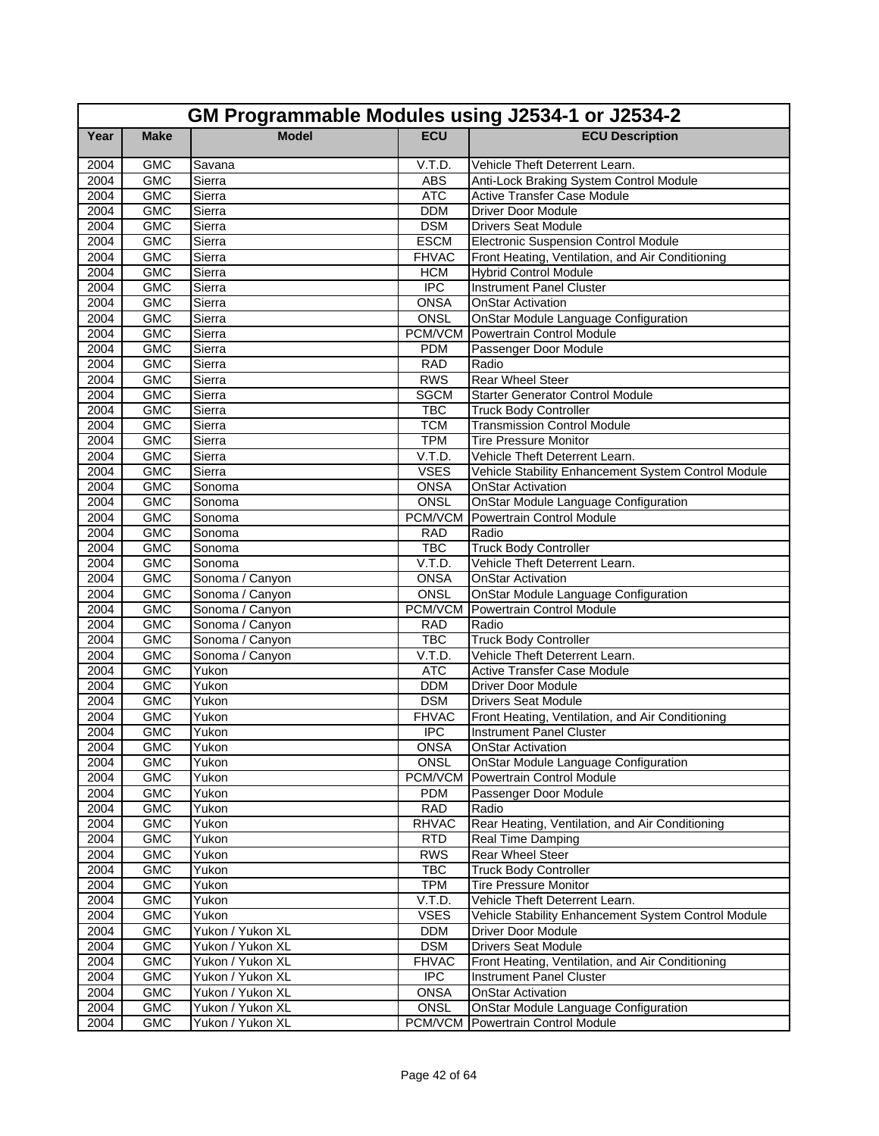|              | GM Programmable Modules using J2534-1 or J2534-2 |                          |                      |                                                                      |  |  |
|--------------|--------------------------------------------------|--------------------------|----------------------|----------------------------------------------------------------------|--|--|
| Year         | <b>Make</b>                                      | <b>Model</b>             | <b>ECU</b>           | <b>ECU Description</b>                                               |  |  |
| 2004         | <b>GMC</b>                                       | Savana                   | V.T.D.               | Vehicle Theft Deterrent Learn.                                       |  |  |
| 2004         | <b>GMC</b>                                       | Sierra                   | <b>ABS</b>           | Anti-Lock Braking System Control Module                              |  |  |
| 2004         | <b>GMC</b>                                       | Sierra                   | <b>ATC</b>           | <b>Active Transfer Case Module</b>                                   |  |  |
| 2004         | <b>GMC</b>                                       | Sierra                   | <b>DDM</b>           | <b>Driver Door Module</b>                                            |  |  |
| 2004         | <b>GMC</b>                                       | Sierra                   | <b>DSM</b>           | <b>Drivers Seat Module</b>                                           |  |  |
| 2004         | <b>GMC</b>                                       | Sierra                   | <b>ESCM</b>          | Electronic Suspension Control Module                                 |  |  |
| 2004         | <b>GMC</b>                                       | Sierra                   | <b>FHVAC</b>         | Front Heating, Ventilation, and Air Conditioning                     |  |  |
| 2004         | <b>GMC</b>                                       | Sierra                   | <b>HCM</b>           | <b>Hybrid Control Module</b>                                         |  |  |
| 2004         | <b>GMC</b>                                       | Sierra                   | <b>IPC</b>           | <b>Instrument Panel Cluster</b>                                      |  |  |
| 2004         | <b>GMC</b>                                       | Sierra                   | <b>ONSA</b>          | <b>OnStar Activation</b>                                             |  |  |
| 2004         | <b>GMC</b>                                       | Sierra                   | <b>ONSL</b>          | <b>OnStar Module Language Configuration</b>                          |  |  |
| 2004         | <b>GMC</b>                                       | Sierra                   | PCM/VCM              | <b>Powertrain Control Module</b>                                     |  |  |
| 2004         | <b>GMC</b>                                       | Sierra                   | <b>PDM</b>           | Passenger Door Module                                                |  |  |
| 2004         | <b>GMC</b>                                       | Sierra                   | <b>RAD</b>           | Radio                                                                |  |  |
| 2004         | <b>GMC</b>                                       | Sierra                   | <b>RWS</b>           | <b>Rear Wheel Steer</b>                                              |  |  |
| 2004         | <b>GMC</b>                                       | Sierra                   | <b>SGCM</b>          | <b>Starter Generator Control Module</b>                              |  |  |
| 2004         | <b>GMC</b>                                       | Sierra                   | <b>TBC</b>           | <b>Truck Body Controller</b>                                         |  |  |
| 2004         | <b>GMC</b>                                       | Sierra                   | <b>TCM</b>           | <b>Transmission Control Module</b>                                   |  |  |
| 2004         | <b>GMC</b>                                       | Sierra                   | <b>TPM</b>           | <b>Tire Pressure Monitor</b>                                         |  |  |
| 2004         | <b>GMC</b>                                       | Sierra                   | V.T.D.               | Vehicle Theft Deterrent Learn.                                       |  |  |
| 2004         | <b>GMC</b>                                       | Sierra                   | <b>VSES</b>          | Vehicle Stability Enhancement System Control Module                  |  |  |
| 2004         | <b>GMC</b>                                       | Sonoma                   | <b>ONSA</b>          | <b>OnStar Activation</b>                                             |  |  |
| 2004         | <b>GMC</b>                                       | Sonoma                   | <b>ONSL</b>          | OnStar Module Language Configuration                                 |  |  |
| 2004         | <b>GMC</b>                                       | Sonoma                   | <b>PCM/VCM</b>       | Powertrain Control Module                                            |  |  |
| 2004         | <b>GMC</b>                                       | Sonoma                   | <b>RAD</b>           | Radio                                                                |  |  |
| 2004         | <b>GMC</b>                                       | Sonoma                   | <b>TBC</b>           | <b>Truck Body Controller</b>                                         |  |  |
| 2004         | <b>GMC</b>                                       | Sonoma                   | V.T.D.               | Vehicle Theft Deterrent Learn.                                       |  |  |
| 2004         | <b>GMC</b>                                       | Sonoma / Canyon          | <b>ONSA</b>          | <b>OnStar Activation</b>                                             |  |  |
| 2004         | <b>GMC</b>                                       | Sonoma / Canyon          | ONSL                 | OnStar Module Language Configuration                                 |  |  |
| 2004         | <b>GMC</b>                                       | Sonoma / Canyon          | <b>PCM/VCM</b>       | Powertrain Control Module<br>Radio                                   |  |  |
| 2004         | <b>GMC</b>                                       | Sonoma / Canyon          | <b>RAD</b>           |                                                                      |  |  |
| 2004         | <b>GMC</b>                                       | Sonoma / Canyon          | <b>TBC</b>           | <b>Truck Body Controller</b>                                         |  |  |
| 2004         | <b>GMC</b><br><b>GMC</b>                         | Sonoma / Canyon<br>Yukon | V.T.D.<br><b>ATC</b> | Vehicle Theft Deterrent Learn.<br><b>Active Transfer Case Module</b> |  |  |
| 2004<br>2004 | <b>GMC</b>                                       | Yukon                    | <b>DDM</b>           | <b>Driver Door Module</b>                                            |  |  |
| 2004         | <b>GMC</b>                                       | Yukon                    | <b>DSM</b>           | <b>Drivers Seat Module</b>                                           |  |  |
| 2004         | <b>GMC</b>                                       | Yukon                    | <b>FHVAC</b>         | Front Heating, Ventilation, and Air Conditioning                     |  |  |
| 2004         | <b>GMC</b>                                       | Yukon                    | <b>IPC</b>           | <b>Instrument Panel Cluster</b>                                      |  |  |
| 2004         | <b>GMC</b>                                       | Yukon                    | <b>ONSA</b>          | <b>OnStar Activation</b>                                             |  |  |
| 2004         | <b>GMC</b>                                       | Yukon                    | <b>ONSL</b>          | OnStar Module Language Configuration                                 |  |  |
| 2004         | <b>GMC</b>                                       | Yukon                    | PCM/VCM              | Powertrain Control Module                                            |  |  |
| 2004         | <b>GMC</b>                                       | Yukon                    | <b>PDM</b>           | Passenger Door Module                                                |  |  |
| 2004         | <b>GMC</b>                                       | Yukon                    | <b>RAD</b>           | Radio                                                                |  |  |
| 2004         | <b>GMC</b>                                       | Yukon                    | <b>RHVAC</b>         | Rear Heating, Ventilation, and Air Conditioning                      |  |  |
| 2004         | <b>GMC</b>                                       | Yukon                    | <b>RTD</b>           | Real Time Damping                                                    |  |  |
| 2004         | <b>GMC</b>                                       | Yukon                    | <b>RWS</b>           | Rear Wheel Steer                                                     |  |  |
| 2004         | GMC                                              | Yukon                    | <b>TBC</b>           | <b>Truck Body Controller</b>                                         |  |  |
| 2004         | <b>GMC</b>                                       | Yukon                    | <b>TPM</b>           | <b>Tire Pressure Monitor</b>                                         |  |  |
| 2004         | <b>GMC</b>                                       | Yukon                    | V.T.D.               | Vehicle Theft Deterrent Learn.                                       |  |  |
| 2004         | <b>GMC</b>                                       | Yukon                    | <b>VSES</b>          | Vehicle Stability Enhancement System Control Module                  |  |  |
| 2004         | GMC                                              | Yukon / Yukon XL         | <b>DDM</b>           | Driver Door Module                                                   |  |  |
| 2004         | <b>GMC</b>                                       | Yukon / Yukon XL         | <b>DSM</b>           | <b>Drivers Seat Module</b>                                           |  |  |
| 2004         | <b>GMC</b>                                       | Yukon / Yukon XL         | <b>FHVAC</b>         | Front Heating, Ventilation, and Air Conditioning                     |  |  |
| 2004         | <b>GMC</b>                                       | Yukon / Yukon XL         | <b>IPC</b>           | Instrument Panel Cluster                                             |  |  |
| 2004         | <b>GMC</b>                                       | Yukon / Yukon XL         | <b>ONSA</b>          | <b>OnStar Activation</b>                                             |  |  |
| 2004         | GMC                                              | Yukon / Yukon XL         | ONSL                 | OnStar Module Language Configuration                                 |  |  |
| 2004         | GMC                                              | Yukon / Yukon XL         | PCM/VCM              | Powertrain Control Module                                            |  |  |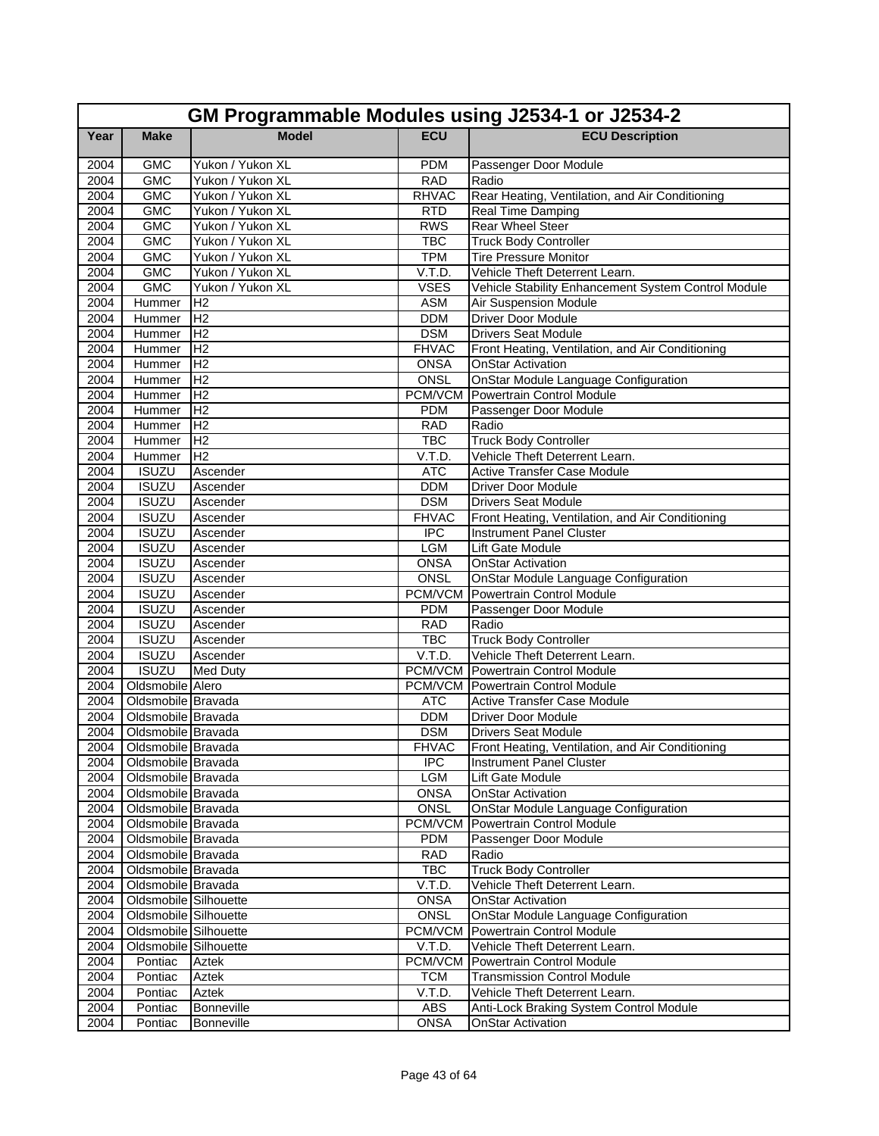|              | GM Programmable Modules using J2534-1 or J2534-2 |                                     |                           |                                                                                     |  |  |
|--------------|--------------------------------------------------|-------------------------------------|---------------------------|-------------------------------------------------------------------------------------|--|--|
| Year         | <b>Make</b>                                      | <b>Model</b>                        | <b>ECU</b>                | <b>ECU Description</b>                                                              |  |  |
| 2004         | <b>GMC</b>                                       | Yukon / Yukon XL                    | <b>PDM</b>                | Passenger Door Module                                                               |  |  |
| 2004         | <b>GMC</b>                                       | Yukon / Yukon XL                    | <b>RAD</b>                | Radio                                                                               |  |  |
| 2004         | <b>GMC</b>                                       | Yukon / Yukon XL                    | <b>RHVAC</b>              | Rear Heating, Ventilation, and Air Conditioning                                     |  |  |
| 2004         | <b>GMC</b>                                       | Yukon / Yukon XL                    | <b>RTD</b>                | <b>Real Time Damping</b>                                                            |  |  |
| 2004         | <b>GMC</b>                                       | Yukon / Yukon XL                    | <b>RWS</b>                | <b>Rear Wheel Steer</b>                                                             |  |  |
| 2004         | <b>GMC</b>                                       | Yukon / Yukon XL                    | <b>TBC</b>                | <b>Truck Body Controller</b>                                                        |  |  |
| 2004         | <b>GMC</b>                                       | Yukon / Yukon XL                    | <b>TPM</b>                | <b>Tire Pressure Monitor</b>                                                        |  |  |
| 2004         | <b>GMC</b>                                       | Yukon / Yukon XL                    | V.T.D.                    | Vehicle Theft Deterrent Learn.                                                      |  |  |
| 2004<br>2004 | <b>GMC</b><br>Hummer                             | Yukon / Yukon XL<br>IH <sub>2</sub> | <b>VSES</b><br><b>ASM</b> | Vehicle Stability Enhancement System Control Module<br><b>Air Suspension Module</b> |  |  |
| 2004         | Hummer                                           | H <sub>2</sub>                      | <b>DDM</b>                | <b>Driver Door Module</b>                                                           |  |  |
| 2004         | Hummer                                           | H <sub>2</sub>                      | <b>DSM</b>                | <b>Drivers Seat Module</b>                                                          |  |  |
| 2004         | Hummer                                           | IH <sub>2</sub>                     | <b>FHVAC</b>              | Front Heating, Ventilation, and Air Conditioning                                    |  |  |
| 2004         | Hummer                                           | IH <sub>2</sub>                     | <b>ONSA</b>               | <b>OnStar Activation</b>                                                            |  |  |
| 2004         | Hummer                                           | H <sub>2</sub>                      | ONSL                      | OnStar Module Language Configuration                                                |  |  |
| 2004         | Hummer                                           | H <sub>2</sub>                      | PCM/VCM                   | <b>Powertrain Control Module</b>                                                    |  |  |
| 2004         | Hummer                                           | H <sub>2</sub>                      | <b>PDM</b>                | Passenger Door Module                                                               |  |  |
| 2004         | Hummer                                           | H <sub>2</sub>                      | <b>RAD</b>                | Radio                                                                               |  |  |
| 2004         | Hummer                                           | H <sub>2</sub>                      | <b>TBC</b>                | <b>Truck Body Controller</b>                                                        |  |  |
| 2004         | Hummer                                           | H <sub>2</sub>                      | V.T.D.                    | Vehicle Theft Deterrent Learn.                                                      |  |  |
| 2004         | <b>ISUZU</b>                                     | Ascender                            | <b>ATC</b>                | <b>Active Transfer Case Module</b>                                                  |  |  |
| 2004         | <b>ISUZU</b>                                     | Ascender                            | <b>DDM</b>                | <b>Driver Door Module</b>                                                           |  |  |
| 2004         | <b>ISUZU</b>                                     | Ascender                            | <b>DSM</b>                | <b>Drivers Seat Module</b>                                                          |  |  |
| 2004         | <b>ISUZU</b>                                     | Ascender                            | <b>FHVAC</b>              | Front Heating, Ventilation, and Air Conditioning                                    |  |  |
| 2004         | <b>ISUZU</b>                                     | Ascender                            | <b>IPC</b>                | <b>Instrument Panel Cluster</b>                                                     |  |  |
| 2004         | <b>ISUZU</b>                                     | Ascender                            | <b>LGM</b>                | Lift Gate Module                                                                    |  |  |
| 2004         | <b>ISUZU</b>                                     | Ascender                            | <b>ONSA</b>               | OnStar Activation                                                                   |  |  |
| 2004         | <b>ISUZU</b>                                     | Ascender                            | ONSL                      | <b>OnStar Module Language Configuration</b>                                         |  |  |
| 2004         | <b>ISUZU</b>                                     | Ascender                            | PCM/VCM                   | Powertrain Control Module                                                           |  |  |
| 2004         | <b>ISUZU</b>                                     | Ascender                            | <b>PDM</b>                | Passenger Door Module                                                               |  |  |
| 2004         | <b>ISUZU</b>                                     | Ascender                            | <b>RAD</b>                | Radio                                                                               |  |  |
| 2004         | <b>ISUZU</b>                                     | Ascender                            | <b>TBC</b>                | <b>Truck Body Controller</b>                                                        |  |  |
| 2004         | <b>ISUZU</b>                                     | Ascender                            | V.T.D.                    | Vehicle Theft Deterrent Learn.                                                      |  |  |
| 2004         | <b>ISUZU</b>                                     | <b>Med Duty</b>                     |                           | <b>PCM/VCM</b> Powertrain Control Module                                            |  |  |
| 2004         | Oldsmobile Alero                                 |                                     |                           | <b>PCM/VCM</b> Powertrain Control Module                                            |  |  |
| 2004         | Oldsmobile Bravada                               |                                     | <b>ATC</b>                | Active Transfer Case Module                                                         |  |  |
| 2004         | Oldsmobile Bravada                               |                                     | <b>DDM</b>                | <b>Driver Door Module</b>                                                           |  |  |
| 2004         | Oldsmobile Bravada                               |                                     | <b>DSM</b>                | <b>Drivers Seat Module</b>                                                          |  |  |
|              | 2004 Oldsmobile Bravada                          |                                     | <b>FHVAC</b>              | Front Heating, Ventilation, and Air Conditioning                                    |  |  |
|              | 2004 Oldsmobile Bravada                          |                                     | <b>IPC</b>                | <b>Instrument Panel Cluster</b>                                                     |  |  |
|              | 2004 Oldsmobile Bravada                          |                                     | <b>LGM</b>                | Lift Gate Module                                                                    |  |  |
|              | 2004 Oldsmobile Bravada                          |                                     | <b>ONSA</b>               | <b>OnStar Activation</b>                                                            |  |  |
| 2004         | Oldsmobile Bravada                               |                                     | ONSL                      | <b>OnStar Module Language Configuration</b>                                         |  |  |
| 2004         | Oldsmobile Bravada                               |                                     | PCM/VCM                   | Powertrain Control Module                                                           |  |  |
| 2004         | Oldsmobile Bravada<br>Oldsmobile Bravada         |                                     | <b>PDM</b>                | Passenger Door Module                                                               |  |  |
| 2004         |                                                  |                                     | <b>RAD</b>                | Radio                                                                               |  |  |
| 2004         | Oldsmobile Bravada<br>Oldsmobile Bravada         |                                     | <b>TBC</b><br>V.T.D.      | <b>Truck Body Controller</b>                                                        |  |  |
| 2004<br>2004 | <b>Oldsmobile Silhouette</b>                     |                                     | <b>ONSA</b>               | Vehicle Theft Deterrent Learn.<br><b>OnStar Activation</b>                          |  |  |
| 2004         | Oldsmobile Silhouette                            |                                     | ONSL                      | <b>OnStar Module Language Configuration</b>                                         |  |  |
| 2004         | Oldsmobile Silhouette                            |                                     | <b>PCM/VCM</b>            | Powertrain Control Module                                                           |  |  |
| 2004         | Oldsmobile Silhouette                            |                                     | V.T.D.                    | Vehicle Theft Deterrent Learn.                                                      |  |  |
| 2004         | Pontiac                                          | Aztek                               | PCM/VCM                   | Powertrain Control Module                                                           |  |  |
| 2004         | Pontiac                                          | Aztek                               | <b>TCM</b>                | <b>Transmission Control Module</b>                                                  |  |  |
| 2004         | Pontiac                                          | Aztek                               | V.T.D.                    | Vehicle Theft Deterrent Learn.                                                      |  |  |
| 2004         | Pontiac                                          | Bonneville                          | ABS                       | Anti-Lock Braking System Control Module                                             |  |  |
| 2004         | Pontiac                                          | Bonneville                          | <b>ONSA</b>               | <b>OnStar Activation</b>                                                            |  |  |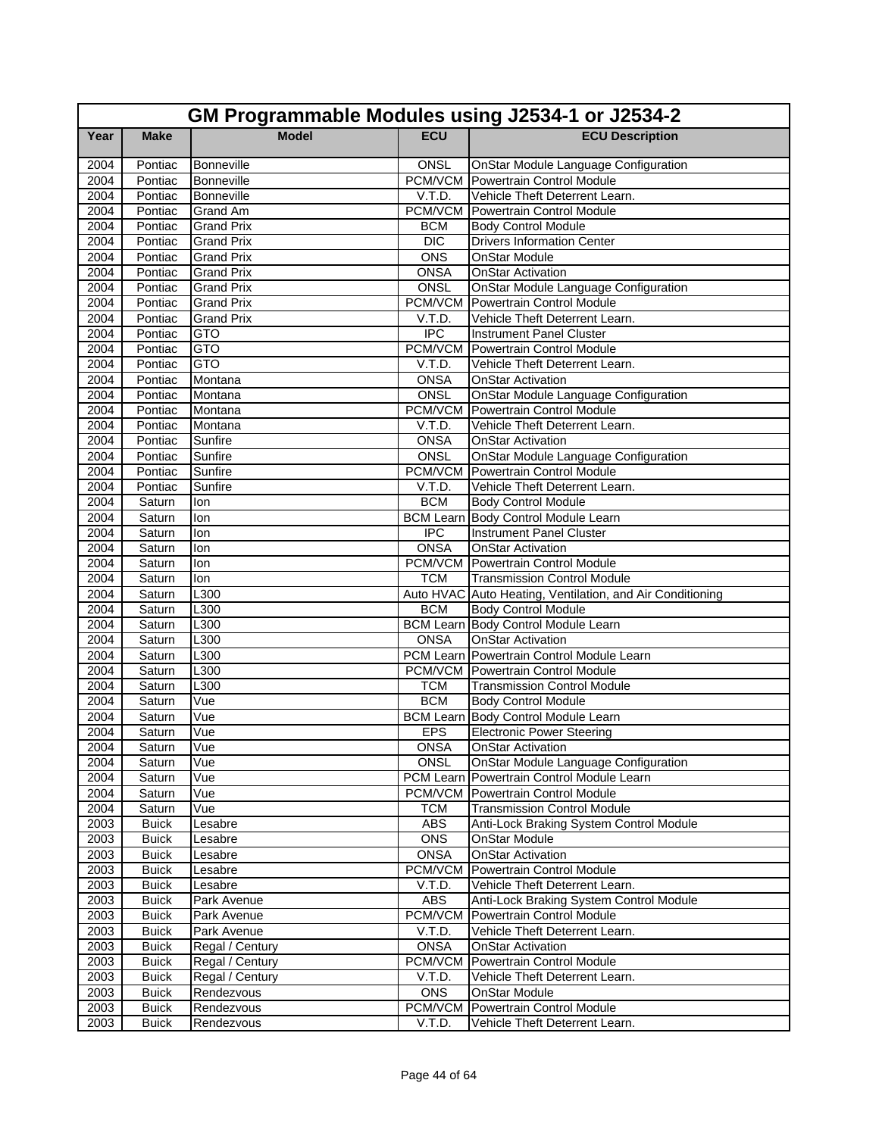|      | GM Programmable Modules using J2534-1 or J2534-2 |                   |                  |                                                           |  |
|------|--------------------------------------------------|-------------------|------------------|-----------------------------------------------------------|--|
| Year | <b>Make</b>                                      | <b>Model</b>      | <b>ECU</b>       | <b>ECU Description</b>                                    |  |
| 2004 | Pontiac                                          | Bonneville        | ONSL             | <b>OnStar Module Language Configuration</b>               |  |
| 2004 | Pontiac                                          | Bonneville        |                  | PCM/VCM Powertrain Control Module                         |  |
| 2004 | Pontiac                                          | Bonneville        | V.T.D.           | Vehicle Theft Deterrent Learn.                            |  |
| 2004 | Pontiac                                          | <b>Grand Am</b>   | PCM/VCM          | Powertrain Control Module                                 |  |
| 2004 | Pontiac                                          | <b>Grand Prix</b> | <b>BCM</b>       | <b>Body Control Module</b>                                |  |
| 2004 | Pontiac                                          | <b>Grand Prix</b> | <b>DIC</b>       | <b>Drivers Information Center</b>                         |  |
| 2004 | Pontiac                                          | <b>Grand Prix</b> | <b>ONS</b>       | <b>OnStar Module</b>                                      |  |
| 2004 | Pontiac                                          | Grand Prix        | <b>ONSA</b>      | OnStar Activation                                         |  |
| 2004 | Pontiac                                          | <b>Grand Prix</b> | <b>ONSL</b>      | <b>OnStar Module Language Configuration</b>               |  |
| 2004 | Pontiac                                          | <b>Grand Prix</b> | PCM/VCM          | Powertrain Control Module                                 |  |
| 2004 | Pontiac                                          | <b>Grand Prix</b> | V.T.D.           | Vehicle Theft Deterrent Learn.                            |  |
| 2004 | Pontiac                                          | <b>GTO</b>        | $\overline{IPC}$ | <b>Instrument Panel Cluster</b>                           |  |
| 2004 | Pontiac                                          | <b>GTO</b>        |                  | <b>PCM/VCM</b> Powertrain Control Module                  |  |
| 2004 | Pontiac                                          | <b>GTO</b>        | V.T.D.           | Vehicle Theft Deterrent Learn.                            |  |
| 2004 | Pontiac                                          | Montana           | <b>ONSA</b>      | <b>OnStar Activation</b>                                  |  |
| 2004 | Pontiac                                          | Montana           | ONSL             | <b>OnStar Module Language Configuration</b>               |  |
| 2004 | Pontiac                                          | Montana           |                  | <b>PCM/VCM</b> Powertrain Control Module                  |  |
| 2004 | Pontiac                                          | Montana           | V.T.D.           | Vehicle Theft Deterrent Learn.                            |  |
| 2004 | Pontiac                                          | Sunfire           | <b>ONSA</b>      | <b>OnStar Activation</b>                                  |  |
| 2004 | Pontiac                                          | Sunfire           | <b>ONSL</b>      | OnStar Module Language Configuration                      |  |
| 2004 | Pontiac                                          | Sunfire           |                  | <b>PCM/VCM</b> Powertrain Control Module                  |  |
| 2004 | Pontiac                                          | Sunfire           | V.T.D.           | Vehicle Theft Deterrent Learn.                            |  |
| 2004 | Saturn                                           | lon               | <b>BCM</b>       | <b>Body Control Module</b>                                |  |
| 2004 | Saturn                                           | lon               |                  | <b>BCM Learn Body Control Module Learn</b>                |  |
| 2004 | Saturn                                           | lon               | <b>IPC</b>       | <b>Instrument Panel Cluster</b>                           |  |
| 2004 | Saturn                                           | lon               | <b>ONSA</b>      | <b>OnStar Activation</b>                                  |  |
| 2004 | Saturn                                           | lon               |                  | <b>PCM/VCM</b> Powertrain Control Module                  |  |
| 2004 | Saturn                                           | lon               | <b>TCM</b>       | <b>Transmission Control Module</b>                        |  |
| 2004 | Saturn                                           | L300              |                  | Auto HVAC Auto Heating, Ventilation, and Air Conditioning |  |
| 2004 | Saturn                                           | L300              | <b>BCM</b>       | <b>Body Control Module</b>                                |  |
| 2004 | Saturn                                           | L300              |                  | <b>BCM Learn Body Control Module Learn</b>                |  |
| 2004 | Saturn                                           | L300              | <b>ONSA</b>      | <b>OnStar Activation</b>                                  |  |
| 2004 | Saturn                                           | L300              |                  | PCM Learn Powertrain Control Module Learn                 |  |
| 2004 | Saturn                                           | L300              |                  | <b>PCM/VCM</b> Powertrain Control Module                  |  |
| 2004 | Saturn                                           | L300              | <b>TCM</b>       | <b>Transmission Control Module</b>                        |  |
| 2004 | Saturn                                           | Vue               | <b>BCM</b>       | <b>Body Control Module</b>                                |  |
| 2004 | Saturn                                           | Vue               |                  | BCM Learn Body Control Module Learn                       |  |
| 2004 | Saturn                                           | Vue               | <b>EPS</b>       | <b>Electronic Power Steering</b>                          |  |
| 2004 | Saturn                                           | Vue               | ONSA             | <b>OnStar Activation</b>                                  |  |
| 2004 | Saturn                                           | Vue               | <b>ONSL</b>      | OnStar Module Language Configuration                      |  |
| 2004 | Saturn                                           | Vue               |                  | PCM Learn Powertrain Control Module Learn                 |  |
| 2004 | Saturn                                           | Vue               |                  | PCM/VCM Powertrain Control Module                         |  |
| 2004 | Saturn                                           | Vue               | <b>TCM</b>       | <b>Transmission Control Module</b>                        |  |
| 2003 | <b>Buick</b>                                     | Lesabre           | <b>ABS</b>       | Anti-Lock Braking System Control Module                   |  |
| 2003 | <b>Buick</b>                                     | Lesabre           | ONS              | <b>OnStar Module</b>                                      |  |
| 2003 | <b>Buick</b>                                     | Lesabre           | <b>ONSA</b>      | <b>OnStar Activation</b>                                  |  |
| 2003 | <b>Buick</b>                                     | Lesabre           | PCM/VCM          | Powertrain Control Module                                 |  |
| 2003 | <b>Buick</b>                                     | Lesabre           | V.T.D.           | Vehicle Theft Deterrent Learn.                            |  |
| 2003 | <b>Buick</b>                                     | Park Avenue       | ABS              | Anti-Lock Braking System Control Module                   |  |
| 2003 | <b>Buick</b>                                     | Park Avenue       | PCM/VCM          | Powertrain Control Module                                 |  |
| 2003 | <b>Buick</b>                                     | Park Avenue       | V.T.D.           | Vehicle Theft Deterrent Learn.                            |  |
| 2003 | <b>Buick</b>                                     | Regal / Century   | <b>ONSA</b>      | <b>OnStar Activation</b>                                  |  |
| 2003 | <b>Buick</b>                                     | Regal / Century   |                  | PCM/VCM Powertrain Control Module                         |  |
| 2003 | <b>Buick</b>                                     | Regal / Century   | V.T.D.           | Vehicle Theft Deterrent Learn.                            |  |
| 2003 | <b>Buick</b>                                     | Rendezvous        | ONS              | <b>OnStar Module</b>                                      |  |
| 2003 | <b>Buick</b>                                     | Rendezvous        | PCM/VCM          | Powertrain Control Module                                 |  |
| 2003 | <b>Buick</b>                                     | Rendezvous        | V.T.D.           | Vehicle Theft Deterrent Learn.                            |  |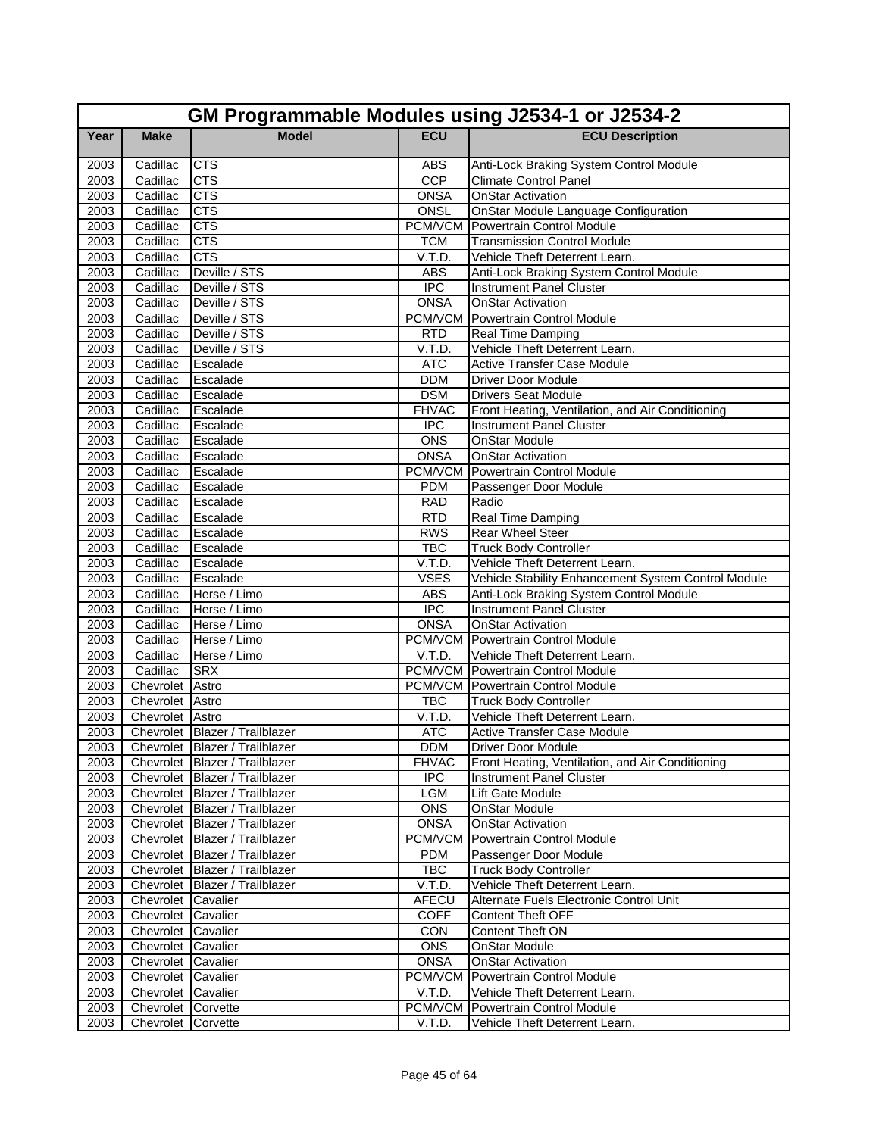|                   | GM Programmable Modules using J2534-1 or J2534-2 |                                |              |                                                                            |  |  |
|-------------------|--------------------------------------------------|--------------------------------|--------------|----------------------------------------------------------------------------|--|--|
| Year              | <b>Make</b>                                      | <b>Model</b>                   | <b>ECU</b>   | <b>ECU Description</b>                                                     |  |  |
| 2003              | Cadillac                                         | <b>CTS</b>                     | <b>ABS</b>   | Anti-Lock Braking System Control Module                                    |  |  |
| 2003              | Cadillac                                         | <b>CTS</b>                     | CCP          | <b>Climate Control Panel</b>                                               |  |  |
| 2003              | Cadillac                                         | <b>CTS</b>                     | <b>ONSA</b>  | <b>OnStar Activation</b>                                                   |  |  |
| 2003              | Cadillac                                         | <b>CTS</b>                     | ONSL         | <b>OnStar Module Language Configuration</b>                                |  |  |
| 2003              | Cadillac                                         | <b>CTS</b>                     | PCM/VCM      | Powertrain Control Module                                                  |  |  |
| 2003              | Cadillac                                         | <b>CTS</b>                     | <b>TCM</b>   | <b>Transmission Control Module</b>                                         |  |  |
| 2003              | Cadillac                                         | <b>CTS</b>                     | V.T.D.       | Vehicle Theft Deterrent Learn.                                             |  |  |
| 2003              | Cadillac                                         | Deville / STS                  | <b>ABS</b>   | Anti-Lock Braking System Control Module                                    |  |  |
| 2003              | Cadillac                                         | Deville / STS                  | <b>IPC</b>   | <b>Instrument Panel Cluster</b>                                            |  |  |
| 2003              | Cadillac                                         | Deville / STS                  | <b>ONSA</b>  | <b>OnStar Activation</b>                                                   |  |  |
| 2003              | Cadillac                                         | Deville / STS                  |              | <b>PCM/VCM</b> Powertrain Control Module                                   |  |  |
| 2003              | Cadillac                                         | Deville / STS                  | <b>RTD</b>   | Real Time Damping                                                          |  |  |
| 2003              | Cadillac                                         | Deville / STS                  | V.T.D.       | Vehicle Theft Deterrent Learn.                                             |  |  |
| 2003              | Cadillac                                         | Escalade                       | <b>ATC</b>   | <b>Active Transfer Case Module</b>                                         |  |  |
| 2003              | Cadillac                                         | Escalade                       | <b>DDM</b>   | <b>Driver Door Module</b>                                                  |  |  |
| 2003              | Cadillac                                         | Escalade                       | <b>DSM</b>   | <b>Drivers Seat Module</b>                                                 |  |  |
| 2003              | Cadillac                                         | Escalade                       | <b>FHVAC</b> | Front Heating, Ventilation, and Air Conditioning                           |  |  |
| 2003              | Cadillac                                         | Escalade                       | <b>IPC</b>   | <b>Instrument Panel Cluster</b>                                            |  |  |
| 2003              | Cadillac                                         | Escalade                       | <b>ONS</b>   | <b>OnStar Module</b>                                                       |  |  |
| 2003              | Cadillac                                         | Escalade                       | <b>ONSA</b>  | <b>OnStar Activation</b>                                                   |  |  |
| 2003              | Cadillac                                         | Escalade                       | PCM/VCM      | Powertrain Control Module                                                  |  |  |
| 2003              | Cadillac                                         | Escalade                       | <b>PDM</b>   | Passenger Door Module                                                      |  |  |
| 2003              | Cadillac                                         | Escalade                       | <b>RAD</b>   | Radio                                                                      |  |  |
| 2003              | Cadillac                                         | Escalade                       | RTD          | Real Time Damping                                                          |  |  |
| 2003              | Cadillac                                         | Escalade                       | <b>RWS</b>   | Rear Wheel Steer                                                           |  |  |
| 2003              | Cadillac                                         | Escalade                       | <b>TBC</b>   | <b>Truck Body Controller</b>                                               |  |  |
| 2003              | Cadillac                                         | Escalade                       | V.T.D.       | Vehicle Theft Deterrent Learn.                                             |  |  |
| 2003              | Cadillac                                         | Escalade                       | <b>VSES</b>  | Vehicle Stability Enhancement System Control Module                        |  |  |
| 2003              | Cadillac                                         | Herse / Limo                   | <b>ABS</b>   | Anti-Lock Braking System Control Module                                    |  |  |
| 2003              | Cadillac                                         | Herse / Limo                   | <b>IPC</b>   | Instrument Panel Cluster                                                   |  |  |
| 2003              | Cadillac                                         | Herse / Limo                   | <b>ONSA</b>  | <b>OnStar Activation</b>                                                   |  |  |
| 2003              | Cadillac                                         | Herse / Limo                   |              | <b>PCM/VCM Powertrain Control Module</b>                                   |  |  |
| 2003<br>2003      | Cadillac<br>Cadillac                             | Herse / Limo<br><b>SRX</b>     | V.T.D.       | Vehicle Theft Deterrent Learn.<br><b>PCM/VCM</b> Powertrain Control Module |  |  |
| $\overline{2003}$ | Chevrolet Astro                                  |                                |              | PCM/VCM Powertrain Control Module                                          |  |  |
| 2003              | Chevrolet Astro                                  |                                | TBC          | <b>Truck Body Controller</b>                                               |  |  |
| 2003              | Chevrolet Astro                                  |                                | V.T.D.       | Vehicle Theft Deterrent Learn.                                             |  |  |
| 2003              |                                                  | Chevrolet Blazer / Trailblazer | <b>ATC</b>   | Active Transfer Case Module                                                |  |  |
| 2003              |                                                  | Chevrolet Blazer / Trailblazer | <b>DDM</b>   | Driver Door Module                                                         |  |  |
| 2003              |                                                  | Chevrolet Blazer / Trailblazer | <b>FHVAC</b> | Front Heating, Ventilation, and Air Conditioning                           |  |  |
| 2003              |                                                  | Chevrolet Blazer / Trailblazer | <b>IPC</b>   | <b>Instrument Panel Cluster</b>                                            |  |  |
| 2003              |                                                  | Chevrolet Blazer / Trailblazer | LGM          | Lift Gate Module                                                           |  |  |
| 2003              |                                                  | Chevrolet Blazer / Trailblazer | <b>ONS</b>   | <b>OnStar Module</b>                                                       |  |  |
| 2003              |                                                  | Chevrolet Blazer / Trailblazer | <b>ONSA</b>  | <b>OnStar Activation</b>                                                   |  |  |
| 2003              |                                                  | Chevrolet Blazer / Trailblazer | PCM/VCM      | Powertrain Control Module                                                  |  |  |
| 2003              |                                                  | Chevrolet Blazer / Trailblazer | <b>PDM</b>   | Passenger Door Module                                                      |  |  |
| 2003              |                                                  | Chevrolet Blazer / Trailblazer | <b>TBC</b>   | <b>Truck Body Controller</b>                                               |  |  |
| 2003              |                                                  | Chevrolet Blazer / Trailblazer | V.T.D.       | Vehicle Theft Deterrent Learn.                                             |  |  |
| 2003              | Chevrolet Cavalier                               |                                | AFECU        | Alternate Fuels Electronic Control Unit                                    |  |  |
| 2003              | Chevrolet Cavalier                               |                                | <b>COFF</b>  | <b>Content Theft OFF</b>                                                   |  |  |
| 2003              | Chevrolet Cavalier                               |                                | CON          | Content Theft ON                                                           |  |  |
| 2003              | Chevrolet Cavalier                               |                                | <b>ONS</b>   | <b>OnStar Module</b>                                                       |  |  |
| 2003              | Chevrolet Cavalier                               |                                | <b>ONSA</b>  | <b>OnStar Activation</b>                                                   |  |  |
| 2003              | Chevrolet Cavalier                               |                                | PCM/VCM      | <b>Powertrain Control Module</b>                                           |  |  |
| 2003              | Chevrolet Cavalier                               |                                | V.T.D.       | Vehicle Theft Deterrent Learn.                                             |  |  |
| 2003              | Chevrolet Corvette                               |                                | PCM/VCM      | Powertrain Control Module                                                  |  |  |
| 2003              | Chevrolet Corvette                               |                                | V.T.D.       | Vehicle Theft Deterrent Learn.                                             |  |  |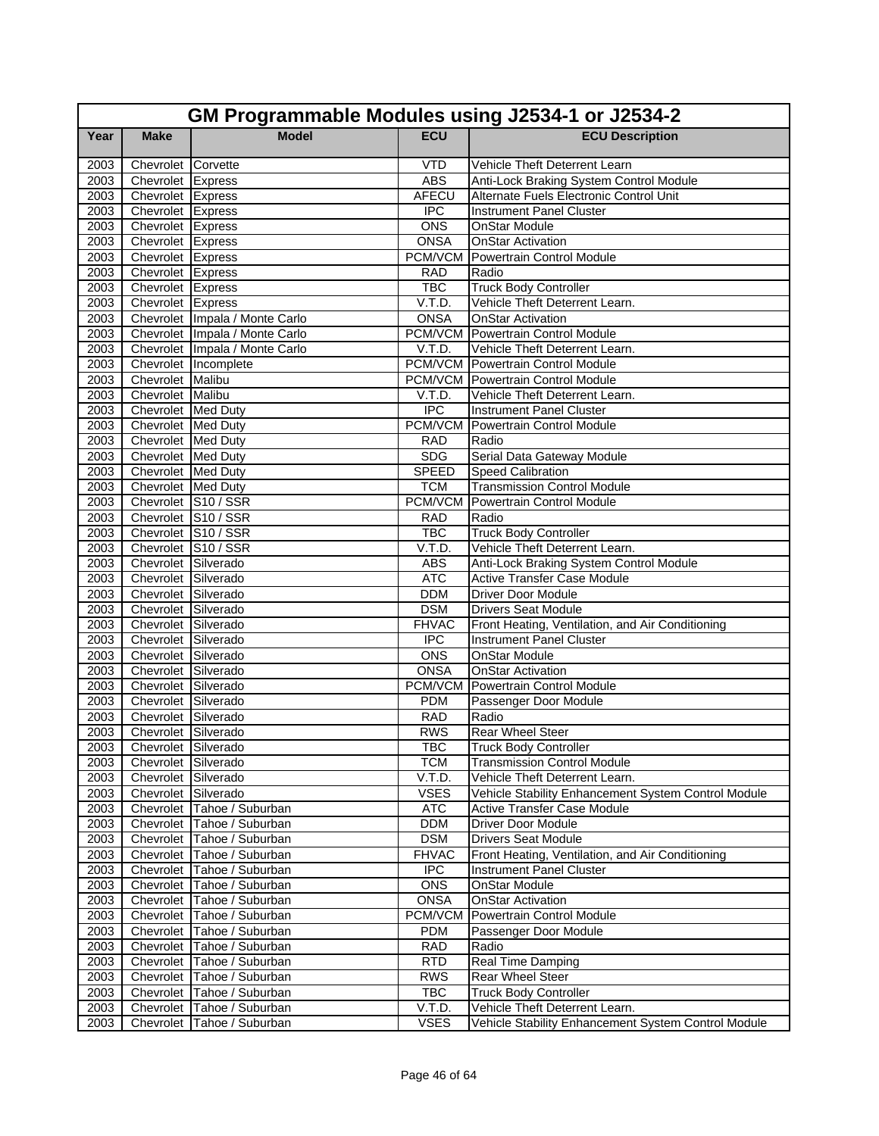|      | GM Programmable Modules using J2534-1 or J2534-2 |                                |                  |                                                     |  |
|------|--------------------------------------------------|--------------------------------|------------------|-----------------------------------------------------|--|
| Year | <b>Make</b>                                      | <b>Model</b>                   | <b>ECU</b>       | <b>ECU Description</b>                              |  |
| 2003 | Chevrolet Corvette                               |                                | <b>VTD</b>       | Vehicle Theft Deterrent Learn                       |  |
| 2003 | Chevrolet Express                                |                                | <b>ABS</b>       | Anti-Lock Braking System Control Module             |  |
| 2003 | Chevrolet Express                                |                                | <b>AFECU</b>     | Alternate Fuels Electronic Control Unit             |  |
| 2003 | Chevrolet Express                                |                                | <b>IPC</b>       | <b>Instrument Panel Cluster</b>                     |  |
| 2003 | Chevrolet Express                                |                                | <b>ONS</b>       | OnStar Module                                       |  |
| 2003 | Chevrolet Express                                |                                | <b>ONSA</b>      | <b>OnStar Activation</b>                            |  |
| 2003 | Chevrolet Express                                |                                |                  | <b>PCM/VCM</b> Powertrain Control Module            |  |
| 2003 | Chevrolet Express                                |                                | <b>RAD</b>       | Radio                                               |  |
| 2003 | Chevrolet Express                                |                                | <b>TBC</b>       | <b>Truck Body Controller</b>                        |  |
| 2003 | Chevrolet Express                                |                                | V.T.D.           | Vehicle Theft Deterrent Learn.                      |  |
| 2003 |                                                  | Chevrolet Impala / Monte Carlo | <b>ONSA</b>      | <b>OnStar Activation</b>                            |  |
| 2003 |                                                  | Chevrolet Impala / Monte Carlo |                  | <b>PCM/VCM</b> Powertrain Control Module            |  |
| 2003 |                                                  | Chevrolet Impala / Monte Carlo | V.T.D.           | Vehicle Theft Deterrent Learn.                      |  |
| 2003 |                                                  | Chevrolet Incomplete           |                  | <b>PCM/VCM</b> Powertrain Control Module            |  |
| 2003 | Chevrolet Malibu                                 |                                |                  | <b>PCM/VCM</b> Powertrain Control Module            |  |
| 2003 | Chevrolet Malibu                                 |                                | V.T.D.           | Vehicle Theft Deterrent Learn.                      |  |
| 2003 | Chevrolet Med Duty                               |                                | <b>IPC</b>       | <b>Instrument Panel Cluster</b>                     |  |
| 2003 | Chevrolet Med Duty                               |                                | PCM/VCM          | Powertrain Control Module                           |  |
| 2003 | Chevrolet Med Duty                               |                                | <b>RAD</b>       | Radio                                               |  |
| 2003 | Chevrolet Med Duty                               |                                | <b>SDG</b>       | Serial Data Gateway Module                          |  |
| 2003 | Chevrolet Med Duty                               |                                | <b>SPEED</b>     | Speed Calibration                                   |  |
| 2003 | Chevrolet Med Duty                               |                                | <b>TCM</b>       | <b>Transmission Control Module</b>                  |  |
| 2003 | Chevrolet S10 / SSR                              |                                |                  | <b>PCM/VCM Powertrain Control Module</b>            |  |
| 2003 | Chevrolet S10 / SSR                              |                                | <b>RAD</b>       | Radio                                               |  |
| 2003 | Chevrolet S10 / SSR                              |                                | <b>TBC</b>       | <b>Truck Body Controller</b>                        |  |
| 2003 | Chevrolet S10 / SSR                              |                                | V.T.D.           | Vehicle Theft Deterrent Learn.                      |  |
| 2003 | Chevrolet Silverado                              |                                | <b>ABS</b>       | Anti-Lock Braking System Control Module             |  |
| 2003 | Chevrolet Silverado                              |                                | <b>ATC</b>       | <b>Active Transfer Case Module</b>                  |  |
| 2003 | Chevrolet Silverado                              |                                | <b>DDM</b>       | <b>Driver Door Module</b>                           |  |
| 2003 | Chevrolet Silverado                              |                                | <b>DSM</b>       | <b>Drivers Seat Module</b>                          |  |
| 2003 | Chevrolet Silverado                              |                                | <b>FHVAC</b>     | Front Heating, Ventilation, and Air Conditioning    |  |
| 2003 | Chevrolet Silverado                              |                                | <b>IPC</b>       | <b>Instrument Panel Cluster</b>                     |  |
| 2003 | Chevrolet Silverado                              |                                | <b>ONS</b>       | <b>OnStar Module</b>                                |  |
| 2003 | Chevrolet Silverado                              |                                | <b>ONSA</b>      | <b>OnStar Activation</b>                            |  |
| 2003 | Chevrolet Silverado                              |                                | PCM/VCM          | Powertrain Control Module                           |  |
| 2003 | Chevrolet Silverado                              |                                | <b>PDM</b>       | Passenger Door Module                               |  |
| 2003 | Chevrolet Silverado                              |                                | <b>RAD</b>       | Radio                                               |  |
| 2003 | Chevrolet Silverado                              |                                | <b>RWS</b>       | Rear Wheel Steer                                    |  |
| 2003 | Chevrolet Silverado                              |                                | <b>TBC</b>       | <b>Truck Body Controller</b>                        |  |
| 2003 | Chevrolet Silverado                              |                                | <b>TCM</b>       | <b>Transmission Control Module</b>                  |  |
| 2003 | Chevrolet Silverado                              |                                | V.T.D.           | Vehicle Theft Deterrent Learn.                      |  |
| 2003 | Chevrolet Silverado                              |                                | <b>VSES</b>      | Vehicle Stability Enhancement System Control Module |  |
| 2003 |                                                  | Chevrolet Tahoe / Suburban     | <b>ATC</b>       | Active Transfer Case Module                         |  |
| 2003 |                                                  | Chevrolet Tahoe / Suburban     | <b>DDM</b>       | <b>Driver Door Module</b>                           |  |
| 2003 |                                                  | Chevrolet Tahoe / Suburban     | <b>DSM</b>       | <b>Drivers Seat Module</b>                          |  |
| 2003 |                                                  | Chevrolet Tahoe / Suburban     | <b>FHVAC</b>     | Front Heating, Ventilation, and Air Conditioning    |  |
| 2003 |                                                  | Chevrolet Tahoe / Suburban     | $\overline{IPC}$ | Instrument Panel Cluster                            |  |
| 2003 |                                                  | Chevrolet Tahoe / Suburban     | <b>ONS</b>       | <b>OnStar Module</b>                                |  |
| 2003 |                                                  | Chevrolet Tahoe / Suburban     | <b>ONSA</b>      | <b>OnStar Activation</b>                            |  |
| 2003 |                                                  | Chevrolet Tahoe / Suburban     | PCM/VCM          | Powertrain Control Module                           |  |
| 2003 |                                                  | Chevrolet Tahoe / Suburban     | <b>PDM</b>       | Passenger Door Module                               |  |
| 2003 |                                                  | Chevrolet Tahoe / Suburban     | <b>RAD</b>       | Radio                                               |  |
| 2003 |                                                  | Chevrolet Tahoe / Suburban     | <b>RTD</b>       | <b>Real Time Damping</b>                            |  |
| 2003 |                                                  | Chevrolet Tahoe / Suburban     | <b>RWS</b>       | <b>Rear Wheel Steer</b>                             |  |
| 2003 |                                                  | Chevrolet Tahoe / Suburban     | <b>TBC</b>       | <b>Truck Body Controller</b>                        |  |
| 2003 |                                                  | Chevrolet Tahoe / Suburban     | V.T.D.           | Vehicle Theft Deterrent Learn.                      |  |
| 2003 |                                                  | Chevrolet Tahoe / Suburban     | <b>VSES</b>      | Vehicle Stability Enhancement System Control Module |  |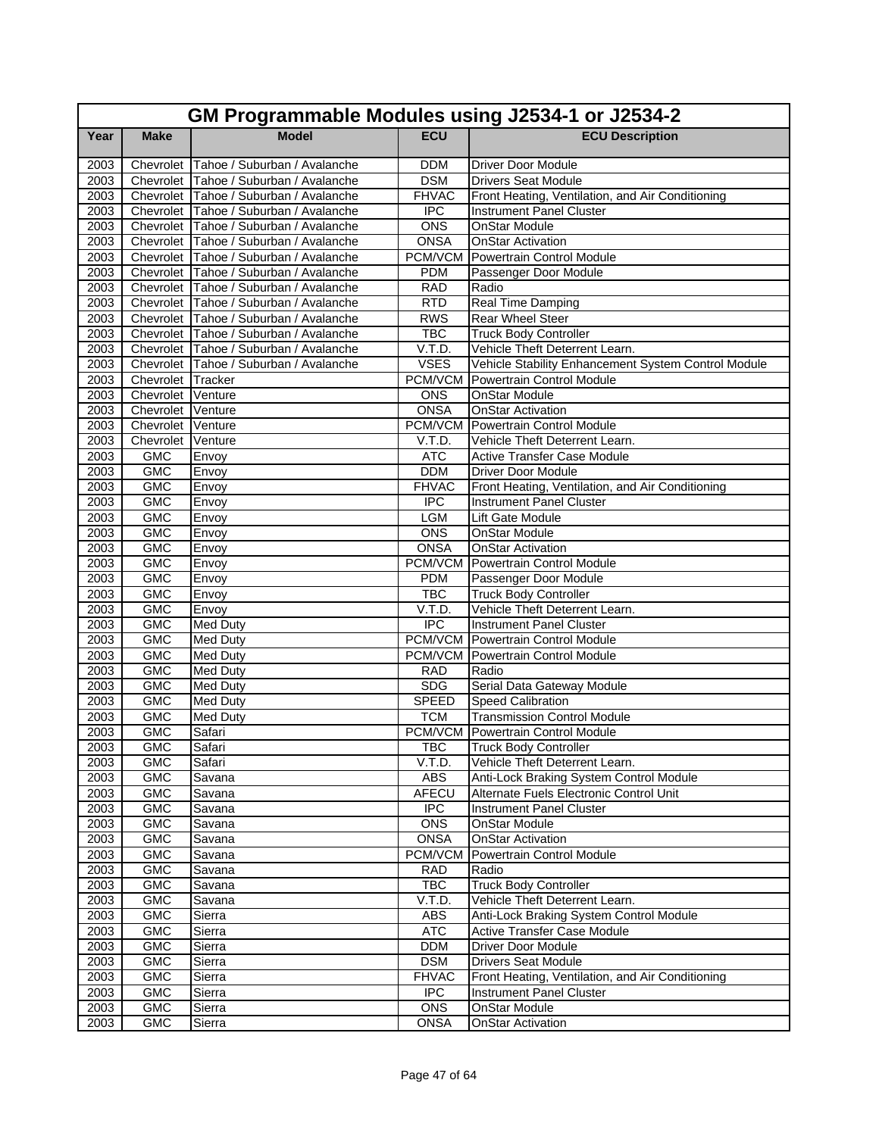|      | GM Programmable Modules using J2534-1 or J2534-2 |                                        |                  |                                                     |  |  |
|------|--------------------------------------------------|----------------------------------------|------------------|-----------------------------------------------------|--|--|
| Year | <b>Make</b>                                      | <b>Model</b>                           | <b>ECU</b>       | <b>ECU Description</b>                              |  |  |
| 2003 |                                                  | Chevrolet Tahoe / Suburban / Avalanche | <b>DDM</b>       | Driver Door Module                                  |  |  |
| 2003 |                                                  | Chevrolet Tahoe / Suburban / Avalanche | <b>DSM</b>       | <b>Drivers Seat Module</b>                          |  |  |
| 2003 |                                                  | Chevrolet Tahoe / Suburban / Avalanche | <b>FHVAC</b>     | Front Heating, Ventilation, and Air Conditioning    |  |  |
| 2003 |                                                  | Chevrolet Tahoe / Suburban / Avalanche | <b>IPC</b>       | <b>Instrument Panel Cluster</b>                     |  |  |
| 2003 |                                                  | Chevrolet Tahoe / Suburban / Avalanche | <b>ONS</b>       | <b>OnStar Module</b>                                |  |  |
| 2003 |                                                  | Chevrolet Tahoe / Suburban / Avalanche | <b>ONSA</b>      | <b>OnStar Activation</b>                            |  |  |
| 2003 |                                                  | Chevrolet Tahoe / Suburban / Avalanche | PCM/VCM          | Powertrain Control Module                           |  |  |
| 2003 |                                                  | Chevrolet Tahoe / Suburban / Avalanche | <b>PDM</b>       | Passenger Door Module                               |  |  |
| 2003 |                                                  | Chevrolet Tahoe / Suburban / Avalanche | <b>RAD</b>       | Radio                                               |  |  |
| 2003 |                                                  | Chevrolet Tahoe / Suburban / Avalanche | <b>RTD</b>       | Real Time Damping                                   |  |  |
| 2003 |                                                  | Chevrolet Tahoe / Suburban / Avalanche | <b>RWS</b>       | <b>Rear Wheel Steer</b>                             |  |  |
| 2003 |                                                  | Chevrolet Tahoe / Suburban / Avalanche | <b>TBC</b>       | <b>Truck Body Controller</b>                        |  |  |
| 2003 |                                                  | Chevrolet Tahoe / Suburban / Avalanche | V.T.D.           | Vehicle Theft Deterrent Learn.                      |  |  |
| 2003 |                                                  | Chevrolet Tahoe / Suburban / Avalanche | <b>VSES</b>      | Vehicle Stability Enhancement System Control Module |  |  |
| 2003 | Chevrolet Tracker                                |                                        | PCM/VCM          | <b>Powertrain Control Module</b>                    |  |  |
| 2003 | Chevrolet Venture                                |                                        | <b>ONS</b>       | <b>OnStar Module</b>                                |  |  |
| 2003 | Chevrolet Venture                                |                                        | <b>ONSA</b>      | <b>OnStar Activation</b>                            |  |  |
| 2003 | Chevrolet Venture                                |                                        | PCM/VCM          | Powertrain Control Module                           |  |  |
| 2003 | Chevrolet Venture                                |                                        | V.T.D.           | Vehicle Theft Deterrent Learn.                      |  |  |
| 2003 | <b>GMC</b>                                       | Envoy                                  | <b>ATC</b>       | <b>Active Transfer Case Module</b>                  |  |  |
| 2003 | <b>GMC</b>                                       | Envoy                                  | <b>DDM</b>       | <b>Driver Door Module</b>                           |  |  |
| 2003 | <b>GMC</b>                                       | Envoy                                  | <b>FHVAC</b>     | Front Heating, Ventilation, and Air Conditioning    |  |  |
| 2003 | <b>GMC</b>                                       | Envoy                                  | <b>IPC</b>       | Instrument Panel Cluster                            |  |  |
| 2003 | <b>GMC</b>                                       | Envoy                                  | <b>LGM</b>       | Lift Gate Module                                    |  |  |
| 2003 | <b>GMC</b>                                       | Envoy                                  | <b>ONS</b>       | <b>OnStar Module</b>                                |  |  |
| 2003 | <b>GMC</b>                                       | Envoy                                  | <b>ONSA</b>      | <b>OnStar Activation</b>                            |  |  |
| 2003 | <b>GMC</b>                                       | Envoy                                  | PCM/VCM          | <b>Powertrain Control Module</b>                    |  |  |
| 2003 | <b>GMC</b>                                       | Envoy                                  | <b>PDM</b>       | Passenger Door Module                               |  |  |
| 2003 | <b>GMC</b>                                       | Envoy                                  | <b>TBC</b>       | <b>Truck Body Controller</b>                        |  |  |
| 2003 | <b>GMC</b>                                       | Envoy                                  | V.T.D.           | Vehicle Theft Deterrent Learn.                      |  |  |
| 2003 | <b>GMC</b>                                       | <b>Med Duty</b>                        | <b>IPC</b>       | Instrument Panel Cluster                            |  |  |
| 2003 | <b>GMC</b>                                       | <b>Med Duty</b>                        | PCM/VCM          | Powertrain Control Module                           |  |  |
| 2003 | <b>GMC</b>                                       | Med Duty                               |                  | <b>PCM/VCM</b> Powertrain Control Module            |  |  |
| 2003 | <b>GMC</b>                                       | Med Duty                               | <b>RAD</b>       | Radio                                               |  |  |
| 2003 | <b>GMC</b>                                       | <b>Med Duty</b>                        | <b>SDG</b>       | Serial Data Gateway Module                          |  |  |
| 2003 | <b>GMC</b>                                       | <b>Med Duty</b>                        | SPEED            | <b>Speed Calibration</b>                            |  |  |
| 2003 | <b>GMC</b>                                       | Med Duty                               | TCM              | <b>Transmission Control Module</b>                  |  |  |
| 2003 | <b>GMC</b>                                       | Safari                                 |                  | PCM/VCM Powertrain Control Module                   |  |  |
| 2003 | GMC                                              | Safari                                 | <b>TBC</b>       | <b>Truck Body Controller</b>                        |  |  |
| 2003 | <b>GMC</b>                                       | Safari                                 | V.T.D.           | Vehicle Theft Deterrent Learn.                      |  |  |
| 2003 | <b>GMC</b>                                       | Savana                                 | ABS              | Anti-Lock Braking System Control Module             |  |  |
| 2003 | <b>GMC</b>                                       | Savana                                 | AFECU            | Alternate Fuels Electronic Control Unit             |  |  |
| 2003 | <b>GMC</b>                                       | Savana                                 | <b>IPC</b>       | <b>Instrument Panel Cluster</b>                     |  |  |
| 2003 | <b>GMC</b>                                       | Savana                                 | <b>ONS</b>       | OnStar Module                                       |  |  |
| 2003 | <b>GMC</b>                                       | Savana                                 | <b>ONSA</b>      | <b>OnStar Activation</b>                            |  |  |
| 2003 | <b>GMC</b>                                       | Savana                                 | PCM/VCM          | <b>Powertrain Control Module</b>                    |  |  |
| 2003 | <b>GMC</b>                                       | Savana                                 | <b>RAD</b>       | Radio                                               |  |  |
| 2003 | <b>GMC</b>                                       | Savana                                 | <b>TBC</b>       | <b>Truck Body Controller</b>                        |  |  |
| 2003 | <b>GMC</b>                                       | Savana                                 | V.T.D.           | Vehicle Theft Deterrent Learn.                      |  |  |
| 2003 | <b>GMC</b>                                       | Sierra                                 | ABS              | Anti-Lock Braking System Control Module             |  |  |
| 2003 | <b>GMC</b>                                       | Sierra                                 | <b>ATC</b>       | Active Transfer Case Module                         |  |  |
| 2003 | <b>GMC</b>                                       | Sierra                                 | <b>DDM</b>       | <b>Driver Door Module</b>                           |  |  |
| 2003 | <b>GMC</b>                                       | Sierra                                 | <b>DSM</b>       | <b>Drivers Seat Module</b>                          |  |  |
| 2003 | <b>GMC</b>                                       | Sierra                                 | <b>FHVAC</b>     | Front Heating, Ventilation, and Air Conditioning    |  |  |
| 2003 | <b>GMC</b>                                       | Sierra                                 | $\overline{IPC}$ | Instrument Panel Cluster                            |  |  |
| 2003 | <b>GMC</b>                                       | Sierra                                 | <b>ONS</b>       | <b>OnStar Module</b>                                |  |  |
| 2003 | <b>GMC</b>                                       | Sierra                                 | <b>ONSA</b>      | <b>OnStar Activation</b>                            |  |  |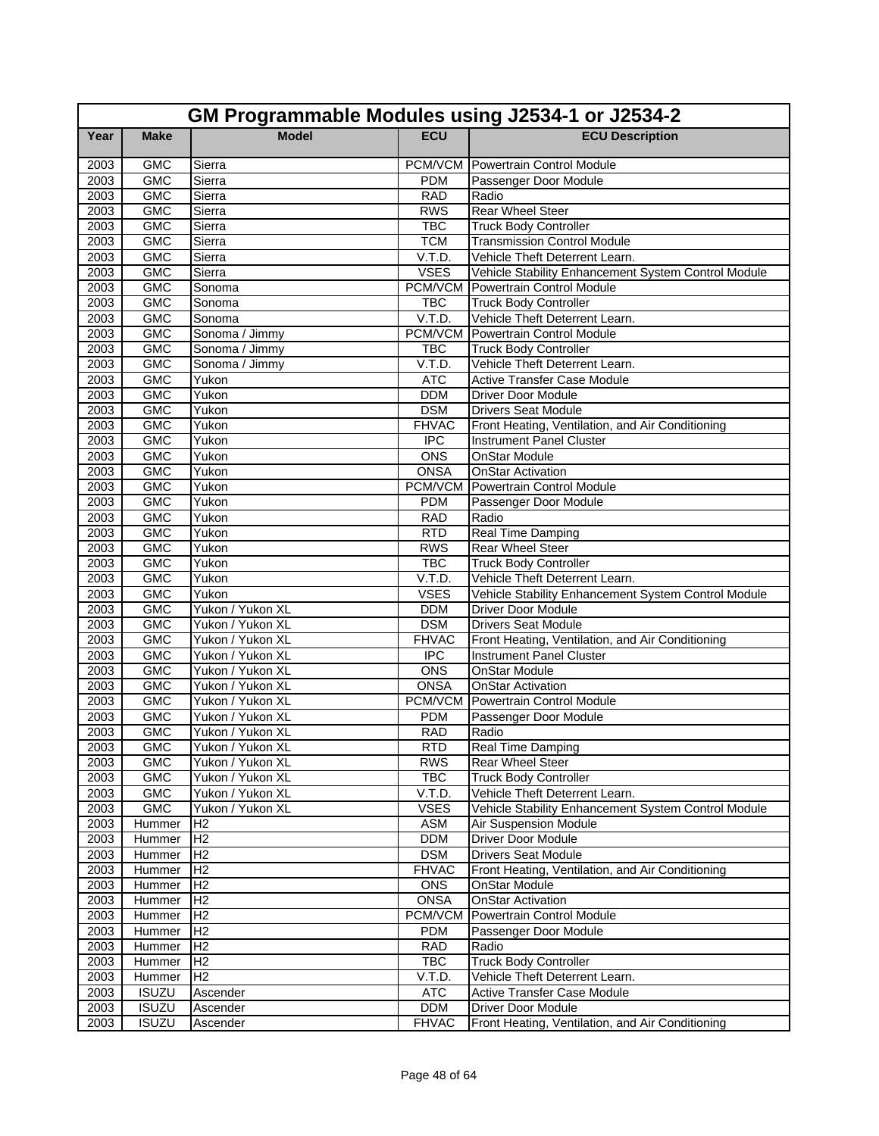|              | GM Programmable Modules using J2534-1 or J2534-2 |                  |                          |                                                                                  |  |  |
|--------------|--------------------------------------------------|------------------|--------------------------|----------------------------------------------------------------------------------|--|--|
| Year         | <b>Make</b>                                      | <b>Model</b>     | <b>ECU</b>               | <b>ECU Description</b>                                                           |  |  |
| 2003         | <b>GMC</b>                                       | Sierra           |                          | PCM/VCM Powertrain Control Module                                                |  |  |
| 2003         | <b>GMC</b>                                       | Sierra           | <b>PDM</b>               | Passenger Door Module                                                            |  |  |
| 2003         | <b>GMC</b>                                       | Sierra           | <b>RAD</b>               | Radio                                                                            |  |  |
| 2003         | <b>GMC</b>                                       | Sierra           | <b>RWS</b>               | <b>Rear Wheel Steer</b>                                                          |  |  |
| 2003         | <b>GMC</b>                                       | Sierra           | <b>TBC</b>               | <b>Truck Body Controller</b>                                                     |  |  |
| 2003         | <b>GMC</b>                                       | Sierra           | <b>TCM</b>               | <b>Transmission Control Module</b>                                               |  |  |
| 2003         | <b>GMC</b>                                       | Sierra           | V.T.D.                   | Vehicle Theft Deterrent Learn.                                                   |  |  |
| 2003         | <b>GMC</b>                                       | Sierra           | <b>VSES</b>              | Vehicle Stability Enhancement System Control Module                              |  |  |
| 2003         | <b>GMC</b>                                       | Sonoma           |                          | <b>PCM/VCM</b> Powertrain Control Module                                         |  |  |
| 2003         | <b>GMC</b>                                       | Sonoma           | <b>TBC</b>               | <b>Truck Body Controller</b>                                                     |  |  |
| 2003         | <b>GMC</b>                                       | Sonoma           | V.T.D.                   | Vehicle Theft Deterrent Learn.                                                   |  |  |
| 2003         | <b>GMC</b>                                       | Sonoma / Jimmy   |                          | <b>PCM/VCM</b> Powertrain Control Module                                         |  |  |
| 2003         | <b>GMC</b>                                       | Sonoma / Jimmy   | <b>TBC</b>               | <b>Truck Body Controller</b>                                                     |  |  |
| 2003         | <b>GMC</b>                                       | Sonoma / Jimmy   | V.T.D.                   | Vehicle Theft Deterrent Learn.                                                   |  |  |
| 2003         | <b>GMC</b>                                       | Yukon            | <b>ATC</b>               | <b>Active Transfer Case Module</b>                                               |  |  |
| 2003         | <b>GMC</b>                                       | Yukon            | <b>DDM</b>               | <b>Driver Door Module</b>                                                        |  |  |
| 2003         | <b>GMC</b>                                       | Yukon            | <b>DSM</b>               | <b>Drivers Seat Module</b>                                                       |  |  |
| 2003         | <b>GMC</b>                                       | Yukon            | <b>FHVAC</b>             | Front Heating, Ventilation, and Air Conditioning                                 |  |  |
| 2003         | <b>GMC</b>                                       | Yukon            | $\overline{IPC}$         | <b>Instrument Panel Cluster</b>                                                  |  |  |
| 2003         | <b>GMC</b>                                       | Yukon            | <b>ONS</b>               | <b>OnStar Module</b>                                                             |  |  |
| 2003         | <b>GMC</b>                                       | Yukon            | <b>ONSA</b>              | <b>OnStar Activation</b>                                                         |  |  |
| 2003         | <b>GMC</b>                                       | Yukon            | PCM/VCM                  | <b>Powertrain Control Module</b>                                                 |  |  |
| 2003         | <b>GMC</b>                                       | Yukon            | <b>PDM</b>               | Passenger Door Module                                                            |  |  |
| 2003         | <b>GMC</b>                                       | Yukon            | <b>RAD</b>               | Radio                                                                            |  |  |
| 2003         | <b>GMC</b><br><b>GMC</b>                         | Yukon            | <b>RTD</b><br><b>RWS</b> | Real Time Damping<br><b>Rear Wheel Steer</b>                                     |  |  |
| 2003         |                                                  | Yukon            |                          |                                                                                  |  |  |
| 2003<br>2003 | <b>GMC</b><br>GMC                                | Yukon            | <b>TBC</b><br>V.T.D.     | <b>Truck Body Controller</b>                                                     |  |  |
| 2003         | <b>GMC</b>                                       | Yukon<br>Yukon   | <b>VSES</b>              | Vehicle Theft Deterrent Learn.                                                   |  |  |
| 2003         | <b>GMC</b>                                       | Yukon / Yukon XL | <b>DDM</b>               | Vehicle Stability Enhancement System Control Module<br><b>Driver Door Module</b> |  |  |
| 2003         | <b>GMC</b>                                       | Yukon / Yukon XL | <b>DSM</b>               | <b>Drivers Seat Module</b>                                                       |  |  |
| 2003         | <b>GMC</b>                                       | Yukon / Yukon XL | <b>FHVAC</b>             | Front Heating, Ventilation, and Air Conditioning                                 |  |  |
| 2003         | <b>GMC</b>                                       | Yukon / Yukon XL | <b>IPC</b>               | Instrument Panel Cluster                                                         |  |  |
| 2003         | <b>GMC</b>                                       | Yukon / Yukon XL | <b>ONS</b>               | <b>OnStar Module</b>                                                             |  |  |
| 2003         | <b>GMC</b>                                       | Yukon / Yukon XL | <b>ONSA</b>              | <b>OnStar Activation</b>                                                         |  |  |
| 2003         | <b>GMC</b>                                       | Yukon / Yukon XL | PCM/VCM                  | Powertrain Control Module                                                        |  |  |
| 2003         | <b>GMC</b>                                       | Yukon / Yukon XL | <b>PDM</b>               | Passenger Door Module                                                            |  |  |
| 2003         | <b>GMC</b>                                       | Yukon / Yukon XL | <b>RAD</b>               | Radio                                                                            |  |  |
| 2003         | GMC                                              | Yukon / Yukon XL | <b>RTD</b>               | Real Time Damping                                                                |  |  |
| 2003         | <b>GMC</b>                                       | Yukon / Yukon XL | <b>RWS</b>               | <b>Rear Wheel Steer</b>                                                          |  |  |
| 2003         | <b>GMC</b>                                       | Yukon / Yukon XL | <b>TBC</b>               | <b>Truck Body Controller</b>                                                     |  |  |
| 2003         | <b>GMC</b>                                       | Yukon / Yukon XL | V.T.D.                   | Vehicle Theft Deterrent Learn.                                                   |  |  |
| 2003         | <b>GMC</b>                                       | Yukon / Yukon XL | <b>VSES</b>              | Vehicle Stability Enhancement System Control Module                              |  |  |
| 2003         | Hummer                                           | H <sub>2</sub>   | <b>ASM</b>               | <b>Air Suspension Module</b>                                                     |  |  |
| 2003         | Hummer                                           | H <sub>2</sub>   | <b>DDM</b>               | Driver Door Module                                                               |  |  |
| 2003         | Hummer                                           | H <sub>2</sub>   | <b>DSM</b>               | <b>Drivers Seat Module</b>                                                       |  |  |
| 2003         | Hummer                                           | H <sub>2</sub>   | <b>FHVAC</b>             | Front Heating, Ventilation, and Air Conditioning                                 |  |  |
| 2003         | Hummer                                           | H <sub>2</sub>   | <b>ONS</b>               | <b>OnStar Module</b>                                                             |  |  |
| 2003         | Hummer                                           | H <sub>2</sub>   | <b>ONSA</b>              | <b>OnStar Activation</b>                                                         |  |  |
| 2003         | Hummer                                           | H <sub>2</sub>   | PCM/VCM                  | Powertrain Control Module                                                        |  |  |
| 2003         | Hummer                                           | H <sub>2</sub>   | <b>PDM</b>               | Passenger Door Module                                                            |  |  |
| 2003         | Hummer                                           | H <sub>2</sub>   | <b>RAD</b>               | Radio                                                                            |  |  |
| 2003         | Hummer                                           | H <sub>2</sub>   | <b>TBC</b>               | <b>Truck Body Controller</b>                                                     |  |  |
| 2003         | Hummer                                           | H <sub>2</sub>   | V.T.D.                   | Vehicle Theft Deterrent Learn.                                                   |  |  |
| 2003         | <b>ISUZU</b>                                     | Ascender         | <b>ATC</b>               | Active Transfer Case Module                                                      |  |  |
| 2003         | <b>ISUZU</b>                                     | Ascender         | <b>DDM</b>               | Driver Door Module                                                               |  |  |
| 2003         | <b>ISUZU</b>                                     | Ascender         | <b>FHVAC</b>             | Front Heating, Ventilation, and Air Conditioning                                 |  |  |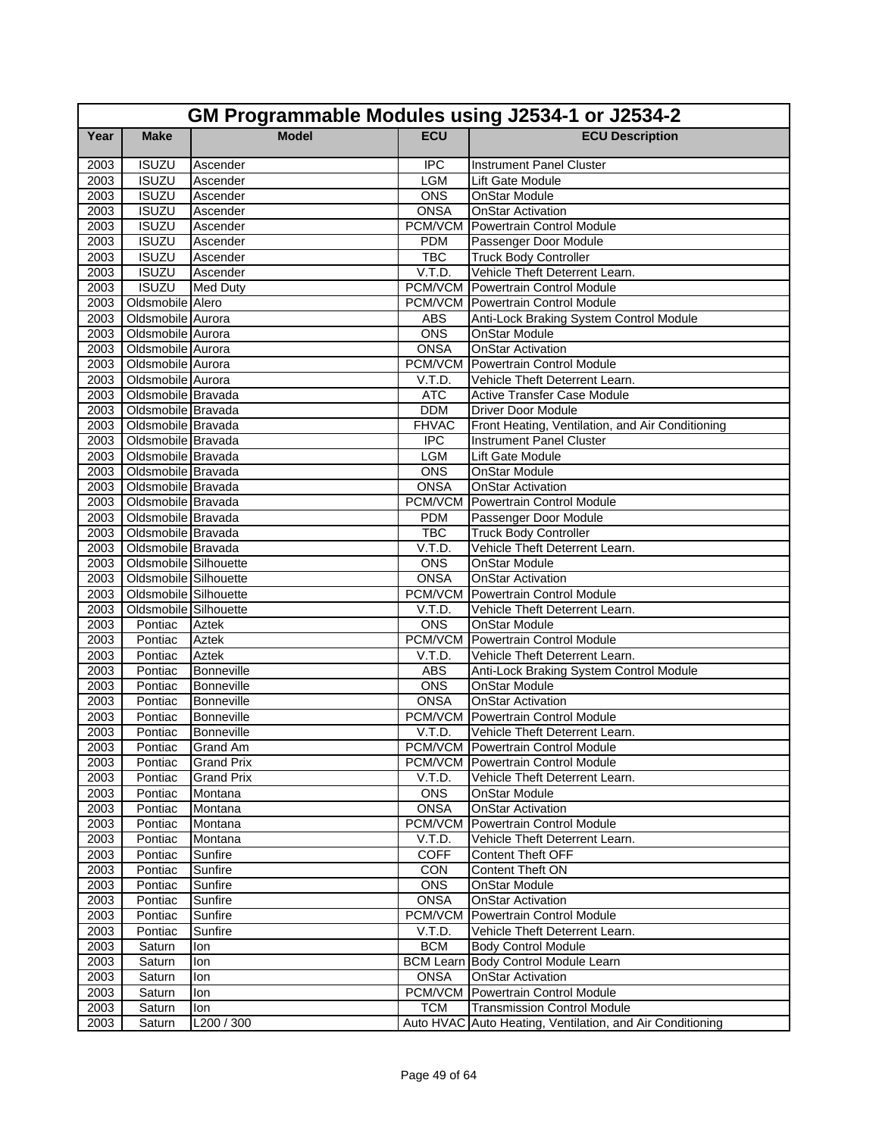|              | GM Programmable Modules using J2534-1 or J2534-2 |                          |                           |                                                                                                 |  |
|--------------|--------------------------------------------------|--------------------------|---------------------------|-------------------------------------------------------------------------------------------------|--|
| Year         | <b>Make</b>                                      | <b>Model</b>             | <b>ECU</b>                | <b>ECU Description</b>                                                                          |  |
| 2003         | <b>ISUZU</b>                                     | Ascender                 | $\overline{IPC}$          | Instrument Panel Cluster                                                                        |  |
| 2003         | <b>ISUZU</b>                                     | Ascender                 | <b>LGM</b>                | Lift Gate Module                                                                                |  |
| 2003         | <b>ISUZU</b>                                     | Ascender                 | ONS                       | OnStar Module                                                                                   |  |
| 2003         | <b>ISUZU</b>                                     | Ascender                 | <b>ONSA</b>               | OnStar Activation                                                                               |  |
| 2003         | <b>ISUZU</b>                                     | Ascender                 |                           | <b>PCM/VCM</b> Powertrain Control Module                                                        |  |
| 2003         | <b>ISUZU</b>                                     | Ascender                 | <b>PDM</b>                | Passenger Door Module                                                                           |  |
| 2003         | <b>ISUZU</b>                                     | Ascender                 | <b>TBC</b>                | <b>Truck Body Controller</b>                                                                    |  |
| 2003         | <b>ISUZU</b>                                     | Ascender                 | V.T.D.                    | Vehicle Theft Deterrent Learn.                                                                  |  |
| 2003         | <b>ISUZU</b>                                     | <b>Med Duty</b>          |                           | <b>PCM/VCM</b> Powertrain Control Module                                                        |  |
|              | 2003 Oldsmobile Alero                            |                          |                           | <b>PCM/VCM</b> Powertrain Control Module                                                        |  |
| 2003         | Oldsmobile Aurora                                |                          | <b>ABS</b>                | Anti-Lock Braking System Control Module                                                         |  |
| 2003         | Oldsmobile Aurora                                |                          | ONS                       | <b>OnStar Module</b>                                                                            |  |
| 2003         | Oldsmobile Aurora                                |                          | <b>ONSA</b>               | <b>OnStar Activation</b>                                                                        |  |
| 2003         | Oldsmobile Aurora                                |                          |                           | <b>PCM/VCM</b> Powertrain Control Module                                                        |  |
| 2003         | Oldsmobile Aurora                                |                          | V.T.D.                    | Vehicle Theft Deterrent Learn.                                                                  |  |
| 2003         | Oldsmobile Bravada                               |                          | <b>ATC</b>                | <b>Active Transfer Case Module</b>                                                              |  |
| 2003         | Oldsmobile Bravada                               |                          | <b>DDM</b>                | <b>Driver Door Module</b>                                                                       |  |
| 2003         | Oldsmobile Bravada                               |                          | <b>FHVAC</b>              | Front Heating, Ventilation, and Air Conditioning                                                |  |
| 2003         | Oldsmobile Bravada                               |                          | $\overline{IPC}$          | <b>Instrument Panel Cluster</b>                                                                 |  |
| 2003         | Oldsmobile Bravada                               |                          | <b>LGM</b>                | Lift Gate Module                                                                                |  |
| 2003         | Oldsmobile Bravada                               |                          | ONS                       | <b>OnStar Module</b>                                                                            |  |
| 2003         | Oldsmobile Bravada                               |                          | <b>ONSA</b>               | <b>OnStar Activation</b>                                                                        |  |
| 2003         | Oldsmobile Bravada                               |                          | PCM/VCM                   | <b>Powertrain Control Module</b>                                                                |  |
| 2003         | Oldsmobile Bravada                               |                          | <b>PDM</b>                | Passenger Door Module                                                                           |  |
| 2003         | Oldsmobile Bravada                               |                          | <b>TBC</b>                | <b>Truck Body Controller</b>                                                                    |  |
| 2003         | Oldsmobile Bravada                               |                          | V.T.D.                    | Vehicle Theft Deterrent Learn.                                                                  |  |
| 2003         | Oldsmobile Silhouette                            |                          | <b>ONS</b>                | <b>OnStar Module</b>                                                                            |  |
| 2003         | Oldsmobile Silhouette                            |                          | <b>ONSA</b>               | <b>OnStar Activation</b>                                                                        |  |
| 2003         | Oldsmobile Silhouette                            |                          | PCM/VCM                   | <b>Powertrain Control Module</b>                                                                |  |
| 2003         | Oldsmobile Silhouette                            |                          | V.T.D.                    | Vehicle Theft Deterrent Learn.                                                                  |  |
| 2003         | Pontiac                                          | Aztek                    | <b>ONS</b>                | <b>OnStar Module</b>                                                                            |  |
| 2003         | Pontiac                                          | <b>Aztek</b>             | PCM/VCM                   | Powertrain Control Module                                                                       |  |
| 2003         | Pontiac                                          | <b>Aztek</b>             | V.T.D.                    | Vehicle Theft Deterrent Learn.                                                                  |  |
| 2003         | Pontiac                                          | Bonneville               | ABS                       | Anti-Lock Braking System Control Module                                                         |  |
| 2003         | Pontiac                                          | <b>Bonneville</b>        | ONS                       | <b>OnStar Module</b>                                                                            |  |
| 2003<br>2003 | Pontiac<br>Pontiac                               | Bonneville<br>Bonneville | ONSA                      | <b>OnStar Activation</b><br><b>PCM/VCM</b> Powertrain Control Module                            |  |
|              |                                                  |                          |                           |                                                                                                 |  |
| 2003         | Pontiac                                          | Bonneville               | V.T.D.                    | Vehicle Theft Deterrent Learn.<br>PCM/VCM Powertrain Control Module                             |  |
| 2003         |                                                  | Pontiac Grand Am         |                           |                                                                                                 |  |
| 2003         | Pontiac<br>Pontiac                               | Grand Prix               | V.T.D.                    | PCM/VCM Powertrain Control Module                                                               |  |
| 2003         |                                                  | <b>Grand Prix</b>        |                           | Vehicle Theft Deterrent Learn.                                                                  |  |
| 2003         | Pontiac                                          | Montana                  | <b>ONS</b><br><b>ONSA</b> | OnStar Module<br><b>OnStar Activation</b>                                                       |  |
| 2003<br>2003 | Pontiac                                          | Montana                  | PCM/VCM                   |                                                                                                 |  |
|              | Pontiac<br>Pontiac                               | Montana                  | V.T.D.                    | Powertrain Control Module                                                                       |  |
| 2003         |                                                  | Montana                  |                           | Vehicle Theft Deterrent Learn.                                                                  |  |
| 2003         | Pontiac                                          | Sunfire<br>Sunfire       | <b>COFF</b><br><b>CON</b> | <b>Content Theft OFF</b><br><b>Content Theft ON</b>                                             |  |
| 2003         | Pontiac                                          |                          |                           |                                                                                                 |  |
| 2003         | Pontiac<br>Pontiac                               | Sunfire                  | <b>ONS</b>                | OnStar Module<br><b>OnStar Activation</b>                                                       |  |
| 2003         |                                                  | Sunfire                  | <b>ONSA</b>               | <b>Powertrain Control Module</b>                                                                |  |
| 2003         | Pontiac                                          | Sunfire                  | PCM/VCM                   | Vehicle Theft Deterrent Learn.                                                                  |  |
| 2003         | Pontiac                                          | Sunfire                  | V.T.D.                    |                                                                                                 |  |
| 2003         | Saturn                                           | lon                      | <b>BCM</b>                | <b>Body Control Module</b>                                                                      |  |
| 2003         | Saturn                                           | lon                      | <b>BCM Learn</b>          | <b>Body Control Module Learn</b><br><b>OnStar Activation</b>                                    |  |
| 2003<br>2003 | Saturn                                           | lon                      | <b>ONSA</b>               | PCM/VCM Powertrain Control Module                                                               |  |
|              | Saturn                                           | lon                      |                           |                                                                                                 |  |
| 2003         | Saturn                                           | lon<br>L200 / 300        | <b>TCM</b>                | <b>Transmission Control Module</b><br>Auto HVAC Auto Heating, Ventilation, and Air Conditioning |  |
| 2003         | Saturn                                           |                          |                           |                                                                                                 |  |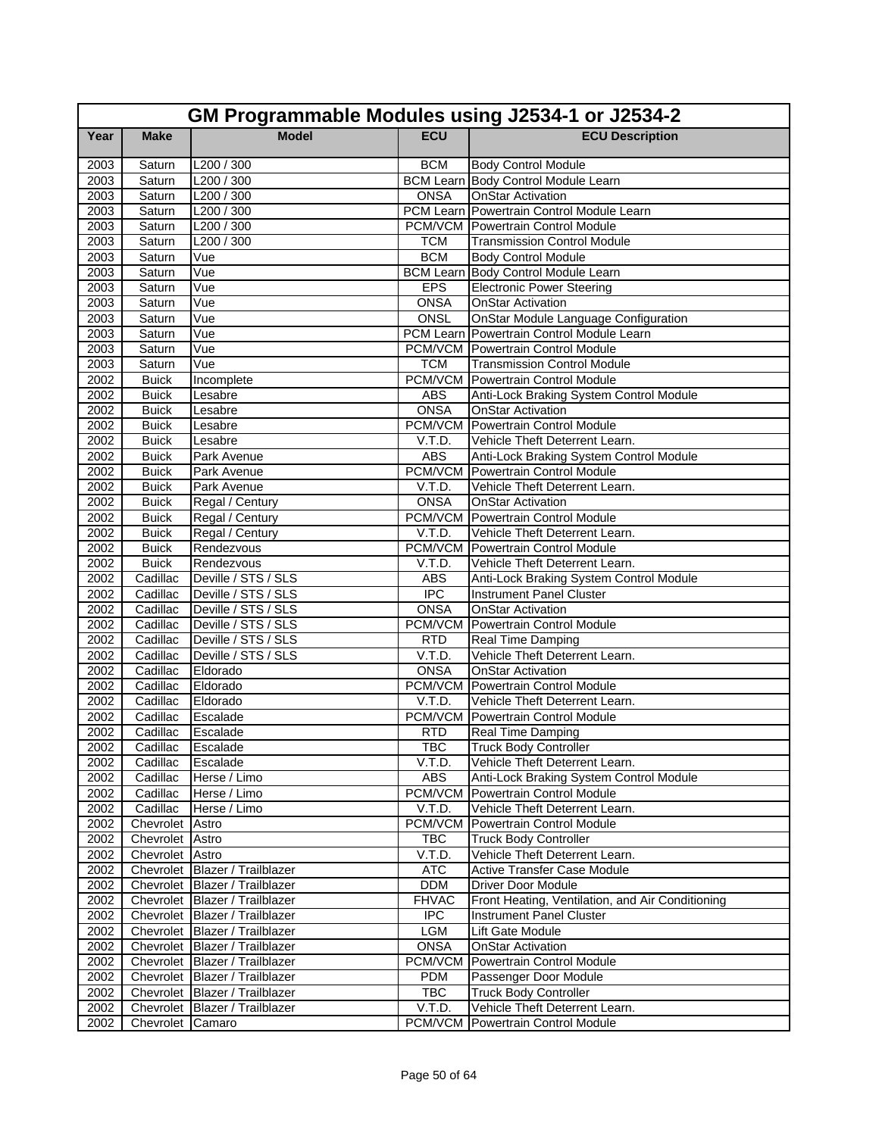|              | GM Programmable Modules using J2534-1 or J2534-2 |                                            |                  |                                                                      |  |
|--------------|--------------------------------------------------|--------------------------------------------|------------------|----------------------------------------------------------------------|--|
| Year         | <b>Make</b>                                      | <b>Model</b>                               | <b>ECU</b>       | <b>ECU Description</b>                                               |  |
| 2003         | Saturn                                           | L200 / 300                                 | <b>BCM</b>       | <b>Body Control Module</b>                                           |  |
| 2003         | Saturn                                           | L200 / 300                                 |                  | <b>BCM Learn Body Control Module Learn</b>                           |  |
| 2003         | Saturn                                           | L200 / 300                                 | <b>ONSA</b>      | <b>OnStar Activation</b>                                             |  |
| 2003         | Saturn                                           | L200 / 300                                 | PCM Learn        | Powertrain Control Module Learn                                      |  |
| 2003         | Saturn                                           | L200 / 300                                 |                  | <b>PCM/VCM Powertrain Control Module</b>                             |  |
| 2003         | Saturn                                           | $\overline{L2}00/300$                      | <b>TCM</b>       | <b>Transmission Control Module</b>                                   |  |
| 2003         | Saturn                                           | Vue                                        | <b>BCM</b>       | <b>Body Control Module</b>                                           |  |
| 2003         | Saturn                                           | Vue                                        | <b>BCM Learn</b> | Body Control Module Learn                                            |  |
| 2003         | Saturn                                           | Vue                                        | <b>EPS</b>       | <b>Electronic Power Steering</b>                                     |  |
| 2003         | Saturn                                           | Vue                                        | <b>ONSA</b>      | <b>OnStar Activation</b>                                             |  |
| 2003         | Saturn                                           | Vue                                        | <b>ONSL</b>      | <b>OnStar Module Language Configuration</b>                          |  |
| 2003         | Saturn                                           | Vue                                        |                  | PCM Learn Powertrain Control Module Learn                            |  |
| 2003         | Saturn                                           | Vue                                        |                  | <b>PCM/VCM</b> Powertrain Control Module                             |  |
| 2003         | Saturn                                           | Vue                                        | <b>TCM</b>       | <b>Transmission Control Module</b>                                   |  |
| 2002         | <b>Buick</b>                                     | Incomplete                                 |                  | <b>PCM/VCM Powertrain Control Module</b>                             |  |
| 2002         | <b>Buick</b>                                     | Lesabre                                    | <b>ABS</b>       | Anti-Lock Braking System Control Module                              |  |
| 2002         | <b>Buick</b>                                     | Lesabre                                    | <b>ONSA</b>      | <b>OnStar Activation</b>                                             |  |
| 2002         | <b>Buick</b>                                     | Lesabre                                    |                  | <b>PCM/VCM</b> Powertrain Control Module                             |  |
| 2002         | <b>Buick</b>                                     | Lesabre                                    | V.T.D.           | Vehicle Theft Deterrent Learn.                                       |  |
| 2002         | <b>Buick</b>                                     | Park Avenue                                | <b>ABS</b>       | Anti-Lock Braking System Control Module                              |  |
| 2002         | <b>Buick</b>                                     | Park Avenue                                |                  | <b>PCM/VCM</b> Powertrain Control Module                             |  |
| 2002         | <b>Buick</b>                                     | Park Avenue                                | V.T.D.           | Vehicle Theft Deterrent Learn.                                       |  |
| 2002         | <b>Buick</b>                                     | Regal / Century                            | <b>ONSA</b>      | <b>OnStar Activation</b>                                             |  |
| 2002         | <b>Buick</b>                                     | Regal / Century                            | PCM/VCM          | Powertrain Control Module                                            |  |
| 2002         | <b>Buick</b>                                     | Regal / Century                            | V.T.D.           | Vehicle Theft Deterrent Learn.                                       |  |
| 2002         | <b>Buick</b>                                     | Rendezvous                                 |                  | <b>PCM/VCM</b> Powertrain Control Module                             |  |
| 2002         | <b>Buick</b>                                     | Rendezvous                                 | V.T.D.           | Vehicle Theft Deterrent Learn.                                       |  |
| 2002         | Cadillac                                         | Deville / STS / SLS                        | <b>ABS</b>       | Anti-Lock Braking System Control Module                              |  |
| 2002         | Cadillac                                         | Deville / STS / SLS<br>Deville / STS / SLS | <b>IPC</b>       | <b>Instrument Panel Cluster</b>                                      |  |
| 2002<br>2002 | Cadillac<br>Cadillac                             | Deville / STS / SLS                        | <b>ONSA</b>      | <b>OnStar Activation</b><br><b>PCM/VCM</b> Powertrain Control Module |  |
| 2002         | Cadillac                                         | Deville / STS / SLS                        | <b>RTD</b>       | <b>Real Time Damping</b>                                             |  |
| 2002         | Cadillac                                         | Deville / STS / SLS                        | V.T.D.           | Vehicle Theft Deterrent Learn.                                       |  |
| 2002         | Cadillac                                         | Eldorado                                   | <b>ONSA</b>      | <b>OnStar Activation</b>                                             |  |
| 2002         | Cadillac                                         | Eldorado                                   |                  | <b>PCM/VCM</b> Powertrain Control Module                             |  |
| 2002         | Cadillac                                         | Eldorado                                   | V.T.D.           | Vehicle Theft Deterrent Learn.                                       |  |
| 2002         | Cadillac                                         | Escalade                                   |                  | <b>PCM/VCM</b> Powertrain Control Module                             |  |
| 2002         | Cadillac                                         | Escalade                                   | <b>RTD</b>       | Real Time Damping                                                    |  |
| 2002         | Cadillac Escalade                                |                                            | <b>TBC</b>       | <b>Truck Body Controller</b>                                         |  |
| 2002         | Cadillac                                         | Escalade                                   | V.T.D.           | Vehicle Theft Deterrent Learn.                                       |  |
| 2002         | Cadillac                                         | Herse / Limo                               | ABS              | Anti-Lock Braking System Control Module                              |  |
| 2002         | Cadillac                                         | Herse / Limo                               | PCM/VCM          | Powertrain Control Module                                            |  |
| 2002         | Cadillac                                         | Herse / Limo                               | V.T.D.           | Vehicle Theft Deterrent Learn.                                       |  |
| 2002         | Chevrolet Astro                                  |                                            | PCM/VCM          | Powertrain Control Module                                            |  |
| 2002         | Chevrolet Astro                                  |                                            | TBC              | <b>Truck Body Controller</b>                                         |  |
| 2002         | Chevrolet Astro                                  |                                            | V.T.D.           | Vehicle Theft Deterrent Learn.                                       |  |
| 2002         |                                                  | Chevrolet Blazer / Trailblazer             | <b>ATC</b>       | <b>Active Transfer Case Module</b>                                   |  |
| 2002         |                                                  | Chevrolet Blazer / Trailblazer             | <b>DDM</b>       | <b>Driver Door Module</b>                                            |  |
| 2002         |                                                  | Chevrolet Blazer / Trailblazer             | <b>FHVAC</b>     | Front Heating, Ventilation, and Air Conditioning                     |  |
| 2002         |                                                  | Chevrolet Blazer / Trailblazer             | <b>IPC</b>       | <b>Instrument Panel Cluster</b>                                      |  |
| 2002         |                                                  | Chevrolet Blazer / Trailblazer             | <b>LGM</b>       | Lift Gate Module                                                     |  |
| 2002         |                                                  | Chevrolet Blazer / Trailblazer             | <b>ONSA</b>      | <b>OnStar Activation</b>                                             |  |
| 2002         |                                                  | Chevrolet Blazer / Trailblazer             | PCM/VCM          | Powertrain Control Module                                            |  |
| 2002         |                                                  | Chevrolet Blazer / Trailblazer             | <b>PDM</b>       | Passenger Door Module                                                |  |
| 2002         |                                                  | Chevrolet Blazer / Trailblazer             | <b>TBC</b>       | <b>Truck Body Controller</b>                                         |  |
| 2002         |                                                  | Chevrolet Blazer / Trailblazer             | V.T.D.           | Vehicle Theft Deterrent Learn.                                       |  |
| 2002         | Chevrolet Camaro                                 |                                            |                  | <b>PCM/VCM</b> Powertrain Control Module                             |  |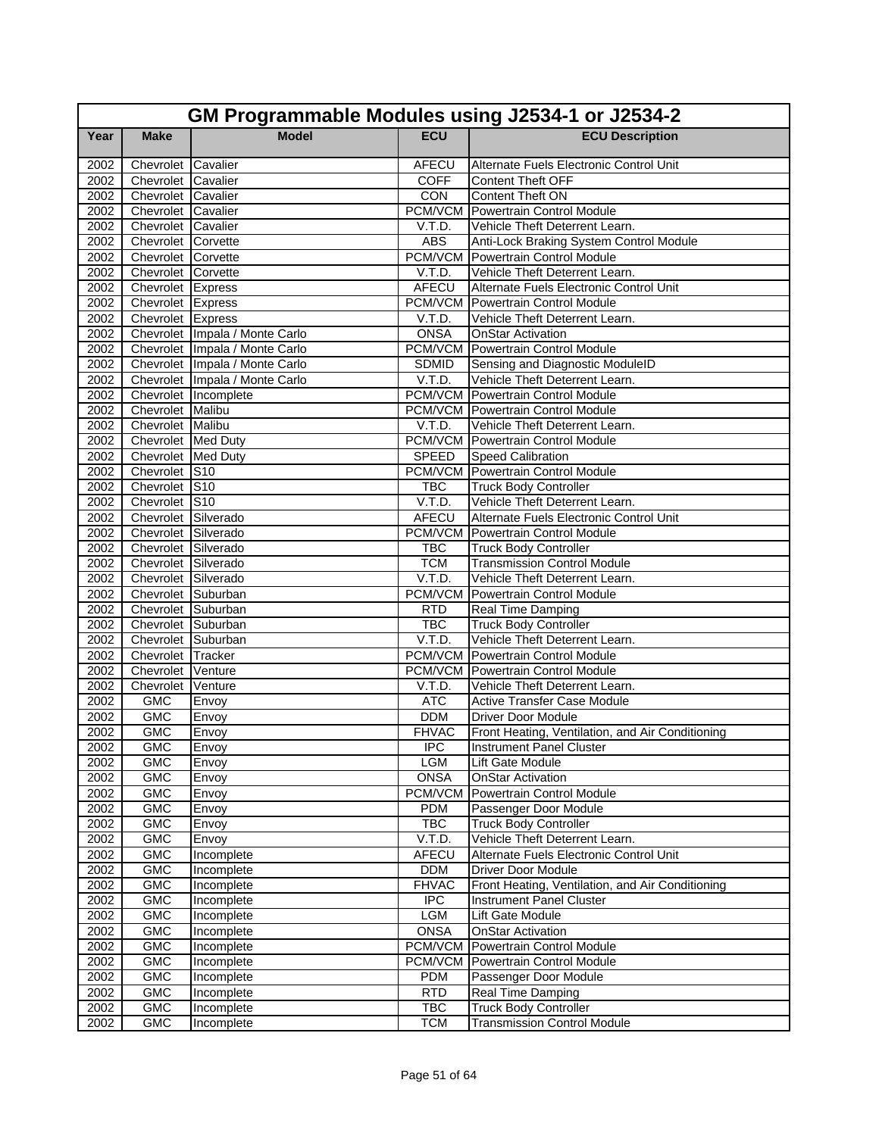|      | GM Programmable Modules using J2534-1 or J2534-2 |                                  |              |                                                  |  |
|------|--------------------------------------------------|----------------------------------|--------------|--------------------------------------------------|--|
| Year | <b>Make</b>                                      | <b>Model</b>                     | <b>ECU</b>   | <b>ECU Description</b>                           |  |
| 2002 | Chevrolet Cavalier                               |                                  | <b>AFECU</b> | Alternate Fuels Electronic Control Unit          |  |
| 2002 | Chevrolet Cavalier                               |                                  | <b>COFF</b>  | <b>Content Theft OFF</b>                         |  |
| 2002 | Chevrolet Cavalier                               |                                  | CON          | <b>Content Theft ON</b>                          |  |
| 2002 | Chevrolet Cavalier                               |                                  |              | <b>PCM/VCM</b> Powertrain Control Module         |  |
| 2002 | Chevrolet Cavalier                               |                                  | V.T.D.       | Vehicle Theft Deterrent Learn.                   |  |
| 2002 | Chevrolet Corvette                               |                                  | ABS          | Anti-Lock Braking System Control Module          |  |
| 2002 | Chevrolet Corvette                               |                                  |              | PCM/VCM Powertrain Control Module                |  |
| 2002 | Chevrolet Corvette                               |                                  | V.T.D.       | Vehicle Theft Deterrent Learn.                   |  |
| 2002 | Chevrolet Express                                |                                  | AFECU        | Alternate Fuels Electronic Control Unit          |  |
| 2002 | Chevrolet Express                                |                                  |              | <b>PCM/VCM</b> Powertrain Control Module         |  |
| 2002 | Chevrolet Express                                |                                  | V.T.D.       | Vehicle Theft Deterrent Learn.                   |  |
| 2002 |                                                  | Chevrolet Impala / Monte Carlo   | <b>ONSA</b>  | <b>OnStar Activation</b>                         |  |
| 2002 |                                                  | Chevrolet   Impala / Monte Carlo |              | <b>PCM/VCM Powertrain Control Module</b>         |  |
| 2002 |                                                  | Chevrolet Impala / Monte Carlo   | <b>SDMID</b> | Sensing and Diagnostic ModuleID                  |  |
| 2002 |                                                  | Chevrolet Impala / Monte Carlo   | V.T.D.       | Vehicle Theft Deterrent Learn.                   |  |
| 2002 |                                                  | Chevrolet Incomplete             |              | <b>PCM/VCM</b> Powertrain Control Module         |  |
| 2002 | Chevrolet Malibu                                 |                                  |              | <b>PCM/VCM</b> Powertrain Control Module         |  |
| 2002 | Chevrolet Malibu                                 |                                  | V.T.D.       | Vehicle Theft Deterrent Learn.                   |  |
| 2002 | Chevrolet Med Duty                               |                                  |              | PCM/VCM Powertrain Control Module                |  |
| 2002 | Chevrolet Med Duty                               |                                  | SPEED        | Speed Calibration                                |  |
| 2002 | Chevrolet S10                                    |                                  |              | <b>PCM/VCM Powertrain Control Module</b>         |  |
| 2002 | Chevrolet S10                                    |                                  | TBC          | <b>Truck Body Controller</b>                     |  |
| 2002 | Chevrolet S10                                    |                                  | V.T.D.       | Vehicle Theft Deterrent Learn.                   |  |
| 2002 | Chevrolet Silverado                              |                                  | AFECU        | Alternate Fuels Electronic Control Unit          |  |
| 2002 | Chevrolet Silverado                              |                                  |              | <b>PCM/VCM</b> Powertrain Control Module         |  |
| 2002 | Chevrolet Silverado                              |                                  | <b>TBC</b>   | <b>Truck Body Controller</b>                     |  |
| 2002 | Chevrolet Silverado                              |                                  | <b>TCM</b>   | <b>Transmission Control Module</b>               |  |
| 2002 | Chevrolet Silverado                              |                                  | V.T.D.       | Vehicle Theft Deterrent Learn.                   |  |
| 2002 | Chevrolet Suburban                               |                                  | PCM/VCM      | <b>Powertrain Control Module</b>                 |  |
| 2002 | Chevrolet Suburban                               |                                  | <b>RTD</b>   | Real Time Damping                                |  |
| 2002 | Chevrolet Suburban                               |                                  | <b>TBC</b>   | <b>Truck Body Controller</b>                     |  |
| 2002 | Chevrolet Suburban                               |                                  | V.T.D.       | Vehicle Theft Deterrent Learn.                   |  |
| 2002 | Chevrolet Tracker                                |                                  |              | <b>PCM/VCM</b> Powertrain Control Module         |  |
| 2002 | Chevrolet Venture                                |                                  |              | <b>PCM/VCM</b> Powertrain Control Module         |  |
| 2002 | Chevrolet Venture                                |                                  | V.T.D.       | Vehicle Theft Deterrent Learn.                   |  |
| 2002 | <b>GMC</b>                                       | Envoy                            | <b>ATC</b>   | <b>Active Transfer Case Module</b>               |  |
| 2002 | <b>GMC</b>                                       | Envoy                            | <b>DDM</b>   | <b>Driver Door Module</b>                        |  |
| 2002 | <b>GMC</b>                                       | Envoy                            | <b>FHVAC</b> | Front Heating, Ventilation, and Air Conditioning |  |
| 2002 | GMC                                              | Envoy                            | IPC          | <b>Instrument Panel Cluster</b>                  |  |
| 2002 | <b>GMC</b>                                       | Envoy                            | <b>LGM</b>   | Lift Gate Module                                 |  |
| 2002 | <b>GMC</b>                                       | Envoy                            | <b>ONSA</b>  | <b>OnStar Activation</b>                         |  |
| 2002 | GMC                                              | Envoy                            | PCM/VCM      | Powertrain Control Module                        |  |
| 2002 | <b>GMC</b>                                       | Envoy                            | <b>PDM</b>   | Passenger Door Module                            |  |
| 2002 | <b>GMC</b>                                       | Envoy                            | <b>TBC</b>   | <b>Truck Body Controller</b>                     |  |
| 2002 | <b>GMC</b>                                       | Envoy                            | V.T.D.       | Vehicle Theft Deterrent Learn.                   |  |
| 2002 | <b>GMC</b>                                       | Incomplete                       | AFECU        | Alternate Fuels Electronic Control Unit          |  |
| 2002 | <b>GMC</b>                                       | Incomplete                       | <b>DDM</b>   | <b>Driver Door Module</b>                        |  |
| 2002 | <b>GMC</b>                                       | Incomplete                       | <b>FHVAC</b> | Front Heating, Ventilation, and Air Conditioning |  |
| 2002 | <b>GMC</b>                                       | Incomplete                       | <b>IPC</b>   | <b>Instrument Panel Cluster</b>                  |  |
| 2002 | <b>GMC</b>                                       | Incomplete                       | LGM          | Lift Gate Module                                 |  |
| 2002 | <b>GMC</b>                                       | Incomplete                       | <b>ONSA</b>  | <b>OnStar Activation</b>                         |  |
| 2002 | <b>GMC</b>                                       | Incomplete                       | PCM/VCM      | Powertrain Control Module                        |  |
| 2002 | <b>GMC</b>                                       | Incomplete                       |              | PCM/VCM Powertrain Control Module                |  |
| 2002 | <b>GMC</b>                                       | Incomplete                       | <b>PDM</b>   | Passenger Door Module                            |  |
| 2002 | <b>GMC</b>                                       | Incomplete                       | <b>RTD</b>   | Real Time Damping                                |  |
| 2002 | GMC                                              | Incomplete                       | <b>TBC</b>   | <b>Truck Body Controller</b>                     |  |
| 2002 | <b>GMC</b>                                       | Incomplete                       | <b>TCM</b>   | <b>Transmission Control Module</b>               |  |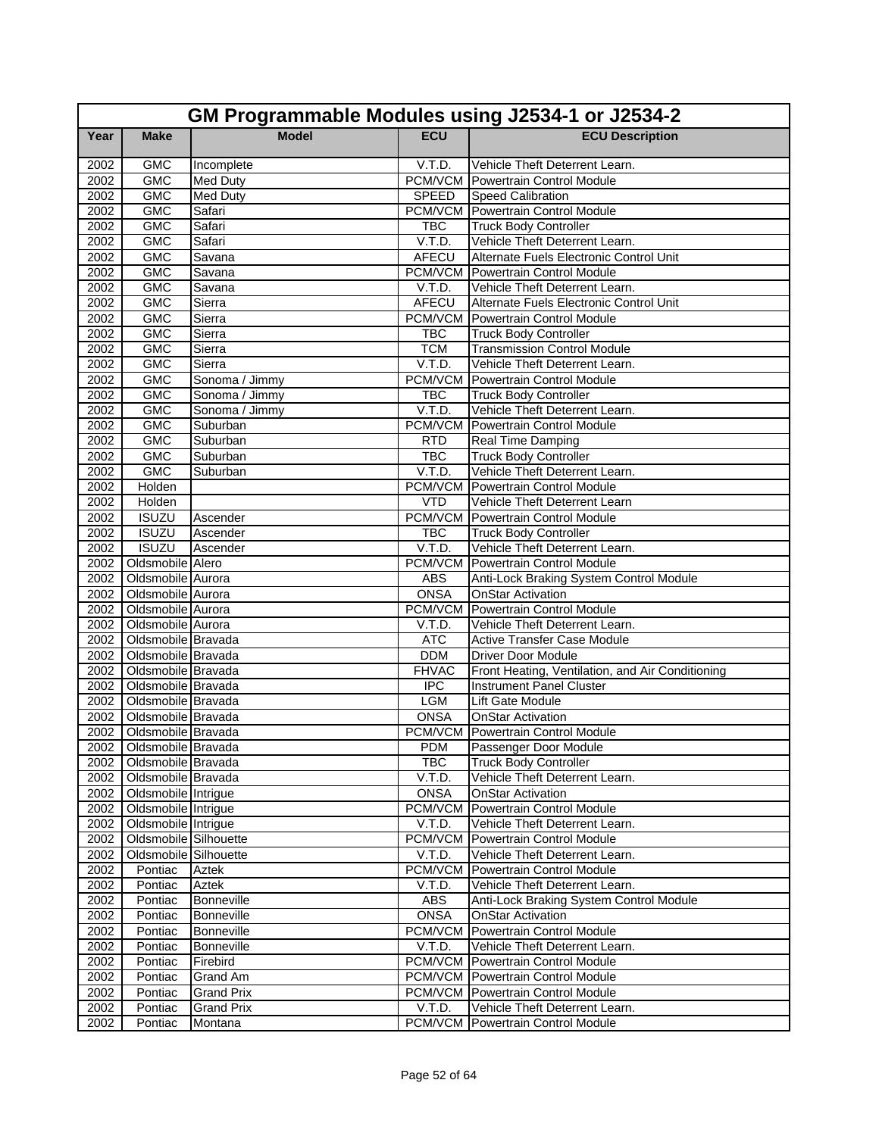|              | GM Programmable Modules using J2534-1 or J2534-2 |                      |                      |                                                                           |  |
|--------------|--------------------------------------------------|----------------------|----------------------|---------------------------------------------------------------------------|--|
| Year         | <b>Make</b>                                      | <b>Model</b>         | <b>ECU</b>           | <b>ECU Description</b>                                                    |  |
| 2002         | <b>GMC</b>                                       | Incomplete           | V.T.D.               | Vehicle Theft Deterrent Learn.                                            |  |
| 2002         | <b>GMC</b>                                       | <b>Med Duty</b>      |                      | <b>PCM/VCM</b> Powertrain Control Module                                  |  |
| 2002         | <b>GMC</b>                                       | <b>Med Duty</b>      | SPEED                | <b>Speed Calibration</b>                                                  |  |
| 2002         | <b>GMC</b>                                       | Safari               |                      | <b>PCM/VCM</b> Powertrain Control Module                                  |  |
| 2002         | <b>GMC</b>                                       | Safari               | <b>TBC</b>           | <b>Truck Body Controller</b>                                              |  |
| 2002         | <b>GMC</b>                                       | Safari               | V.T.D.               | Vehicle Theft Deterrent Learn.                                            |  |
| 2002         | <b>GMC</b>                                       | Savana               | AFECU                | Alternate Fuels Electronic Control Unit                                   |  |
| 2002         | <b>GMC</b>                                       | Savana               |                      | <b>PCM/VCM</b> Powertrain Control Module                                  |  |
| 2002         | <b>GMC</b>                                       | Savana               | V.T.D.               | Vehicle Theft Deterrent Learn.                                            |  |
| 2002         | <b>GMC</b>                                       | Sierra               | AFECU                | Alternate Fuels Electronic Control Unit                                   |  |
| 2002         | <b>GMC</b>                                       | Sierra               |                      | <b>PCM/VCM</b> Powertrain Control Module                                  |  |
| 2002         | <b>GMC</b>                                       | Sierra               | <b>TBC</b>           | <b>Truck Body Controller</b>                                              |  |
| 2002         | <b>GMC</b>                                       | Sierra               | <b>TCM</b>           | <b>Transmission Control Module</b>                                        |  |
| 2002         | <b>GMC</b>                                       | Sierra               | V.T.D.               | Vehicle Theft Deterrent Learn.                                            |  |
| 2002         | <b>GMC</b>                                       | Sonoma / Jimmy       | PCM/VCM              | Powertrain Control Module                                                 |  |
| 2002         | <b>GMC</b>                                       | Sonoma / Jimmy       | <b>TBC</b>           | <b>Truck Body Controller</b>                                              |  |
| 2002         | <b>GMC</b>                                       | Sonoma / Jimmy       | V.T.D.               | Vehicle Theft Deterrent Learn.                                            |  |
| 2002         | <b>GMC</b>                                       | Suburban             |                      | <b>PCM/VCM Powertrain Control Module</b>                                  |  |
| 2002         | <b>GMC</b>                                       | Suburban             | <b>RTD</b>           | Real Time Damping                                                         |  |
| 2002         | <b>GMC</b><br><b>GMC</b>                         | Suburban             | <b>TBC</b><br>V.T.D. | <b>Truck Body Controller</b>                                              |  |
| 2002<br>2002 | Holden                                           | Suburban             | PCM/VCM              | Vehicle Theft Deterrent Learn.<br>Powertrain Control Module               |  |
|              | Holden                                           |                      |                      |                                                                           |  |
| 2002<br>2002 | <b>ISUZU</b>                                     |                      | <b>VTD</b>           | Vehicle Theft Deterrent Learn<br><b>PCM/VCM</b> Powertrain Control Module |  |
|              | <b>ISUZU</b>                                     | Ascender             |                      |                                                                           |  |
| 2002<br>2002 | <b>ISUZU</b>                                     | Ascender<br>Ascender | <b>TBC</b><br>V.T.D. | <b>Truck Body Controller</b><br>Vehicle Theft Deterrent Learn.            |  |
| 2002         | Oldsmobile Alero                                 |                      | PCM/VCM              | Powertrain Control Module                                                 |  |
| 2002         | Oldsmobile Aurora                                |                      | <b>ABS</b>           | Anti-Lock Braking System Control Module                                   |  |
| 2002         | Oldsmobile Aurora                                |                      | <b>ONSA</b>          | <b>OnStar Activation</b>                                                  |  |
| 2002         | Oldsmobile Aurora                                |                      |                      | <b>PCM/VCM</b> Powertrain Control Module                                  |  |
| 2002         | Oldsmobile Aurora                                |                      | V.T.D.               | Vehicle Theft Deterrent Learn.                                            |  |
| 2002         | Oldsmobile Bravada                               |                      | <b>ATC</b>           | <b>Active Transfer Case Module</b>                                        |  |
| 2002         | Oldsmobile Bravada                               |                      | <b>DDM</b>           | <b>Driver Door Module</b>                                                 |  |
| 2002         | Oldsmobile Bravada                               |                      | <b>FHVAC</b>         | Front Heating, Ventilation, and Air Conditioning                          |  |
| 2002         | Oldsmobile Bravada                               |                      | $\overline{IPC}$     | <b>Instrument Panel Cluster</b>                                           |  |
| 2002         | Oldsmobile Bravada                               |                      | LGM                  | Lift Gate Module                                                          |  |
| 2002         | Oldsmobile Bravada                               |                      | <b>ONSA</b>          | <b>OnStar Activation</b>                                                  |  |
| 2002         | Oldsmobile Bravada                               |                      |                      | PCM/VCM Powertrain Control Module                                         |  |
|              | 2002 Oldsmobile Bravada                          |                      | <b>PDM</b>           | Passenger Door Module                                                     |  |
|              | 2002   Oldsmobile Bravada                        |                      | <b>TBC</b>           | <b>Truck Body Controller</b>                                              |  |
|              | 2002 Oldsmobile Bravada                          |                      | V.T.D.               | Vehicle Theft Deterrent Learn.                                            |  |
|              | 2002 Oldsmobile Intrigue                         |                      | <b>ONSA</b>          | <b>OnStar Activation</b>                                                  |  |
| 2002         | Oldsmobile Intrigue                              |                      |                      | PCM/VCM Powertrain Control Module                                         |  |
| 2002         | Oldsmobile Intrigue                              |                      | V.T.D.               | Vehicle Theft Deterrent Learn.                                            |  |
| 2002         | Oldsmobile Silhouette                            |                      | <b>PCM/VCM</b>       | Powertrain Control Module                                                 |  |
| 2002         | Oldsmobile Silhouette                            |                      | V.T.D.               | Vehicle Theft Deterrent Learn.                                            |  |
| 2002         | Pontiac                                          | Aztek                | PCM/VCM              | Powertrain Control Module                                                 |  |
| 2002         | Pontiac                                          | Aztek                | V.T.D.               | Vehicle Theft Deterrent Learn.                                            |  |
| 2002         | Pontiac                                          | <b>Bonneville</b>    | <b>ABS</b>           | Anti-Lock Braking System Control Module                                   |  |
| 2002         | Pontiac                                          | <b>Bonneville</b>    | <b>ONSA</b>          | <b>OnStar Activation</b>                                                  |  |
| 2002         | Pontiac                                          | Bonneville           | PCM/VCM              | Powertrain Control Module                                                 |  |
| 2002         | Pontiac                                          | <b>Bonneville</b>    | V.T.D.               | Vehicle Theft Deterrent Learn.                                            |  |
| 2002         | Pontiac                                          | Firebird             |                      | PCM/VCM Powertrain Control Module                                         |  |
| 2002         | Pontiac                                          | <b>Grand Am</b>      |                      | PCM/VCM Powertrain Control Module                                         |  |
| 2002         | Pontiac                                          | <b>Grand Prix</b>    |                      | <b>PCM/VCM</b> Powertrain Control Module                                  |  |
| 2002         | Pontiac                                          | <b>Grand Prix</b>    | V.T.D.               | Vehicle Theft Deterrent Learn.                                            |  |
| 2002         | Pontiac                                          | Montana              |                      | PCM/VCM Powertrain Control Module                                         |  |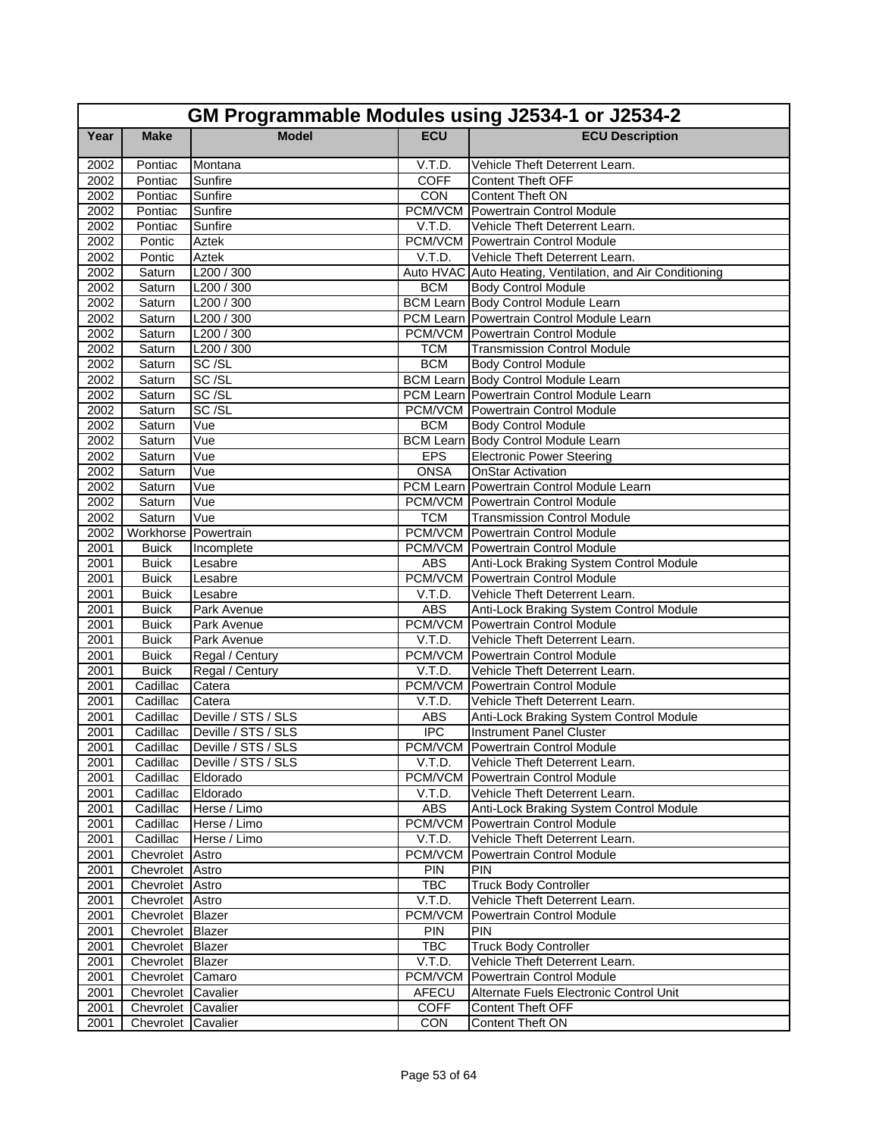|              | GM Programmable Modules using J2534-1 or J2534-2 |                              |                  |                                                                     |  |
|--------------|--------------------------------------------------|------------------------------|------------------|---------------------------------------------------------------------|--|
| Year         | <b>Make</b>                                      | <b>Model</b>                 | <b>ECU</b>       | <b>ECU Description</b>                                              |  |
| 2002         | Pontiac                                          | Montana                      | V.T.D.           | Vehicle Theft Deterrent Learn.                                      |  |
| 2002         | Pontiac                                          | Sunfire                      | <b>COFF</b>      | <b>Content Theft OFF</b>                                            |  |
| 2002         | Pontiac                                          | Sunfire                      | CON              | Content Theft ON                                                    |  |
| 2002         | Pontiac                                          | Sunfire                      |                  | PCM/VCM Powertrain Control Module                                   |  |
| 2002         | Pontiac                                          | Sunfire                      | V.T.D.           | Vehicle Theft Deterrent Learn.                                      |  |
| 2002         | Pontic                                           | Aztek                        |                  | <b>PCM/VCM</b> Powertrain Control Module                            |  |
| 2002         | Pontic                                           | <b>Aztek</b>                 | V.T.D.           | Vehicle Theft Deterrent Learn.                                      |  |
| 2002         | Saturn                                           | L200 / 300                   |                  | Auto HVAC Auto Heating, Ventilation, and Air Conditioning           |  |
| 2002         | Saturn                                           | L200 / 300                   | <b>BCM</b>       | <b>Body Control Module</b>                                          |  |
| 2002         | Saturn                                           | L200 / 300                   |                  | <b>BCM Learn Body Control Module Learn</b>                          |  |
| 2002         | Saturn                                           | L200 / 300                   |                  | PCM Learn Powertrain Control Module Learn                           |  |
| 2002         | Saturn                                           | L200 / 300                   |                  | <b>PCM/VCM</b> Powertrain Control Module                            |  |
| 2002         | Saturn                                           | L200 / 300                   | <b>TCM</b>       | <b>Transmission Control Module</b>                                  |  |
| 2002         | Saturn                                           | SC <sub>/SL</sub>            | <b>BCM</b>       | Body Control Module                                                 |  |
| 2002         | Saturn                                           | SC/SL                        |                  | <b>BCM Learn Body Control Module Learn</b>                          |  |
| 2002         | Saturn                                           | SC/SL                        |                  | PCM Learn Powertrain Control Module Learn                           |  |
| 2002         | Saturn                                           | SC/SL                        |                  | <b>PCM/VCM</b> Powertrain Control Module                            |  |
| 2002         | Saturn                                           | Vue                          | <b>BCM</b>       | <b>Body Control Module</b>                                          |  |
| 2002         | Saturn                                           | Vue                          |                  | <b>BCM Learn Body Control Module Learn</b>                          |  |
| 2002         | Saturn                                           | Vue                          | <b>EPS</b>       | <b>Electronic Power Steering</b>                                    |  |
| 2002         | Saturn                                           | Vue                          | <b>ONSA</b>      | <b>OnStar Activation</b>                                            |  |
| 2002         | Saturn                                           | Vue                          |                  | PCM Learn Powertrain Control Module Learn                           |  |
| 2002         | Saturn                                           | Vue                          |                  | <b>PCM/VCM Powertrain Control Module</b>                            |  |
| 2002         | Saturn                                           | Vue                          | <b>TCM</b>       | <b>Transmission Control Module</b>                                  |  |
| 2002         | Workhorse Powertrain                             |                              |                  | <b>PCM/VCM</b> Powertrain Control Module                            |  |
| 2001         | <b>Buick</b>                                     | Incomplete                   |                  | PCM/VCM Powertrain Control Module                                   |  |
| 2001         | <b>Buick</b>                                     | Lesabre                      | <b>ABS</b>       | Anti-Lock Braking System Control Module                             |  |
| 2001         | <b>Buick</b>                                     | Lesabre                      |                  | <b>PCM/VCM</b> Powertrain Control Module                            |  |
| 2001         | <b>Buick</b>                                     | Lesabre                      | V.T.D.           | Vehicle Theft Deterrent Learn.                                      |  |
| 2001         | <b>Buick</b>                                     | Park Avenue                  | <b>ABS</b>       | Anti-Lock Braking System Control Module                             |  |
| 2001<br>2001 | <b>Buick</b><br><b>Buick</b>                     | Park Avenue<br>Park Avenue   | V.T.D.           | PCM/VCM Powertrain Control Module<br>Vehicle Theft Deterrent Learn. |  |
| 2001         | <b>Buick</b>                                     | Regal / Century              |                  | <b>PCM/VCM</b> Powertrain Control Module                            |  |
| 2001         | <b>Buick</b>                                     | Regal / Century              | V.T.D.           | Vehicle Theft Deterrent Learn.                                      |  |
| 2001         | Cadillac                                         | Catera                       |                  | <b>PCM/VCM</b> Powertrain Control Module                            |  |
| 2001         | Cadillac                                         | Catera                       | V.T.D.           | Vehicle Theft Deterrent Learn.                                      |  |
| 2001         | Cadillac                                         | Deville / STS / SLS          | <b>ABS</b>       | Anti-Lock Braking System Control Module                             |  |
| 2001         | Cadillac                                         | Deville / STS / SLS          | $\overline{IPC}$ | Instrument Panel Cluster                                            |  |
| 2001         |                                                  | Cadillac Deville / STS / SLS |                  | PCM/VCM Powertrain Control Module                                   |  |
| 2001         | Cadillac                                         | Deville / STS / SLS          | V.T.D.           | Vehicle Theft Deterrent Learn.                                      |  |
| 2001         | Cadillac                                         | Eldorado                     |                  | <b>PCM/VCM</b> Powertrain Control Module                            |  |
| 2001         | Cadillac                                         | Eldorado                     | V.T.D.           | Vehicle Theft Deterrent Learn.                                      |  |
| 2001         | Cadillac                                         | Herse / Limo                 | ABS              | Anti-Lock Braking System Control Module                             |  |
| 2001         | Cadillac                                         | Herse / Limo                 |                  | <b>PCM/VCM</b> Powertrain Control Module                            |  |
| 2001         | Cadillac                                         | Herse / Limo                 | V.T.D.           | Vehicle Theft Deterrent Learn.                                      |  |
| 2001         | Chevrolet Astro                                  |                              | PCM/VCM          | Powertrain Control Module                                           |  |
| 2001         | Chevrolet Astro                                  |                              | <b>PIN</b>       | <b>PIN</b>                                                          |  |
| 2001         | Chevrolet Astro                                  |                              | <b>TBC</b>       | <b>Truck Body Controller</b>                                        |  |
| 2001         | Chevrolet Astro                                  |                              | V.T.D.           | Vehicle Theft Deterrent Learn.                                      |  |
| 2001         | Chevrolet Blazer                                 |                              | PCM/VCM          | Powertrain Control Module                                           |  |
| 2001         | Chevrolet Blazer                                 |                              | <b>PIN</b>       | <b>PIN</b>                                                          |  |
| 2001         | Chevrolet Blazer                                 |                              | <b>TBC</b>       | <b>Truck Body Controller</b>                                        |  |
| 2001         | Chevrolet Blazer                                 |                              | V.T.D.           | Vehicle Theft Deterrent Learn.                                      |  |
| 2001         | Chevrolet Camaro                                 |                              | PCM/VCM          | <b>Powertrain Control Module</b>                                    |  |
| 2001         | Chevrolet Cavalier                               |                              | AFECU            | Alternate Fuels Electronic Control Unit                             |  |
| 2001         | Chevrolet Cavalier                               |                              | <b>COFF</b>      | <b>Content Theft OFF</b>                                            |  |
| 2001         | Chevrolet Cavalier                               |                              | <b>CON</b>       | Content Theft ON                                                    |  |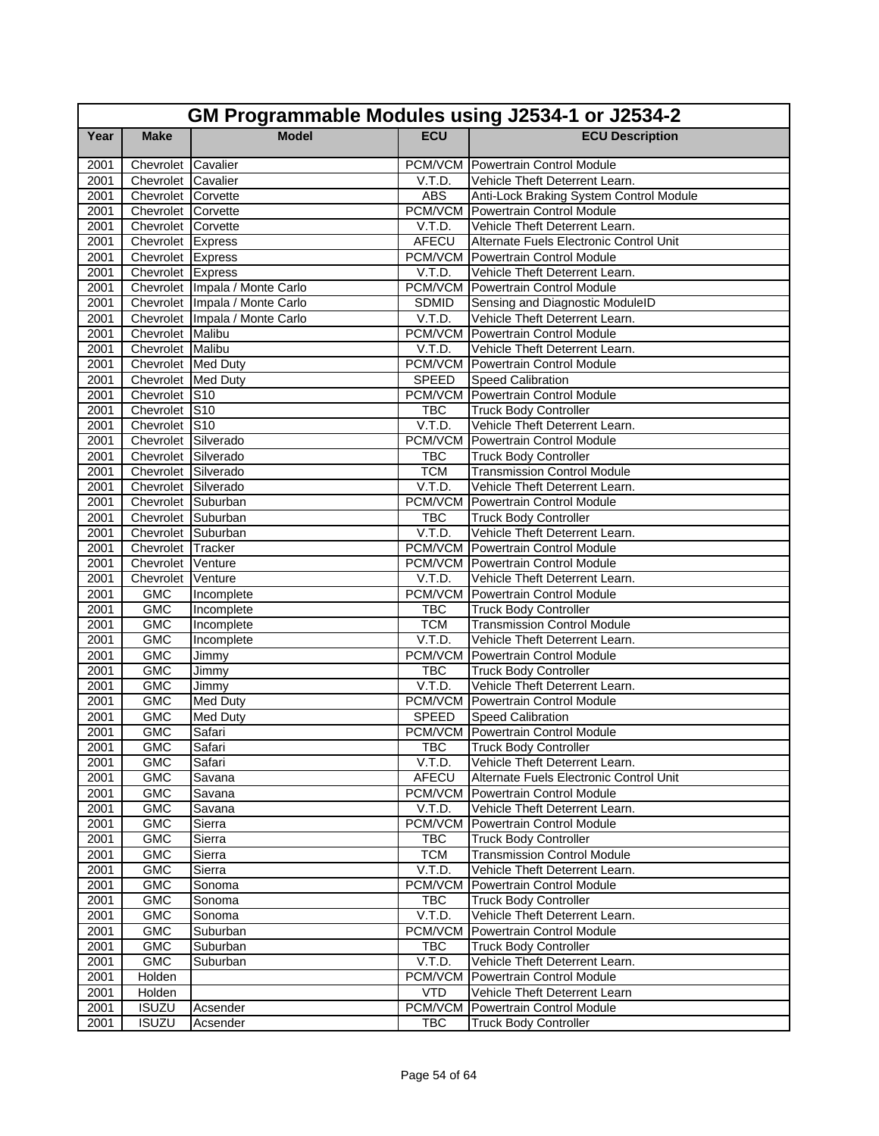|      | GM Programmable Modules using J2534-1 or J2534-2 |                                  |              |                                          |  |
|------|--------------------------------------------------|----------------------------------|--------------|------------------------------------------|--|
| Year | <b>Make</b>                                      | <b>Model</b>                     | <b>ECU</b>   | <b>ECU Description</b>                   |  |
| 2001 | Chevrolet Cavalier                               |                                  |              | <b>PCM/VCM Powertrain Control Module</b> |  |
| 2001 | Chevrolet Cavalier                               |                                  | V.T.D.       | Vehicle Theft Deterrent Learn.           |  |
| 2001 | Chevrolet Corvette                               |                                  | <b>ABS</b>   | Anti-Lock Braking System Control Module  |  |
| 2001 | Chevrolet Corvette                               |                                  |              | <b>PCM/VCM</b> Powertrain Control Module |  |
| 2001 | Chevrolet Corvette                               |                                  | V.T.D.       | Vehicle Theft Deterrent Learn.           |  |
| 2001 | Chevrolet Express                                |                                  | AFECU        | Alternate Fuels Electronic Control Unit  |  |
| 2001 | Chevrolet Express                                |                                  |              | <b>PCM/VCM</b> Powertrain Control Module |  |
| 2001 | Chevrolet Express                                |                                  | V.T.D.       | Vehicle Theft Deterrent Learn.           |  |
| 2001 |                                                  | Chevrolet   Impala / Monte Carlo |              | PCM/VCM Powertrain Control Module        |  |
| 2001 |                                                  | Chevrolet Impala / Monte Carlo   | <b>SDMID</b> | Sensing and Diagnostic ModuleID          |  |
| 2001 |                                                  | Chevrolet Impala / Monte Carlo   | V.T.D.       | Vehicle Theft Deterrent Learn.           |  |
| 2001 | Chevrolet Malibu                                 |                                  |              | <b>PCM/VCM</b> Powertrain Control Module |  |
| 2001 | Chevrolet Malibu                                 |                                  | V.T.D.       | Vehicle Theft Deterrent Learn.           |  |
| 2001 | Chevrolet Med Duty                               |                                  |              | <b>PCM/VCM</b> Powertrain Control Module |  |
| 2001 | Chevrolet Med Duty                               |                                  | SPEED        | <b>Speed Calibration</b>                 |  |
| 2001 | Chevrolet S10                                    |                                  |              | <b>PCM/VCM</b> Powertrain Control Module |  |
| 2001 | Chevrolet S10                                    |                                  | <b>TBC</b>   | <b>Truck Body Controller</b>             |  |
| 2001 | Chevrolet S10                                    |                                  | V.T.D.       | Vehicle Theft Deterrent Learn.           |  |
| 2001 | Chevrolet Silverado                              |                                  |              | <b>PCM/VCM</b> Powertrain Control Module |  |
| 2001 | Chevrolet Silverado                              |                                  | <b>TBC</b>   | <b>Truck Body Controller</b>             |  |
| 2001 | Chevrolet Silverado                              |                                  | <b>TCM</b>   | <b>Transmission Control Module</b>       |  |
| 2001 | Chevrolet Silverado                              |                                  | V.T.D.       | Vehicle Theft Deterrent Learn.           |  |
| 2001 | Chevrolet Suburban                               |                                  |              | <b>PCM/VCM</b> Powertrain Control Module |  |
| 2001 | Chevrolet Suburban                               |                                  | <b>TBC</b>   | <b>Truck Body Controller</b>             |  |
| 2001 | Chevrolet Suburban                               |                                  | V.T.D.       | Vehicle Theft Deterrent Learn.           |  |
| 2001 | Chevrolet Tracker                                |                                  |              | <b>PCM/VCM</b> Powertrain Control Module |  |
| 2001 | Chevrolet Venture                                |                                  |              | PCM/VCM Powertrain Control Module        |  |
| 2001 | Chevrolet Venture                                |                                  | V.T.D.       | Vehicle Theft Deterrent Learn.           |  |
| 2001 | <b>GMC</b>                                       | Incomplete                       | PCM/VCM      | Powertrain Control Module                |  |
| 2001 | <b>GMC</b>                                       | Incomplete                       | <b>TBC</b>   | <b>Truck Body Controller</b>             |  |
| 2001 | <b>GMC</b>                                       | Incomplete                       | <b>TCM</b>   | <b>Transmission Control Module</b>       |  |
| 2001 | <b>GMC</b>                                       | Incomplete                       | V.T.D.       | Vehicle Theft Deterrent Learn.           |  |
| 2001 | <b>GMC</b>                                       | Jimmy                            |              | <b>PCM/VCM</b> Powertrain Control Module |  |
| 2001 | <b>GMC</b>                                       | Jimmy                            | <b>TBC</b>   | <b>Truck Body Controller</b>             |  |
| 2001 | <b>GMC</b>                                       | Jimmy                            | V.T.D.       | Vehicle Theft Deterrent Learn.           |  |
| 2001 | <b>GMC</b>                                       | <b>Med Duty</b>                  |              | PCM/VCM Powertrain Control Module        |  |
| 2001 | <b>GMC</b>                                       | <b>Med Duty</b>                  | SPEED        | <b>Speed Calibration</b>                 |  |
| 2001 | <b>GMC</b>                                       | Safari                           |              | <b>PCM/VCM</b> Powertrain Control Module |  |
| 2001 | <b>GMC</b>                                       | Safari                           | <b>TBC</b>   | <b>Truck Body Controller</b>             |  |
| 2001 | <b>GMC</b>                                       | Safari                           | V.T.D.       | Vehicle Theft Deterrent Learn.           |  |
| 2001 | <b>GMC</b>                                       | Savana                           | <b>AFECU</b> | Alternate Fuels Electronic Control Unit  |  |
| 2001 | <b>GMC</b>                                       | Savana                           | PCM/VCM      | Powertrain Control Module                |  |
| 2001 | <b>GMC</b>                                       | Savana                           | V.T.D.       | Vehicle Theft Deterrent Learn.           |  |
| 2001 | <b>GMC</b>                                       | Sierra                           | PCM/VCM      | <b>Powertrain Control Module</b>         |  |
| 2001 | <b>GMC</b>                                       | Sierra                           | <b>TBC</b>   | <b>Truck Body Controller</b>             |  |
| 2001 | <b>GMC</b>                                       | Sierra                           | <b>TCM</b>   | <b>Transmission Control Module</b>       |  |
| 2001 | GMC                                              | Sierra                           | V.T.D.       | Vehicle Theft Deterrent Learn.           |  |
| 2001 | <b>GMC</b>                                       | Sonoma                           | PCM/VCM      | Powertrain Control Module                |  |
| 2001 | <b>GMC</b>                                       | Sonoma                           | <b>TBC</b>   | <b>Truck Body Controller</b>             |  |
| 2001 | <b>GMC</b>                                       | Sonoma                           | V.T.D.       | Vehicle Theft Deterrent Learn.           |  |
| 2001 | <b>GMC</b>                                       | Suburban                         | PCM/VCM      | Powertrain Control Module                |  |
| 2001 | <b>GMC</b>                                       | Suburban                         | <b>TBC</b>   | <b>Truck Body Controller</b>             |  |
| 2001 | <b>GMC</b>                                       | Suburban                         | V.T.D.       | Vehicle Theft Deterrent Learn.           |  |
| 2001 | Holden                                           |                                  | PCM/VCM      | Powertrain Control Module                |  |
| 2001 | Holden                                           |                                  | <b>VTD</b>   | Vehicle Theft Deterrent Learn            |  |
| 2001 | <b>ISUZU</b>                                     | Acsender                         | PCM/VCM      | Powertrain Control Module                |  |
| 2001 | <b>ISUZU</b>                                     | Acsender                         | <b>TBC</b>   | <b>Truck Body Controller</b>             |  |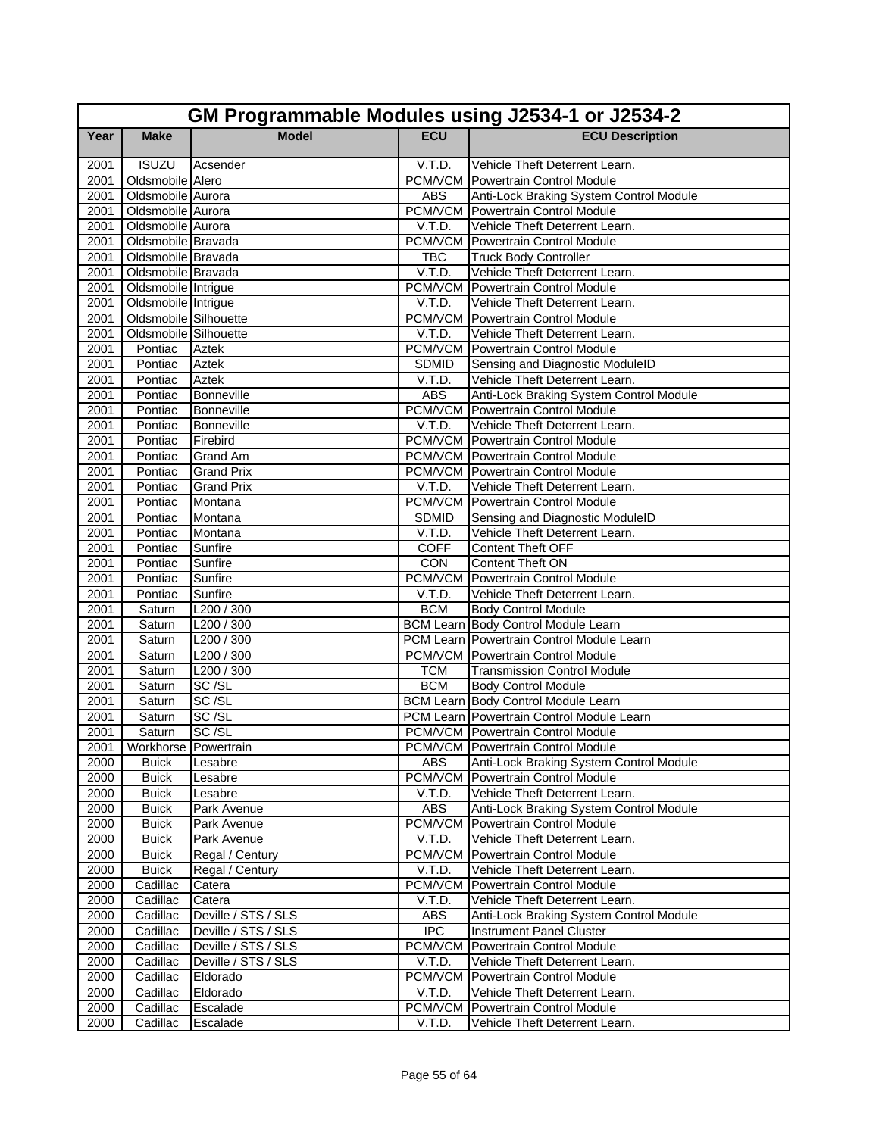|      | GM Programmable Modules using J2534-1 or J2534-2 |                     |              |                                            |  |
|------|--------------------------------------------------|---------------------|--------------|--------------------------------------------|--|
| Year | <b>Make</b>                                      | <b>Model</b>        | <b>ECU</b>   | <b>ECU Description</b>                     |  |
| 2001 | <b>ISUZU</b>                                     | Acsender            | V.T.D.       | Vehicle Theft Deterrent Learn.             |  |
| 2001 | Oldsmobile Alero                                 |                     |              | <b>PCM/VCM</b> Powertrain Control Module   |  |
| 2001 | Oldsmobile Aurora                                |                     | <b>ABS</b>   | Anti-Lock Braking System Control Module    |  |
| 2001 | Oldsmobile Aurora                                |                     |              | <b>PCM/VCM</b> Powertrain Control Module   |  |
| 2001 | Oldsmobile Aurora                                |                     | V.T.D.       | Vehicle Theft Deterrent Learn.             |  |
| 2001 | Oldsmobile Bravada                               |                     |              | <b>PCM/VCM</b> Powertrain Control Module   |  |
| 2001 | Oldsmobile Bravada                               |                     | <b>TBC</b>   | <b>Truck Body Controller</b>               |  |
| 2001 | Oldsmobile Bravada                               |                     | V.T.D.       | Vehicle Theft Deterrent Learn.             |  |
| 2001 | Oldsmobile Intrigue                              |                     |              | PCM/VCM Powertrain Control Module          |  |
| 2001 | Oldsmobile Intrigue                              |                     | V.T.D.       | Vehicle Theft Deterrent Learn.             |  |
| 2001 | Oldsmobile Silhouette                            |                     | PCM/VCM      | Powertrain Control Module                  |  |
| 2001 | Oldsmobile Silhouette                            |                     | V.T.D.       | Vehicle Theft Deterrent Learn.             |  |
| 2001 | Pontiac                                          | Aztek               |              | <b>PCM/VCM</b> Powertrain Control Module   |  |
| 2001 | Pontiac                                          | <b>Aztek</b>        | <b>SDMID</b> | Sensing and Diagnostic ModuleID            |  |
| 2001 | Pontiac                                          | <b>Aztek</b>        | V.T.D.       | Vehicle Theft Deterrent Learn.             |  |
| 2001 | Pontiac                                          | Bonneville          | <b>ABS</b>   | Anti-Lock Braking System Control Module    |  |
| 2001 | Pontiac                                          | Bonneville          |              | <b>PCM/VCM</b> Powertrain Control Module   |  |
| 2001 | Pontiac                                          | Bonneville          | V.T.D.       | Vehicle Theft Deterrent Learn.             |  |
| 2001 | Pontiac                                          | Firebird            |              | PCM/VCM Powertrain Control Module          |  |
| 2001 | Pontiac                                          | Grand Am            |              | <b>PCM/VCM Powertrain Control Module</b>   |  |
| 2001 | Pontiac                                          | <b>Grand Prix</b>   |              | <b>PCM/VCM</b> Powertrain Control Module   |  |
| 2001 | Pontiac                                          | <b>Grand Prix</b>   | V.T.D.       | Vehicle Theft Deterrent Learn.             |  |
| 2001 | Pontiac                                          | Montana             |              | <b>PCM/VCM</b> Powertrain Control Module   |  |
| 2001 | Pontiac                                          | Montana             | <b>SDMID</b> | Sensing and Diagnostic ModuleID            |  |
| 2001 | Pontiac                                          | Montana             | V.T.D.       | Vehicle Theft Deterrent Learn.             |  |
| 2001 | Pontiac                                          | Sunfire             | <b>COFF</b>  | Content Theft OFF                          |  |
| 2001 | Pontiac                                          | Sunfire             | <b>CON</b>   | Content Theft ON                           |  |
| 2001 | Pontiac                                          | Sunfire             |              | <b>PCM/VCM</b> Powertrain Control Module   |  |
| 2001 | Pontiac                                          | Sunfire             | V.T.D.       | Vehicle Theft Deterrent Learn.             |  |
| 2001 | Saturn                                           | L200/300            | <b>BCM</b>   | <b>Body Control Module</b>                 |  |
| 2001 | Saturn                                           | L200 / 300          |              | <b>BCM Learn Body Control Module Learn</b> |  |
| 2001 | Saturn                                           | L200 / 300          |              | PCM Learn Powertrain Control Module Learn  |  |
| 2001 | Saturn                                           | L200 / 300          |              | <b>PCM/VCM</b> Powertrain Control Module   |  |
| 2001 | Saturn                                           | L200/300            | <b>TCM</b>   | <b>Transmission Control Module</b>         |  |
| 2001 | Saturn                                           | SC/SL               | <b>BCM</b>   | Body Control Module                        |  |
| 2001 | Saturn                                           | SC/SL               |              | <b>BCM Learn Body Control Module Learn</b> |  |
| 2001 | Saturn                                           | SC/SL               |              | PCM Learn Powertrain Control Module Learn  |  |
| 2001 | Saturn                                           | SC/SL               |              | <b>PCM/VCM</b> Powertrain Control Module   |  |
|      | 2001 Workhorse Powertrain                        |                     |              | PCM/VCM Powertrain Control Module          |  |
| 2000 | <b>Buick</b>                                     | Lesabre             | <b>ABS</b>   | Anti-Lock Braking System Control Module    |  |
| 2000 | <b>Buick</b>                                     | Lesabre             |              | <b>PCM/VCM</b> Powertrain Control Module   |  |
| 2000 | <b>Buick</b>                                     | Lesabre             | V.T.D.       | Vehicle Theft Deterrent Learn.             |  |
| 2000 | <b>Buick</b>                                     | Park Avenue         | <b>ABS</b>   | Anti-Lock Braking System Control Module    |  |
| 2000 | <b>Buick</b>                                     | Park Avenue         |              | PCM/VCM Powertrain Control Module          |  |
| 2000 | <b>Buick</b>                                     | Park Avenue         | V.T.D.       | Vehicle Theft Deterrent Learn.             |  |
| 2000 | <b>Buick</b>                                     | Regal / Century     |              | PCM/VCM Powertrain Control Module          |  |
| 2000 | <b>Buick</b>                                     | Regal / Century     | V.T.D.       | Vehicle Theft Deterrent Learn.             |  |
| 2000 | Cadillac                                         | Catera              |              | <b>PCM/VCM</b> Powertrain Control Module   |  |
| 2000 | Cadillac                                         | Catera              | V.T.D.       | Vehicle Theft Deterrent Learn.             |  |
| 2000 | Cadillac                                         | Deville / STS / SLS | ABS          | Anti-Lock Braking System Control Module    |  |
| 2000 | Cadillac                                         | Deville / STS / SLS | <b>IPC</b>   | <b>Instrument Panel Cluster</b>            |  |
| 2000 | Cadillac                                         | Deville / STS / SLS | PCM/VCM      | Powertrain Control Module                  |  |
| 2000 | Cadillac                                         | Deville / STS / SLS | V.T.D.       | Vehicle Theft Deterrent Learn.             |  |
| 2000 | Cadillac                                         | Eldorado            | PCM/VCM      | Powertrain Control Module                  |  |
| 2000 | Cadillac                                         | Eldorado            | V.T.D.       | Vehicle Theft Deterrent Learn.             |  |
| 2000 | Cadillac                                         | Escalade            |              | <b>PCM/VCM</b> Powertrain Control Module   |  |
| 2000 | Cadillac                                         | Escalade            | V.T.D.       | Vehicle Theft Deterrent Learn.             |  |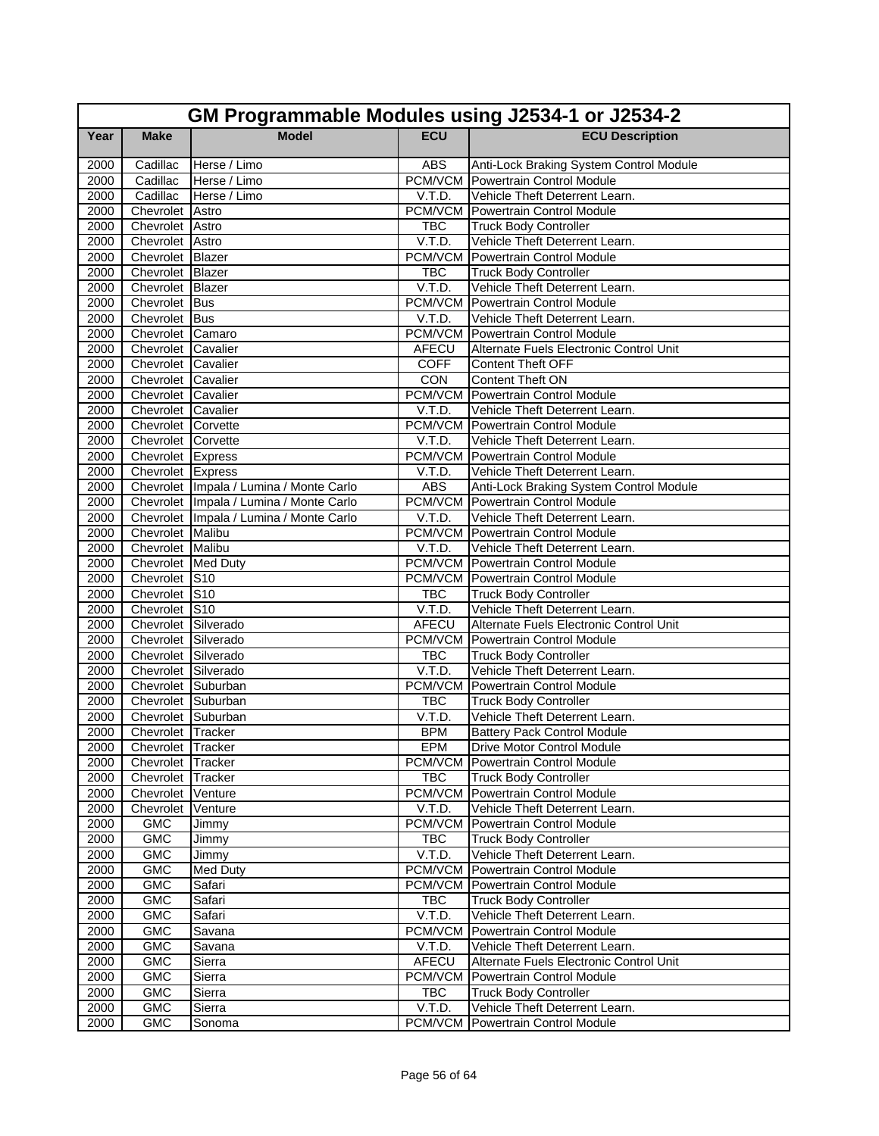|      | GM Programmable Modules using J2534-1 or J2534-2 |                                         |              |                                          |  |
|------|--------------------------------------------------|-----------------------------------------|--------------|------------------------------------------|--|
| Year | <b>Make</b>                                      | <b>Model</b>                            | <b>ECU</b>   | <b>ECU Description</b>                   |  |
| 2000 | Cadillac                                         | Herse / Limo                            | <b>ABS</b>   | Anti-Lock Braking System Control Module  |  |
| 2000 | Cadillac                                         | Herse / Limo                            |              | <b>PCM/VCM</b> Powertrain Control Module |  |
| 2000 | Cadillac                                         | Herse / Limo                            | V.T.D.       | Vehicle Theft Deterrent Learn.           |  |
| 2000 | Chevrolet Astro                                  |                                         |              | <b>PCM/VCM Powertrain Control Module</b> |  |
| 2000 | Chevrolet Astro                                  |                                         | <b>TBC</b>   | <b>Truck Body Controller</b>             |  |
| 2000 | Chevrolet Astro                                  |                                         | V.T.D.       | Vehicle Theft Deterrent Learn.           |  |
| 2000 | Chevrolet Blazer                                 |                                         |              | <b>PCM/VCM</b> Powertrain Control Module |  |
| 2000 | Chevrolet Blazer                                 |                                         | <b>TBC</b>   | <b>Truck Body Controller</b>             |  |
| 2000 | Chevrolet Blazer                                 |                                         | V.T.D.       | Vehicle Theft Deterrent Learn.           |  |
| 2000 | Chevrolet Bus                                    |                                         |              | <b>PCM/VCM</b> Powertrain Control Module |  |
| 2000 | Chevrolet Bus                                    |                                         | V.T.D.       | Vehicle Theft Deterrent Learn.           |  |
| 2000 | Chevrolet Camaro                                 |                                         |              | <b>PCM/VCM</b> Powertrain Control Module |  |
| 2000 | Chevrolet Cavalier                               |                                         | AFECU        | Alternate Fuels Electronic Control Unit  |  |
| 2000 | Chevrolet Cavalier                               |                                         | <b>COFF</b>  | <b>Content Theft OFF</b>                 |  |
| 2000 | Chevrolet Cavalier                               |                                         | CON          | <b>Content Theft ON</b>                  |  |
| 2000 | Chevrolet Cavalier                               |                                         |              | <b>PCM/VCM</b> Powertrain Control Module |  |
| 2000 | Chevrolet Cavalier                               |                                         | V.T.D.       | Vehicle Theft Deterrent Learn.           |  |
| 2000 | Chevrolet Corvette                               |                                         |              | PCM/VCM Powertrain Control Module        |  |
| 2000 | Chevrolet Corvette                               |                                         | V.T.D.       | Vehicle Theft Deterrent Learn.           |  |
| 2000 | Chevrolet Express                                |                                         |              | <b>PCM/VCM</b> Powertrain Control Module |  |
| 2000 | Chevrolet Express                                |                                         | V.T.D.       | Vehicle Theft Deterrent Learn.           |  |
| 2000 |                                                  | Chevrolet Impala / Lumina / Monte Carlo | <b>ABS</b>   | Anti-Lock Braking System Control Module  |  |
| 2000 |                                                  | Chevrolet Impala / Lumina / Monte Carlo |              | <b>PCM/VCM</b> Powertrain Control Module |  |
| 2000 |                                                  | Chevrolet Impala / Lumina / Monte Carlo | V.T.D.       | Vehicle Theft Deterrent Learn.           |  |
| 2000 | Chevrolet Malibu                                 |                                         |              | <b>PCM/VCM</b> Powertrain Control Module |  |
| 2000 | Chevrolet Malibu                                 |                                         | V.T.D.       | Vehicle Theft Deterrent Learn.           |  |
| 2000 | Chevrolet Med Duty                               |                                         |              | <b>PCM/VCM</b> Powertrain Control Module |  |
| 2000 | Chevrolet S10                                    |                                         |              | <b>PCM/VCM Powertrain Control Module</b> |  |
| 2000 | Chevrolet S10                                    |                                         | <b>TBC</b>   | <b>Truck Body Controller</b>             |  |
| 2000 | Chevrolet S10                                    |                                         | V.T.D.       | Vehicle Theft Deterrent Learn.           |  |
| 2000 | Chevrolet Silverado                              |                                         | AFECU        | Alternate Fuels Electronic Control Unit  |  |
| 2000 | Chevrolet Silverado                              |                                         |              | <b>PCM/VCM Powertrain Control Module</b> |  |
| 2000 | Chevrolet Silverado                              |                                         | <b>TBC</b>   | <b>Truck Body Controller</b>             |  |
| 2000 | Chevrolet Silverado                              |                                         | V.T.D.       | Vehicle Theft Deterrent Learn.           |  |
| 2000 | Chevrolet Suburban                               |                                         |              | <b>PCM/VCM</b> Powertrain Control Module |  |
| 2000 | Chevrolet Suburban                               |                                         | <b>TBC</b>   | <b>Truck Body Controller</b>             |  |
| 2000 | Chevrolet Suburban                               |                                         | V.T.D.       | Vehicle Theft Deterrent Learn.           |  |
| 2000 | Chevrolet Tracker                                |                                         | <b>BPM</b>   | <b>Battery Pack Control Module</b>       |  |
|      | 2000 Chevrolet Tracker                           |                                         | EPM          | <b>Drive Motor Control Module</b>        |  |
| 2000 | Chevrolet Tracker                                |                                         |              | PCM/VCM Powertrain Control Module        |  |
| 2000 | Chevrolet Tracker                                |                                         | <b>TBC</b>   | <b>Truck Body Controller</b>             |  |
| 2000 | Chevrolet Venture                                |                                         |              | PCM/VCM Powertrain Control Module        |  |
| 2000 | Chevrolet Venture                                |                                         | V.T.D.       | Vehicle Theft Deterrent Learn.           |  |
| 2000 | <b>GMC</b>                                       | Jimmy                                   |              | <b>PCM/VCM</b> Powertrain Control Module |  |
| 2000 | <b>GMC</b>                                       | Jimmy                                   | <b>TBC</b>   | <b>Truck Body Controller</b>             |  |
| 2000 | <b>GMC</b>                                       | Jimmy                                   | V.T.D.       | Vehicle Theft Deterrent Learn.           |  |
| 2000 | GMC                                              | <b>Med Duty</b>                         |              | <b>PCM/VCM</b> Powertrain Control Module |  |
| 2000 | <b>GMC</b>                                       | Safari                                  |              | <b>PCM/VCM</b> Powertrain Control Module |  |
| 2000 | <b>GMC</b>                                       | Safari                                  | <b>TBC</b>   | <b>Truck Body Controller</b>             |  |
| 2000 | <b>GMC</b>                                       | Safari                                  | V.T.D.       | Vehicle Theft Deterrent Learn.           |  |
| 2000 | <b>GMC</b>                                       | Savana                                  | PCM/VCM      | Powertrain Control Module                |  |
| 2000 | <b>GMC</b>                                       | Savana                                  | V.T.D.       | Vehicle Theft Deterrent Learn.           |  |
| 2000 | <b>GMC</b>                                       | Sierra                                  | <b>AFECU</b> | Alternate Fuels Electronic Control Unit  |  |
| 2000 | <b>GMC</b>                                       | Sierra                                  | PCM/VCM      | Powertrain Control Module                |  |
| 2000 | <b>GMC</b>                                       | Sierra                                  | TBC          | <b>Truck Body Controller</b>             |  |
| 2000 | <b>GMC</b>                                       | Sierra                                  | V.T.D.       | Vehicle Theft Deterrent Learn.           |  |
| 2000 | <b>GMC</b>                                       | Sonoma                                  |              | <b>PCM/VCM Powertrain Control Module</b> |  |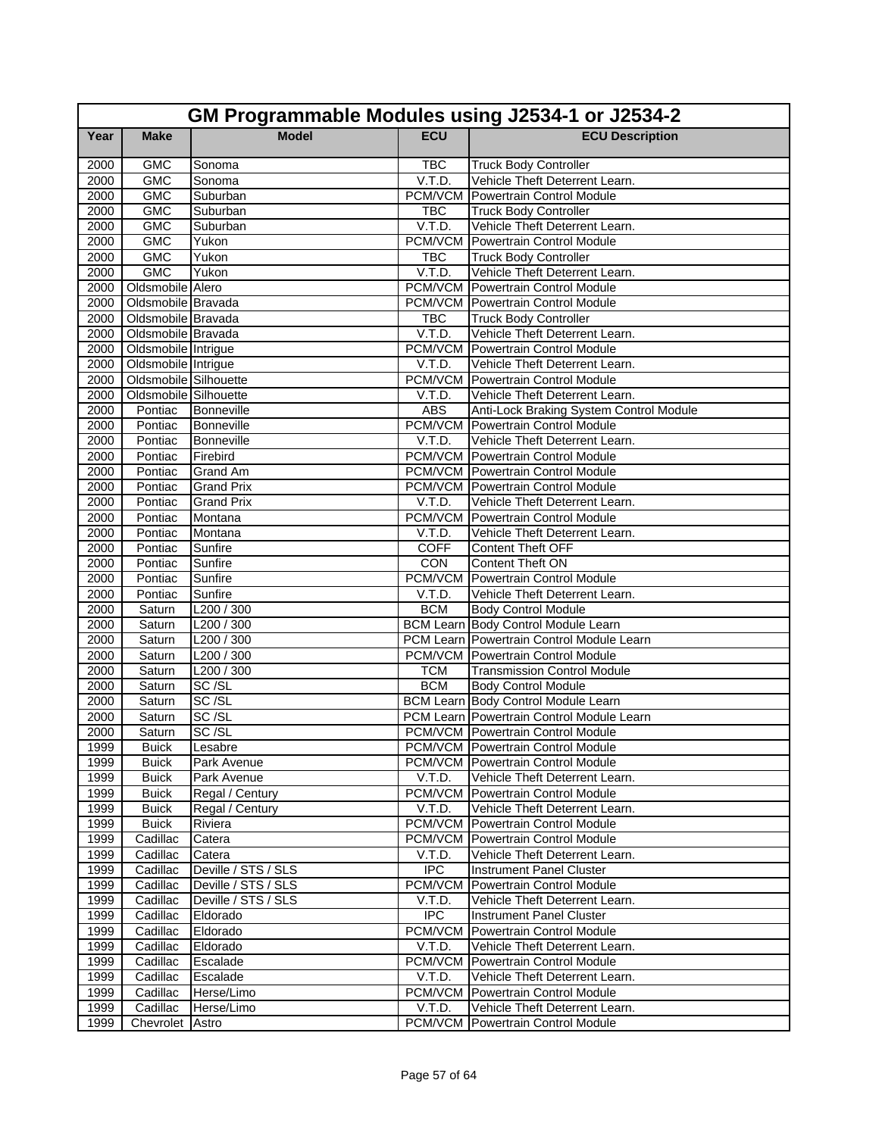|              | GM Programmable Modules using J2534-1 or J2534-2 |                     |             |                                                                                      |  |
|--------------|--------------------------------------------------|---------------------|-------------|--------------------------------------------------------------------------------------|--|
| Year         | <b>Make</b>                                      | <b>Model</b>        | <b>ECU</b>  | <b>ECU Description</b>                                                               |  |
| 2000         | <b>GMC</b>                                       | Sonoma              | <b>TBC</b>  | <b>Truck Body Controller</b>                                                         |  |
| 2000         | <b>GMC</b>                                       | Sonoma              | V.T.D.      | Vehicle Theft Deterrent Learn.                                                       |  |
| 2000         | <b>GMC</b>                                       | Suburban            |             | <b>PCM/VCM</b> Powertrain Control Module                                             |  |
| 2000         | <b>GMC</b>                                       | Suburban            | <b>TBC</b>  | <b>Truck Body Controller</b>                                                         |  |
| 2000         | <b>GMC</b>                                       | Suburban            | V.T.D.      | Vehicle Theft Deterrent Learn.                                                       |  |
| 2000         | <b>GMC</b>                                       | Yukon               | PCM/VCM     | Powertrain Control Module                                                            |  |
| 2000         | <b>GMC</b>                                       | Yukon               | <b>TBC</b>  | <b>Truck Body Controller</b>                                                         |  |
| 2000         | <b>GMC</b>                                       | Yukon               | V.T.D.      | Vehicle Theft Deterrent Learn.                                                       |  |
| 2000         | Oldsmobile Alero                                 |                     |             | <b>PCM/VCM</b> Powertrain Control Module                                             |  |
| 2000         | Oldsmobile Bravada                               |                     |             | <b>PCM/VCM</b> Powertrain Control Module                                             |  |
| 2000         | Oldsmobile Bravada                               |                     | <b>TBC</b>  | <b>Truck Body Controller</b>                                                         |  |
| 2000         | Oldsmobile Bravada                               |                     | V.T.D.      | Vehicle Theft Deterrent Learn.                                                       |  |
| 2000         | Oldsmobile Intrigue                              |                     |             | PCM/VCM Powertrain Control Module                                                    |  |
| 2000         | Oldsmobile Intrigue                              |                     | V.T.D.      | Vehicle Theft Deterrent Learn.                                                       |  |
| 2000         | Oldsmobile Silhouette                            |                     |             | <b>PCM/VCM</b> Powertrain Control Module                                             |  |
| 2000         | Oldsmobile Silhouette                            |                     | V.T.D.      | Vehicle Theft Deterrent Learn.                                                       |  |
| 2000         | Pontiac                                          | Bonneville          | <b>ABS</b>  | Anti-Lock Braking System Control Module                                              |  |
| 2000         | Pontiac                                          | Bonneville          |             | <b>PCM/VCM</b> Powertrain Control Module                                             |  |
| 2000         | Pontiac                                          | Bonneville          | V.T.D.      | Vehicle Theft Deterrent Learn.                                                       |  |
| 2000         | Pontiac                                          | Firebird            |             | <b>PCM/VCM</b> Powertrain Control Module                                             |  |
| 2000         | Pontiac                                          | <b>Grand Am</b>     |             | <b>PCM/VCM</b> Powertrain Control Module<br><b>PCM/VCM</b> Powertrain Control Module |  |
| 2000         | Pontiac                                          | <b>Grand Prix</b>   |             |                                                                                      |  |
| 2000         | Pontiac                                          | <b>Grand Prix</b>   | V.T.D.      | Vehicle Theft Deterrent Learn.                                                       |  |
| 2000         | Pontiac                                          | Montana             | V.T.D.      | <b>PCM/VCM</b> Powertrain Control Module                                             |  |
| 2000<br>2000 | Pontiac<br>Pontiac                               | Montana<br>Sunfire  | <b>COFF</b> | Vehicle Theft Deterrent Learn.<br>Content Theft OFF                                  |  |
| 2000         | Pontiac                                          | Sunfire             | CON         | Content Theft ON                                                                     |  |
| 2000         | Pontiac                                          | Sunfire             |             | PCM/VCM Powertrain Control Module                                                    |  |
| 2000         | Pontiac                                          | Sunfire             | V.T.D.      | Vehicle Theft Deterrent Learn.                                                       |  |
| 2000         | Saturn                                           | L200/300            | <b>BCM</b>  | <b>Body Control Module</b>                                                           |  |
| 2000         | Saturn                                           | L200/300            |             | <b>BCM Learn Body Control Module Learn</b>                                           |  |
| 2000         | Saturn                                           | L200 / 300          |             | PCM Learn Powertrain Control Module Learn                                            |  |
| 2000         | Saturn                                           | L200/300            |             | <b>PCM/VCM</b> Powertrain Control Module                                             |  |
| 2000         | Saturn                                           | L200/300            | <b>TCM</b>  | <b>Transmission Control Module</b>                                                   |  |
| 2000         | Saturn                                           | SC/SL               | <b>BCM</b>  | <b>Body Control Module</b>                                                           |  |
| 2000         | Saturn                                           | SC/SL               |             | <b>BCM Learn Body Control Module Learn</b>                                           |  |
| 2000         | Saturn                                           | SC/SL               |             | PCM Learn Powertrain Control Module Learn                                            |  |
| 2000         | Saturn                                           | SC/SL               |             | <b>PCM/VCM</b> Powertrain Control Module                                             |  |
| 1999         | <b>Buick</b>                                     | Lesabre             |             | PCM/VCM Powertrain Control Module                                                    |  |
| 1999         | Buick                                            | Park Avenue         |             | PCM/VCM Powertrain Control Module                                                    |  |
| 1999         | <b>Buick</b>                                     | Park Avenue         | V.T.D.      | Vehicle Theft Deterrent Learn.                                                       |  |
| 1999         | <b>Buick</b>                                     | Regal / Century     |             | <b>PCM/VCM</b> Powertrain Control Module                                             |  |
| 1999         | <b>Buick</b>                                     | Regal / Century     | V.T.D.      | Vehicle Theft Deterrent Learn.                                                       |  |
| 1999         | <b>Buick</b>                                     | Riviera             |             | PCM/VCM Powertrain Control Module                                                    |  |
| 1999         | Cadillac                                         | Catera              |             | <b>PCM/VCM</b> Powertrain Control Module                                             |  |
| 1999         | Cadillac                                         | Catera              | V.T.D.      | Vehicle Theft Deterrent Learn.                                                       |  |
| 1999         | Cadillac                                         | Deville / STS / SLS | <b>IPC</b>  | <b>Instrument Panel Cluster</b>                                                      |  |
| 1999         | Cadillac                                         | Deville / STS / SLS |             | <b>PCM/VCM Powertrain Control Module</b>                                             |  |
| 1999         | Cadillac                                         | Deville / STS / SLS | V.T.D.      | Vehicle Theft Deterrent Learn.                                                       |  |
| 1999         | Cadillac                                         | Eldorado            | <b>IPC</b>  | <b>Instrument Panel Cluster</b>                                                      |  |
| 1999         | Cadillac                                         | Eldorado            | PCM/VCM     | Powertrain Control Module                                                            |  |
| 1999         | Cadillac                                         | Eldorado            | V.T.D.      | Vehicle Theft Deterrent Learn.                                                       |  |
| 1999         | Cadillac                                         | Escalade            |             | PCM/VCM Powertrain Control Module                                                    |  |
| 1999         | Cadillac                                         | Escalade            | V.T.D.      | Vehicle Theft Deterrent Learn.                                                       |  |
| 1999         | Cadillac                                         | Herse/Limo          |             | PCM/VCM Powertrain Control Module                                                    |  |
| 1999         | Cadillac                                         | Herse/Limo          | V.T.D.      | Vehicle Theft Deterrent Learn.                                                       |  |
| 1999         | Chevrolet Astro                                  |                     |             | <b>PCM/VCM</b> Powertrain Control Module                                             |  |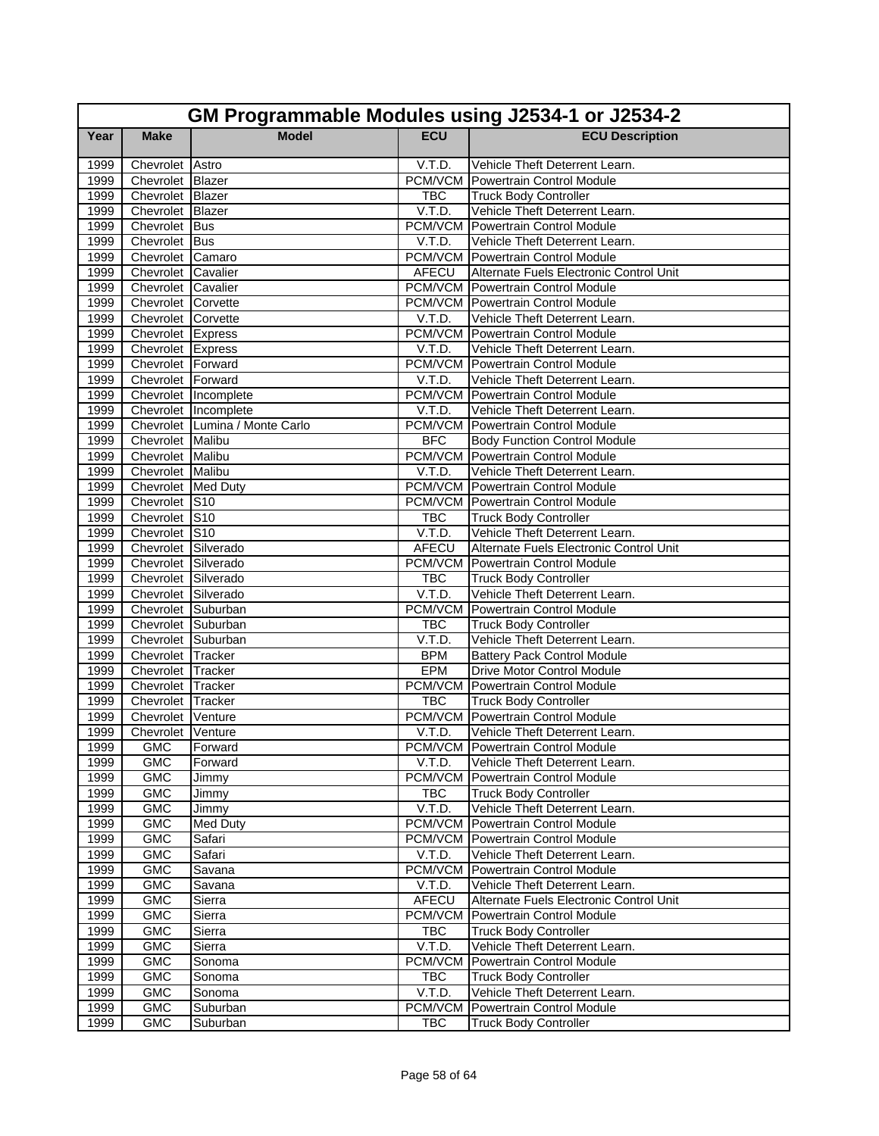|              | GM Programmable Modules using J2534-1 or J2534-2 |                                |                      |                                                                |  |
|--------------|--------------------------------------------------|--------------------------------|----------------------|----------------------------------------------------------------|--|
| Year         | <b>Make</b>                                      | <b>Model</b>                   | <b>ECU</b>           | <b>ECU Description</b>                                         |  |
| 1999         | Chevrolet Astro                                  |                                | V.T.D.               | Vehicle Theft Deterrent Learn.                                 |  |
| 1999         | Chevrolet Blazer                                 |                                |                      | PCM/VCM Powertrain Control Module                              |  |
| 1999         | Chevrolet Blazer                                 |                                | <b>TBC</b>           | <b>Truck Body Controller</b>                                   |  |
| 1999         | Chevrolet Blazer                                 |                                | V.T.D.               | Vehicle Theft Deterrent Learn.                                 |  |
| 1999         | Chevrolet Bus                                    |                                |                      | <b>PCM/VCM Powertrain Control Module</b>                       |  |
| 1999         | Chevrolet Bus                                    |                                | V.T.D.               | Vehicle Theft Deterrent Learn.                                 |  |
| 1999         | Chevrolet Camaro                                 |                                |                      | <b>PCM/VCM</b> Powertrain Control Module                       |  |
| 1999         | Chevrolet Cavalier                               |                                | AFECU                | Alternate Fuels Electronic Control Unit                        |  |
| 1999         | Chevrolet Cavalier                               |                                |                      | <b>PCM/VCM Powertrain Control Module</b>                       |  |
| 1999         | Chevrolet Corvette                               |                                |                      | <b>PCM/VCM</b> Powertrain Control Module                       |  |
| 1999         | Chevrolet Corvette                               |                                | V.T.D.               | Vehicle Theft Deterrent Learn.                                 |  |
| 1999         | Chevrolet Express                                |                                |                      | <b>PCM/VCM</b> Powertrain Control Module                       |  |
| 1999         | Chevrolet Express                                |                                | V.T.D.               | Vehicle Theft Deterrent Learn.                                 |  |
| 1999         | Chevrolet Forward                                |                                |                      | <b>PCM/VCM Powertrain Control Module</b>                       |  |
| 1999         | Chevrolet Forward                                |                                | V.T.D.               | Vehicle Theft Deterrent Learn.                                 |  |
| 1999         |                                                  | Chevrolet Incomplete           |                      | PCM/VCM Powertrain Control Module                              |  |
| 1999         |                                                  | Chevrolet Incomplete           | V.T.D.               | Vehicle Theft Deterrent Learn.                                 |  |
| 1999         |                                                  | Chevrolet Lumina / Monte Carlo |                      | <b>PCM/VCM Powertrain Control Module</b>                       |  |
| 1999         | Chevrolet Malibu                                 |                                | <b>BFC</b>           | <b>Body Function Control Module</b>                            |  |
| 1999         | Chevrolet Malibu                                 |                                |                      | <b>PCM/VCM</b> Powertrain Control Module                       |  |
| 1999         | Chevrolet Malibu                                 |                                | V.T.D.               | Vehicle Theft Deterrent Learn.                                 |  |
| 1999         | Chevrolet Med Duty                               |                                |                      | <b>PCM/VCM Powertrain Control Module</b>                       |  |
| 1999         | Chevrolet S10                                    |                                |                      | <b>PCM/VCM Powertrain Control Module</b>                       |  |
| 1999         | Chevrolet S10                                    |                                | <b>TBC</b>           | <b>Truck Body Controller</b>                                   |  |
| 1999         | Chevrolet S10                                    |                                | V.T.D.               | Vehicle Theft Deterrent Learn.                                 |  |
| 1999         | Chevrolet Silverado                              |                                | AFECU                | Alternate Fuels Electronic Control Unit                        |  |
| 1999         | Chevrolet Silverado                              |                                |                      | <b>PCM/VCM</b> Powertrain Control Module                       |  |
| 1999<br>1999 | Chevrolet Silverado                              |                                | <b>TBC</b><br>V.T.D. | <b>Truck Body Controller</b><br>Vehicle Theft Deterrent Learn. |  |
|              | Chevrolet Silverado                              |                                |                      | <b>PCM/VCM</b> Powertrain Control Module                       |  |
| 1999<br>1999 | Chevrolet Suburban<br>Chevrolet Suburban         |                                | TBC                  |                                                                |  |
| 1999         | Chevrolet Suburban                               |                                | V.T.D.               | <b>Truck Body Controller</b><br>Vehicle Theft Deterrent Learn. |  |
| 1999         | Chevrolet Tracker                                |                                | <b>BPM</b>           | <b>Battery Pack Control Module</b>                             |  |
| 1999         | Chevrolet Tracker                                |                                | <b>EPM</b>           | Drive Motor Control Module                                     |  |
| 1999         | Chevrolet Tracker                                |                                |                      | <b>PCM/VCM</b> Powertrain Control Module                       |  |
| 1999         | Chevrolet Tracker                                |                                | <b>TBC</b>           | <b>Truck Body Controller</b>                                   |  |
| 1999         | Chevrolet Venture                                |                                |                      | <b>PCM/VCM</b> Powertrain Control Module                       |  |
| 1999         | Chevrolet Venture                                |                                | V.T.D.               | Vehicle Theft Deterrent Learn.                                 |  |
| 1999         | GMC Forward                                      |                                |                      | <b>PCM/VCM</b> Powertrain Control Module                       |  |
| 1999         | <b>GMC</b>                                       | Forward                        | V.T.D.               | Vehicle Theft Deterrent Learn.                                 |  |
| 1999         | <b>GMC</b>                                       | Jimmy                          |                      | PCM/VCM Powertrain Control Module                              |  |
| 1999         | <b>GMC</b>                                       | Jimmy                          | TBC                  | <b>Truck Body Controller</b>                                   |  |
| 1999         | <b>GMC</b>                                       | Jimmy                          | V.T.D.               | Vehicle Theft Deterrent Learn.                                 |  |
| 1999         | <b>GMC</b>                                       | <b>Med Duty</b>                | PCM/VCM              | Powertrain Control Module                                      |  |
| 1999         | <b>GMC</b>                                       | Safari                         | PCM/VCM              | Powertrain Control Module                                      |  |
| 1999         | <b>GMC</b>                                       | Safari                         | V.T.D.               | Vehicle Theft Deterrent Learn.                                 |  |
| 1999         | <b>GMC</b>                                       | Savana                         | PCM/VCM              | Powertrain Control Module                                      |  |
| 1999         | <b>GMC</b>                                       | Savana                         | V.T.D.               | Vehicle Theft Deterrent Learn.                                 |  |
| 1999         | <b>GMC</b>                                       | Sierra                         | AFECU                | Alternate Fuels Electronic Control Unit                        |  |
| 1999         | <b>GMC</b>                                       | Sierra                         | PCM/VCM              | Powertrain Control Module                                      |  |
| 1999         | <b>GMC</b>                                       | Sierra                         | <b>TBC</b>           | <b>Truck Body Controller</b>                                   |  |
| 1999         | <b>GMC</b>                                       | Sierra                         | V.T.D.               | Vehicle Theft Deterrent Learn.                                 |  |
| 1999         | <b>GMC</b>                                       | Sonoma                         | PCM/VCM              | Powertrain Control Module                                      |  |
| 1999         | <b>GMC</b>                                       | Sonoma                         | <b>TBC</b>           | <b>Truck Body Controller</b>                                   |  |
| 1999         | <b>GMC</b>                                       | Sonoma                         | V.T.D.               | Vehicle Theft Deterrent Learn.                                 |  |
| 1999         | <b>GMC</b>                                       | Suburban                       | PCM/VCM              | Powertrain Control Module                                      |  |
| 1999         | <b>GMC</b>                                       | Suburban                       | <b>TBC</b>           | <b>Truck Body Controller</b>                                   |  |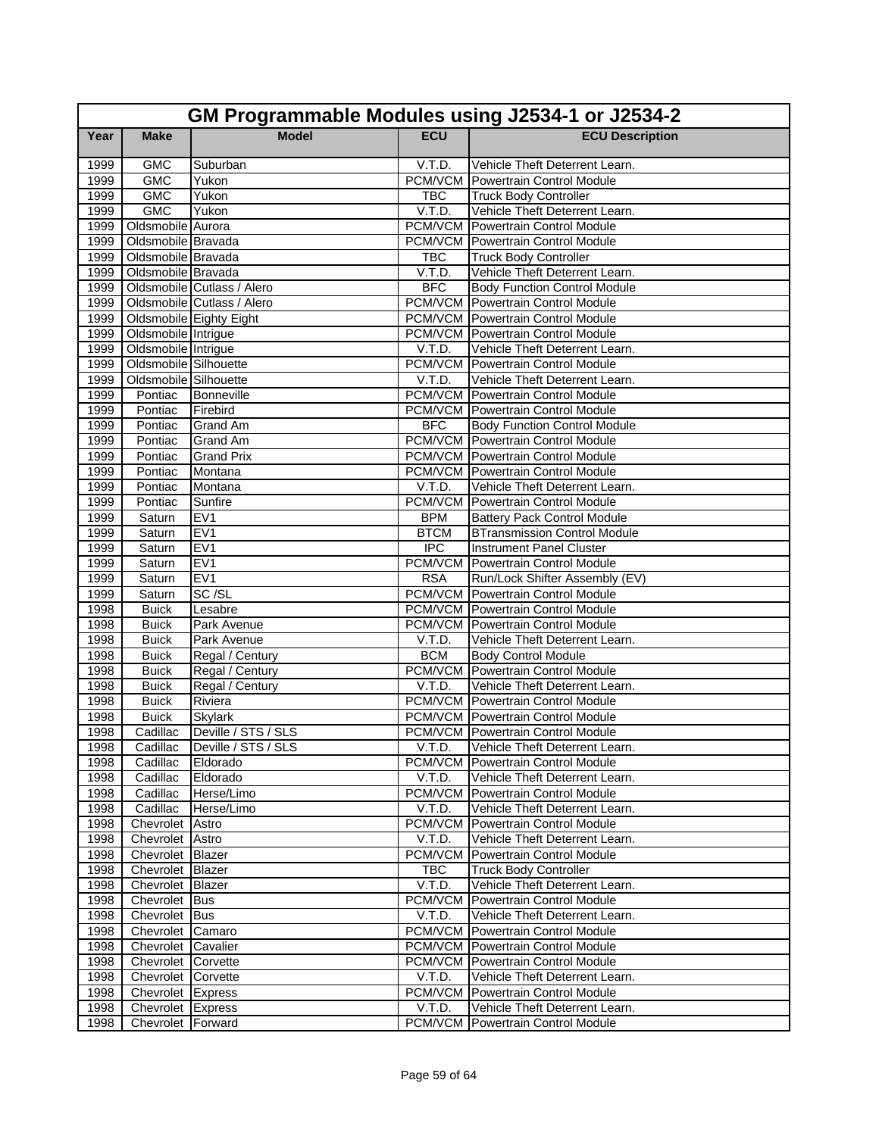|              | GM Programmable Modules using J2534-1 or J2534-2 |                              |                  |                                                                                      |  |
|--------------|--------------------------------------------------|------------------------------|------------------|--------------------------------------------------------------------------------------|--|
| Year         | <b>Make</b>                                      | <b>Model</b>                 | <b>ECU</b>       | <b>ECU Description</b>                                                               |  |
| 1999         | <b>GMC</b>                                       | Suburban                     | V.T.D.           | Vehicle Theft Deterrent Learn.                                                       |  |
| 1999         | <b>GMC</b>                                       | Yukon                        |                  | PCM/VCM Powertrain Control Module                                                    |  |
| 1999         | <b>GMC</b>                                       | Yukon                        | <b>TBC</b>       | <b>Truck Body Controller</b>                                                         |  |
| 1999         | <b>GMC</b>                                       | Yukon                        | V.T.D.           | Vehicle Theft Deterrent Learn.                                                       |  |
| 1999         | Oldsmobile Aurora                                |                              |                  | <b>PCM/VCM</b> Powertrain Control Module                                             |  |
| 1999         | Oldsmobile Bravada                               |                              |                  | <b>PCM/VCM</b> Powertrain Control Module                                             |  |
| 1999         | Oldsmobile Bravada                               |                              | <b>TBC</b>       | <b>Truck Body Controller</b>                                                         |  |
| 1999         | Oldsmobile Bravada                               |                              | V.T.D.           | Vehicle Theft Deterrent Learn.                                                       |  |
| 1999         |                                                  | Oldsmobile Cutlass / Alero   | <b>BFC</b>       | <b>Body Function Control Module</b>                                                  |  |
| 1999         |                                                  | Oldsmobile Cutlass / Alero   |                  | <b>PCM/VCM</b> Powertrain Control Module                                             |  |
| 1999         |                                                  | Oldsmobile Eighty Eight      |                  | <b>PCM/VCM</b> Powertrain Control Module                                             |  |
| 1999         | Oldsmobile Intrigue                              |                              |                  | <b>PCM/VCM</b> Powertrain Control Module                                             |  |
| 1999         | Oldsmobile Intrigue                              |                              | V.T.D.           | Vehicle Theft Deterrent Learn.                                                       |  |
| 1999         | Oldsmobile Silhouette                            |                              |                  | <b>PCM/VCM</b> Powertrain Control Module                                             |  |
| 1999         | Oldsmobile Silhouette                            |                              | V.T.D.           | Vehicle Theft Deterrent Learn.                                                       |  |
| 1999         | Pontiac                                          | <b>Bonneville</b>            |                  | <b>PCM/VCM</b> Powertrain Control Module                                             |  |
| 1999         | Pontiac                                          | Firebird                     |                  | <b>PCM/VCM</b> Powertrain Control Module                                             |  |
| 1999         | Pontiac                                          | <b>Grand Am</b>              | <b>BFC</b>       | <b>Body Function Control Module</b>                                                  |  |
| 1999         | Pontiac                                          | <b>Grand Am</b>              |                  | <b>PCM/VCM</b> Powertrain Control Module                                             |  |
| 1999         | Pontiac                                          | <b>Grand Prix</b>            |                  | <b>PCM/VCM</b> Powertrain Control Module                                             |  |
| 1999         | Pontiac                                          | Montana                      |                  | <b>PCM/VCM Powertrain Control Module</b>                                             |  |
| 1999         | Pontiac                                          | Montana                      | V.T.D.           | Vehicle Theft Deterrent Learn.                                                       |  |
| 1999         | Pontiac                                          | Sunfire                      |                  | <b>PCM/VCM Powertrain Control Module</b>                                             |  |
| 1999         | Saturn                                           | EV <sub>1</sub>              | <b>BPM</b>       | <b>Battery Pack Control Module</b>                                                   |  |
| 1999         | Saturn                                           | EVI                          | <b>BTCM</b>      | <b>BTransmission Control Module</b>                                                  |  |
| 1999         | Saturn                                           | EVI                          | $\overline{IPC}$ | <b>Instrument Panel Cluster</b>                                                      |  |
| 1999         | Saturn                                           | EV <sub>1</sub>              | PCM/VCM          | <b>Powertrain Control Module</b>                                                     |  |
| 1999         | Saturn                                           | EV1                          | <b>RSA</b>       | Run/Lock Shifter Assembly (EV)                                                       |  |
| 1999         | Saturn<br><b>Buick</b>                           | SC/SL<br>Lesabre             |                  | <b>PCM/VCM</b> Powertrain Control Module<br><b>PCM/VCM</b> Powertrain Control Module |  |
| 1998<br>1998 |                                                  |                              |                  | <b>PCM/VCM</b> Powertrain Control Module                                             |  |
| 1998         | <b>Buick</b><br><b>Buick</b>                     | Park Avenue<br>Park Avenue   | V.T.D.           | Vehicle Theft Deterrent Learn.                                                       |  |
| 1998         | <b>Buick</b>                                     | Regal / Century              | <b>BCM</b>       | <b>Body Control Module</b>                                                           |  |
| 1998         | <b>Buick</b>                                     | Regal / Century              |                  | <b>PCM/VCM</b> Powertrain Control Module                                             |  |
| 1998         | <b>Buick</b>                                     | Regal / Century              | V.T.D.           | Vehicle Theft Deterrent Learn.                                                       |  |
| 1998         | <b>Buick</b>                                     | Riviera                      |                  | PCM/VCM Powertrain Control Module                                                    |  |
| 1998         | <b>Buick</b>                                     | <b>Skylark</b>               |                  | <b>PCM/VCM Powertrain Control Module</b>                                             |  |
| 1998         | Cadillac                                         | Deville / STS / SLS          |                  | <b>PCM/VCM</b> Powertrain Control Module                                             |  |
| 1998         |                                                  | Cadillac Deville / STS / SLS |                  | V.T.D. Vehicle Theft Deterrent Learn.                                                |  |
| 1998         | Cadillac                                         | Eldorado                     |                  | PCM/VCM Powertrain Control Module                                                    |  |
| 1998         | Cadillac                                         | Eldorado                     | V.T.D.           | Vehicle Theft Deterrent Learn.                                                       |  |
| 1998         | Cadillac                                         | Herse/Limo                   |                  | <b>PCM/VCM</b> Powertrain Control Module                                             |  |
| 1998         | Cadillac                                         | Herse/Limo                   | V.T.D.           | Vehicle Theft Deterrent Learn.                                                       |  |
| 1998         | Chevrolet Astro                                  |                              |                  | <b>PCM/VCM</b> Powertrain Control Module                                             |  |
| 1998         | Chevrolet Astro                                  |                              | V.T.D.           | Vehicle Theft Deterrent Learn.                                                       |  |
| 1998         | Chevrolet Blazer                                 |                              | PCM/VCM          | <b>Powertrain Control Module</b>                                                     |  |
| 1998         | Chevrolet Blazer                                 |                              | TBC              | <b>Truck Body Controller</b>                                                         |  |
| 1998         | Chevrolet Blazer                                 |                              | V.T.D.           | Vehicle Theft Deterrent Learn.                                                       |  |
| 1998         | Chevrolet Bus                                    |                              |                  | <b>PCM/VCM</b> Powertrain Control Module                                             |  |
| 1998         | Chevrolet Bus                                    |                              | V.T.D.           | Vehicle Theft Deterrent Learn.                                                       |  |
| 1998         | Chevrolet Camaro                                 |                              |                  | PCM/VCM Powertrain Control Module                                                    |  |
| 1998         | Chevrolet Cavalier                               |                              |                  | <b>PCM/VCM</b> Powertrain Control Module                                             |  |
| 1998         | Chevrolet Corvette                               |                              |                  | PCM/VCM Powertrain Control Module                                                    |  |
| 1998         | Chevrolet Corvette                               |                              | V.T.D.           | Vehicle Theft Deterrent Learn.                                                       |  |
| 1998         | Chevrolet Express                                |                              |                  | <b>PCM/VCM</b> Powertrain Control Module                                             |  |
| 1998         | Chevrolet Express                                |                              | V.T.D.           | Vehicle Theft Deterrent Learn.                                                       |  |
| 1998         | Chevrolet Forward                                |                              |                  | PCM/VCM Powertrain Control Module                                                    |  |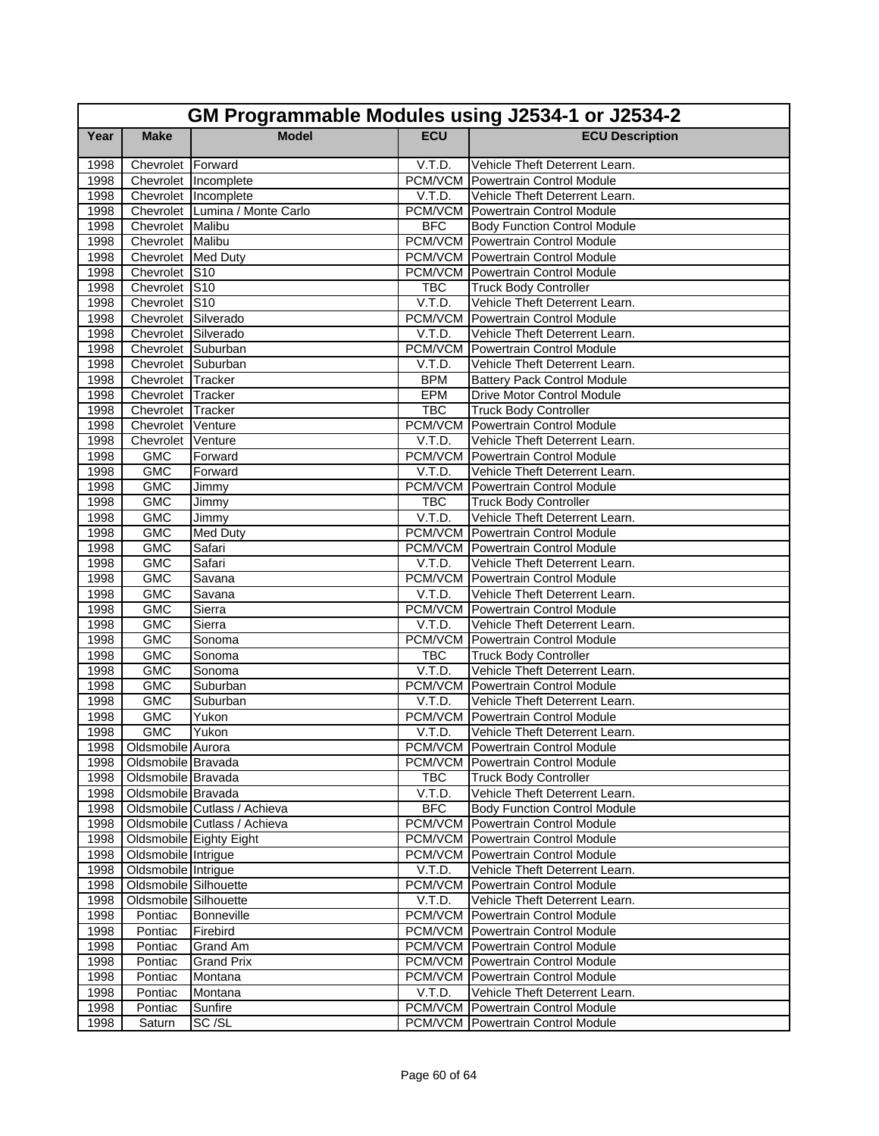|      | GM Programmable Modules using J2534-1 or J2534-2 |                                |                      |                                          |  |
|------|--------------------------------------------------|--------------------------------|----------------------|------------------------------------------|--|
| Year | <b>Make</b>                                      | <b>Model</b>                   | <b>ECU</b>           | <b>ECU Description</b>                   |  |
| 1998 | Chevrolet Forward                                |                                | V.T.D.               | Vehicle Theft Deterrent Learn.           |  |
| 1998 |                                                  | Chevrolet Incomplete           |                      | PCM/VCM Powertrain Control Module        |  |
| 1998 |                                                  | Chevrolet Incomplete           | V.T.D.               | Vehicle Theft Deterrent Learn.           |  |
| 1998 |                                                  | Chevrolet Lumina / Monte Carlo |                      | <b>PCM/VCM</b> Powertrain Control Module |  |
| 1998 | Chevrolet Malibu                                 |                                | <b>BFC</b>           | <b>Body Function Control Module</b>      |  |
| 1998 | Chevrolet Malibu                                 |                                |                      | <b>PCM/VCM</b> Powertrain Control Module |  |
| 1998 | Chevrolet Med Duty                               |                                |                      | <b>PCM/VCM</b> Powertrain Control Module |  |
| 1998 | Chevrolet S10                                    |                                |                      | PCM/VCM Powertrain Control Module        |  |
| 1998 | Chevrolet S10                                    |                                | <b>TBC</b>           | <b>Truck Body Controller</b>             |  |
| 1998 | Chevrolet S10                                    |                                | V.T.D.               | Vehicle Theft Deterrent Learn.           |  |
| 1998 | Chevrolet Silverado                              |                                |                      | <b>PCM/VCM</b> Powertrain Control Module |  |
| 1998 | Chevrolet Silverado                              |                                | V.T.D.               | Vehicle Theft Deterrent Learn.           |  |
| 1998 | Chevrolet Suburban                               |                                |                      | <b>PCM/VCM</b> Powertrain Control Module |  |
| 1998 | Chevrolet Suburban                               |                                | V.T.D.               | Vehicle Theft Deterrent Learn.           |  |
| 1998 | Chevrolet Tracker                                |                                | <b>BPM</b>           | <b>Battery Pack Control Module</b>       |  |
| 1998 | Chevrolet Tracker                                |                                | EPM                  | <b>Drive Motor Control Module</b>        |  |
| 1998 | Chevrolet Tracker                                |                                | <b>TBC</b>           | <b>Truck Body Controller</b>             |  |
| 1998 | Chevrolet Venture                                |                                |                      | <b>PCM/VCM</b> Powertrain Control Module |  |
| 1998 | Chevrolet Venture                                |                                | V.T.D.               | Vehicle Theft Deterrent Learn.           |  |
| 1998 | <b>GMC</b>                                       | Forward                        |                      | <b>PCM/VCM</b> Powertrain Control Module |  |
| 1998 | <b>GMC</b>                                       | Forward                        | V.T.D.               | Vehicle Theft Deterrent Learn.           |  |
| 1998 | <b>GMC</b>                                       | Jimmy                          |                      | <b>PCM/VCM</b> Powertrain Control Module |  |
| 1998 | <b>GMC</b>                                       | Jimmy                          | <b>TBC</b>           | <b>Truck Body Controller</b>             |  |
| 1998 | <b>GMC</b>                                       | Jimmy                          | V.T.D.               | Vehicle Theft Deterrent Learn.           |  |
| 1998 | <b>GMC</b>                                       | Med Duty                       |                      | <b>PCM/VCM</b> Powertrain Control Module |  |
| 1998 | <b>GMC</b>                                       | Safari                         |                      | <b>PCM/VCM</b> Powertrain Control Module |  |
| 1998 | <b>GMC</b>                                       | Safari                         | V.T.D.               | Vehicle Theft Deterrent Learn.           |  |
| 1998 | <b>GMC</b>                                       | Savana                         |                      | <b>PCM/VCM</b> Powertrain Control Module |  |
| 1998 | <b>GMC</b>                                       | Savana                         | V.T.D.               | Vehicle Theft Deterrent Learn.           |  |
| 1998 | <b>GMC</b>                                       | Sierra                         |                      | <b>PCM/VCM</b> Powertrain Control Module |  |
| 1998 | <b>GMC</b>                                       | Sierra                         | V.T.D.               | Vehicle Theft Deterrent Learn.           |  |
| 1998 | <b>GMC</b>                                       | Sonoma                         |                      | <b>PCM/VCM</b> Powertrain Control Module |  |
| 1998 | <b>GMC</b>                                       | Sonoma                         | <b>TBC</b>           | <b>Truck Body Controller</b>             |  |
| 1998 | <b>GMC</b>                                       | Sonoma                         | V.T.D.               | Vehicle Theft Deterrent Learn.           |  |
| 1998 | <b>GMC</b>                                       | Suburban                       |                      | <b>PCM/VCM</b> Powertrain Control Module |  |
| 1998 | <b>GMC</b>                                       | Suburban                       | V.T.D.               | Vehicle Theft Deterrent Learn.           |  |
| 1998 | <b>GMC</b>                                       | Yukon                          |                      | <b>PCM/VCM</b> Powertrain Control Module |  |
| 1998 | <b>GMC</b>                                       | Yukon                          | V.T.D.               | Vehicle Theft Deterrent Learn.           |  |
|      | 1998 Oldsmobile Aurora                           |                                |                      | <b>PCM/VCM</b> Powertrain Control Module |  |
| 1998 | Oldsmobile Bravada                               |                                |                      | PCM/VCM   Powertrain Control Module      |  |
| 1998 | Oldsmobile Bravada                               |                                | TBC                  | <b>Truck Body Controller</b>             |  |
| 1998 | Oldsmobile Bravada                               |                                | V.T.D.               | Vehicle Theft Deterrent Learn.           |  |
| 1998 |                                                  | Oldsmobile Cutlass / Achieva   | <b>BFC</b>           | <b>Body Function Control Module</b>      |  |
| 1998 |                                                  | Oldsmobile Cutlass / Achieva   |                      | <b>PCM/VCM</b> Powertrain Control Module |  |
| 1998 |                                                  | Oldsmobile Eighty Eight        |                      | <b>PCM/VCM</b> Powertrain Control Module |  |
| 1998 | Oldsmobile Intrigue                              |                                |                      | PCM/VCM Powertrain Control Module        |  |
| 1998 | Oldsmobile Intrigue                              |                                | V.T.D.               | Vehicle Theft Deterrent Learn.           |  |
| 1998 | Oldsmobile Silhouette                            |                                |                      | <b>PCM/VCM</b> Powertrain Control Module |  |
| 1998 | Oldsmobile Silhouette                            |                                | V.T.D.               | Vehicle Theft Deterrent Learn.           |  |
| 1998 | Pontiac                                          | Bonneville                     |                      | PCM/VCM Powertrain Control Module        |  |
| 1998 | Pontiac                                          | Firebird                       |                      | <b>PCM/VCM</b> Powertrain Control Module |  |
| 1998 | Pontiac                                          | Grand Am                       |                      | <b>PCM/VCM</b> Powertrain Control Module |  |
| 1998 | Pontiac                                          | <b>Grand Prix</b>              |                      | <b>PCM/VCM</b> Powertrain Control Module |  |
| 1998 | Pontiac                                          | Montana                        |                      | <b>PCM/VCM</b> Powertrain Control Module |  |
| 1998 | Pontiac                                          | Montana                        | $\overline{V}$ .T.D. | Vehicle Theft Deterrent Learn.           |  |
| 1998 | Pontiac                                          | Sunfire                        |                      | <b>PCM/VCM Powertrain Control Module</b> |  |
| 1998 | Saturn                                           | SC/SL                          |                      | PCM/VCM Powertrain Control Module        |  |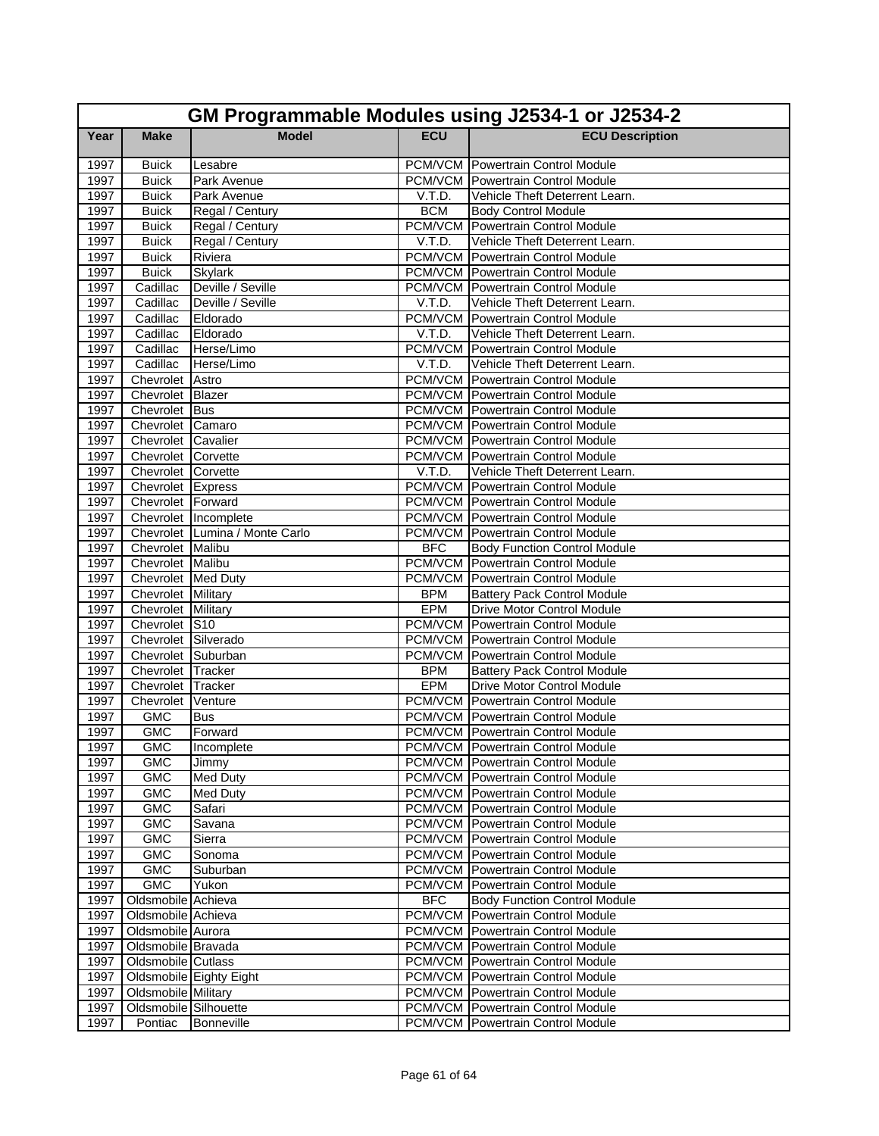| GM Programmable Modules using J2534-1 or J2534-2 |                                          |                                |            |                                                                            |  |
|--------------------------------------------------|------------------------------------------|--------------------------------|------------|----------------------------------------------------------------------------|--|
| Year                                             | <b>Make</b>                              | <b>Model</b>                   | <b>ECU</b> | <b>ECU Description</b>                                                     |  |
| 1997                                             | <b>Buick</b>                             | Lesabre                        |            | <b>PCM/VCM</b> Powertrain Control Module                                   |  |
| 1997                                             | <b>Buick</b>                             | Park Avenue                    |            | <b>PCM/VCM</b> Powertrain Control Module                                   |  |
| 1997                                             | <b>Buick</b>                             | Park Avenue                    | V.T.D.     | Vehicle Theft Deterrent Learn.                                             |  |
| 1997                                             | <b>Buick</b>                             | Regal / Century                | <b>BCM</b> | <b>Body Control Module</b>                                                 |  |
| 1997                                             | <b>Buick</b>                             | Regal / Century                |            | <b>PCM/VCM</b> Powertrain Control Module                                   |  |
| 1997                                             | <b>Buick</b>                             | Regal / Century                | V.T.D.     | Vehicle Theft Deterrent Learn.                                             |  |
| 1997                                             | <b>Buick</b>                             | Riviera                        |            | <b>PCM/VCM</b> Powertrain Control Module                                   |  |
| 1997                                             | <b>Buick</b>                             | <b>Skylark</b>                 |            | <b>PCM/VCM</b> Powertrain Control Module                                   |  |
| 1997                                             | Cadillac                                 | Deville / Seville              |            | <b>PCM/VCM</b> Powertrain Control Module                                   |  |
| 1997                                             | Cadillac                                 | Deville / Seville              | V.T.D.     | Vehicle Theft Deterrent Learn.                                             |  |
| 1997                                             | Cadillac                                 | Eldorado                       |            | <b>PCM/VCM</b> Powertrain Control Module                                   |  |
| 1997                                             | Cadillac                                 | Eldorado                       | V.T.D.     | Vehicle Theft Deterrent Learn.                                             |  |
| 1997                                             | Cadillac                                 | Herse/Limo                     |            | <b>PCM/VCM</b> Powertrain Control Module                                   |  |
| 1997                                             | Cadillac                                 | Herse/Limo                     | V.T.D.     | Vehicle Theft Deterrent Learn.                                             |  |
| 1997                                             | Chevrolet Astro                          |                                |            | <b>PCM/VCM</b> Powertrain Control Module                                   |  |
| 1997                                             | Chevrolet Blazer                         |                                |            | <b>PCM/VCM Powertrain Control Module</b>                                   |  |
| 1997                                             | Chevrolet Bus                            |                                |            | <b>PCM/VCM</b> Powertrain Control Module                                   |  |
| 1997                                             | Chevrolet Camaro                         |                                |            | <b>PCM/VCM</b> Powertrain Control Module                                   |  |
| 1997<br>1997                                     | Chevrolet Cavalier                       |                                |            | <b>PCM/VCM</b> Powertrain Control Module                                   |  |
| 1997                                             | Chevrolet Corvette<br>Chevrolet Corvette |                                | V.T.D.     | <b>PCM/VCM</b> Powertrain Control Module<br>Vehicle Theft Deterrent Learn. |  |
| 1997                                             | Chevrolet Express                        |                                |            | <b>PCM/VCM</b> Powertrain Control Module                                   |  |
| 1997                                             | Chevrolet Forward                        |                                |            | <b>PCM/VCM Powertrain Control Module</b>                                   |  |
| 1997                                             | Chevrolet Incomplete                     |                                |            | <b>PCM/VCM</b> Powertrain Control Module                                   |  |
| 1997                                             |                                          | Chevrolet Lumina / Monte Carlo |            | <b>PCM/VCM</b> Powertrain Control Module                                   |  |
| 1997                                             | Chevrolet Malibu                         |                                | <b>BFC</b> | <b>Body Function Control Module</b>                                        |  |
| 1997                                             | Chevrolet Malibu                         |                                |            | <b>PCM/VCM</b> Powertrain Control Module                                   |  |
| 1997                                             | Chevrolet Med Duty                       |                                |            | <b>PCM/VCM Powertrain Control Module</b>                                   |  |
| 1997                                             | Chevrolet Military                       |                                | <b>BPM</b> | <b>Battery Pack Control Module</b>                                         |  |
| 1997                                             | Chevrolet Military                       |                                | <b>EPM</b> | <b>Drive Motor Control Module</b>                                          |  |
| 1997                                             | Chevrolet S10                            |                                |            | <b>PCM/VCM</b> Powertrain Control Module                                   |  |
| 1997                                             | Chevrolet Silverado                      |                                |            | <b>PCM/VCM</b> Powertrain Control Module                                   |  |
| 1997                                             | Chevrolet Suburban                       |                                |            | <b>PCM/VCM</b> Powertrain Control Module                                   |  |
| 1997                                             | Chevrolet Tracker                        |                                | <b>BPM</b> | <b>Battery Pack Control Module</b>                                         |  |
| 1997                                             | Chevrolet Tracker                        |                                | <b>EPM</b> | <b>Drive Motor Control Module</b>                                          |  |
| 1997                                             | Chevrolet                                | Venture                        |            | <b>PCM/VCM</b> Powertrain Control Module                                   |  |
| 1997                                             | <b>GMC</b>                               | Bus                            |            | <b>PCM/VCM Powertrain Control Module</b>                                   |  |
| 1997                                             | <b>GMC</b>                               | Forward                        |            | <b>PCM/VCM</b> Powertrain Control Module                                   |  |
| 1997                                             | GMC                                      | Incomplete                     |            | <b>PCM/VCM</b> Powertrain Control Module                                   |  |
| 1997                                             | <b>GMC</b>                               | Jimmy                          |            | <b>PCM/VCM</b> Powertrain Control Module                                   |  |
| 1997                                             | <b>GMC</b>                               | <b>Med Duty</b>                |            | <b>PCM/VCM</b> Powertrain Control Module                                   |  |
| 1997                                             | GMC                                      | <b>Med Duty</b>                |            | <b>PCM/VCM</b> Powertrain Control Module                                   |  |
| 1997                                             | <b>GMC</b>                               | Safari                         |            | <b>PCM/VCM</b> Powertrain Control Module                                   |  |
| 1997                                             | <b>GMC</b>                               | Savana                         |            | <b>PCM/VCM</b> Powertrain Control Module                                   |  |
| 1997                                             | <b>GMC</b>                               | Sierra                         |            | <b>PCM/VCM</b> Powertrain Control Module                                   |  |
| 1997                                             | <b>GMC</b>                               | Sonoma                         |            | <b>PCM/VCM Powertrain Control Module</b>                                   |  |
| 1997                                             | GMC                                      | Suburban                       |            | <b>PCM/VCM</b> Powertrain Control Module                                   |  |
| 1997                                             | <b>GMC</b>                               | Yukon                          |            | <b>PCM/VCM</b> Powertrain Control Module                                   |  |
| 1997                                             | Oldsmobile Achieva                       |                                | <b>BFC</b> | <b>Body Function Control Module</b>                                        |  |
| 1997                                             | Oldsmobile Achieva                       |                                |            | PCM/VCM Powertrain Control Module                                          |  |
| 1997                                             | Oldsmobile Aurora                        |                                |            | <b>PCM/VCM</b> Powertrain Control Module                                   |  |
| 1997                                             | Oldsmobile Bravada                       |                                |            | <b>PCM/VCM</b> Powertrain Control Module                                   |  |
| 1997                                             | Oldsmobile Cutlass                       |                                |            | <b>PCM/VCM</b> Powertrain Control Module                                   |  |
| 1997                                             |                                          | Oldsmobile Eighty Eight        |            | <b>PCM/VCM</b> Powertrain Control Module                                   |  |
| 1997                                             | <b>Oldsmobile Military</b>               |                                |            | <b>PCM/VCM</b> Powertrain Control Module                                   |  |
| 1997                                             | Oldsmobile Silhouette                    |                                |            | <b>PCM/VCM</b> Powertrain Control Module                                   |  |
| 1997                                             | Pontiac                                  | Bonneville                     |            | <b>PCM/VCM</b> Powertrain Control Module                                   |  |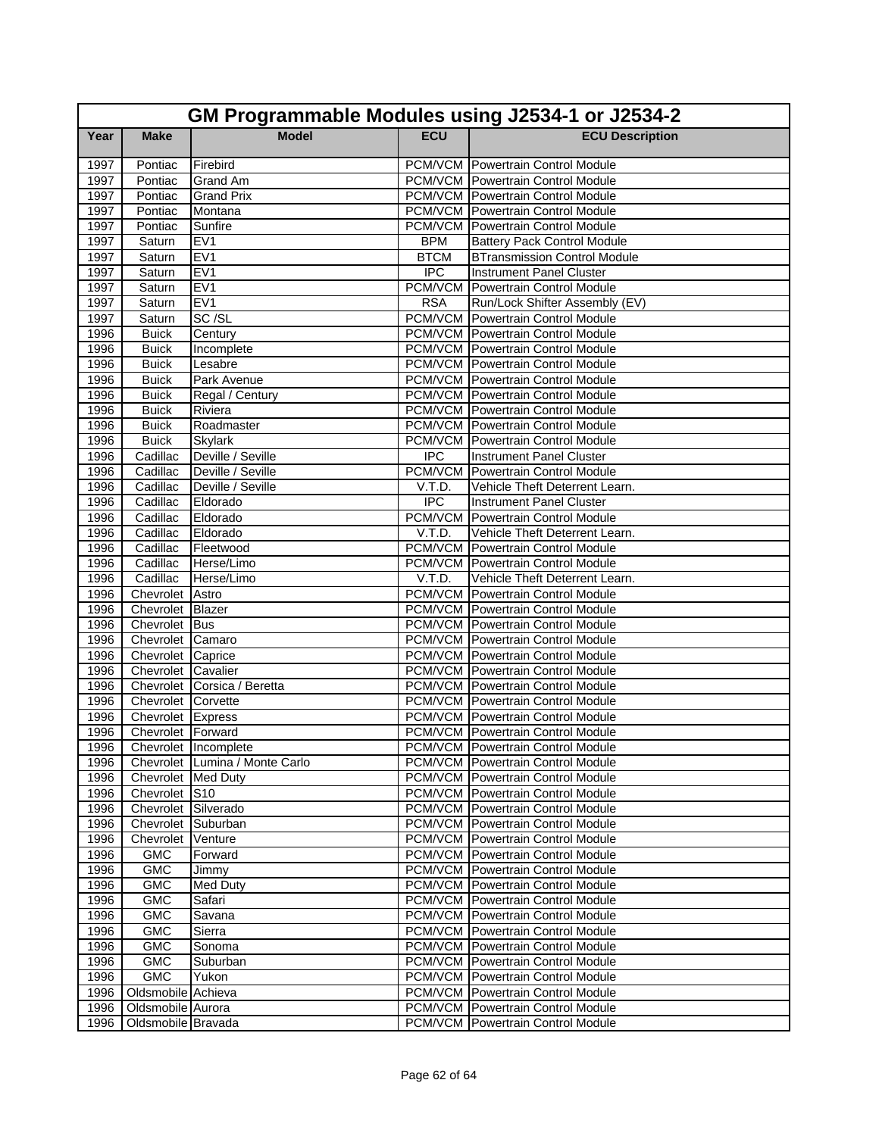| GM Programmable Modules using J2534-1 or J2534-2 |                                         |                                |             |                                                                                      |
|--------------------------------------------------|-----------------------------------------|--------------------------------|-------------|--------------------------------------------------------------------------------------|
| Year                                             | <b>Make</b>                             | <b>Model</b>                   | <b>ECU</b>  | <b>ECU Description</b>                                                               |
| 1997                                             | Pontiac                                 | Firebird                       |             | PCM/VCM Powertrain Control Module                                                    |
| 1997                                             | Pontiac                                 | Grand Am                       |             | <b>PCM/VCM</b> Powertrain Control Module                                             |
| 1997                                             | Pontiac                                 | <b>Grand Prix</b>              |             | <b>PCM/VCM</b> Powertrain Control Module                                             |
| 1997                                             | Pontiac                                 | Montana                        |             | <b>PCM/VCM</b> Powertrain Control Module                                             |
| 1997                                             | Pontiac                                 | Sunfire                        |             | <b>PCM/VCM Powertrain Control Module</b>                                             |
| 1997                                             | Saturn                                  | EV <sub>1</sub>                | <b>BPM</b>  | <b>Battery Pack Control Module</b>                                                   |
| 1997                                             | Saturn                                  | EVI                            | <b>BTCM</b> | <b>BTransmission Control Module</b>                                                  |
| 1997                                             | Saturn                                  | EV <sub>1</sub>                | <b>IPC</b>  | <b>Instrument Panel Cluster</b>                                                      |
| 1997                                             | Saturn                                  | EV1                            |             | <b>PCM/VCM</b> Powertrain Control Module                                             |
| 1997                                             | Saturn                                  | EV <sub>1</sub>                | <b>RSA</b>  | Run/Lock Shifter Assembly (EV)                                                       |
| 1997                                             | Saturn                                  | SC/SL                          |             | <b>PCM/VCM</b> Powertrain Control Module                                             |
| 1996                                             | <b>Buick</b>                            | Century                        |             | <b>PCM/VCM</b> Powertrain Control Module                                             |
| 1996                                             | <b>Buick</b>                            | Incomplete                     |             | <b>PCM/VCM</b> Powertrain Control Module                                             |
| 1996                                             | <b>Buick</b>                            | Lesabre                        |             | <b>PCM/VCM</b> Powertrain Control Module                                             |
| 1996                                             | <b>Buick</b>                            | Park Avenue                    |             | <b>PCM/VCM Powertrain Control Module</b>                                             |
| 1996                                             | <b>Buick</b>                            | Regal / Century                |             | <b>PCM/VCM Powertrain Control Module</b>                                             |
| 1996                                             | <b>Buick</b>                            | Riviera                        |             | <b>PCM/VCM</b> Powertrain Control Module                                             |
| 1996                                             | <b>Buick</b>                            | Roadmaster                     |             | <b>PCM/VCM</b> Powertrain Control Module                                             |
| 1996                                             | <b>Buick</b>                            | <b>Skylark</b>                 |             | <b>PCM/VCM</b> Powertrain Control Module                                             |
| 1996                                             | Cadillac                                | Deville / Seville              | <b>IPC</b>  | <b>Instrument Panel Cluster</b>                                                      |
| 1996                                             | Cadillac                                | Deville / Seville              |             | <b>PCM/VCM</b> Powertrain Control Module                                             |
| 1996                                             | Cadillac                                | Deville / Seville              | V.T.D.      | Vehicle Theft Deterrent Learn.                                                       |
| 1996                                             | Cadillac                                | Eldorado                       | <b>IPC</b>  | <b>Instrument Panel Cluster</b>                                                      |
| 1996                                             | Cadillac                                | Eldorado                       |             | <b>PCM/VCM Powertrain Control Module</b>                                             |
| 1996                                             | Cadillac                                | Eldorado                       | V.T.D.      | Vehicle Theft Deterrent Learn.                                                       |
| 1996                                             | Cadillac                                | Fleetwood                      |             | <b>PCM/VCM</b> Powertrain Control Module                                             |
| 1996                                             | Cadillac                                | Herse/Limo                     |             | <b>PCM/VCM</b> Powertrain Control Module                                             |
| 1996                                             | Cadillac                                | Herse/Limo                     | V.T.D.      | Vehicle Theft Deterrent Learn.                                                       |
| 1996                                             | Chevrolet Astro                         |                                |             | <b>PCM/VCM</b> Powertrain Control Module<br><b>PCM/VCM</b> Powertrain Control Module |
| 1996                                             | Chevrolet Blazer                        |                                |             |                                                                                      |
| 1996                                             | Chevrolet<br>Chevrolet Camaro           | <b>I</b> Bus                   |             | PCM/VCM Powertrain Control Module<br><b>PCM/VCM Powertrain Control Module</b>        |
| 1996                                             |                                         |                                |             |                                                                                      |
| 1996                                             | Chevrolet Caprice<br>Chevrolet Cavalier |                                |             | <b>PCM/VCM</b> Powertrain Control Module                                             |
| 1996<br>1996                                     |                                         |                                |             | <b>PCM/VCM</b> Powertrain Control Module<br>PCM/VCM Powertrain Control Module        |
| 1996                                             | Chevrolet Corvette                      | Chevrolet Corsica / Beretta    |             | <b>PCM/VCM</b> Powertrain Control Module                                             |
| 1996                                             | Chevrolet Express                       |                                |             | <b>PCM/VCM</b> Powertrain Control Module                                             |
| 1996                                             | Chevrolet Forward                       |                                |             | <b>PCM/VCM</b> Powertrain Control Module                                             |
| 1996                                             |                                         | Chevrolet Incomplete           |             | <b>PCM/VCM</b> Powertrain Control Module                                             |
| 1996                                             |                                         | Chevrolet Lumina / Monte Carlo |             | PCM/VCM Powertrain Control Module                                                    |
| 1996                                             | Chevrolet Med Duty                      |                                |             | <b>PCM/VCM Powertrain Control Module</b>                                             |
| 1996                                             | Chevrolet S10                           |                                |             | PCM/VCM   Powertrain Control Module                                                  |
| 1996                                             | Chevrolet Silverado                     |                                |             | <b>PCM/VCM</b> Powertrain Control Module                                             |
| 1996                                             | Chevrolet Suburban                      |                                |             | <b>PCM/VCM</b> Powertrain Control Module                                             |
| 1996                                             | Chevrolet Venture                       |                                |             | <b>PCM/VCM</b> Powertrain Control Module                                             |
| 1996                                             | <b>GMC</b>                              | Forward                        |             | <b>PCM/VCM Powertrain Control Module</b>                                             |
| 1996                                             | <b>GMC</b>                              | Jimmy                          |             | <b>PCM/VCM</b> Powertrain Control Module                                             |
| 1996                                             | <b>GMC</b>                              | <b>Med Duty</b>                |             | <b>PCM/VCM</b> Powertrain Control Module                                             |
| 1996                                             | <b>GMC</b>                              | Safari                         |             | <b>PCM/VCM</b> Powertrain Control Module                                             |
| 1996                                             | <b>GMC</b>                              | Savana                         |             | <b>PCM/VCM</b> Powertrain Control Module                                             |
| 1996                                             | <b>GMC</b>                              | Sierra                         |             | <b>PCM/VCM</b> Powertrain Control Module                                             |
| 1996                                             | <b>GMC</b>                              | Sonoma                         |             | <b>PCM/VCM</b> Powertrain Control Module                                             |
| 1996                                             | <b>GMC</b>                              | Suburban                       |             | <b>PCM/VCM</b> Powertrain Control Module                                             |
| 1996                                             | <b>GMC</b>                              | Yukon                          |             | <b>PCM/VCM</b> Powertrain Control Module                                             |
| 1996                                             | Oldsmobile Achieva                      |                                |             | <b>PCM/VCM Powertrain Control Module</b>                                             |
| 1996                                             | Oldsmobile Aurora                       |                                |             | PCM/VCM   Powertrain Control Module                                                  |
| 1996                                             | Oldsmobile Bravada                      |                                |             | <b>PCM/VCM</b> Powertrain Control Module                                             |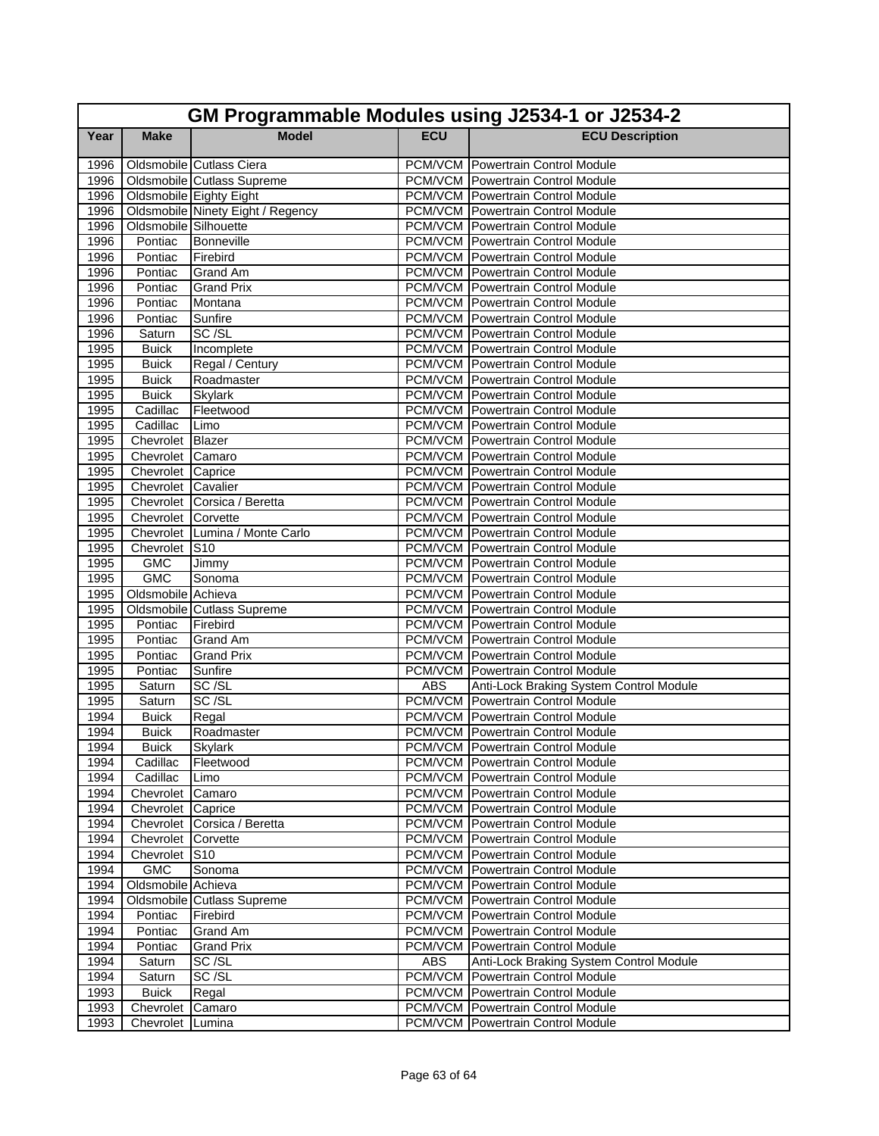| GM Programmable Modules using J2534-1 or J2534-2 |                       |                                   |            |                                                                        |  |
|--------------------------------------------------|-----------------------|-----------------------------------|------------|------------------------------------------------------------------------|--|
| Year                                             | <b>Make</b>           | <b>Model</b>                      | <b>ECU</b> | <b>ECU Description</b>                                                 |  |
| 1996                                             |                       | Oldsmobile Cutlass Ciera          |            | <b>PCM/VCM</b> Powertrain Control Module                               |  |
| 1996                                             |                       | Oldsmobile Cutlass Supreme        |            | <b>PCM/VCM</b> Powertrain Control Module                               |  |
| 1996                                             |                       | Oldsmobile Eighty Eight           |            | <b>PCM/VCM</b> Powertrain Control Module                               |  |
| 1996                                             |                       | Oldsmobile Ninety Eight / Regency |            | <b>PCM/VCM Powertrain Control Module</b>                               |  |
| 1996                                             | Oldsmobile Silhouette |                                   |            | <b>PCM/VCM</b> Powertrain Control Module                               |  |
| 1996                                             | Pontiac               | Bonneville                        |            | <b>PCM/VCM</b> Powertrain Control Module                               |  |
| 1996                                             | Pontiac               | Firebird                          |            | <b>PCM/VCM</b> Powertrain Control Module                               |  |
| 1996                                             | Pontiac               | <b>Grand Am</b>                   |            | <b>PCM/VCM</b> Powertrain Control Module                               |  |
| 1996                                             | Pontiac               | <b>Grand Prix</b>                 |            | <b>PCM/VCM</b> Powertrain Control Module                               |  |
| 1996                                             | Pontiac               | Montana                           |            | <b>PCM/VCM Powertrain Control Module</b>                               |  |
| 1996                                             | Pontiac               | Sunfire                           |            | <b>PCM/VCM</b> Powertrain Control Module                               |  |
| 1996                                             | Saturn                | SC/SL                             |            | <b>PCM/VCM Powertrain Control Module</b>                               |  |
| 1995                                             | <b>Buick</b>          | Incomplete                        |            | <b>PCM/VCM</b> Powertrain Control Module                               |  |
| 1995                                             | <b>Buick</b>          | Regal / Century                   |            | <b>PCM/VCM</b> Powertrain Control Module                               |  |
| 1995                                             | <b>Buick</b>          | Roadmaster                        |            | <b>PCM/VCM</b> Powertrain Control Module                               |  |
| 1995                                             | <b>Buick</b>          | <b>Skylark</b>                    |            | <b>PCM/VCM</b> Powertrain Control Module                               |  |
| 1995                                             | Cadillac              | Fleetwood                         |            | <b>PCM/VCM</b> Powertrain Control Module                               |  |
| 1995                                             | Cadillac              | Limo                              |            | <b>PCM/VCM</b> Powertrain Control Module                               |  |
| 1995                                             | Chevrolet Blazer      |                                   |            | <b>PCM/VCM Powertrain Control Module</b>                               |  |
| 1995                                             | Chevrolet Camaro      |                                   |            | <b>PCM/VCM</b> Powertrain Control Module                               |  |
| 1995                                             | Chevrolet Caprice     |                                   |            | <b>PCM/VCM Powertrain Control Module</b>                               |  |
| 1995                                             | Chevrolet Cavalier    |                                   |            | <b>PCM/VCM</b> Powertrain Control Module                               |  |
| 1995                                             |                       | Chevrolet Corsica / Beretta       |            | <b>PCM/VCM</b> Powertrain Control Module                               |  |
| 1995                                             | Chevrolet Corvette    |                                   |            | <b>PCM/VCM</b> Powertrain Control Module                               |  |
| 1995                                             |                       | Chevrolet Lumina / Monte Carlo    |            | <b>PCM/VCM</b> Powertrain Control Module                               |  |
| 1995                                             | Chevrolet S10         |                                   |            | <b>PCM/VCM</b> Powertrain Control Module                               |  |
| 1995                                             | <b>GMC</b>            | Jimmy                             |            | PCM/VCM Powertrain Control Module                                      |  |
| 1995                                             | <b>GMC</b>            | Sonoma                            |            | <b>PCM/VCM Powertrain Control Module</b>                               |  |
| 1995                                             | Oldsmobile Achieva    |                                   |            | <b>PCM/VCM</b> Powertrain Control Module                               |  |
| 1995                                             |                       | Oldsmobile Cutlass Supreme        |            | <b>PCM/VCM Powertrain Control Module</b>                               |  |
| 1995<br>1995                                     | Pontiac<br>Pontiac    | Firebird<br><b>Grand Am</b>       |            | PCM/VCM Powertrain Control Module<br>PCM/VCM Powertrain Control Module |  |
| 1995                                             | Pontiac               | <b>Grand Prix</b>                 |            | <b>PCM/VCM Powertrain Control Module</b>                               |  |
| 1995                                             | Pontiac               | Sunfire                           |            | <b>PCM/VCM Powertrain Control Module</b>                               |  |
| 1995                                             | Saturn                | SC/SL                             | <b>ABS</b> | Anti-Lock Braking System Control Module                                |  |
| 1995                                             | Saturn                | SC/SL                             |            | <b>PCM/VCM</b> Powertrain Control Module                               |  |
| 1994                                             | <b>Buick</b>          | Regal                             |            | <b>PCM/VCM Powertrain Control Module</b>                               |  |
| 1994                                             | <b>Buick</b>          | Roadmaster                        |            | <b>PCM/VCM</b> Powertrain Control Module                               |  |
| 1994                                             | <b>Buick</b>          | <b>Skylark</b>                    |            | <b>PCM/VCM</b> Powertrain Control Module                               |  |
| 1994                                             | Cadillac              | Fleetwood                         |            | PCM/VCM   Powertrain Control Module                                    |  |
| 1994                                             | Cadillac              | Limo                              |            | <b>PCM/VCM Powertrain Control Module</b>                               |  |
| 1994                                             | Chevrolet Camaro      |                                   |            | <b>PCM/VCM</b> Powertrain Control Module                               |  |
| 1994                                             | Chevrolet Caprice     |                                   |            | <b>PCM/VCM</b> Powertrain Control Module                               |  |
| 1994                                             |                       | Chevrolet Corsica / Beretta       |            | <b>PCM/VCM</b> Powertrain Control Module                               |  |
| 1994                                             | Chevrolet Corvette    |                                   |            | <b>PCM/VCM</b> Powertrain Control Module                               |  |
| 1994                                             | Chevrolet S10         |                                   |            | <b>PCM/VCM</b> Powertrain Control Module                               |  |
| 1994                                             | <b>GMC</b>            | Sonoma                            |            | PCM/VCM Powertrain Control Module                                      |  |
| 1994                                             | Oldsmobile Achieva    |                                   |            | <b>PCM/VCM</b> Powertrain Control Module                               |  |
| 1994                                             |                       | Oldsmobile Cutlass Supreme        |            | <b>PCM/VCM</b> Powertrain Control Module                               |  |
| 1994                                             | Pontiac               | Firebird                          |            | <b>PCM/VCM</b> Powertrain Control Module                               |  |
| 1994                                             | Pontiac               | Grand Am                          |            | <b>PCM/VCM Powertrain Control Module</b>                               |  |
| 1994                                             | Pontiac               | <b>Grand Prix</b>                 |            | PCM/VCM Powertrain Control Module                                      |  |
| 1994                                             | Saturn                | SC/SL                             | ABS        | Anti-Lock Braking System Control Module                                |  |
| 1994                                             | Saturn                | SC/SL                             |            | PCM/VCM Powertrain Control Module                                      |  |
| 1993                                             | <b>Buick</b>          | Regal                             |            | <b>PCM/VCM</b> Powertrain Control Module                               |  |
| 1993                                             | Chevrolet             | Camaro                            |            | <b>PCM/VCM</b> Powertrain Control Module                               |  |
| 1993                                             | Chevrolet Lumina      |                                   |            | <b>PCM/VCM</b> Powertrain Control Module                               |  |